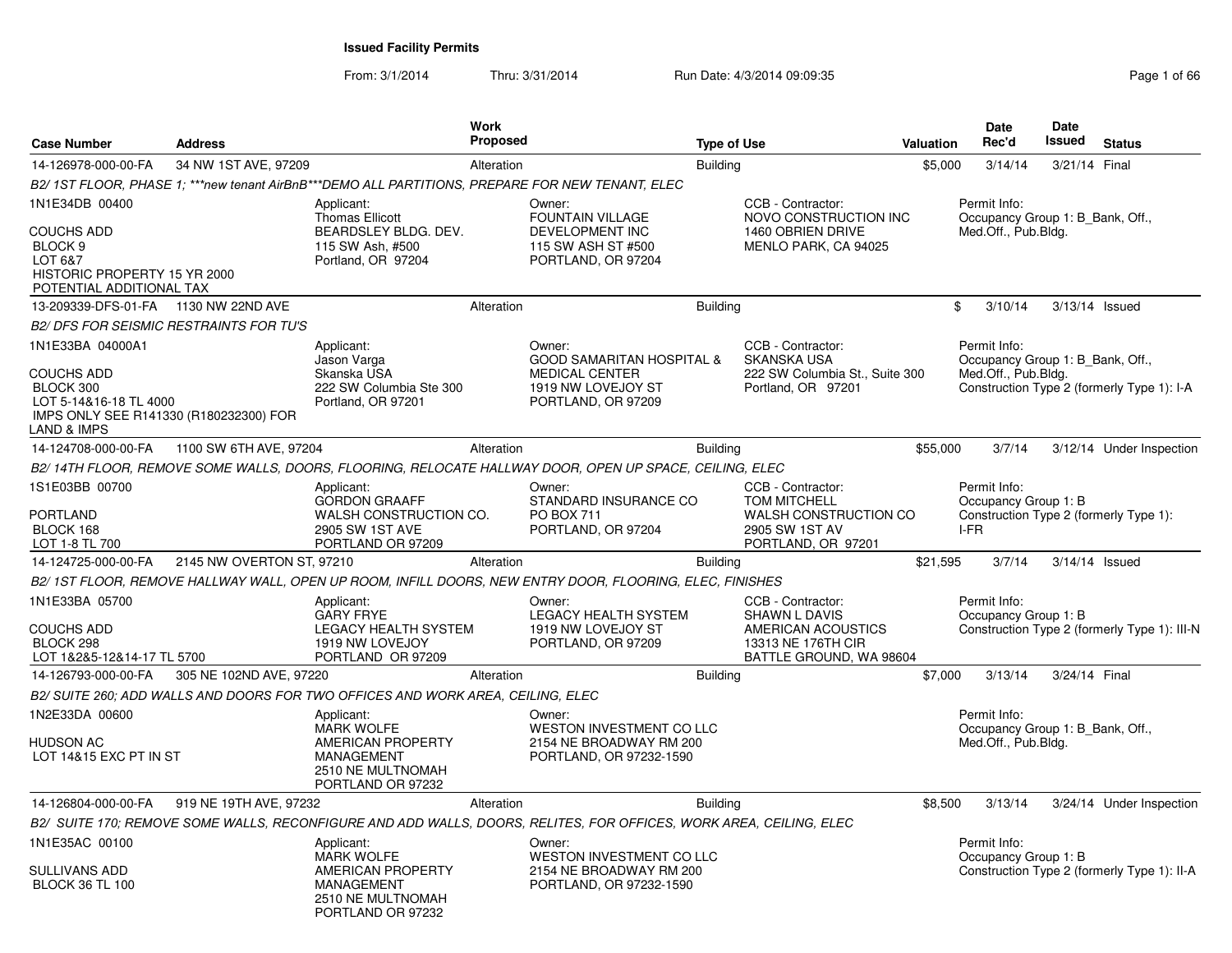From: 3/1/2014

| <b>Case Number</b>                                                                                                     | <b>Address</b>                                 |                                                                                                      | <b>Work</b><br>Proposed |                                                                                                                     | <b>Type of Use</b> |                                                                                                                  | <b>Valuation</b> | Date<br>Rec'd                                | <b>Date</b><br>Issued<br><b>Status</b>                                         |
|------------------------------------------------------------------------------------------------------------------------|------------------------------------------------|------------------------------------------------------------------------------------------------------|-------------------------|---------------------------------------------------------------------------------------------------------------------|--------------------|------------------------------------------------------------------------------------------------------------------|------------------|----------------------------------------------|--------------------------------------------------------------------------------|
| 14-126978-000-00-FA                                                                                                    | 34 NW 1ST AVE, 97209                           |                                                                                                      | Alteration              |                                                                                                                     | <b>Building</b>    |                                                                                                                  | \$5,000          | 3/14/14                                      | 3/21/14 Final                                                                  |
|                                                                                                                        |                                                | B2/1ST FLOOR, PHASE 1; ***new tenant AirBnB***DEMO ALL PARTITIONS, PREPARE FOR NEW TENANT, ELEC      |                         |                                                                                                                     |                    |                                                                                                                  |                  |                                              |                                                                                |
| 1N1E34DB 00400<br>COUCHS ADD<br>BLOCK <sub>9</sub>                                                                     |                                                | Applicant:<br><b>Thomas Ellicott</b><br>BEARDSLEY BLDG. DEV.<br>115 SW Ash, #500                     |                         | Owner:<br><b>FOUNTAIN VILLAGE</b><br>DEVELOPMENT INC<br>115 SW ASH ST #500                                          |                    | CCB - Contractor:<br>NOVO CONSTRUCTION INC<br>1460 OBRIEN DRIVE<br>MENLO PARK, CA 94025                          |                  | Permit Info:<br>Med.Off., Pub.Bldg.          | Occupancy Group 1: B_Bank, Off.,                                               |
| LOT 6&7<br>HISTORIC PROPERTY 15 YR 2000<br>POTENTIAL ADDITIONAL TAX                                                    |                                                | Portland, OR 97204                                                                                   |                         | PORTLAND, OR 97204                                                                                                  |                    |                                                                                                                  |                  |                                              |                                                                                |
| 13-209339-DFS-01-FA 1130 NW 22ND AVE                                                                                   |                                                |                                                                                                      | Alteration              |                                                                                                                     | <b>Building</b>    |                                                                                                                  |                  | \$<br>3/10/14                                | 3/13/14 Issued                                                                 |
|                                                                                                                        | <b>B2/ DFS FOR SEISMIC RESTRAINTS FOR TU'S</b> |                                                                                                      |                         |                                                                                                                     |                    |                                                                                                                  |                  |                                              |                                                                                |
| 1N1E33BA 04000A1<br><b>COUCHS ADD</b><br>BLOCK 300<br>LOT 5-14&16-18 TL 4000<br>IMPS ONLY SEE R141330 (R180232300) FOR |                                                | Applicant:<br>Jason Varga<br>Skanska USA<br>222 SW Columbia Ste 300<br>Portland, OR 97201            |                         | Owner:<br><b>GOOD SAMARITAN HOSPITAL &amp;</b><br><b>MEDICAL CENTER</b><br>1919 NW LOVEJOY ST<br>PORTLAND, OR 97209 |                    | CCB - Contractor:<br><b>SKANSKA USA</b><br>222 SW Columbia St., Suite 300<br>Portland, OR 97201                  |                  | Permit Info:<br>Med.Off., Pub.Bldg.          | Occupancy Group 1: B Bank, Off.,<br>Construction Type 2 (formerly Type 1): I-A |
| LAND & IMPS                                                                                                            |                                                |                                                                                                      |                         |                                                                                                                     |                    |                                                                                                                  |                  |                                              |                                                                                |
| 14-124708-000-00-FA                                                                                                    | 1100 SW 6TH AVE, 97204                         |                                                                                                      | Alteration              |                                                                                                                     | <b>Building</b>    |                                                                                                                  | \$55,000         | 3/7/14                                       | 3/12/14 Under Inspection                                                       |
|                                                                                                                        |                                                |                                                                                                      |                         | B2/14TH FLOOR, REMOVE SOME WALLS, DOORS, FLOORING, RELOCATE HALLWAY DOOR, OPEN UP SPACE, CEILING, ELEC              |                    |                                                                                                                  |                  |                                              |                                                                                |
| 1S1E03BB 00700<br><b>PORTLAND</b><br>BLOCK 168<br>LOT 1-8 TL 700                                                       |                                                | Applicant:<br><b>GORDON GRAAFF</b><br>WALSH CONSTRUCTION CO.<br>2905 SW 1ST AVE<br>PORTLAND OR 97209 |                         | Owner:<br>STANDARD INSURANCE CO<br>PO BOX 711<br>PORTLAND, OR 97204                                                 |                    | CCB - Contractor:<br><b>TOM MITCHELL</b><br>WALSH CONSTRUCTION CO<br>2905 SW 1ST AV<br>PORTLAND, OR 97201        |                  | Permit Info:<br>Occupancy Group 1: B<br>I-FR | Construction Type 2 (formerly Type 1):                                         |
| 14-124725-000-00-FA                                                                                                    | 2145 NW OVERTON ST, 97210                      |                                                                                                      | Alteration              |                                                                                                                     | Building           |                                                                                                                  | \$21,595         | 3/7/14                                       | $3/14/14$ Issued                                                               |
|                                                                                                                        |                                                |                                                                                                      |                         | B2/ 1ST FLOOR, REMOVE HALLWAY WALL, OPEN UP ROOM, INFILL DOORS, NEW ENTRY DOOR, FLOORING, ELEC, FINISHES            |                    |                                                                                                                  |                  |                                              |                                                                                |
| 1N1E33BA 05700<br><b>COUCHS ADD</b><br>BLOCK 298<br>LOT 1&2&5-12&14-17 TL 5700                                         |                                                | Applicant:<br><b>GARY FRYE</b><br>LEGACY HEALTH SYSTEM<br>1919 NW LOVEJOY<br>PORTLAND OR 97209       |                         | Owner:<br><b>LEGACY HEALTH SYSTEM</b><br>1919 NW LOVEJOY ST<br>PORTLAND, OR 97209                                   |                    | CCB - Contractor:<br><b>SHAWN L DAVIS</b><br>AMERICAN ACOUSTICS<br>13313 NE 176TH CIR<br>BATTLE GROUND, WA 98604 |                  | Permit Info:<br>Occupancy Group 1: B         | Construction Type 2 (formerly Type 1): III-N                                   |
| 14-126793-000-00-FA                                                                                                    | 305 NE 102ND AVE, 97220                        |                                                                                                      | Alteration              |                                                                                                                     | Building           |                                                                                                                  | \$7,000          | 3/13/14                                      | 3/24/14 Final                                                                  |
|                                                                                                                        |                                                | B2/ SUITE 260; ADD WALLS AND DOORS FOR TWO OFFICES AND WORK AREA, CEILING, ELEC                      |                         |                                                                                                                     |                    |                                                                                                                  |                  |                                              |                                                                                |
| 1N2E33DA 00600                                                                                                         |                                                | Applicant:<br><b>MARK WOLFE</b>                                                                      |                         | Owner:<br><b>WESTON INVESTMENT CO LLC</b>                                                                           |                    |                                                                                                                  |                  | Permit Info:                                 | Occupancy Group 1: B_Bank, Off.,                                               |
| HUDSON AC<br>LOT 14&15 EXC PT IN ST                                                                                    |                                                | AMERICAN PROPERTY<br>MANAGEMENT<br>2510 NE MULTNOMAH<br>PORTLAND OR 97232                            |                         | 2154 NE BROADWAY RM 200<br>PORTLAND, OR 97232-1590                                                                  |                    |                                                                                                                  |                  | Med.Off., Pub.Bldg.                          |                                                                                |
| 14-126804-000-00-FA                                                                                                    | 919 NE 19TH AVE, 97232                         |                                                                                                      | Alteration              |                                                                                                                     | <b>Building</b>    |                                                                                                                  | \$8,500          | 3/13/14                                      | 3/24/14 Under Inspection                                                       |
|                                                                                                                        |                                                |                                                                                                      |                         | B2/ SUITE 170; REMOVE SOME WALLS, RECONFIGURE AND ADD WALLS, DOORS, RELITES, FOR OFFICES, WORK AREA, CEILING, ELEC  |                    |                                                                                                                  |                  |                                              |                                                                                |
| 1N1E35AC 00100                                                                                                         |                                                | Applicant:<br><b>MARK WOLFE</b>                                                                      |                         | Owner:<br>WESTON INVESTMENT CO LLC                                                                                  |                    |                                                                                                                  |                  | Permit Info:<br>Occupancy Group 1: B         |                                                                                |
| SULLIVANS ADD<br><b>BLOCK 36 TL 100</b>                                                                                |                                                | AMERICAN PROPERTY<br>MANAGEMENT<br>2510 NE MULTNOMAH<br>PORTLAND OR 97232                            |                         | 2154 NE BROADWAY RM 200<br>PORTLAND, OR 97232-1590                                                                  |                    |                                                                                                                  |                  |                                              | Construction Type 2 (formerly Type 1): II-A                                    |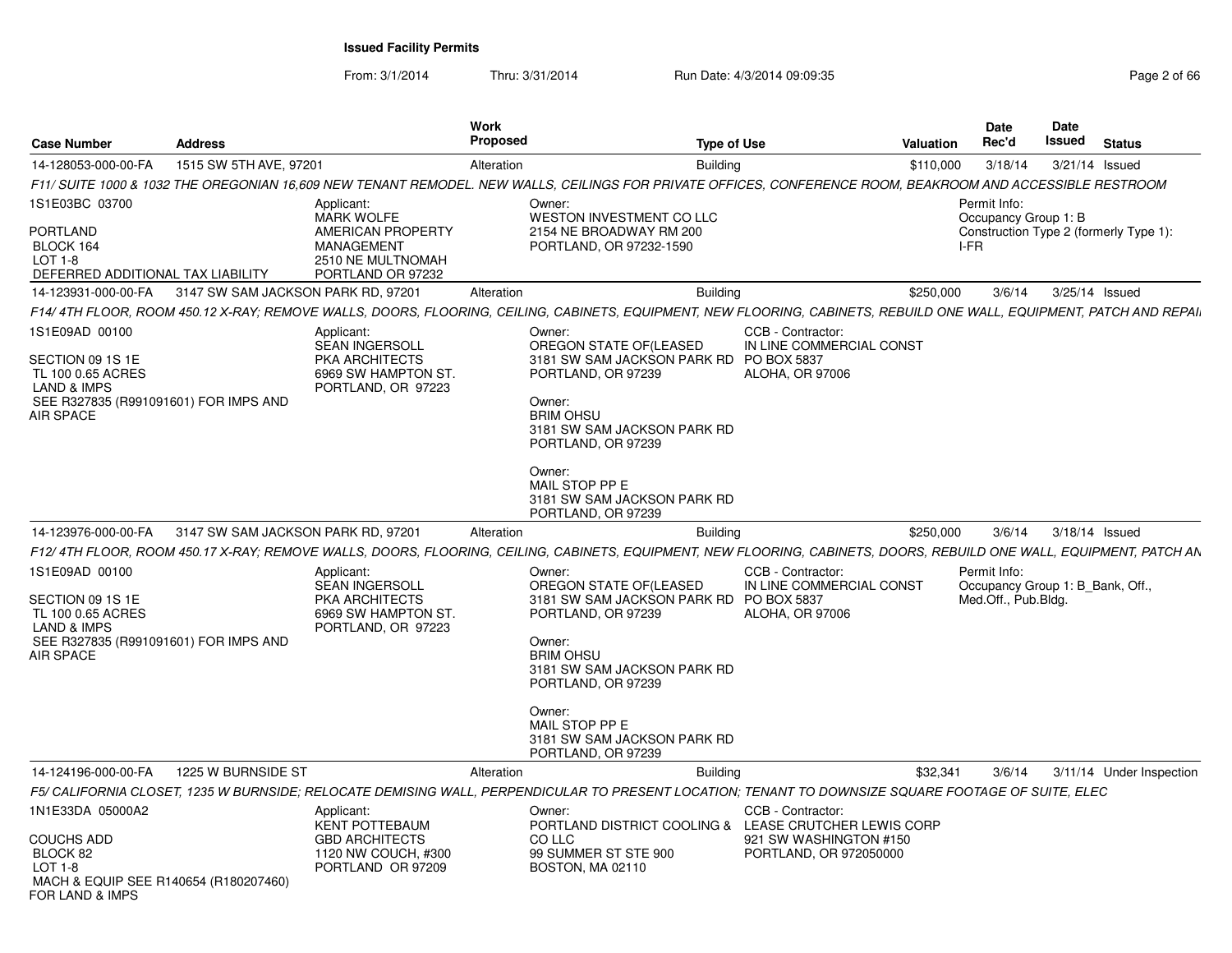From: 3/1/2014

Thru: 3/31/2014 Run Date: 4/3/2014 09:09:35 Page 2 of 66

| <b>Case Number</b>                                                                                                                      | <b>Address</b>                     |                                                                                                                     | Work<br><b>Proposed</b> | <b>Type of Use</b>                                                                                                                                                                                                                                                    |                                                                         | <b>Valuation</b> | <b>Date</b><br>Rec'd                                                    | <b>Date</b><br>Issued | <b>Status</b>                          |
|-----------------------------------------------------------------------------------------------------------------------------------------|------------------------------------|---------------------------------------------------------------------------------------------------------------------|-------------------------|-----------------------------------------------------------------------------------------------------------------------------------------------------------------------------------------------------------------------------------------------------------------------|-------------------------------------------------------------------------|------------------|-------------------------------------------------------------------------|-----------------------|----------------------------------------|
| 14-128053-000-00-FA                                                                                                                     | 1515 SW 5TH AVE, 97201             |                                                                                                                     | Alteration              | <b>Building</b>                                                                                                                                                                                                                                                       |                                                                         | \$110,000        | 3/18/14                                                                 | 3/21/14 Issued        |                                        |
|                                                                                                                                         |                                    |                                                                                                                     |                         | F11/ SUITE 1000 & 1032 THE OREGONIAN 16,609 NEW TENANT REMODEL. NEW WALLS, CEILINGS FOR PRIVATE OFFICES, CONFERENCE ROOM, BEAKROOM AND ACCESSIBLE RESTROOM                                                                                                            |                                                                         |                  |                                                                         |                       |                                        |
| 1S1E03BC 03700<br><b>PORTLAND</b><br>BLOCK 164<br>$LOT 1-8$<br>DEFERRED ADDITIONAL TAX LIABILITY                                        |                                    | Applicant:<br><b>MARK WOLFE</b><br>AMERICAN PROPERTY<br><b>MANAGEMENT</b><br>2510 NE MULTNOMAH<br>PORTLAND OR 97232 |                         | Owner:<br><b>WESTON INVESTMENT CO LLC</b><br>2154 NE BROADWAY RM 200<br>PORTLAND, OR 97232-1590                                                                                                                                                                       |                                                                         |                  | Permit Info:<br>Occupancy Group 1: B<br>I-FR                            |                       | Construction Type 2 (formerly Type 1): |
| 14-123931-000-00-FA 3147 SW SAM JACKSON PARK RD, 97201                                                                                  |                                    |                                                                                                                     | Alteration              | <b>Building</b>                                                                                                                                                                                                                                                       |                                                                         | \$250,000        | 3/6/14                                                                  | 3/25/14 Issued        |                                        |
|                                                                                                                                         |                                    |                                                                                                                     |                         | F14/ 4TH FLOOR, ROOM 450.12 X-RAY; REMOVE WALLS, DOORS, FLOORING, CEILING, CABINETS, EQUIPMENT, NEW FLOORING, CABINETS, REBUILD ONE WALL, EQUIPMENT, PATCH AND REPAI.                                                                                                 |                                                                         |                  |                                                                         |                       |                                        |
| 1S1E09AD 00100<br>SECTION 09 1S 1E<br>TL 100 0.65 ACRES<br><b>LAND &amp; IMPS</b><br>SEE R327835 (R991091601) FOR IMPS AND<br>AIR SPACE |                                    | Applicant:<br><b>SEAN INGERSOLL</b><br><b>PKA ARCHITECTS</b><br>6969 SW HAMPTON ST.<br>PORTLAND, OR 97223           |                         | Owner:<br>OREGON STATE OF(LEASED<br>3181 SW SAM JACKSON PARK RD PO BOX 5837<br>PORTLAND, OR 97239<br>Owner:<br><b>BRIM OHSU</b><br>3181 SW SAM JACKSON PARK RD<br>PORTLAND, OR 97239<br>Owner:<br>MAIL STOP PP E<br>3181 SW SAM JACKSON PARK RD<br>PORTLAND, OR 97239 | CCB - Contractor:<br>IN LINE COMMERCIAL CONST<br><b>ALOHA, OR 97006</b> |                  |                                                                         |                       |                                        |
| 14-123976-000-00-FA                                                                                                                     | 3147 SW SAM JACKSON PARK RD, 97201 |                                                                                                                     | Alteration              | <b>Building</b>                                                                                                                                                                                                                                                       |                                                                         | \$250.000        | 3/6/14                                                                  | 3/18/14 Issued        |                                        |
|                                                                                                                                         |                                    |                                                                                                                     |                         | F12/ 4TH FLOOR, ROOM 450.17 X-RAY; REMOVE WALLS, DOORS, FLOORING, CEILING, CABINETS, EQUIPMENT, NEW FLOORING, CABINETS, DOORS, REBUILD ONE WALL, EQUIPMENT, PATCH AN                                                                                                  |                                                                         |                  |                                                                         |                       |                                        |
| 1S1E09AD 00100<br>SECTION 09 1S 1E<br>TL 100 0.65 ACRES<br><b>LAND &amp; IMPS</b><br>SEE R327835 (R991091601) FOR IMPS AND<br>AIR SPACE |                                    | Applicant:<br><b>SEAN INGERSOLL</b><br>PKA ARCHITECTS<br>6969 SW HAMPTON ST.<br>PORTLAND, OR 97223                  |                         | Owner:<br>OREGON STATE OF(LEASED<br>3181 SW SAM JACKSON PARK RD PO BOX 5837<br>PORTLAND, OR 97239<br>Owner:<br><b>BRIM OHSU</b><br>3181 SW SAM JACKSON PARK RD<br>PORTLAND, OR 97239<br>Owner:<br>MAIL STOP PP E<br>3181 SW SAM JACKSON PARK RD<br>PORTLAND, OR 97239 | CCB - Contractor:<br>IN LINE COMMERCIAL CONST<br><b>ALOHA, OR 97006</b> |                  | Permit Info:<br>Occupancy Group 1: B Bank, Off.,<br>Med.Off., Pub.Bldg. |                       |                                        |
| 14-124196-000-00-FA                                                                                                                     | 1225 W BURNSIDE ST                 |                                                                                                                     | Alteration              | <b>Building</b>                                                                                                                                                                                                                                                       |                                                                         | \$32,341         | 3/6/14                                                                  |                       | 3/11/14 Under Inspection               |
|                                                                                                                                         |                                    |                                                                                                                     |                         | F5/ CALIFORNIA CLOSET, 1235 W BURNSIDE; RELOCATE DEMISING WALL, PERPENDICULAR TO PRESENT LOCATION; TENANT TO DOWNSIZE SQUARE FOOTAGE OF SUITE, ELEC                                                                                                                   |                                                                         |                  |                                                                         |                       |                                        |
| 1N1E33DA 05000A2                                                                                                                        |                                    | Applicant:                                                                                                          |                         | Owner:                                                                                                                                                                                                                                                                | CCB - Contractor:                                                       |                  |                                                                         |                       |                                        |
| <b>COUCHS ADD</b><br>BLOCK 82<br>$LOT 1-8$<br>MACH & EQUIP SEE R140654 (R180207460)<br>FOR LAND & IMPS                                  |                                    | <b>KENT POTTEBAUM</b><br><b>GBD ARCHITECTS</b><br>1120 NW COUCH, #300<br>PORTLAND OR 97209                          |                         | PORTLAND DISTRICT COOLING & LEASE CRUTCHER LEWIS CORP<br>CO LLC<br>99 SUMMER ST STE 900<br>BOSTON, MA 02110                                                                                                                                                           | 921 SW WASHINGTON #150<br>PORTLAND, OR 972050000                        |                  |                                                                         |                       |                                        |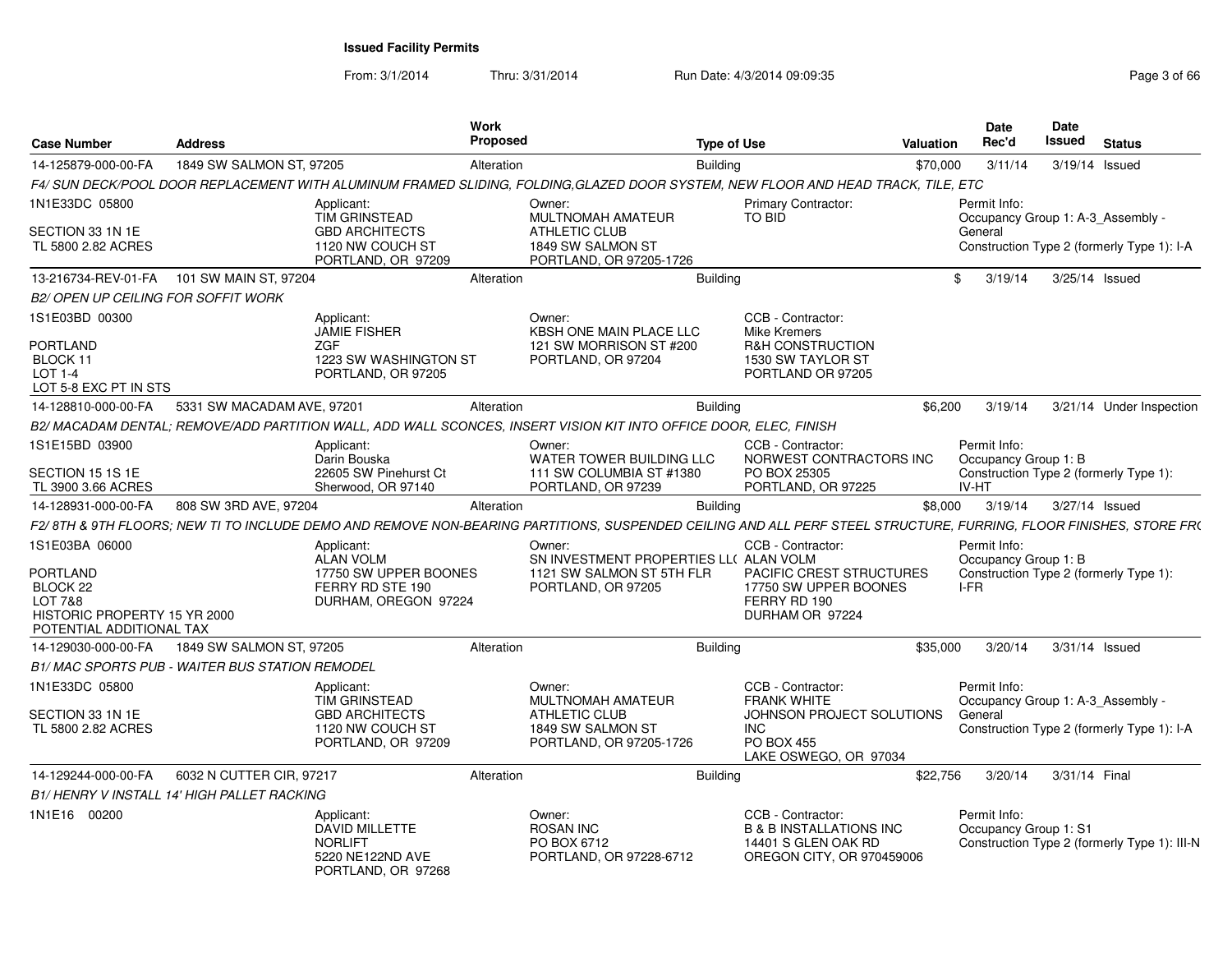| <b>Case Number</b>                                                                          | <b>Address</b>                                    |                                                                                                 | Work<br>Proposed |                                                                                                                                                                   | <b>Type of Use</b> |                                                                                                             | Valuation | <b>Date</b><br>Rec'd                  | Date<br>Issued<br><b>Status</b>              |
|---------------------------------------------------------------------------------------------|---------------------------------------------------|-------------------------------------------------------------------------------------------------|------------------|-------------------------------------------------------------------------------------------------------------------------------------------------------------------|--------------------|-------------------------------------------------------------------------------------------------------------|-----------|---------------------------------------|----------------------------------------------|
| 14-125879-000-00-FA                                                                         | 1849 SW SALMON ST, 97205                          |                                                                                                 | Alteration       |                                                                                                                                                                   | Buildina           |                                                                                                             | \$70,000  | 3/11/14                               | 3/19/14 Issued                               |
|                                                                                             |                                                   |                                                                                                 |                  | F4/ SUN DECK/POOL DOOR REPLACEMENT WITH ALUMINUM FRAMED SLIDING, FOLDING,GLAZED DOOR SYSTEM, NEW FLOOR AND HEAD TRACK, TILE, ETC                                  |                    |                                                                                                             |           |                                       |                                              |
| 1N1E33DC 05800                                                                              |                                                   | Applicant:<br>TIM GRINSTEAD                                                                     |                  | Owner:<br><b>MULTNOMAH AMATEUR</b>                                                                                                                                |                    | <b>Primary Contractor:</b><br>TO BID                                                                        |           | Permit Info:                          | Occupancy Group 1: A-3 Assembly -            |
| SECTION 33 1N 1E<br>TL 5800 2.82 ACRES                                                      |                                                   | <b>GBD ARCHITECTS</b><br>1120 NW COUCH ST<br>PORTLAND, OR 97209                                 |                  | <b>ATHLETIC CLUB</b><br>1849 SW SALMON ST<br>PORTLAND, OR 97205-1726                                                                                              |                    |                                                                                                             |           | General                               | Construction Type 2 (formerly Type 1): I-A   |
| 13-216734-REV-01-FA                                                                         | 101 SW MAIN ST, 97204                             |                                                                                                 | Alteration       |                                                                                                                                                                   | <b>Building</b>    |                                                                                                             | \$        | 3/19/14                               | 3/25/14 Issued                               |
| <b>B2/ OPEN UP CEILING FOR SOFFIT WORK</b>                                                  |                                                   |                                                                                                 |                  |                                                                                                                                                                   |                    |                                                                                                             |           |                                       |                                              |
| 1S1E03BD 00300<br>PORTLAND<br>BLOCK 11<br>LOT 1-4                                           |                                                   | Applicant:<br><b>JAMIE FISHER</b><br><b>ZGF</b><br>1223 SW WASHINGTON ST<br>PORTLAND, OR 97205  |                  | Owner:<br><b>KBSH ONE MAIN PLACE LLC</b><br>121 SW MORRISON ST #200<br>PORTLAND, OR 97204                                                                         |                    | CCB - Contractor:<br>Mike Kremers<br><b>R&amp;H CONSTRUCTION</b><br>1530 SW TAYLOR ST<br>PORTLAND OR 97205  |           |                                       |                                              |
| LOT 5-8 EXC PT IN STS                                                                       |                                                   |                                                                                                 |                  |                                                                                                                                                                   |                    |                                                                                                             |           |                                       |                                              |
| 14-128810-000-00-FA                                                                         | 5331 SW MACADAM AVE, 97201                        |                                                                                                 | Alteration       |                                                                                                                                                                   | <b>Building</b>    |                                                                                                             | \$6,200   | 3/19/14                               | 3/21/14 Under Inspection                     |
|                                                                                             |                                                   |                                                                                                 |                  | B2/ MACADAM DENTAL; REMOVE/ADD PARTITION WALL, ADD WALL SCONCES, INSERT VISION KIT INTO OFFICE DOOR, ELEC, FINISH                                                 |                    |                                                                                                             |           |                                       |                                              |
| IS1E15BD 03900<br>SECTION 15 1S 1E                                                          |                                                   | Applicant:<br>Darin Bouska<br>22605 SW Pinehurst Ct                                             |                  | Owner:<br>WATER TOWER BUILDING LLC<br>111 SW COLUMBIA ST #1380                                                                                                    |                    | CCB - Contractor:<br>NORWEST CONTRACTORS INC<br>PO BOX 25305                                                |           | Permit Info:<br>Occupancy Group 1: B  | Construction Type 2 (formerly Type 1):       |
| TL 3900 3.66 ACRES                                                                          |                                                   | Sherwood, OR 97140                                                                              |                  | PORTLAND, OR 97239                                                                                                                                                |                    | PORTLAND, OR 97225                                                                                          |           | IV-HT                                 |                                              |
| 14-128931-000-00-FA                                                                         | 808 SW 3RD AVE, 97204                             |                                                                                                 | Alteration       |                                                                                                                                                                   | <b>Building</b>    |                                                                                                             | \$8,000   | 3/19/14                               | 3/27/14 Issued                               |
|                                                                                             |                                                   |                                                                                                 |                  | F2/8TH & 9TH FLOORS; NEW TI TO INCLUDE DEMO AND REMOVE NON-BEARING PARTITIONS, SUSPENDED CEILING AND ALL PERF STEEL STRUCTURE, FURRING, FLOOR FINISHES, STORE FR( |                    |                                                                                                             |           |                                       |                                              |
| 1S1E03BA 06000                                                                              |                                                   | Applicant:<br><b>ALAN VOLM</b>                                                                  |                  | Owner:<br>SN INVESTMENT PROPERTIES LL( ALAN VOLM                                                                                                                  |                    | CCB - Contractor:                                                                                           |           | Permit Info:<br>Occupancy Group 1: B  |                                              |
| PORTLAND<br>BLOCK 22<br>LOT 7&8<br>HISTORIC PROPERTY 15 YR 2000<br>POTENTIAL ADDITIONAL TAX |                                                   | 17750 SW UPPER BOONES<br>FERRY RD STE 190<br>DURHAM, OREGON 97224                               |                  | 1121 SW SALMON ST 5TH FLR<br>PORTLAND, OR 97205                                                                                                                   |                    | <b>PACIFIC CREST STRUCTURES</b><br>17750 SW UPPER BOONES<br>FERRY RD 190<br>DURHAM OR 97224                 |           | I-FR                                  | Construction Type 2 (formerly Type 1):       |
| 14-129030-000-00-FA                                                                         | 1849 SW SALMON ST, 97205                          |                                                                                                 | Alteration       |                                                                                                                                                                   | <b>Building</b>    |                                                                                                             | \$35,000  | 3/20/14                               | 3/31/14 Issued                               |
|                                                                                             | B1/ MAC SPORTS PUB - WAITER BUS STATION REMODEL   |                                                                                                 |                  |                                                                                                                                                                   |                    |                                                                                                             |           |                                       |                                              |
| 1N1E33DC 05800                                                                              |                                                   | Applicant:<br>TIM GRINSTEAD                                                                     |                  | Owner:<br><b>MULTNOMAH AMATEUR</b>                                                                                                                                |                    | CCB - Contractor:<br><b>FRANK WHITE</b>                                                                     |           | Permit Info:                          | Occupancy Group 1: A-3 Assembly -            |
| SECTION 33 1N 1E<br>TL 5800 2.82 ACRES                                                      |                                                   | <b>GBD ARCHITECTS</b><br>1120 NW COUCH ST<br>PORTLAND, OR 97209                                 |                  | <b>ATHLETIC CLUB</b><br>1849 SW SALMON ST<br>PORTLAND, OR 97205-1726                                                                                              |                    | JOHNSON PROJECT SOLUTIONS<br>INC<br><b>PO BOX 455</b><br>LAKE OSWEGO, OR 97034                              |           | General                               | Construction Type 2 (formerly Type 1): I-A   |
| 14-129244-000-00-FA                                                                         | 6032 N CUTTER CIR, 97217                          |                                                                                                 | Alteration       |                                                                                                                                                                   | Buildina           |                                                                                                             | \$22,756  | 3/20/14                               | 3/31/14 Final                                |
|                                                                                             | <b>B1/HENRY V INSTALL 14' HIGH PALLET RACKING</b> |                                                                                                 |                  |                                                                                                                                                                   |                    |                                                                                                             |           |                                       |                                              |
| 1N1E16 00200                                                                                |                                                   | Applicant:<br><b>DAVID MILLETTE</b><br><b>NORLIFT</b><br>5220 NE122ND AVE<br>PORTLAND, OR 97268 |                  | Owner:<br><b>ROSAN INC</b><br>PO BOX 6712<br>PORTLAND, OR 97228-6712                                                                                              |                    | CCB - Contractor:<br><b>B &amp; B INSTALLATIONS INC</b><br>14401 S GLEN OAK RD<br>OREGON CITY, OR 970459006 |           | Permit Info:<br>Occupancy Group 1: S1 | Construction Type 2 (formerly Type 1): III-N |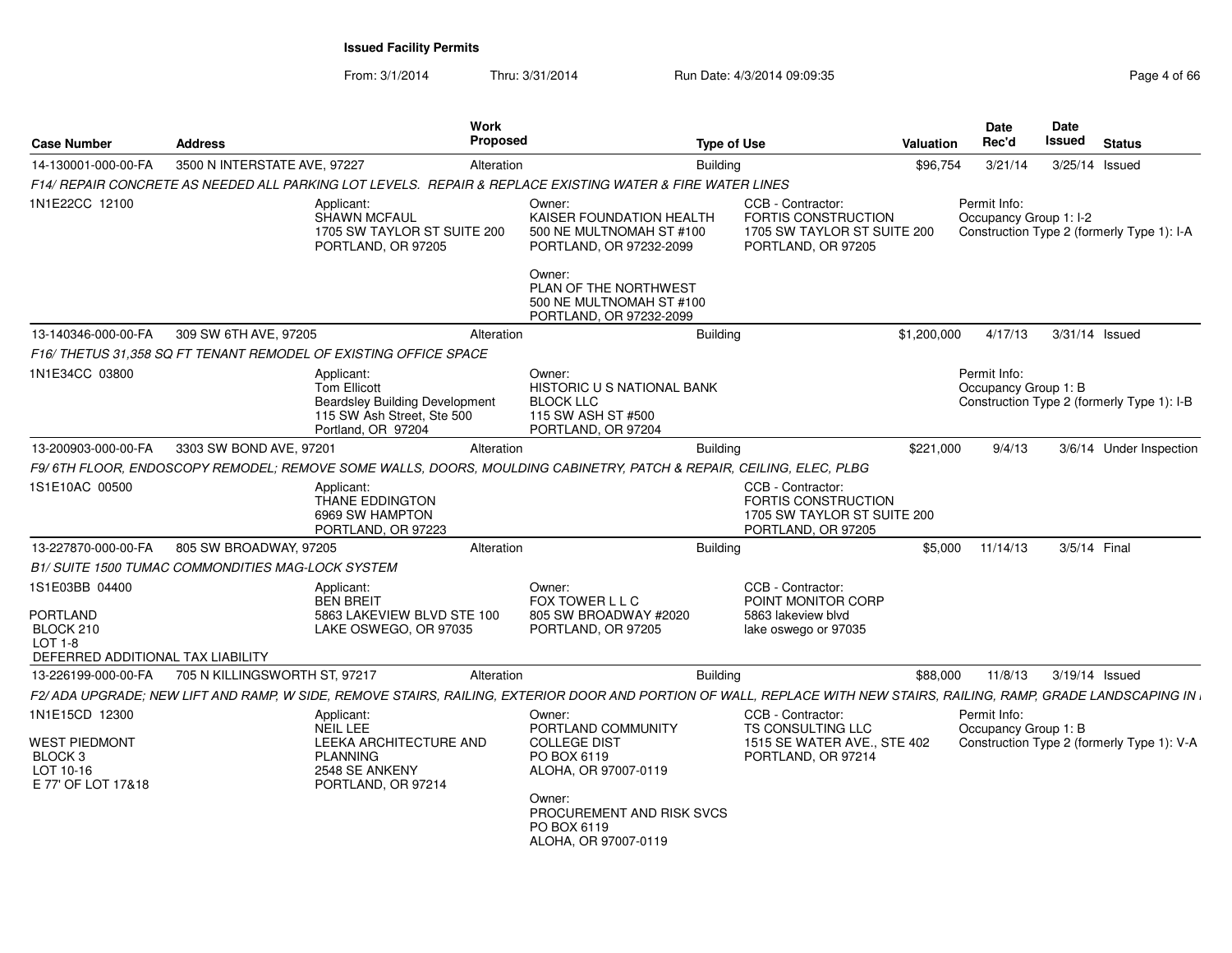| <b>Case Number</b>                                          | <b>Address</b>                                           |                                                                                                                                | Work<br>Proposed | <b>Type of Use</b>                                                                                                                                                 |                                                                                                      | Valuation   | Date<br>Rec'd                          | Date<br>Issued | <b>Status</b>                              |
|-------------------------------------------------------------|----------------------------------------------------------|--------------------------------------------------------------------------------------------------------------------------------|------------------|--------------------------------------------------------------------------------------------------------------------------------------------------------------------|------------------------------------------------------------------------------------------------------|-------------|----------------------------------------|----------------|--------------------------------------------|
| 14-130001-000-00-FA                                         | 3500 N INTERSTATE AVE, 97227                             |                                                                                                                                | Alteration       | <b>Building</b>                                                                                                                                                    |                                                                                                      | \$96,754    | 3/21/14                                | 3/25/14 Issued |                                            |
|                                                             |                                                          |                                                                                                                                |                  | F14/ REPAIR CONCRETE AS NEEDED ALL PARKING LOT LEVELS. REPAIR & REPLACE EXISTING WATER & FIRE WATER LINES                                                          |                                                                                                      |             |                                        |                |                                            |
| 1N1E22CC 12100                                              |                                                          | Applicant:<br><b>SHAWN MCFAUL</b><br>1705 SW TAYLOR ST SUITE 200<br>PORTLAND, OR 97205                                         |                  | Owner:<br>KAISER FOUNDATION HEALTH<br>500 NE MULTNOMAH ST #100<br>PORTLAND, OR 97232-2099                                                                          | CCB - Contractor:<br><b>FORTIS CONSTRUCTION</b><br>1705 SW TAYLOR ST SUITE 200<br>PORTLAND, OR 97205 |             | Permit Info:<br>Occupancy Group 1: I-2 |                | Construction Type 2 (formerly Type 1): I-A |
|                                                             |                                                          |                                                                                                                                |                  | Owner:<br>PLAN OF THE NORTHWEST<br>500 NE MULTNOMAH ST #100<br>PORTLAND, OR 97232-2099                                                                             |                                                                                                      |             |                                        |                |                                            |
| 13-140346-000-00-FA                                         | 309 SW 6TH AVE, 97205                                    |                                                                                                                                | Alteration       | Building                                                                                                                                                           |                                                                                                      | \$1,200,000 | 4/17/13                                | 3/31/14 Issued |                                            |
|                                                             |                                                          | F16/THETUS 31.358 SQ FT TENANT REMODEL OF EXISTING OFFICE SPACE                                                                |                  |                                                                                                                                                                    |                                                                                                      |             |                                        |                |                                            |
| 1N1E34CC 03800                                              |                                                          | Applicant:<br><b>Tom Ellicott</b><br><b>Beardsley Building Development</b><br>115 SW Ash Street, Ste 500<br>Portland, OR 97204 |                  | Owner:<br><b>HISTORIC U S NATIONAL BANK</b><br><b>BLOCK LLC</b><br>115 SW ASH ST #500<br>PORTLAND, OR 97204                                                        |                                                                                                      |             | Permit Info:<br>Occupancy Group 1: B   |                | Construction Type 2 (formerly Type 1): I-B |
| 13-200903-000-00-FA                                         | 3303 SW BOND AVE, 97201                                  |                                                                                                                                | Alteration       | Building                                                                                                                                                           |                                                                                                      | \$221,000   | 9/4/13                                 |                | 3/6/14 Under Inspection                    |
|                                                             |                                                          |                                                                                                                                |                  | F9/6TH FLOOR, ENDOSCOPY REMODEL; REMOVE SOME WALLS, DOORS, MOULDING CABINETRY, PATCH & REPAIR, CEILING, ELEC, PLBG                                                 |                                                                                                      |             |                                        |                |                                            |
| 1S1E10AC 00500                                              |                                                          | Applicant:<br><b>THANE EDDINGTON</b><br>6969 SW HAMPTON<br>PORTLAND, OR 97223                                                  |                  |                                                                                                                                                                    | CCB - Contractor:<br>FORTIS CONSTRUCTION<br>1705 SW TAYLOR ST SUITE 200<br>PORTLAND, OR 97205        |             |                                        |                |                                            |
| 13-227870-000-00-FA                                         | 805 SW BROADWAY, 97205                                   |                                                                                                                                | Alteration       | <b>Building</b>                                                                                                                                                    |                                                                                                      | \$5,000     | 11/14/13                               | 3/5/14 Final   |                                            |
|                                                             | <b>B1/ SUITE 1500 TUMAC COMMONDITIES MAG-LOCK SYSTEM</b> |                                                                                                                                |                  |                                                                                                                                                                    |                                                                                                      |             |                                        |                |                                            |
| 1S1E03BB 04400                                              |                                                          | Applicant:<br><b>BEN BREIT</b>                                                                                                 |                  | Owner:<br>FOX TOWER L L C                                                                                                                                          | CCB - Contractor:<br>POINT MONITOR CORP                                                              |             |                                        |                |                                            |
| PORTLAND<br>BLOCK 210                                       |                                                          | 5863 LAKEVIEW BLVD STE 100<br>LAKE OSWEGO, OR 97035                                                                            |                  | 805 SW BROADWAY #2020<br>PORTLAND, OR 97205                                                                                                                        | 5863 lakeview blyd<br>lake oswego or 97035                                                           |             |                                        |                |                                            |
| LOT 1-8<br>DEFERRED ADDITIONAL TAX LIABILITY                |                                                          |                                                                                                                                |                  |                                                                                                                                                                    |                                                                                                      |             |                                        |                |                                            |
| 13-226199-000-00-FA                                         | 705 N KILLINGSWORTH ST, 97217                            |                                                                                                                                | Alteration       | <b>Building</b>                                                                                                                                                    |                                                                                                      | \$88,000    | 11/8/13                                | 3/19/14 Issued |                                            |
|                                                             |                                                          |                                                                                                                                |                  | F2/ADA UPGRADE; NEW LIFT AND RAMP, W SIDE, REMOVE STAIRS, RAILING, EXTERIOR DOOR AND PORTION OF WALL, REPLACE WITH NEW STAIRS, RAILING, RAMP, GRADE LANDSCAPING IN |                                                                                                      |             |                                        |                |                                            |
| 1N1E15CD 12300                                              |                                                          | Applicant:                                                                                                                     |                  | Owner:                                                                                                                                                             | CCB - Contractor:                                                                                    |             | Permit Info:                           |                |                                            |
| WEST PIEDMONT<br>BLOCK 3<br>LOT 10-16<br>E 77' OF LOT 17&18 |                                                          | <b>NEIL LEE</b><br>LEEKA ARCHITECTURE AND<br><b>PLANNING</b><br>2548 SE ANKENY<br>PORTLAND, OR 97214                           |                  | PORTLAND COMMUNITY<br><b>COLLEGE DIST</b><br>PO BOX 6119<br>ALOHA, OR 97007-0119                                                                                   | <b>TS CONSULTING LLC</b><br>1515 SE WATER AVE., STE 402<br>PORTLAND, OR 97214                        |             | Occupancy Group 1: B                   |                | Construction Type 2 (formerly Type 1): V-A |
|                                                             |                                                          |                                                                                                                                |                  | Owner:<br>PROCUREMENT AND RISK SVCS<br>PO BOX 6119<br>ALOHA, OR 97007-0119                                                                                         |                                                                                                      |             |                                        |                |                                            |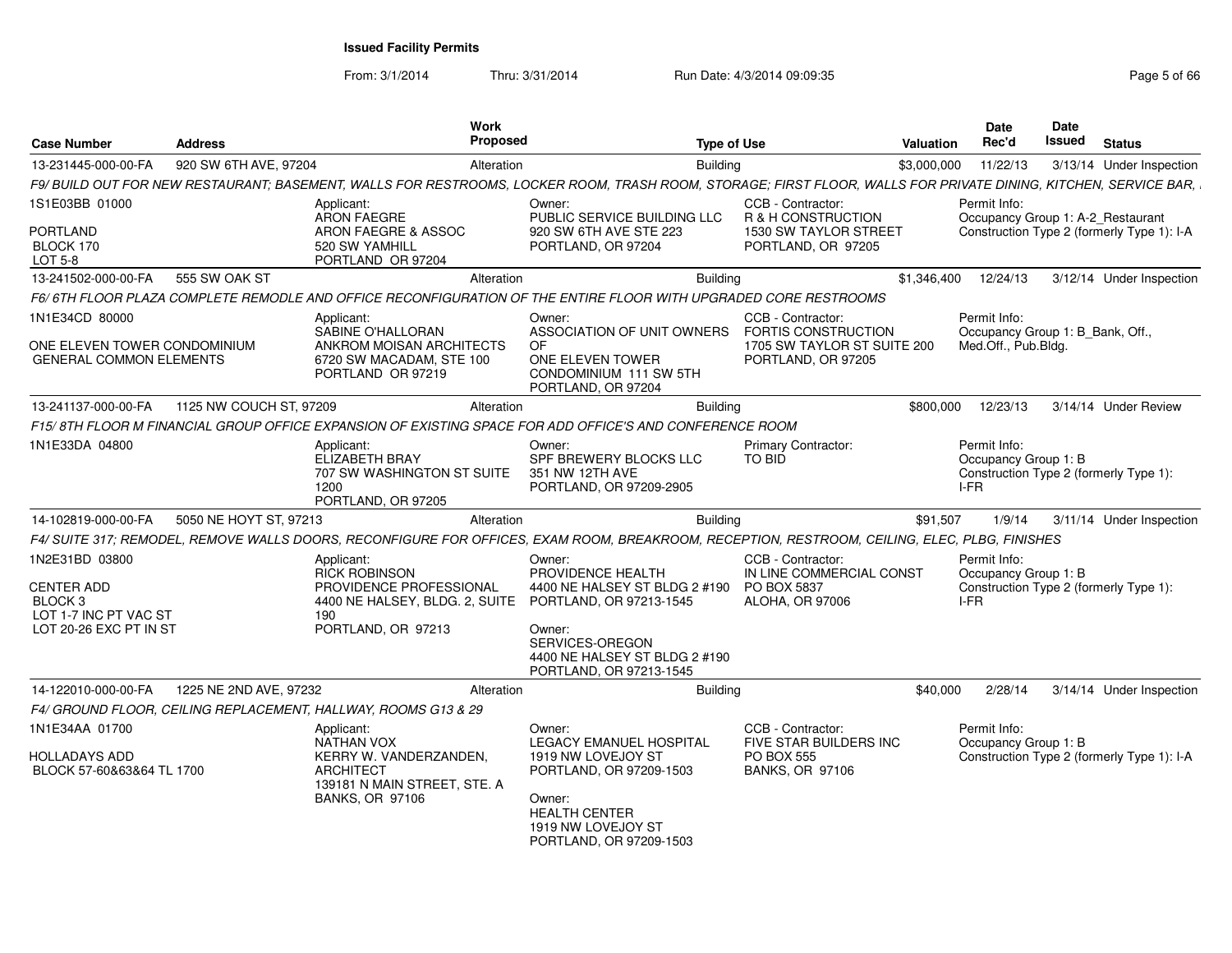From: 3/1/2014

| <b>Case Number</b>                                                                                           | <b>Address</b>          |                                                                                                                                         | Work<br><b>Proposed</b> | <b>Type of Use</b>                                                                                                                                                                                              |                                                                                                      | Valuation   | <b>Date</b><br>Rec'd                                                                   | <b>Date</b><br>Issued | <b>Status</b>                              |
|--------------------------------------------------------------------------------------------------------------|-------------------------|-----------------------------------------------------------------------------------------------------------------------------------------|-------------------------|-----------------------------------------------------------------------------------------------------------------------------------------------------------------------------------------------------------------|------------------------------------------------------------------------------------------------------|-------------|----------------------------------------------------------------------------------------|-----------------------|--------------------------------------------|
| 13-231445-000-00-FA                                                                                          | 920 SW 6TH AVE, 97204   |                                                                                                                                         | Alteration              | <b>Building</b>                                                                                                                                                                                                 |                                                                                                      | \$3,000,000 | 11/22/13                                                                               |                       | 3/13/14 Under Inspection                   |
|                                                                                                              |                         |                                                                                                                                         |                         | F9/ BUILD OUT FOR NEW RESTAURANT; BASEMENT, WALLS FOR RESTROOMS, LOCKER ROOM, TRASH ROOM, STORAGE; FIRST FLOOR, WALLS FOR PRIVATE DINING, KITCHEN, SERVICE BAR,                                                 |                                                                                                      |             |                                                                                        |                       |                                            |
| 1S1E03BB 01000<br><b>PORTLAND</b><br>BLOCK 170<br>LOT 5-8                                                    |                         | Applicant:<br><b>ARON FAEGRE</b><br>ARON FAEGRE & ASSOC<br>520 SW YAMHILL<br>PORTLAND OR 97204                                          |                         | Owner:<br>PUBLIC SERVICE BUILDING LLC<br>920 SW 6TH AVE STE 223<br>PORTLAND, OR 97204                                                                                                                           | CCB - Contractor:<br>R & H CONSTRUCTION<br><b>1530 SW TAYLOR STREET</b><br>PORTLAND, OR 97205        |             | Permit Info:<br>Occupancy Group 1: A-2_Restaurant                                      |                       | Construction Type 2 (formerly Type 1): I-A |
| 13-241502-000-00-FA                                                                                          | 555 SW OAK ST           |                                                                                                                                         | Alteration              | <b>Building</b>                                                                                                                                                                                                 |                                                                                                      | \$1,346,400 | 12/24/13                                                                               |                       | 3/12/14 Under Inspection                   |
|                                                                                                              |                         |                                                                                                                                         |                         | F6/6TH FLOOR PLAZA COMPLETE REMODLE AND OFFICE RECONFIGURATION OF THE ENTIRE FLOOR WITH UPGRADED CORE RESTROOMS                                                                                                 |                                                                                                      |             |                                                                                        |                       |                                            |
| 1N1E34CD 80000<br>ONE ELEVEN TOWER CONDOMINIUM<br><b>GENERAL COMMON ELEMENTS</b>                             |                         | Applicant:<br>SABINE O'HALLORAN<br>ANKROM MOISAN ARCHITECTS<br>6720 SW MACADAM, STE 100<br>PORTLAND OR 97219                            |                         | Owner:<br>ASSOCIATION OF UNIT OWNERS<br>OF<br>ONE ELEVEN TOWER<br>CONDOMINIUM 111 SW 5TH<br>PORTLAND, OR 97204                                                                                                  | CCB - Contractor:<br><b>FORTIS CONSTRUCTION</b><br>1705 SW TAYLOR ST SUITE 200<br>PORTLAND, OR 97205 |             | Permit Info:<br>Occupancy Group 1: B Bank, Off.,<br>Med.Off., Pub.Bldg.                |                       |                                            |
| 13-241137-000-00-FA                                                                                          | 1125 NW COUCH ST, 97209 |                                                                                                                                         | Alteration              | Building                                                                                                                                                                                                        |                                                                                                      | \$800,000   | 12/23/13                                                                               |                       | 3/14/14 Under Review                       |
|                                                                                                              |                         |                                                                                                                                         |                         | F15/ 8TH FLOOR M FINANCIAL GROUP OFFICE EXPANSION OF EXISTING SPACE FOR ADD OFFICE'S AND CONFERENCE ROOM                                                                                                        |                                                                                                      |             |                                                                                        |                       |                                            |
| 1N1E33DA 04800                                                                                               |                         | Applicant:<br>ELIZABETH BRAY<br>707 SW WASHINGTON ST SUITE<br>1200<br>PORTLAND, OR 97205                                                |                         | Owner:<br>SPF BREWERY BLOCKS LLC<br>351 NW 12TH AVE<br>PORTLAND, OR 97209-2905                                                                                                                                  | <b>Primary Contractor:</b><br>TO BID                                                                 |             | Permit Info:<br>Occupancy Group 1: B<br>Construction Type 2 (formerly Type 1):<br>I-FR |                       |                                            |
| 14-102819-000-00-FA                                                                                          | 5050 NE HOYT ST. 97213  |                                                                                                                                         | Alteration              | <b>Building</b>                                                                                                                                                                                                 |                                                                                                      | \$91.507    | 1/9/14                                                                                 |                       | 3/11/14 Under Inspection                   |
|                                                                                                              |                         |                                                                                                                                         |                         | F4/ SUITE 317; REMODEL, REMOVE WALLS DOORS, RECONFIGURE FOR OFFICES, EXAM ROOM, BREAKROOM, RECEPTION, RESTROOM, CEILING, ELEC, PLBG, FINISHES                                                                   |                                                                                                      |             |                                                                                        |                       |                                            |
| 1N2E31BD 03800<br><b>CENTER ADD</b><br>BLOCK <sub>3</sub><br>LOT 1-7 INC PT VAC ST<br>LOT 20-26 EXC PT IN ST |                         | Applicant<br><b>RICK ROBINSON</b><br>PROVIDENCE PROFESSIONAL<br>190<br>PORTLAND, OR 97213                                               |                         | Owner:<br>PROVIDENCE HEALTH<br>4400 NE HALSEY ST BLDG 2 #190<br>4400 NE HALSEY, BLDG. 2, SUITE PORTLAND, OR 97213-1545<br>Owner:<br>SERVICES-OREGON<br>4400 NE HALSEY ST BLDG 2 #190<br>PORTLAND, OR 97213-1545 | CCB - Contractor:<br>IN LINE COMMERCIAL CONST<br><b>PO BOX 5837</b><br><b>ALOHA, OR 97006</b>        |             | Permit Info:<br>Occupancy Group 1: B<br>Construction Type 2 (formerly Type 1):<br>I-FR |                       |                                            |
| 14-122010-000-00-FA                                                                                          | 1225 NE 2ND AVE, 97232  |                                                                                                                                         | Alteration              | <b>Building</b>                                                                                                                                                                                                 |                                                                                                      | \$40,000    | 2/28/14                                                                                |                       | 3/14/14 Under Inspection                   |
|                                                                                                              |                         | F4/ GROUND FLOOR, CEILING REPLACEMENT, HALLWAY, ROOMS G13 & 29                                                                          |                         |                                                                                                                                                                                                                 |                                                                                                      |             |                                                                                        |                       |                                            |
| 1N1E34AA 01700<br><b>HOLLADAYS ADD</b><br>BLOCK 57-60&63&64 TL 1700                                          |                         | Applicant:<br><b>NATHAN VOX</b><br>KERRY W. VANDERZANDEN,<br><b>ARCHITECT</b><br>139181 N MAIN STREET, STE. A<br><b>BANKS, OR 97106</b> |                         | Owner:<br><b>LEGACY EMANUEL HOSPITAL</b><br>1919 NW LOVEJOY ST<br>PORTLAND, OR 97209-1503<br>Owner:<br><b>HEALTH CENTER</b><br>1919 NW LOVEJOY ST<br>PORTLAND, OR 97209-1503                                    | CCB - Contractor:<br><b>FIVE STAR BUILDERS INC</b><br><b>PO BOX 555</b><br><b>BANKS, OR 97106</b>    |             | Permit Info:<br>Occupancy Group 1: B                                                   |                       | Construction Type 2 (formerly Type 1): I-A |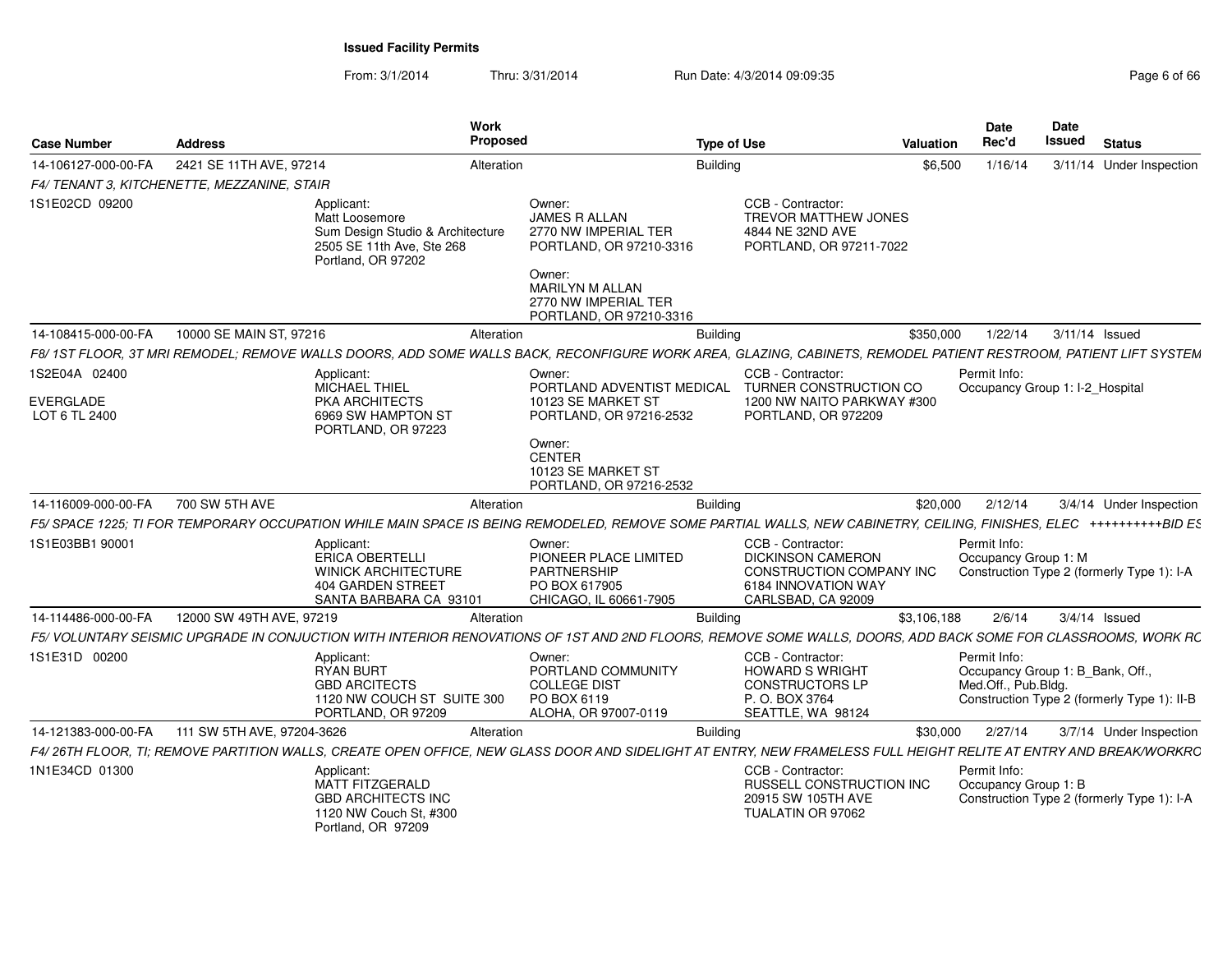From: 3/1/2014Thru: 3/31/2014 Run Date: 4/3/2014 09:09:35

| Page 6 of 66 |  |  |
|--------------|--|--|
|--------------|--|--|

| <b>Case Number</b>                | <b>Address</b>                              | <b>Work</b><br><b>Proposed</b>                                                                                                                                      |                                                                                            | <b>Type of Use</b>                                                                                                     | <b>Valuation</b> | <b>Date</b><br>Rec'd                                                    | <b>Date</b><br>Issued | <b>Status</b>                               |
|-----------------------------------|---------------------------------------------|---------------------------------------------------------------------------------------------------------------------------------------------------------------------|--------------------------------------------------------------------------------------------|------------------------------------------------------------------------------------------------------------------------|------------------|-------------------------------------------------------------------------|-----------------------|---------------------------------------------|
| 14-106127-000-00-FA               | 2421 SE 11TH AVE, 97214                     | Alteration                                                                                                                                                          |                                                                                            | <b>Building</b>                                                                                                        | \$6.500          | 1/16/14                                                                 |                       | 3/11/14 Under Inspection                    |
|                                   | F4/ TENANT 3, KITCHENETTE, MEZZANINE, STAIR |                                                                                                                                                                     |                                                                                            |                                                                                                                        |                  |                                                                         |                       |                                             |
| 1S1E02CD 09200                    |                                             | Applicant:<br>Matt Loosemore<br>Sum Design Studio & Architecture<br>2505 SE 11th Ave. Ste 268<br>Portland, OR 97202                                                 | Owner:<br><b>JAMES R ALLAN</b><br>2770 NW IMPERIAL TER<br>PORTLAND, OR 97210-3316          | CCB - Contractor:<br><b>TREVOR MATTHEW JONES</b><br>4844 NE 32ND AVE<br>PORTLAND, OR 97211-7022                        |                  |                                                                         |                       |                                             |
|                                   |                                             |                                                                                                                                                                     | Owner:<br><b>MARILYN M ALLAN</b><br>2770 NW IMPERIAL TER<br>PORTLAND, OR 97210-3316        |                                                                                                                        |                  |                                                                         |                       |                                             |
| 14-108415-000-00-FA               | 10000 SE MAIN ST, 97216                     | Alteration                                                                                                                                                          |                                                                                            | <b>Building</b>                                                                                                        | \$350,000        | 1/22/14                                                                 |                       | 3/11/14 Issued                              |
|                                   |                                             | F8/ 1ST FLOOR, 3T MRI REMODEL; REMOVE WALLS DOORS, ADD SOME WALLS BACK, RECONFIGURE WORK AREA, GLAZING, CABINETS, REMODEL PATIENT RESTROOM, PATIENT LIFT SYSTEM     |                                                                                            |                                                                                                                        |                  |                                                                         |                       |                                             |
| 1S2E04A 02400                     |                                             | Applicant:<br>MICHAEL THIEL                                                                                                                                         | Owner:<br>PORTLAND ADVENTIST MEDICAL                                                       | CCB - Contractor:<br>TURNER CONSTRUCTION CO                                                                            |                  | Permit Info:<br>Occupancy Group 1: I-2 Hospital                         |                       |                                             |
| <b>EVERGLADE</b><br>LOT 6 TL 2400 |                                             | <b>PKA ARCHITECTS</b><br>6969 SW HAMPTON ST<br>PORTLAND, OR 97223                                                                                                   | 10123 SE MARKET ST<br>PORTLAND, OR 97216-2532                                              | 1200 NW NAITO PARKWAY #300<br>PORTLAND, OR 972209                                                                      |                  |                                                                         |                       |                                             |
|                                   |                                             |                                                                                                                                                                     | Owner:<br><b>CENTER</b><br>10123 SE MARKET ST<br>PORTLAND, OR 97216-2532                   |                                                                                                                        |                  |                                                                         |                       |                                             |
| 14-116009-000-00-FA               | 700 SW 5TH AVE                              | Alteration                                                                                                                                                          |                                                                                            | <b>Building</b>                                                                                                        | \$20,000         | 2/12/14                                                                 |                       | 3/4/14 Under Inspection                     |
|                                   |                                             | F5/ SPACE 1225; TI FOR TEMPORARY OCCUPATION WHILE MAIN SPACE IS BEING REMODELED, REMOVE SOME PARTIAL WALLS, NEW CABINETRY, CEILING, FINISHES, ELEC ++++++++++BID ES |                                                                                            |                                                                                                                        |                  |                                                                         |                       |                                             |
| 1S1E03BB1 90001                   |                                             | Applicant:<br><b>ERICA OBERTELLI</b><br><b>WINICK ARCHITECTURE</b><br><b>404 GARDEN STREET</b><br>SANTA BARBARA CA 93101                                            | Owner:<br>PIONEER PLACE LIMITED<br>PARTNERSHIP<br>PO BOX 617905<br>CHICAGO, IL 60661-7905  | CCB - Contractor:<br><b>DICKINSON CAMERON</b><br>CONSTRUCTION COMPANY INC<br>6184 INNOVATION WAY<br>CARLSBAD, CA 92009 |                  | Permit Info:<br>Occupancy Group 1: M                                    |                       | Construction Type 2 (formerly Type 1): I-A  |
| 14-114486-000-00-FA               | 12000 SW 49TH AVE, 97219                    | Alteration                                                                                                                                                          |                                                                                            | <b>Building</b>                                                                                                        | \$3,106,188      | 2/6/14                                                                  |                       | $3/4/14$ Issued                             |
|                                   |                                             | F5/ VOLUNTARY SEISMIC UPGRADE IN CONJUCTION WITH INTERIOR RENOVATIONS OF 1ST AND 2ND FLOORS, REMOVE SOME WALLS, DOORS, ADD BACK SOME FOR CLASSROOMS, WORK RC        |                                                                                            |                                                                                                                        |                  |                                                                         |                       |                                             |
| 1S1E31D 00200                     |                                             | Applicant:<br><b>RYAN BURT</b><br><b>GBD ARCITECTS</b><br>1120 NW COUCH ST SUITE 300<br>PORTLAND, OR 97209                                                          | Owner:<br>PORTLAND COMMUNITY<br><b>COLLEGE DIST</b><br>PO BOX 6119<br>ALOHA, OR 97007-0119 | CCB - Contractor:<br><b>HOWARD S WRIGHT</b><br><b>CONSTRUCTORS LP</b><br>P. O. BOX 3764<br>SEATTLE, WA 98124           |                  | Permit Info:<br>Occupancy Group 1: B_Bank, Off.,<br>Med.Off., Pub.Bldg. |                       | Construction Type 2 (formerly Type 1): II-B |
| 14-121383-000-00-FA               | 111 SW 5TH AVE, 97204-3626                  | Alteration                                                                                                                                                          |                                                                                            | <b>Building</b>                                                                                                        | \$30,000         | 2/27/14                                                                 |                       | 3/7/14 Under Inspection                     |
|                                   |                                             | F4/26TH FLOOR, TI; REMOVE PARTITION WALLS, CREATE OPEN OFFICE, NEW GLASS DOOR AND SIDELIGHT AT ENTRY, NEW FRAMELESS FULL HEIGHT RELITE AT ENTRY AND BREAK/WORKRC    |                                                                                            |                                                                                                                        |                  |                                                                         |                       |                                             |
| 1N1E34CD 01300                    |                                             | Applicant:<br><b>MATT FITZGERALD</b><br><b>GBD ARCHITECTS INC</b><br>1120 NW Couch St, #300<br>Portland, OR 97209                                                   |                                                                                            | CCB - Contractor:<br><b>RUSSELL CONSTRUCTION INC</b><br>20915 SW 105TH AVE<br>TUALATIN OR 97062                        |                  | Permit Info:<br>Occupancy Group 1: B                                    |                       | Construction Type 2 (formerly Type 1): I-A  |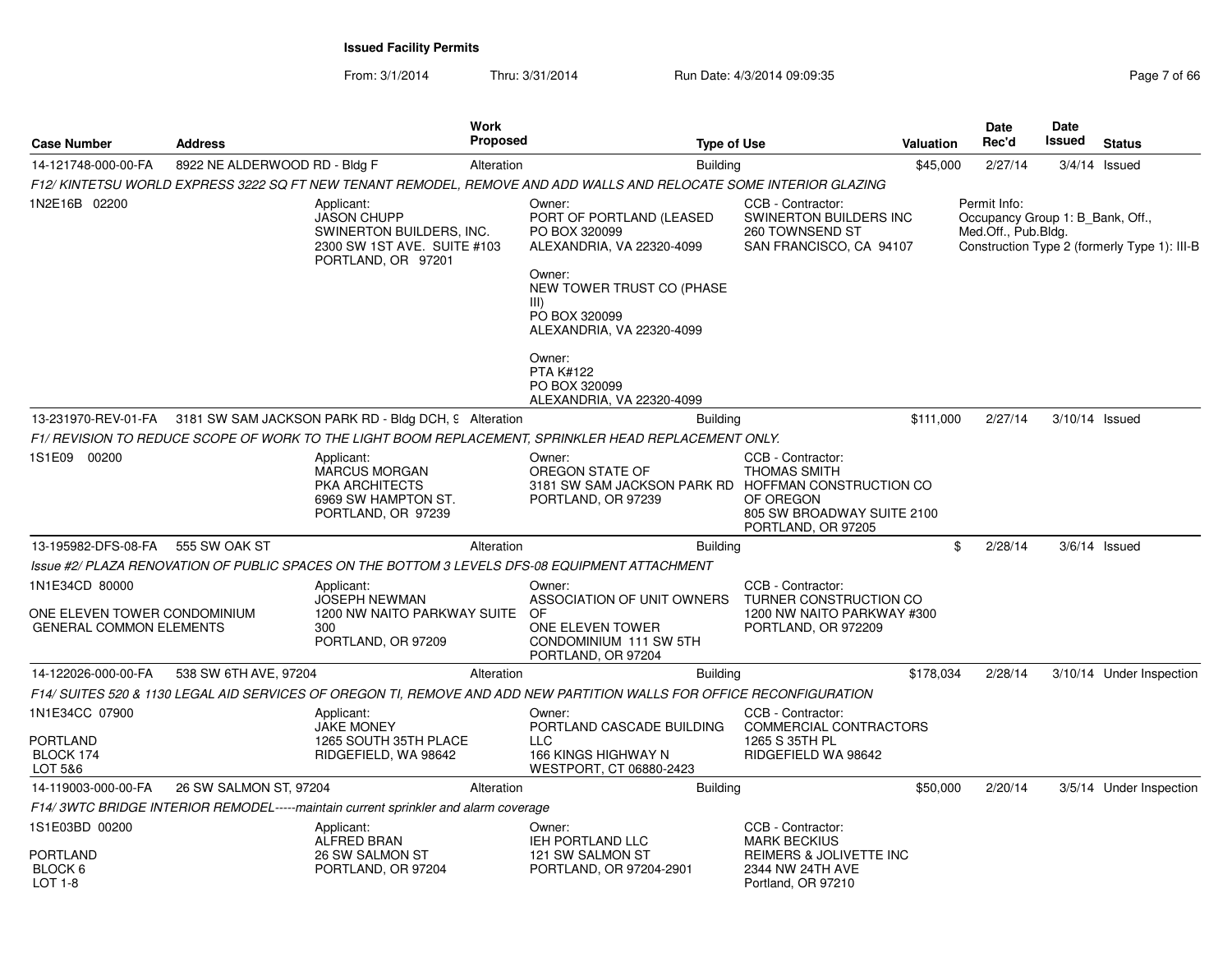| <b>Case Number</b>                                             | <b>Address</b>                |                                                                                                                   | <b>Work</b><br>Proposed | <b>Type of Use</b>                                                                                                                                                            |                                                                                                           | Valuation | <b>Date</b><br>Rec'd                                                    | Date<br>Issued | <b>Status</b>                                |
|----------------------------------------------------------------|-------------------------------|-------------------------------------------------------------------------------------------------------------------|-------------------------|-------------------------------------------------------------------------------------------------------------------------------------------------------------------------------|-----------------------------------------------------------------------------------------------------------|-----------|-------------------------------------------------------------------------|----------------|----------------------------------------------|
| 14-121748-000-00-FA                                            | 8922 NE ALDERWOOD RD - Bldg F |                                                                                                                   | Alteration              | <b>Building</b>                                                                                                                                                               |                                                                                                           | \$45,000  | 2/27/14                                                                 |                | $3/4/14$ Issued                              |
|                                                                |                               |                                                                                                                   |                         | F12/KINTETSU WORLD EXPRESS 3222 SQ FT NEW TENANT REMODEL, REMOVE AND ADD WALLS AND RELOCATE SOME INTERIOR GLAZING                                                             |                                                                                                           |           |                                                                         |                |                                              |
| 1N2E16B 02200                                                  |                               | Applicant:<br><b>JASON CHUPP</b><br>SWINERTON BUILDERS, INC.<br>2300 SW 1ST AVE. SUITE #103<br>PORTLAND, OR 97201 |                         | Owner:<br>PORT OF PORTLAND (LEASED<br>PO BOX 320099<br>ALEXANDRIA, VA 22320-4099<br>Owner:<br>NEW TOWER TRUST CO (PHASE<br>III)<br>PO BOX 320099<br>ALEXANDRIA, VA 22320-4099 | CCB - Contractor:<br>SWINERTON BUILDERS INC<br>260 TOWNSEND ST<br>SAN FRANCISCO, CA 94107                 |           | Permit Info:<br>Occupancy Group 1: B_Bank, Off.,<br>Med.Off., Pub.Bldg. |                | Construction Type 2 (formerly Type 1): III-B |
|                                                                |                               |                                                                                                                   |                         | Owner:<br><b>PTA K#122</b><br>PO BOX 320099<br>ALEXANDRIA, VA 22320-4099                                                                                                      |                                                                                                           |           |                                                                         |                |                                              |
|                                                                |                               | 13-231970-REV-01-FA 3181 SW SAM JACKSON PARK RD - Bldg DCH, 9 Alteration                                          |                         | Building                                                                                                                                                                      |                                                                                                           | \$111,000 | 2/27/14                                                                 |                | 3/10/14 Issued                               |
|                                                                |                               |                                                                                                                   |                         | F1/ REVISION TO REDUCE SCOPE OF WORK TO THE LIGHT BOOM REPLACEMENT. SPRINKLER HEAD REPLACEMENT ONLY.                                                                          |                                                                                                           |           |                                                                         |                |                                              |
| 1S1E09 00200                                                   |                               | Applicant:<br>MARCUS MORGAN<br>PKA ARCHITECTS<br>6969 SW HAMPTON ST.<br>PORTLAND, OR 97239                        |                         | Owner:<br>OREGON STATE OF<br>3181 SW SAM JACKSON PARK RD HOFFMAN CONSTRUCTION CO<br>PORTLAND, OR 97239                                                                        | CCB - Contractor:<br><b>THOMAS SMITH</b><br>OF OREGON<br>805 SW BROADWAY SUITE 2100<br>PORTLAND, OR 97205 |           |                                                                         |                |                                              |
| 13-195982-DFS-08-FA                                            | 555 SW OAK ST                 |                                                                                                                   | Alteration              | <b>Building</b>                                                                                                                                                               |                                                                                                           |           | \$<br>2/28/14                                                           |                | $3/6/14$ Issued                              |
|                                                                |                               |                                                                                                                   |                         | Issue #2/ PLAZA RENOVATION OF PUBLIC SPACES ON THE BOTTOM 3 LEVELS DFS-08 EQUIPMENT ATTACHMENT                                                                                |                                                                                                           |           |                                                                         |                |                                              |
| 1N1E34CD 80000                                                 |                               | Applicant:                                                                                                        |                         | Owner:                                                                                                                                                                        | CCB - Contractor:                                                                                         |           |                                                                         |                |                                              |
| ONE ELEVEN TOWER CONDOMINIUM<br><b>GENERAL COMMON ELEMENTS</b> |                               | <b>JOSEPH NEWMAN</b><br>1200 NW NAITO PARKWAY SUITE<br>300<br>PORTLAND, OR 97209                                  |                         | ASSOCIATION OF UNIT OWNERS<br>OF<br>ONE ELEVEN TOWER<br>CONDOMINIUM 111 SW 5TH<br>PORTLAND, OR 97204                                                                          | TURNER CONSTRUCTION CO<br>1200 NW NAITO PARKWAY #300<br>PORTLAND, OR 972209                               |           |                                                                         |                |                                              |
| 14-122026-000-00-FA                                            | 538 SW 6TH AVE, 97204         |                                                                                                                   | Alteration              | <b>Building</b>                                                                                                                                                               |                                                                                                           | \$178,034 | 2/28/14                                                                 |                | 3/10/14 Under Inspection                     |
|                                                                |                               |                                                                                                                   |                         | F14/ SUITES 520 & 1130 LEGAL AID SERVICES OF OREGON TI, REMOVE AND ADD NEW PARTITION WALLS FOR OFFICE RECONFIGURATION                                                         |                                                                                                           |           |                                                                         |                |                                              |
| 1N1E34CC 07900<br>PORTLAND<br>BLOCK 174<br>LOT 5&6             |                               | Applicant:<br><b>JAKE MONEY</b><br>1265 SOUTH 35TH PLACE<br>RIDGEFIELD, WA 98642                                  |                         | Owner:<br>PORTLAND CASCADE BUILDING<br><b>LLC</b><br>166 KINGS HIGHWAY N<br>WESTPORT, CT 06880-2423                                                                           | CCB - Contractor:<br>COMMERCIAL CONTRACTORS<br>1265 S 35TH PL<br>RIDGEFIELD WA 98642                      |           |                                                                         |                |                                              |
| 14-119003-000-00-FA                                            | 26 SW SALMON ST, 97204        |                                                                                                                   | Alteration              | <b>Building</b>                                                                                                                                                               |                                                                                                           | \$50,000  | 2/20/14                                                                 |                | 3/5/14 Under Inspection                      |
|                                                                |                               | F14/3WTC BRIDGE INTERIOR REMODEL-----maintain current sprinkler and alarm coverage                                |                         |                                                                                                                                                                               |                                                                                                           |           |                                                                         |                |                                              |
| 1S1E03BD 00200<br>PORTLAND<br>BLOCK 6                          |                               | Applicant:<br>ALFRED BRAN<br>26 SW SALMON ST<br>PORTLAND, OR 97204                                                |                         | Owner:<br>IEH PORTLAND LLC<br>121 SW SALMON ST<br>PORTLAND, OR 97204-2901                                                                                                     | CCB - Contractor:<br><b>MARK BECKIUS</b><br>REIMERS & JOLIVETTE INC<br>2344 NW 24TH AVE                   |           |                                                                         |                |                                              |
| LOT 1-8                                                        |                               |                                                                                                                   |                         |                                                                                                                                                                               | Portland, OR 97210                                                                                        |           |                                                                         |                |                                              |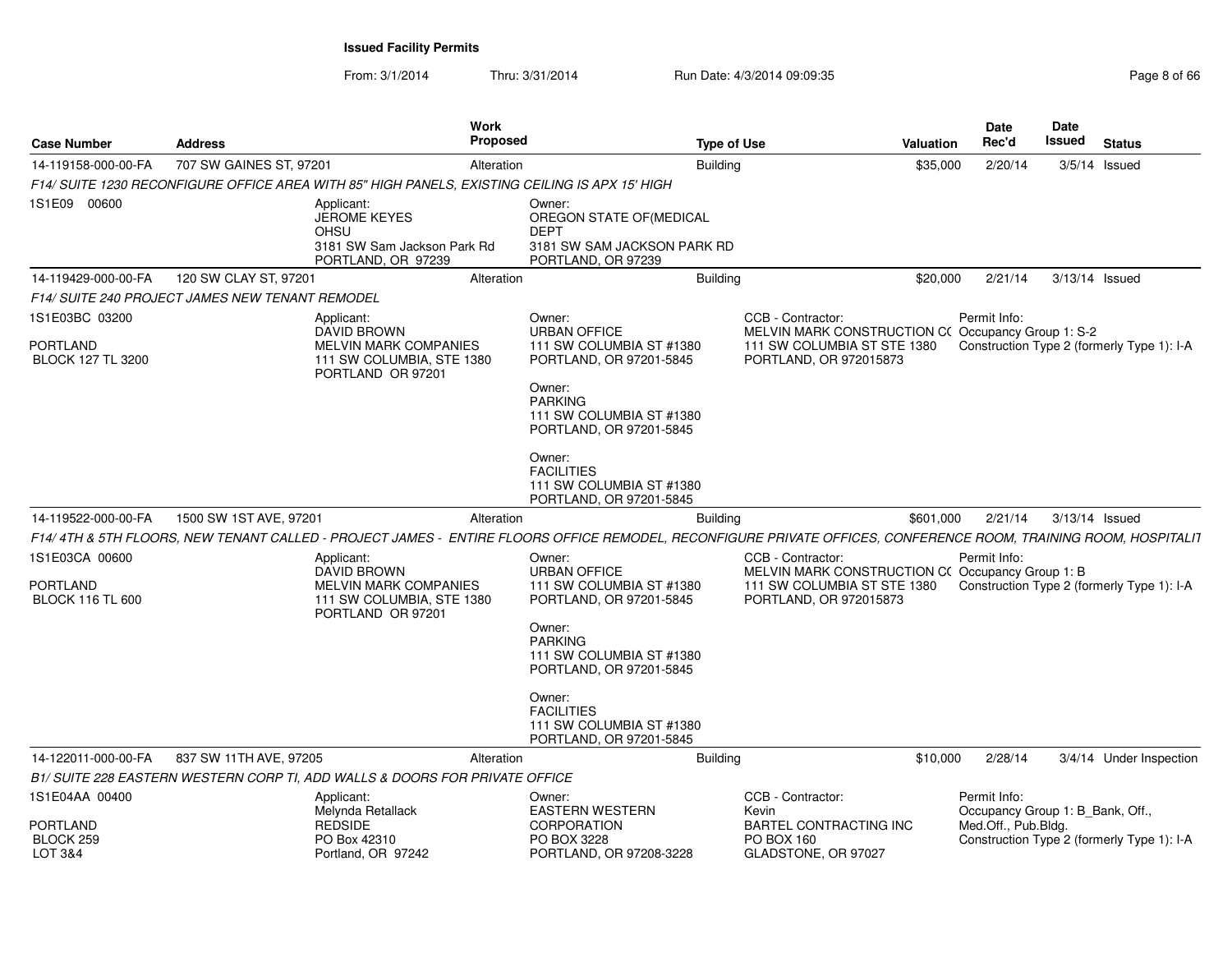From: 3/1/2014

| <b>Case Number</b>                                    | <b>Address</b>          |                                                                                                             | <b>Work</b><br><b>Proposed</b> |                                                                                                                                                                         | <b>Type of Use</b>                                                                                                            | <b>Valuation</b> | <b>Date</b><br>Rec'd                                    | Date<br>Issued | <b>Status</b>                              |
|-------------------------------------------------------|-------------------------|-------------------------------------------------------------------------------------------------------------|--------------------------------|-------------------------------------------------------------------------------------------------------------------------------------------------------------------------|-------------------------------------------------------------------------------------------------------------------------------|------------------|---------------------------------------------------------|----------------|--------------------------------------------|
| 14-119158-000-00-FA                                   | 707 SW GAINES ST, 97201 |                                                                                                             | Alteration                     |                                                                                                                                                                         | Building                                                                                                                      | \$35,000         | 2/20/14                                                 |                | $3/5/14$ Issued                            |
|                                                       |                         | F14/ SUITE 1230 RECONFIGURE OFFICE AREA WITH 85" HIGH PANELS. EXISTING CEILING IS APX 15' HIGH              |                                |                                                                                                                                                                         |                                                                                                                               |                  |                                                         |                |                                            |
| 1S1E09 00600                                          |                         | Applicant:<br><b>JEROME KEYES</b><br><b>OHSU</b><br>3181 SW Sam Jackson Park Rd<br>PORTLAND, OR 97239       |                                | Owner:<br>OREGON STATE OF (MEDICAL<br><b>DEPT</b><br>3181 SW SAM JACKSON PARK RD<br>PORTLAND, OR 97239                                                                  |                                                                                                                               |                  |                                                         |                |                                            |
| 14-119429-000-00-FA                                   | 120 SW CLAY ST, 97201   |                                                                                                             | Alteration                     |                                                                                                                                                                         | Building                                                                                                                      | \$20,000         | 2/21/14                                                 | 3/13/14 Issued |                                            |
| F14/ SUITE 240 PROJECT JAMES NEW TENANT REMODEL       |                         |                                                                                                             |                                |                                                                                                                                                                         |                                                                                                                               |                  |                                                         |                |                                            |
| 1S1E03BC 03200                                        |                         | Applicant:                                                                                                  |                                | Owner:                                                                                                                                                                  | CCB - Contractor:                                                                                                             |                  | Permit Info:                                            |                |                                            |
| <b>PORTLAND</b><br>BLOCK 127 TL 3200                  |                         | DAVID BROWN<br><b>MELVIN MARK COMPANIES</b><br>111 SW COLUMBIA, STE 1380<br>PORTLAND OR 97201               |                                | <b>URBAN OFFICE</b><br>111 SW COLUMBIA ST #1380<br>PORTLAND, OR 97201-5845<br>Owner:<br><b>PARKING</b><br>111 SW COLUMBIA ST #1380<br>PORTLAND, OR 97201-5845           | MELVIN MARK CONSTRUCTION C(Occupancy Group 1: S-2<br>111 SW COLUMBIA ST STE 1380<br>PORTLAND, OR 972015873                    |                  |                                                         |                | Construction Type 2 (formerly Type 1): I-A |
| 14-119522-000-00-FA                                   | 1500 SW 1ST AVE, 97201  |                                                                                                             | Alteration                     | Owner:<br><b>FACILITIES</b><br>111 SW COLUMBIA ST #1380<br>PORTLAND, OR 97201-5845                                                                                      | <b>Building</b>                                                                                                               | \$601,000        | 2/21/14                                                 | 3/13/14 Issued |                                            |
|                                                       |                         |                                                                                                             |                                | F14/4TH & 5TH FLOORS, NEW TENANT CALLED - PROJECT JAMES - ENTIRE FLOORS OFFICE REMODEL, RECONFIGURE PRIVATE OFFICES, CONFERENCE ROOM, TRAINING ROOM, HOSPITALIT         |                                                                                                                               |                  |                                                         |                |                                            |
| 1S1E03CA 00600<br>PORTLAND<br><b>BLOCK 116 TL 600</b> |                         | Applicant:<br>DAVID BROWN<br><b>MELVIN MARK COMPANIES</b><br>111 SW COLUMBIA, STE 1380<br>PORTLAND OR 97201 |                                | Owner:<br><b>URBAN OFFICE</b><br>111 SW COLUMBIA ST #1380<br>PORTLAND, OR 97201-5845<br>Owner:<br><b>PARKING</b><br>111 SW COLUMBIA ST #1380<br>PORTLAND, OR 97201-5845 | CCB - Contractor:<br>MELVIN MARK CONSTRUCTION C(Occupancy Group 1: B<br>111 SW COLUMBIA ST STE 1380<br>PORTLAND, OR 972015873 |                  | Permit Info:                                            |                | Construction Type 2 (formerly Type 1): I-A |
|                                                       |                         |                                                                                                             |                                | Owner:<br><b>FACILITIES</b><br>111 SW COLUMBIA ST #1380<br>PORTLAND, OR 97201-5845                                                                                      |                                                                                                                               |                  |                                                         |                |                                            |
| 14-122011-000-00-FA                                   | 837 SW 11TH AVE, 97205  |                                                                                                             | Alteration                     |                                                                                                                                                                         | <b>Building</b>                                                                                                               | \$10,000         | 2/28/14                                                 |                | 3/4/14 Under Inspection                    |
|                                                       |                         | B1/ SUITE 228 EASTERN WESTERN CORP TI, ADD WALLS & DOORS FOR PRIVATE OFFICE                                 |                                |                                                                                                                                                                         |                                                                                                                               |                  |                                                         |                |                                            |
| 1S1E04AA 00400                                        |                         | Applicant:                                                                                                  |                                | Owner:                                                                                                                                                                  | CCB - Contractor:                                                                                                             |                  | Permit Info:                                            |                |                                            |
| PORTLAND<br>BLOCK <sub>259</sub><br>LOT 3&4           |                         | Melynda Retallack<br><b>REDSIDE</b><br>PO Box 42310<br>Portland, OR 97242                                   |                                | <b>EASTERN WESTERN</b><br><b>CORPORATION</b><br>PO BOX 3228<br>PORTLAND, OR 97208-3228                                                                                  | Kevin<br><b>BARTEL CONTRACTING INC</b><br><b>PO BOX 160</b><br>GLADSTONE, OR 97027                                            |                  | Occupancy Group 1: B_Bank, Off.,<br>Med.Off., Pub.Bldg. |                | Construction Type 2 (formerly Type 1): I-A |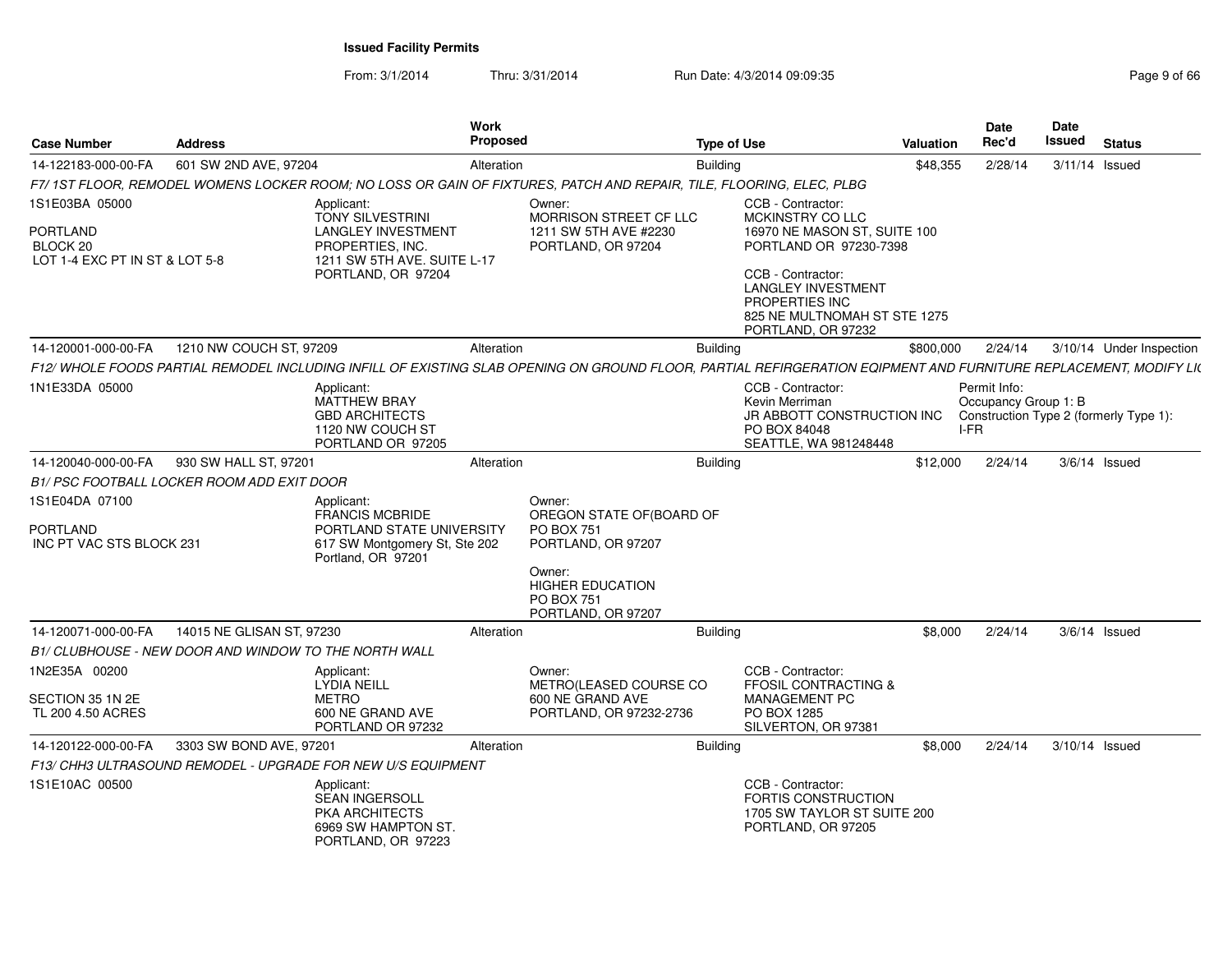| <b>Case Number</b>                                     | <b>Address</b>                                        |                                                                                                                          | <b>Work</b><br><b>Proposed</b> |                                                                                                                                                                  | <b>Type of Use</b> |                                                                                                                        | <b>Valuation</b> | Date<br>Rec'd                                | Date<br>Issued | <b>Status</b>                          |
|--------------------------------------------------------|-------------------------------------------------------|--------------------------------------------------------------------------------------------------------------------------|--------------------------------|------------------------------------------------------------------------------------------------------------------------------------------------------------------|--------------------|------------------------------------------------------------------------------------------------------------------------|------------------|----------------------------------------------|----------------|----------------------------------------|
| 14-122183-000-00-FA                                    | 601 SW 2ND AVE, 97204                                 |                                                                                                                          | Alteration                     |                                                                                                                                                                  | <b>Building</b>    |                                                                                                                        | \$48,355         | 2/28/14                                      |                | 3/11/14 Issued                         |
|                                                        |                                                       |                                                                                                                          |                                | F7/1ST FLOOR, REMODEL WOMENS LOCKER ROOM; NO LOSS OR GAIN OF FIXTURES, PATCH AND REPAIR, TILE, FLOORING, ELEC, PLBG                                              |                    |                                                                                                                        |                  |                                              |                |                                        |
| 1S1E03BA 05000<br><b>PORTLAND</b><br>BLOCK 20          |                                                       | Applicant:<br><b>TONY SILVESTRINI</b><br><b>LANGLEY INVESTMENT</b><br>PROPERTIES, INC.                                   |                                | Owner:<br>MORRISON STREET CF LLC<br>1211 SW 5TH AVE #2230<br>PORTLAND, OR 97204                                                                                  |                    | CCB - Contractor:<br>MCKINSTRY CO LLC<br>16970 NE MASON ST. SUITE 100<br>PORTLAND OR 97230-7398                        |                  |                                              |                |                                        |
| LOT 1-4 EXC PT IN ST & LOT 5-8                         |                                                       | 1211 SW 5TH AVE, SUITE L-17<br>PORTLAND, OR 97204                                                                        |                                |                                                                                                                                                                  |                    | CCB - Contractor:<br><b>LANGLEY INVESTMENT</b><br>PROPERTIES INC<br>825 NE MULTNOMAH ST STE 1275<br>PORTLAND, OR 97232 |                  |                                              |                |                                        |
| 14-120001-000-00-FA                                    | 1210 NW COUCH ST, 97209                               |                                                                                                                          | Alteration                     |                                                                                                                                                                  | <b>Building</b>    |                                                                                                                        | \$800,000        | 2/24/14                                      |                | 3/10/14 Under Inspection               |
|                                                        |                                                       |                                                                                                                          |                                | F12/ WHOLE FOODS PARTIAL REMODEL INCLUDING INFILL OF EXISTING SLAB OPENING ON GROUND FLOOR. PARTIAL REFIRGERATION EQIPMENT AND FURNITURE REPLACEMENT. MODIFY LIC |                    |                                                                                                                        |                  |                                              |                |                                        |
| 1N1E33DA 05000                                         |                                                       | Applicant:<br><b>MATTHEW BRAY</b><br><b>GBD ARCHITECTS</b><br>1120 NW COUCH ST<br>PORTLAND OR 97205                      |                                |                                                                                                                                                                  |                    | CCB - Contractor:<br>Kevin Merriman<br>JR ABBOTT CONSTRUCTION INC<br>PO BOX 84048<br>SEATTLE, WA 981248448             |                  | Permit Info:<br>Occupancy Group 1: B<br>I-FR |                | Construction Type 2 (formerly Type 1): |
| 14-120040-000-00-FA                                    | 930 SW HALL ST, 97201                                 |                                                                                                                          | Alteration                     |                                                                                                                                                                  | <b>Building</b>    |                                                                                                                        | \$12,000         | 2/24/14                                      |                | $3/6/14$ Issued                        |
|                                                        | B1/ PSC FOOTBALL LOCKER ROOM ADD EXIT DOOR            |                                                                                                                          |                                |                                                                                                                                                                  |                    |                                                                                                                        |                  |                                              |                |                                        |
| 1S1E04DA 07100<br>PORTLAND<br>INC PT VAC STS BLOCK 231 |                                                       | Applicant:<br><b>FRANCIS MCBRIDE</b><br>PORTLAND STATE UNIVERSITY<br>617 SW Montgomery St, Ste 202<br>Portland, OR 97201 |                                | Owner:<br>OREGON STATE OF (BOARD OF<br><b>PO BOX 751</b><br>PORTLAND, OR 97207                                                                                   |                    |                                                                                                                        |                  |                                              |                |                                        |
|                                                        |                                                       |                                                                                                                          |                                | Owner:<br><b>HIGHER EDUCATION</b><br>PO BOX 751<br>PORTLAND, OR 97207                                                                                            |                    |                                                                                                                        |                  |                                              |                |                                        |
| 14-120071-000-00-FA                                    | 14015 NE GLISAN ST, 97230                             |                                                                                                                          | Alteration                     |                                                                                                                                                                  | <b>Building</b>    |                                                                                                                        | \$8,000          | 2/24/14                                      |                | $3/6/14$ Issued                        |
|                                                        | B1/ CLUBHOUSE - NEW DOOR AND WINDOW TO THE NORTH WALL |                                                                                                                          |                                |                                                                                                                                                                  |                    |                                                                                                                        |                  |                                              |                |                                        |
| 1N2E35A 00200                                          |                                                       | Applicant:<br><b>LYDIA NEILL</b>                                                                                         |                                | Owner:<br>METRO(LEASED COURSE CO                                                                                                                                 |                    | CCB - Contractor:<br><b>FFOSIL CONTRACTING &amp;</b>                                                                   |                  |                                              |                |                                        |
| SECTION 35 1N 2E<br>TL 200 4.50 ACRES                  |                                                       | <b>METRO</b><br>600 NE GRAND AVE<br>PORTLAND OR 97232                                                                    |                                | 600 NE GRAND AVE<br>PORTLAND, OR 97232-2736                                                                                                                      |                    | <b>MANAGEMENT PC</b><br>PO BOX 1285<br>SILVERTON, OR 97381                                                             |                  |                                              |                |                                        |
| 14-120122-000-00-FA                                    | 3303 SW BOND AVE, 97201                               |                                                                                                                          | Alteration                     |                                                                                                                                                                  | <b>Building</b>    |                                                                                                                        | \$8,000          | 2/24/14                                      | 3/10/14 Issued |                                        |
|                                                        |                                                       | F13/ CHH3 ULTRASOUND REMODEL - UPGRADE FOR NEW U/S EQUIPMENT                                                             |                                |                                                                                                                                                                  |                    |                                                                                                                        |                  |                                              |                |                                        |
| 1S1E10AC 00500                                         |                                                       | Applicant:<br><b>SEAN INGERSOLL</b><br>PKA ARCHITECTS<br>6969 SW HAMPTON ST.<br>PORTLAND, OR 97223                       |                                |                                                                                                                                                                  |                    | CCB - Contractor:<br>FORTIS CONSTRUCTION<br>1705 SW TAYLOR ST SUITE 200<br>PORTLAND, OR 97205                          |                  |                                              |                |                                        |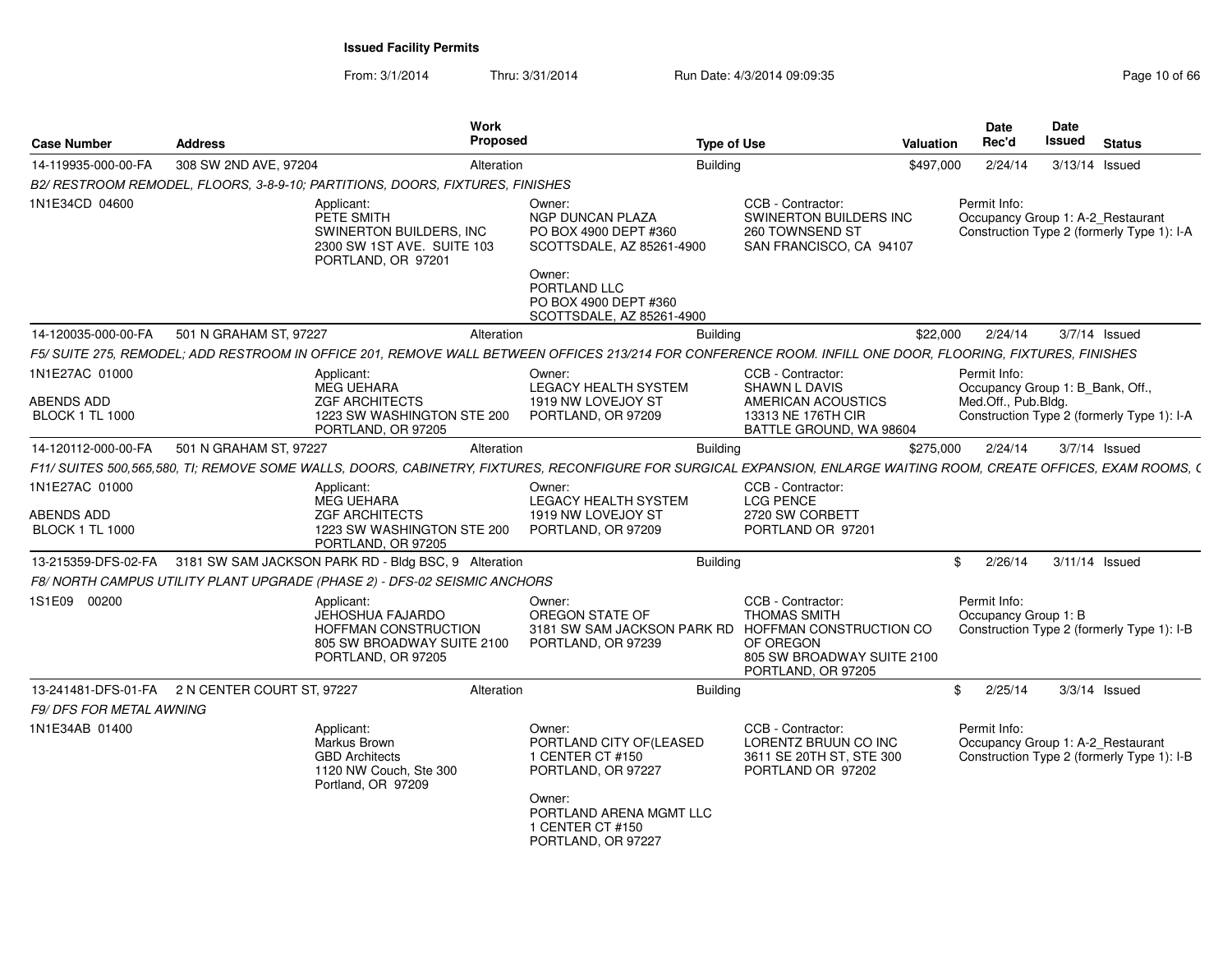| <b>Case Number</b>                   | <b>Address</b>                                 | Work<br>Proposed                                                                                                                                                    |                                                                                       | <b>Type of Use</b>                                                                                                                   | Valuation     | Date<br>Rec'd                        | Date<br>Issued<br><b>Status</b>                                                 |
|--------------------------------------|------------------------------------------------|---------------------------------------------------------------------------------------------------------------------------------------------------------------------|---------------------------------------------------------------------------------------|--------------------------------------------------------------------------------------------------------------------------------------|---------------|--------------------------------------|---------------------------------------------------------------------------------|
| 14-119935-000-00-FA                  | 308 SW 2ND AVE, 97204                          | Alteration                                                                                                                                                          |                                                                                       | <b>Building</b>                                                                                                                      | \$497,000     | 2/24/14                              | 3/13/14 Issued                                                                  |
|                                      |                                                | B2/ RESTROOM REMODEL, FLOORS, 3-8-9-10; PARTITIONS, DOORS, FIXTURES, FINISHES                                                                                       |                                                                                       |                                                                                                                                      |               |                                      |                                                                                 |
| 1N1E34CD 04600                       |                                                | Applicant:<br>PETE SMITH<br>SWINERTON BUILDERS, INC<br>2300 SW 1ST AVE. SUITE 103<br>PORTLAND, OR 97201                                                             | Owner:<br>NGP DUNCAN PLAZA<br>PO BOX 4900 DEPT #360<br>SCOTTSDALE, AZ 85261-4900      | CCB - Contractor:<br>SWINERTON BUILDERS INC<br>260 TOWNSEND ST<br>SAN FRANCISCO, CA 94107                                            |               | Permit Info:                         | Occupancy Group 1: A-2_Restaurant<br>Construction Type 2 (formerly Type 1): I-A |
|                                      |                                                |                                                                                                                                                                     | Owner:<br>PORTLAND LLC<br>PO BOX 4900 DEPT #360<br>SCOTTSDALE, AZ 85261-4900          |                                                                                                                                      |               |                                      |                                                                                 |
| 14-120035-000-00-FA                  | 501 N GRAHAM ST, 97227                         | Alteration                                                                                                                                                          |                                                                                       | <b>Building</b>                                                                                                                      | \$22,000      | 2/24/14                              | 3/7/14 Issued                                                                   |
|                                      |                                                | F5/ SUITE 275, REMODEL; ADD RESTROOM IN OFFICE 201, REMOVE WALL BETWEEN OFFICES 213/214 FOR CONFERENCE ROOM. INFILL ONE DOOR, FLOORING, FIXTURES, FINISHES          |                                                                                       |                                                                                                                                      |               |                                      |                                                                                 |
| 1N1E27AC 01000<br><b>ABENDS ADD</b>  |                                                | Applicant:<br>MEG UEHARA<br><b>ZGF ARCHITECTS</b>                                                                                                                   | Owner:<br>LEGACY HEALTH SYSTEM<br>1919 NW LOVEJOY ST                                  | CCB - Contractor:<br><b>SHAWN L DAVIS</b><br>AMERICAN ACOUSTICS                                                                      |               | Permit Info:<br>Med.Off., Pub.Bldg.  | Occupancy Group 1: B_Bank, Off.                                                 |
| <b>BLOCK 1 TL 1000</b>               |                                                | 1223 SW WASHINGTON STE 200<br>PORTLAND, OR 97205                                                                                                                    | PORTLAND, OR 97209                                                                    | 13313 NE 176TH CIR<br>BATTLE GROUND, WA 98604                                                                                        |               |                                      | Construction Type 2 (formerly Type 1): I-A                                      |
| 14-120112-000-00-FA                  | 501 N GRAHAM ST, 97227                         | Alteration                                                                                                                                                          |                                                                                       | Building                                                                                                                             | \$275.000     | 2/24/14                              | 3/7/14 Issued                                                                   |
|                                      |                                                | F11/ SUITES 500,565,580, TI; REMOVE SOME WALLS, DOORS, CABINETRY, FIXTURES, RECONFIGURE FOR SURGICAL EXPANSION, ENLARGE WAITING ROOM, CREATE OFFICES, EXAM ROOMS, ( |                                                                                       |                                                                                                                                      |               |                                      |                                                                                 |
| 1N1E27AC 01000                       |                                                | Applicant:<br>MEG UEHARA                                                                                                                                            | Owner:<br><b>LEGACY HEALTH SYSTEM</b>                                                 | CCB - Contractor:<br><b>LCG PENCE</b>                                                                                                |               |                                      |                                                                                 |
| ABENDS ADD<br><b>BLOCK 1 TL 1000</b> |                                                | <b>ZGF ARCHITECTS</b><br>1223 SW WASHINGTON STE 200<br>PORTLAND, OR 97205                                                                                           | 1919 NW LOVEJOY ST<br>PORTLAND, OR 97209                                              | 2720 SW CORBETT<br>PORTLAND OR 97201                                                                                                 |               |                                      |                                                                                 |
|                                      |                                                | 13-215359-DFS-02-FA 3181 SW SAM JACKSON PARK RD - Bldg BSC, 9 Alteration                                                                                            |                                                                                       | <b>Building</b>                                                                                                                      | $\mathcal{L}$ | 2/26/14                              | 3/11/14 Issued                                                                  |
|                                      |                                                | F8/ NORTH CAMPUS UTILITY PLANT UPGRADE (PHASE 2) - DFS-02 SEISMIC ANCHORS                                                                                           |                                                                                       |                                                                                                                                      |               |                                      |                                                                                 |
| 1S1E09 00200                         |                                                | Applicant:<br>JEHOSHUA FAJARDO<br>HOFFMAN CONSTRUCTION<br>805 SW BROADWAY SUITE 2100<br>PORTLAND, OR 97205                                                          | Owner:<br>OREGON STATE OF<br>3181 SW SAM JACKSON PARK RD<br>PORTLAND, OR 97239        | CCB - Contractor:<br><b>THOMAS SMITH</b><br>HOFFMAN CONSTRUCTION CO<br>OF OREGON<br>805 SW BROADWAY SUITE 2100<br>PORTLAND, OR 97205 |               | Permit Info:<br>Occupancy Group 1: B | Construction Type 2 (formerly Type 1): I-B                                      |
|                                      | 13-241481-DFS-01-FA 2 N CENTER COURT ST, 97227 | Alteration                                                                                                                                                          |                                                                                       | <b>Building</b>                                                                                                                      | SS.           | 2/25/14                              | $3/3/14$ Issued                                                                 |
| <b>F9/ DFS FOR METAL AWNING</b>      |                                                |                                                                                                                                                                     |                                                                                       |                                                                                                                                      |               |                                      |                                                                                 |
| 1N1E34AB 01400                       |                                                | Applicant:<br>Markus Brown<br><b>GBD Architects</b><br>1120 NW Couch, Ste 300<br>Portland, OR 97209                                                                 | Owner:<br>PORTLAND CITY OF(LEASED<br>1 CENTER CT #150<br>PORTLAND, OR 97227<br>Owner: | CCB - Contractor:<br>LORENTZ BRUUN CO INC<br>3611 SE 20TH ST, STE 300<br>PORTLAND OR 97202                                           |               | Permit Info:                         | Occupancy Group 1: A-2_Restaurant<br>Construction Type 2 (formerly Type 1): I-B |
|                                      |                                                |                                                                                                                                                                     | PORTLAND ARENA MGMT LLC<br>1 CENTER CT #150<br>PORTLAND, OR 97227                     |                                                                                                                                      |               |                                      |                                                                                 |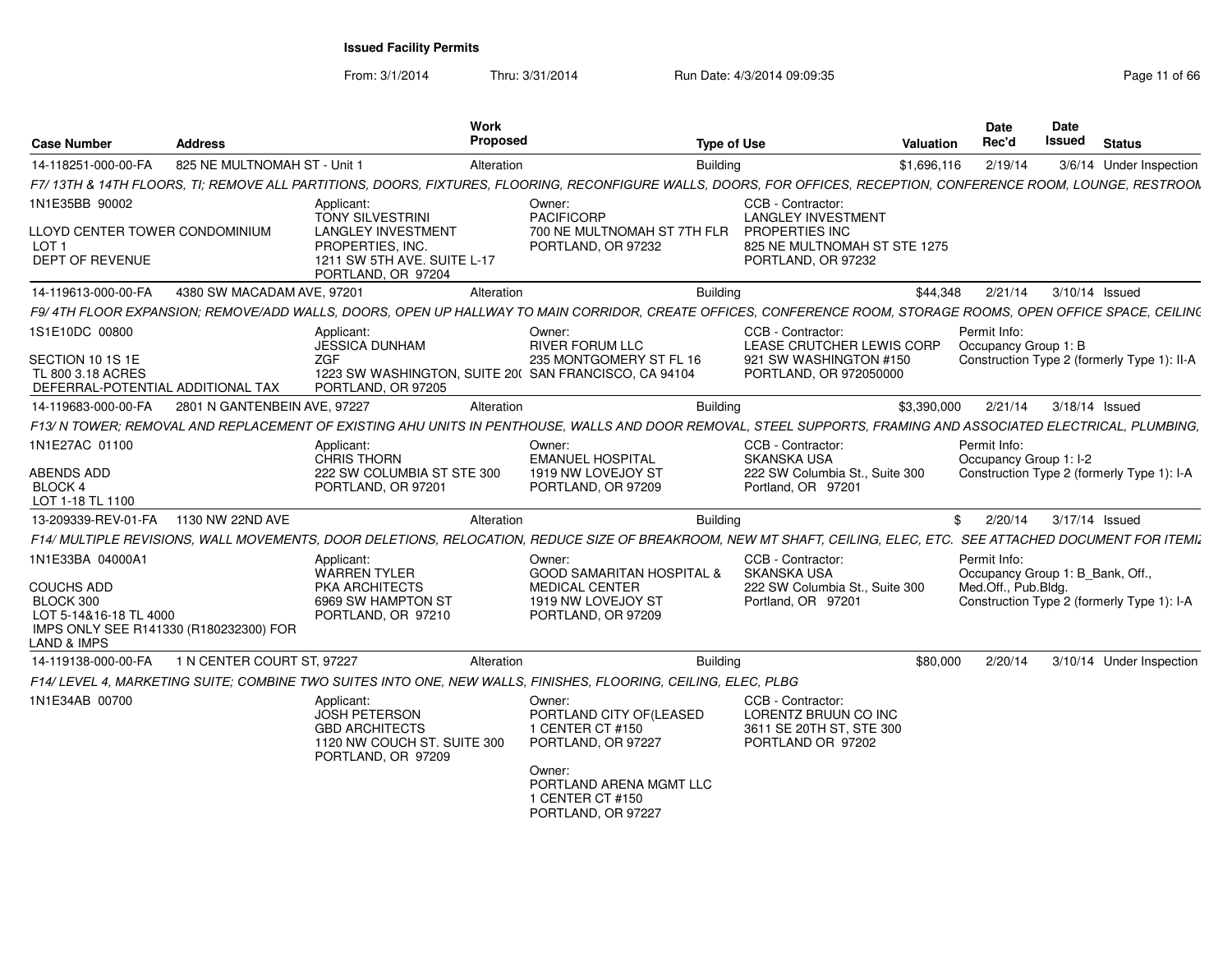| <b>Case Number</b>                                                                                               | <b>Address</b>               | Work<br>Proposed                                                                                                      |                                                                                                                                                                  | <b>Type of Use</b>                                                                                                     | Valuation   | <b>Date</b><br>Rec'd                            | <b>Date</b><br>Issued | <b>Status</b>                               |
|------------------------------------------------------------------------------------------------------------------|------------------------------|-----------------------------------------------------------------------------------------------------------------------|------------------------------------------------------------------------------------------------------------------------------------------------------------------|------------------------------------------------------------------------------------------------------------------------|-------------|-------------------------------------------------|-----------------------|---------------------------------------------|
| 14-118251-000-00-FA                                                                                              | 825 NE MULTNOMAH ST - Unit 1 | Alteration                                                                                                            |                                                                                                                                                                  | <b>Building</b>                                                                                                        | \$1,696,116 | 2/19/14                                         |                       | 3/6/14 Under Inspection                     |
|                                                                                                                  |                              |                                                                                                                       | F7/13TH & 14TH FLOORS, TI; REMOVE ALL PARTITIONS, DOORS, FIXTURES, FLOORING, RECONFIGURE WALLS, DOORS, FOR OFFICES, RECEPTION, CONFERENCE ROOM, LOUNGE, RESTROON |                                                                                                                        |             |                                                 |                       |                                             |
| 1N1E35BB 90002<br>LLOYD CENTER TOWER CONDOMINIUM<br>LOT <sub>1</sub><br>DEPT OF REVENUE                          |                              | Applicant:<br><b>TONY SILVESTRINI</b><br><b>LANGLEY INVESTMENT</b><br>PROPERTIES, INC.<br>1211 SW 5TH AVE. SUITE L-17 | Owner:<br>PACIFICORP<br>700 NE MULTNOMAH ST 7TH FLR<br>PORTLAND, OR 97232                                                                                        | CCB - Contractor:<br><b>LANGLEY INVESTMENT</b><br>PROPERTIES INC<br>825 NE MULTNOMAH ST STE 1275<br>PORTLAND, OR 97232 |             |                                                 |                       |                                             |
| 14-119613-000-00-FA                                                                                              | 4380 SW MACADAM AVE, 97201   | PORTLAND, OR 97204<br>Alteration                                                                                      |                                                                                                                                                                  | <b>Building</b>                                                                                                        | \$44.348    | 2/21/14                                         | 3/10/14 Issued        |                                             |
|                                                                                                                  |                              |                                                                                                                       | F9/4TH FLOOR EXPANSION: REMOVE/ADD WALLS, DOORS, OPEN UP HALLWAY TO MAIN CORRIDOR, CREATE OFFICES, CONFERENCE ROOM, STORAGE ROOMS, OPEN OFFICE SPACE, CEILING    |                                                                                                                        |             |                                                 |                       |                                             |
| 1S1E10DC 00800                                                                                                   |                              | Applicant:                                                                                                            | Owner:                                                                                                                                                           | CCB - Contractor:                                                                                                      |             | Permit Info:                                    |                       |                                             |
| SECTION 10 1S 1E<br>TL 800 3.18 ACRES<br>DEFERRAL-POTENTIAL ADDITIONAL TAX                                       |                              | JESSICA DUNHAM<br><b>ZGF</b><br>PORTLAND, OR 97205                                                                    | <b>RIVER FORUM LLC</b><br>235 MONTGOMERY ST FL 16<br>1223 SW WASHINGTON, SUITE 20( SAN FRANCISCO, CA 94104                                                       | LEASE CRUTCHER LEWIS CORP<br>921 SW WASHINGTON #150<br>PORTLAND, OR 972050000                                          |             | Occupancy Group 1: B                            |                       | Construction Type 2 (formerly Type 1): II-A |
| 14-119683-000-00-FA                                                                                              | 2801 N GANTENBEIN AVE, 97227 | Alteration                                                                                                            |                                                                                                                                                                  | <b>Building</b>                                                                                                        | \$3,390,000 | 2/21/14                                         | 3/18/14 Issued        |                                             |
|                                                                                                                  |                              |                                                                                                                       | F13/ N TOWER; REMOVAL AND REPLACEMENT OF EXISTING AHU UNITS IN PENTHOUSE, WALLS AND DOOR REMOVAL, STEEL SUPPORTS, FRAMING AND ASSOCIATED ELECTRICAL, PLUMBING,   |                                                                                                                        |             |                                                 |                       |                                             |
| 1N1E27AC 01100<br>ABENDS ADD                                                                                     |                              | Applicant:<br><b>CHRIS THORN</b><br>222 SW COLUMBIA ST STE 300                                                        | Owner:<br><b>EMANUEL HOSPITAL</b><br>1919 NW LOVEJOY ST                                                                                                          | CCB - Contractor:<br><b>SKANSKA USA</b><br>222 SW Columbia St., Suite 300                                              |             | Permit Info:<br>Occupancy Group 1: I-2          |                       | Construction Type 2 (formerly Type 1): I-A  |
| BLOCK 4<br>LOT 1-18 TL 1100                                                                                      |                              | PORTLAND, OR 97201                                                                                                    | PORTLAND, OR 97209                                                                                                                                               | Portland, OR 97201                                                                                                     |             |                                                 |                       |                                             |
| 13-209339-REV-01-FA 1130 NW 22ND AVE                                                                             |                              | Alteration                                                                                                            |                                                                                                                                                                  | Building                                                                                                               |             | \$2/20/14                                       | 3/17/14 Issued        |                                             |
|                                                                                                                  |                              |                                                                                                                       | F14/ MULTIPLE REVISIONS, WALL MOVEMENTS, DOOR DELETIONS, RELOCATION, REDUCE SIZE OF BREAKROOM, NEW MT SHAFT, CEILING, ELEC, ETC. SEE ATTACHED DOCUMENT FOR ITEMI |                                                                                                                        |             |                                                 |                       |                                             |
| 1N1E33BA 04000A1                                                                                                 |                              | Applicant:<br><b>WARREN TYLER</b>                                                                                     | Owner:<br><b>GOOD SAMARITAN HOSPITAL &amp;</b>                                                                                                                   | CCB - Contractor:<br><b>SKANSKA USA</b>                                                                                |             | Permit Info:<br>Occupancy Group 1: B_Bank, Off. |                       |                                             |
| <b>COUCHS ADD</b><br>BLOCK 300<br>LOT 5-14&16-18 TL 4000<br>IMPS ONLY SEE R141330 (R180232300) FOR<br>AND & IMPS |                              | PKA ARCHITECTS<br>6969 SW HAMPTON ST<br>PORTLAND, OR 97210                                                            | <b>MEDICAL CENTER</b><br>1919 NW LOVEJOY ST<br>PORTLAND, OR 97209                                                                                                | 222 SW Columbia St., Suite 300<br>Portland, OR 97201                                                                   |             | Med.Off., Pub.Bldg.                             |                       | Construction Type 2 (formerly Type 1): I-A  |
| 14-119138-000-00-FA 1 N CENTER COURT ST, 97227                                                                   |                              | Alteration                                                                                                            |                                                                                                                                                                  | <b>Building</b>                                                                                                        | \$80,000    | 2/20/14                                         |                       | 3/10/14 Under Inspection                    |
|                                                                                                                  |                              |                                                                                                                       | F14/ LEVEL 4. MARKETING SUITE: COMBINE TWO SUITES INTO ONE. NEW WALLS, FINISHES, FLOORING, CEILING, ELEC, PLBG                                                   |                                                                                                                        |             |                                                 |                       |                                             |
| 1N1E34AB 00700                                                                                                   |                              | Applicant:<br><b>JOSH PETERSON</b><br><b>GBD ARCHITECTS</b><br>1120 NW COUCH ST. SUITE 300<br>PORTLAND, OR 97209      | Owner:<br>PORTLAND CITY OF (LEASED<br>1 CENTER CT #150<br>PORTLAND, OR 97227<br>Owner:<br>PORTLAND ARENA MGMT LLC<br>1 CENTER CT #150<br>PORTLAND, OR 97227      | CCB - Contractor:<br>LORENTZ BRUUN CO INC<br>3611 SE 20TH ST, STE 300<br>PORTLAND OR 97202                             |             |                                                 |                       |                                             |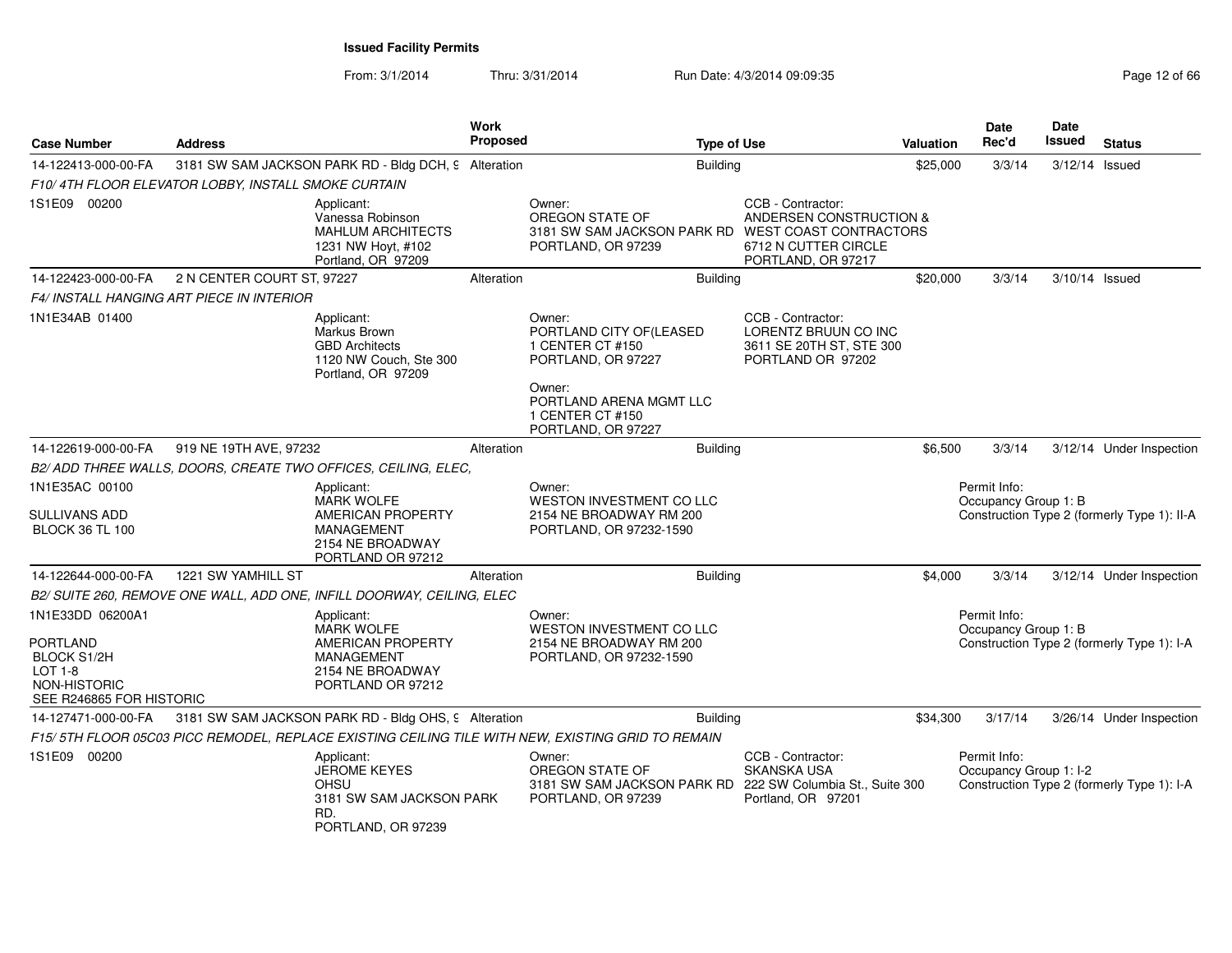| <b>Case Number</b>                                                                                                 | <b>Address</b>                                      |                                                                                                                    | Work<br>Proposed |                                                                                                                                                             | <b>Type of Use</b> |                                                                                                       | <b>Valuation</b> | <b>Date</b><br>Rec'd                   | <b>Date</b><br><b>Issued</b> | <b>Status</b>                               |
|--------------------------------------------------------------------------------------------------------------------|-----------------------------------------------------|--------------------------------------------------------------------------------------------------------------------|------------------|-------------------------------------------------------------------------------------------------------------------------------------------------------------|--------------------|-------------------------------------------------------------------------------------------------------|------------------|----------------------------------------|------------------------------|---------------------------------------------|
| 14-122413-000-00-FA                                                                                                |                                                     | 3181 SW SAM JACKSON PARK RD - Bldg DCH, 9 Alteration                                                               |                  |                                                                                                                                                             | <b>Building</b>    |                                                                                                       | \$25,000         | 3/3/14                                 | 3/12/14 Issued               |                                             |
|                                                                                                                    | F10/4TH FLOOR ELEVATOR LOBBY, INSTALL SMOKE CURTAIN |                                                                                                                    |                  |                                                                                                                                                             |                    |                                                                                                       |                  |                                        |                              |                                             |
| 1S1E09 00200                                                                                                       |                                                     | Applicant:<br>Vanessa Robinson<br><b>MAHLUM ARCHITECTS</b><br>1231 NW Hoyt, #102<br>Portland, OR 97209             |                  | Owner:<br>OREGON STATE OF<br>3181 SW SAM JACKSON PARK RD WEST COAST CONTRACTORS<br>PORTLAND, OR 97239                                                       |                    | CCB - Contractor:<br><b>ANDERSEN CONSTRUCTION &amp;</b><br>6712 N CUTTER CIRCLE<br>PORTLAND, OR 97217 |                  |                                        |                              |                                             |
| 14-122423-000-00-FA                                                                                                | 2 N CENTER COURT ST, 97227                          |                                                                                                                    | Alteration       |                                                                                                                                                             | <b>Building</b>    |                                                                                                       | \$20,000         | 3/3/14                                 | 3/10/14 Issued               |                                             |
|                                                                                                                    | F4/ INSTALL HANGING ART PIECE IN INTERIOR           |                                                                                                                    |                  |                                                                                                                                                             |                    |                                                                                                       |                  |                                        |                              |                                             |
| 1N1E34AB 01400                                                                                                     |                                                     | Applicant:<br>Markus Brown<br><b>GBD Architects</b><br>1120 NW Couch, Ste 300<br>Portland, OR 97209                |                  | Owner:<br>PORTLAND CITY OF (LEASED<br>1 CENTER CT #150<br>PORTLAND, OR 97227<br>Owner:<br>PORTLAND ARENA MGMT LLC<br>1 CENTER CT #150<br>PORTLAND, OR 97227 |                    | CCB - Contractor:<br>LORENTZ BRUUN CO INC<br>3611 SE 20TH ST, STE 300<br>PORTLAND OR 97202            |                  |                                        |                              |                                             |
| 14-122619-000-00-FA                                                                                                | 919 NE 19TH AVE, 97232                              |                                                                                                                    | Alteration       |                                                                                                                                                             | <b>Building</b>    |                                                                                                       | \$6,500          | 3/3/14                                 |                              | 3/12/14 Under Inspection                    |
|                                                                                                                    |                                                     | B2/ ADD THREE WALLS, DOORS, CREATE TWO OFFICES, CEILING, ELEC,                                                     |                  |                                                                                                                                                             |                    |                                                                                                       |                  |                                        |                              |                                             |
| 1N1E35AC 00100<br>SULLIVANS ADD<br><b>BLOCK 36 TL 100</b>                                                          |                                                     | Applicant:<br><b>MARK WOLFE</b><br>AMERICAN PROPERTY<br><b>MANAGEMENT</b><br>2154 NE BROADWAY<br>PORTLAND OR 97212 |                  | Owner:<br>WESTON INVESTMENT CO LLC<br>2154 NE BROADWAY RM 200<br>PORTLAND, OR 97232-1590                                                                    |                    |                                                                                                       |                  | Permit Info:<br>Occupancy Group 1: B   |                              | Construction Type 2 (formerly Type 1): II-A |
| 14-122644-000-00-FA                                                                                                | 1221 SW YAMHILL ST                                  |                                                                                                                    | Alteration       |                                                                                                                                                             | <b>Building</b>    |                                                                                                       | \$4,000          | 3/3/14                                 |                              | 3/12/14 Under Inspection                    |
|                                                                                                                    |                                                     | B2/ SUITE 260, REMOVE ONE WALL, ADD ONE, INFILL DOORWAY, CEILING, ELEC                                             |                  |                                                                                                                                                             |                    |                                                                                                       |                  |                                        |                              |                                             |
| 1N1E33DD 06200A1<br><b>PORTLAND</b><br><b>BLOCK S1/2H</b><br>$LOT 1-8$<br>NON-HISTORIC<br>SEE R246865 FOR HISTORIC |                                                     | Applicant:<br><b>MARK WOLFE</b><br>AMERICAN PROPERTY<br><b>MANAGEMENT</b><br>2154 NE BROADWAY<br>PORTLAND OR 97212 |                  | Owner:<br>WESTON INVESTMENT CO LLC<br>2154 NE BROADWAY RM 200<br>PORTLAND, OR 97232-1590                                                                    |                    |                                                                                                       |                  | Permit Info:<br>Occupancy Group 1: B   |                              | Construction Type 2 (formerly Type 1): I-A  |
| 14-127471-000-00-FA                                                                                                |                                                     | 3181 SW SAM JACKSON PARK RD - Bldg OHS, 9 Alteration                                                               |                  |                                                                                                                                                             | <b>Building</b>    |                                                                                                       | \$34,300         | 3/17/14                                |                              | 3/26/14 Under Inspection                    |
|                                                                                                                    |                                                     |                                                                                                                    |                  | F15/5TH FLOOR 05C03 PICC REMODEL, REPLACE EXISTING CEILING TILE WITH NEW, EXISTING GRID TO REMAIN                                                           |                    |                                                                                                       |                  |                                        |                              |                                             |
| 1S1E09 00200                                                                                                       |                                                     | Applicant:<br><b>JEROME KEYES</b><br><b>OHSU</b><br>3181 SW SAM JACKSON PARK<br>RD.<br>PORTLAND, OR 97239          |                  | Owner:<br>OREGON STATE OF<br>3181 SW SAM JACKSON PARK RD<br>PORTLAND, OR 97239                                                                              |                    | CCB - Contractor:<br><b>SKANSKA USA</b><br>222 SW Columbia St., Suite 300<br>Portland, OR 97201       |                  | Permit Info:<br>Occupancy Group 1: I-2 |                              | Construction Type 2 (formerly Type 1): I-A  |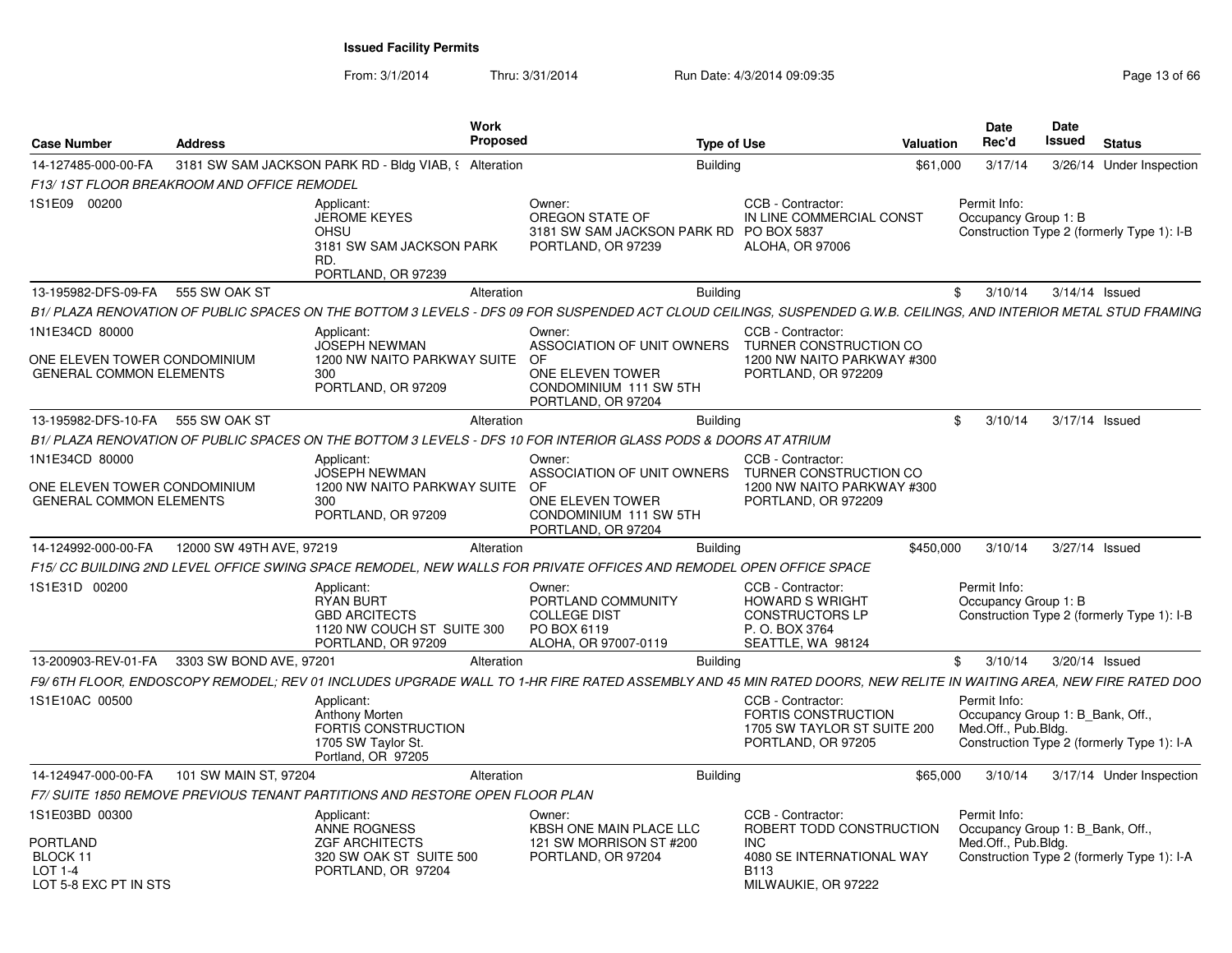| <b>Case Number</b>                                                               | <b>Address</b>                              | Work<br><b>Proposed</b>                                                                                                                                            | <b>Type of Use</b>                                                                                              |                                                                                                              | <b>Valuation</b> | <b>Date</b><br>Rec'd                                                    | Date<br>Issued   | <b>Status</b>                              |
|----------------------------------------------------------------------------------|---------------------------------------------|--------------------------------------------------------------------------------------------------------------------------------------------------------------------|-----------------------------------------------------------------------------------------------------------------|--------------------------------------------------------------------------------------------------------------|------------------|-------------------------------------------------------------------------|------------------|--------------------------------------------|
| 14-127485-000-00-FA                                                              |                                             | 3181 SW SAM JACKSON PARK RD - Bldg VIAB, § Alteration                                                                                                              | <b>Building</b>                                                                                                 |                                                                                                              | \$61,000         | 3/17/14                                                                 |                  | 3/26/14 Under Inspection                   |
|                                                                                  | F13/ 1ST FLOOR BREAKROOM AND OFFICE REMODEL |                                                                                                                                                                    |                                                                                                                 |                                                                                                              |                  |                                                                         |                  |                                            |
| 1S1E09<br>00200                                                                  |                                             | Applicant:<br><b>JEROME KEYES</b><br><b>OHSU</b><br>3181 SW SAM JACKSON PARK<br>RD.<br>PORTLAND, OR 97239                                                          | Owner:<br>OREGON STATE OF<br>3181 SW SAM JACKSON PARK RD PO BOX 5837<br>PORTLAND, OR 97239                      | CCB - Contractor:<br>IN LINE COMMERCIAL CONST<br>ALOHA, OR 97006                                             |                  | Permit Info:<br>Occupancy Group 1: B                                    |                  | Construction Type 2 (formerly Type 1): I-B |
| 13-195982-DFS-09-FA                                                              | 555 SW OAK ST                               | Alteration                                                                                                                                                         | Building                                                                                                        |                                                                                                              |                  | 3/10/14<br>\$                                                           | $3/14/14$ Issued |                                            |
|                                                                                  |                                             | B1/ PLAZA RENOVATION OF PUBLIC SPACES ON THE BOTTOM 3 LEVELS - DFS 09 FOR SUSPENDED ACT CLOUD CEILINGS. SUSPENDED G.W.B. CEILINGS, AND INTERIOR METAL STUD FRAMING |                                                                                                                 |                                                                                                              |                  |                                                                         |                  |                                            |
| 1N1E34CD 80000<br>ONE ELEVEN TOWER CONDOMINIUM<br><b>GENERAL COMMON ELEMENTS</b> |                                             | Applicant:<br><b>JOSEPH NEWMAN</b><br>1200 NW NAITO PARKWAY SUITE OF<br>300<br>PORTLAND, OR 97209                                                                  | Owner:<br>ASSOCIATION OF UNIT OWNERS<br>ONE ELEVEN TOWER<br>CONDOMINIUM 111 SW 5TH<br>PORTLAND, OR 97204        | CCB - Contractor:<br>TURNER CONSTRUCTION CO<br>1200 NW NAITO PARKWAY #300<br>PORTLAND, OR 972209             |                  |                                                                         |                  |                                            |
| 13-195982-DFS-10-FA                                                              | 555 SW OAK ST                               | Alteration                                                                                                                                                         | <b>Building</b>                                                                                                 |                                                                                                              |                  | \$<br>3/10/14                                                           | 3/17/14 Issued   |                                            |
|                                                                                  |                                             | B1/ PLAZA RENOVATION OF PUBLIC SPACES ON THE BOTTOM 3 LEVELS - DFS 10 FOR INTERIOR GLASS PODS & DOORS AT ATRIUM                                                    |                                                                                                                 |                                                                                                              |                  |                                                                         |                  |                                            |
| 1N1E34CD 80000<br>ONE ELEVEN TOWER CONDOMINIUM<br><b>GENERAL COMMON ELEMENTS</b> |                                             | Applicant:<br><b>JOSEPH NEWMAN</b><br>1200 NW NAITO PARKWAY SUITE<br>300<br>PORTLAND, OR 97209                                                                     | Owner:<br>ASSOCIATION OF UNIT OWNERS<br>OF.<br>ONE ELEVEN TOWER<br>CONDOMINIUM 111 SW 5TH<br>PORTLAND, OR 97204 | CCB - Contractor:<br>TURNER CONSTRUCTION CO<br>1200 NW NAITO PARKWAY #300<br>PORTLAND, OR 972209             |                  |                                                                         |                  |                                            |
| 14-124992-000-00-FA                                                              | 12000 SW 49TH AVE, 97219                    | Alteration                                                                                                                                                         | <b>Building</b>                                                                                                 |                                                                                                              | \$450,000        | 3/10/14                                                                 | 3/27/14 Issued   |                                            |
|                                                                                  |                                             | F15/ CC BUILDING 2ND LEVEL OFFICE SWING SPACE REMODEL, NEW WALLS FOR PRIVATE OFFICES AND REMODEL OPEN OFFICE SPACE                                                 |                                                                                                                 |                                                                                                              |                  |                                                                         |                  |                                            |
| 1S1E31D 00200                                                                    |                                             | Applicant:<br><b>RYAN BURT</b><br><b>GBD ARCITECTS</b><br>1120 NW COUCH ST SUITE 300<br>PORTLAND, OR 97209                                                         | Owner:<br>PORTLAND COMMUNITY<br><b>COLLEGE DIST</b><br>PO BOX 6119<br>ALOHA, OR 97007-0119                      | CCB - Contractor:<br><b>HOWARD S WRIGHT</b><br><b>CONSTRUCTORS LP</b><br>P. O. BOX 3764<br>SEATTLE, WA 98124 |                  | Permit Info:<br>Occupancy Group 1: B                                    |                  | Construction Type 2 (formerly Type 1): I-B |
| 13-200903-REV-01-FA                                                              | 3303 SW BOND AVE, 97201                     | Alteration                                                                                                                                                         | <b>Building</b>                                                                                                 |                                                                                                              |                  | \$<br>3/10/14                                                           | 3/20/14 Issued   |                                            |
|                                                                                  |                                             | F9/6TH FLOOR, ENDOSCOPY REMODEL; REV 01 INCLUDES UPGRADE WALL TO 1-HR FIRE RATED ASSEMBLY AND 45 MIN RATED DOORS, NEW RELITE IN WAITING AREA, NEW FIRE RATED DOO   |                                                                                                                 |                                                                                                              |                  |                                                                         |                  |                                            |
| 1S1E10AC 00500                                                                   |                                             | Applicant:<br>Anthony Morten<br>FORTIS CONSTRUCTION<br>1705 SW Taylor St.<br>Portland, OR 97205                                                                    |                                                                                                                 | CCB - Contractor:<br>FORTIS CONSTRUCTION<br>1705 SW TAYLOR ST SUITE 200<br>PORTLAND, OR 97205                |                  | Permit Info:<br>Occupancy Group 1: B_Bank, Off.,<br>Med.Off., Pub.Bldg. |                  | Construction Type 2 (formerly Type 1): I-A |
| 14-124947-000-00-FA                                                              | 101 SW MAIN ST, 97204                       | Alteration                                                                                                                                                         | <b>Building</b>                                                                                                 |                                                                                                              | \$65,000         | 3/10/14                                                                 |                  | 3/17/14 Under Inspection                   |
|                                                                                  |                                             | F7/ SUITE 1850 REMOVE PREVIOUS TENANT PARTITIONS AND RESTORE OPEN FLOOR PLAN                                                                                       |                                                                                                                 |                                                                                                              |                  |                                                                         |                  |                                            |
| 1S1E03BD 00300                                                                   |                                             | Applicant:<br>ANNE ROGNESS                                                                                                                                         | Owner:<br>KBSH ONE MAIN PLACE LLC                                                                               | CCB - Contractor:<br>ROBERT TODD CONSTRUCTION                                                                |                  | Permit Info:<br>Occupancy Group 1: B Bank, Off.,                        |                  |                                            |
| PORTLAND<br>BLOCK 11<br>$LOT 1-4$                                                |                                             | <b>ZGF ARCHITECTS</b><br>320 SW OAK ST SUITE 500<br>PORTLAND, OR 97204                                                                                             | 121 SW MORRISON ST #200<br>PORTLAND, OR 97204                                                                   | <b>INC</b><br>4080 SE INTERNATIONAL WAY<br><b>B113</b>                                                       |                  | Med.Off., Pub.Bldg.                                                     |                  | Construction Type 2 (formerly Type 1): I-A |
| LOT 5-8 EXC PT IN STS                                                            |                                             |                                                                                                                                                                    |                                                                                                                 | MILWAUKIE, OR 97222                                                                                          |                  |                                                                         |                  |                                            |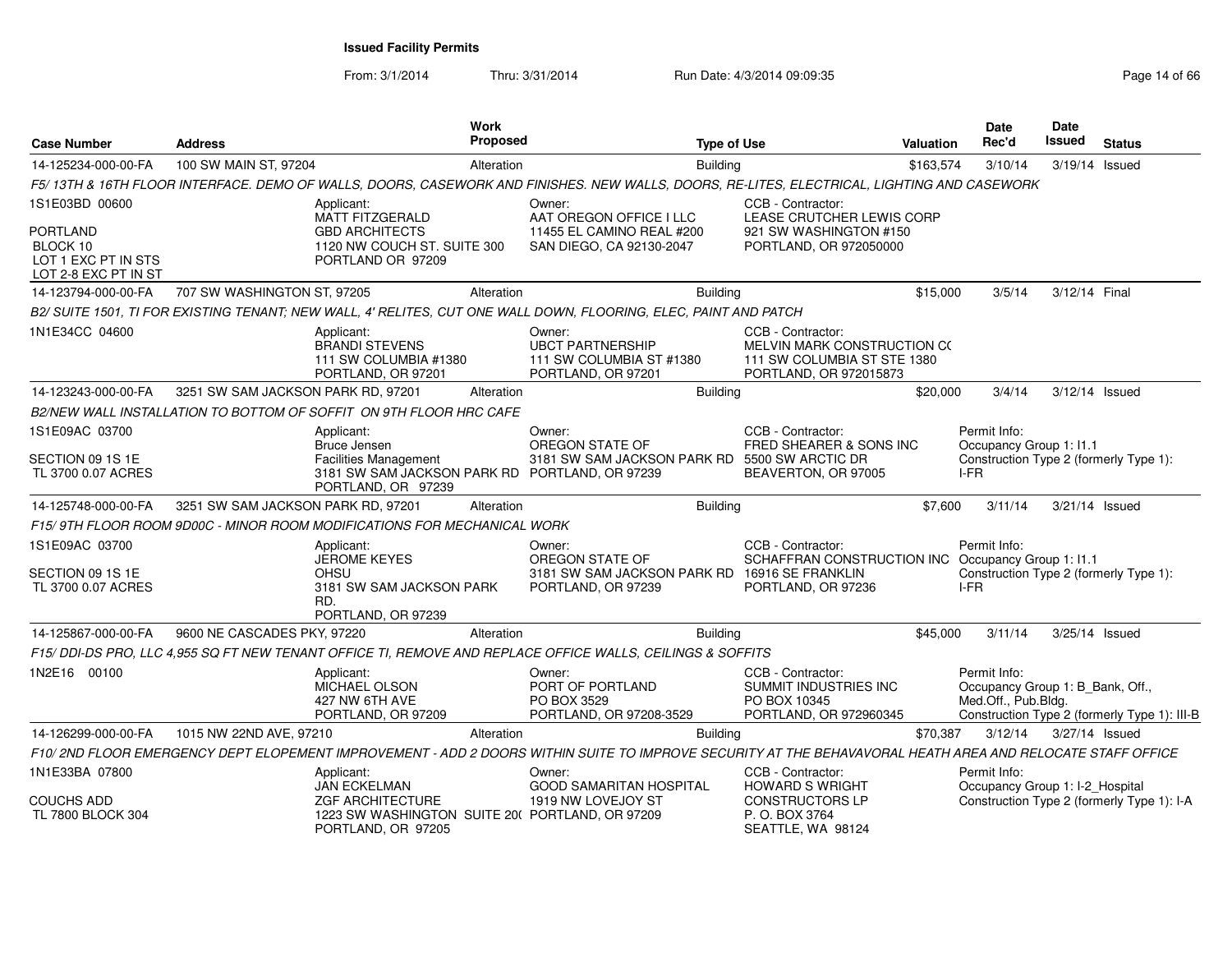| <b>Case Number</b>                                                         | <b>Address</b>                     |                                                                                                               | Work<br>Proposed |                                                                                                                                                           | <b>Type of Use</b> |                                                                                                           | <b>Valuation</b> | <b>Date</b><br>Rec'd                                                        | Date<br>Issued | <b>Status</b>                                |
|----------------------------------------------------------------------------|------------------------------------|---------------------------------------------------------------------------------------------------------------|------------------|-----------------------------------------------------------------------------------------------------------------------------------------------------------|--------------------|-----------------------------------------------------------------------------------------------------------|------------------|-----------------------------------------------------------------------------|----------------|----------------------------------------------|
| 14-125234-000-00-FA                                                        | 100 SW MAIN ST, 97204              |                                                                                                               | Alteration       |                                                                                                                                                           | <b>Building</b>    |                                                                                                           | \$163,574        | 3/10/14                                                                     | 3/19/14 Issued |                                              |
|                                                                            |                                    |                                                                                                               |                  | F5/13TH & 16TH FLOOR INTERFACE. DEMO OF WALLS, DOORS, CASEWORK AND FINISHES. NEW WALLS, DOORS, RE-LITES, ELECTRICAL, LIGHTING AND CASEWORK                |                    |                                                                                                           |                  |                                                                             |                |                                              |
| 1S1E03BD 00600                                                             |                                    | Applicant:<br>MATT FITZGERALD                                                                                 |                  | Owner:<br>AAT OREGON OFFICE I LLC                                                                                                                         |                    | CCB - Contractor:<br>LEASE CRUTCHER LEWIS CORP                                                            |                  |                                                                             |                |                                              |
| <b>PORTLAND</b><br>BLOCK 10<br>LOT 1 EXC PT IN STS<br>LOT 2-8 EXC PT IN ST |                                    | <b>GBD ARCHITECTS</b><br>1120 NW COUCH ST. SUITE 300<br>PORTLAND OR 97209                                     |                  | 11455 EL CAMINO REAL #200<br>SAN DIEGO, CA 92130-2047                                                                                                     |                    | 921 SW WASHINGTON #150<br>PORTLAND, OR 972050000                                                          |                  |                                                                             |                |                                              |
| 14-123794-000-00-FA                                                        | 707 SW WASHINGTON ST, 97205        |                                                                                                               | Alteration       |                                                                                                                                                           | <b>Building</b>    |                                                                                                           | \$15,000         | 3/5/14                                                                      | 3/12/14 Final  |                                              |
|                                                                            |                                    |                                                                                                               |                  | B2/SUITE 1501, TI FOR EXISTING TENANT; NEW WALL, 4' RELITES, CUT ONE WALL DOWN, FLOORING, ELEC, PAINT AND PATCH                                           |                    |                                                                                                           |                  |                                                                             |                |                                              |
| 1N1E34CC 04600                                                             |                                    | Applicant:<br><b>BRANDI STEVENS</b><br>111 SW COLUMBIA #1380<br>PORTLAND, OR 97201                            |                  | Owner:<br><b>UBCT PARTNERSHIP</b><br>111 SW COLUMBIA ST #1380<br>PORTLAND, OR 97201                                                                       |                    | CCB - Contractor:<br>MELVIN MARK CONSTRUCTION CO<br>111 SW COLUMBIA ST STE 1380<br>PORTLAND, OR 972015873 |                  |                                                                             |                |                                              |
| 14-123243-000-00-FA                                                        | 3251 SW SAM JACKSON PARK RD, 97201 |                                                                                                               | Alteration       |                                                                                                                                                           | <b>Building</b>    |                                                                                                           | \$20,000         | 3/4/14                                                                      | 3/12/14 Issued |                                              |
|                                                                            |                                    | B2/NEW WALL INSTALLATION TO BOTTOM OF SOFFIT ON 9TH FLOOR HRC CAFE                                            |                  |                                                                                                                                                           |                    |                                                                                                           |                  |                                                                             |                |                                              |
| 1S1E09AC 03700                                                             |                                    | Applicant:                                                                                                    |                  | Owner:                                                                                                                                                    |                    | CCB - Contractor:                                                                                         |                  | Permit Info:                                                                |                |                                              |
| SECTION 09 1S 1E<br>TL 3700 0.07 ACRES                                     |                                    | Bruce Jensen<br>Facilities Management<br>3181 SW SAM JACKSON PARK RD PORTLAND, OR 97239<br>PORTLAND, OR 97239 |                  | OREGON STATE OF<br>3181 SW SAM JACKSON PARK RD 5500 SW ARCTIC DR                                                                                          |                    | FRED SHEARER & SONS INC<br>BEAVERTON, OR 97005                                                            |                  | Occupancy Group 1: I1.1<br>Construction Type 2 (formerly Type 1):<br>$I-FR$ |                |                                              |
| 14-125748-000-00-FA                                                        | 3251 SW SAM JACKSON PARK RD, 97201 |                                                                                                               | Alteration       |                                                                                                                                                           | <b>Building</b>    |                                                                                                           | \$7,600          | 3/11/14                                                                     | 3/21/14 Issued |                                              |
|                                                                            |                                    | F15/9TH FLOOR ROOM 9D00C - MINOR ROOM MODIFICATIONS FOR MECHANICAL WORK                                       |                  |                                                                                                                                                           |                    |                                                                                                           |                  |                                                                             |                |                                              |
| 1S1E09AC 03700                                                             |                                    | Applicant:<br>JEROME KEYES                                                                                    |                  | Owner:<br>OREGON STATE OF                                                                                                                                 |                    | CCB - Contractor:<br>SCHAFFRAN CONSTRUCTION INC Occupancy Group 1: 11.1                                   |                  | Permit Info:                                                                |                |                                              |
| SECTION 09 1S 1E<br>TL 3700 0.07 ACRES                                     |                                    | OHSU<br>3181 SW SAM JACKSON PARK<br>RD.<br>PORTLAND, OR 97239                                                 |                  | 3181 SW SAM JACKSON PARK RD<br>PORTLAND, OR 97239                                                                                                         |                    | 16916 SE FRANKLIN<br>PORTLAND, OR 97236                                                                   |                  | Construction Type 2 (formerly Type 1):<br>I-FR                              |                |                                              |
| 14-125867-000-00-FA                                                        | 9600 NE CASCADES PKY, 97220        |                                                                                                               | Alteration       |                                                                                                                                                           | <b>Building</b>    |                                                                                                           | \$45,000         | 3/11/14                                                                     | 3/25/14 Issued |                                              |
|                                                                            |                                    |                                                                                                               |                  | F15/ DDI-DS PRO, LLC 4,955 SQ FT NEW TENANT OFFICE TI, REMOVE AND REPLACE OFFICE WALLS, CEILINGS & SOFFITS                                                |                    |                                                                                                           |                  |                                                                             |                |                                              |
| 1N2E16 00100                                                               |                                    | Applicant:<br>MICHAEL OLSON<br>427 NW 6TH AVE<br>PORTLAND, OR 97209                                           |                  | Owner:<br>PORT OF PORTLAND<br>PO BOX 3529<br>PORTLAND, OR 97208-3529                                                                                      |                    | CCB - Contractor:<br>SUMMIT INDUSTRIES INC<br>PO BOX 10345<br>PORTLAND, OR 972960345                      |                  | Permit Info:<br>Occupancy Group 1: B_Bank, Off.,<br>Med.Off., Pub.Bldg.     |                | Construction Type 2 (formerly Type 1): III-B |
| 14-126299-000-00-FA                                                        | 1015 NW 22ND AVE, 97210            |                                                                                                               | Alteration       |                                                                                                                                                           | <b>Building</b>    |                                                                                                           | \$70,387         | 3/12/14                                                                     | 3/27/14 Issued |                                              |
|                                                                            |                                    |                                                                                                               |                  | F10/2ND FLOOR EMERGENCY DEPT ELOPEMENT IMPROVEMENT - ADD 2 DOORS WITHIN SUITE TO IMPROVE SECURITY AT THE BEHAVAVORAL HEATH AREA AND RELOCATE STAFF OFFICE |                    |                                                                                                           |                  |                                                                             |                |                                              |
| 1N1E33BA 07800                                                             |                                    | Applicant:<br><b>JAN ECKELMAN</b>                                                                             |                  | Owner:<br><b>GOOD SAMARITAN HOSPITAL</b>                                                                                                                  |                    | CCB - Contractor:<br><b>HOWARD S WRIGHT</b>                                                               |                  | Permit Info:<br>Occupancy Group 1: I-2_Hospital                             |                |                                              |
| COUCHS ADD<br>TL 7800 BLOCK 304                                            |                                    | <b>ZGF ARCHITECTURE</b><br>1223 SW WASHINGTON SUITE 20( PORTLAND, OR 97209<br>PORTLAND, OR 97205              |                  | 1919 NW LOVEJOY ST                                                                                                                                        |                    | <b>CONSTRUCTORS LP</b><br>P. O. BOX 3764<br>SEATTLE, WA 98124                                             |                  |                                                                             |                | Construction Type 2 (formerly Type 1): I-A   |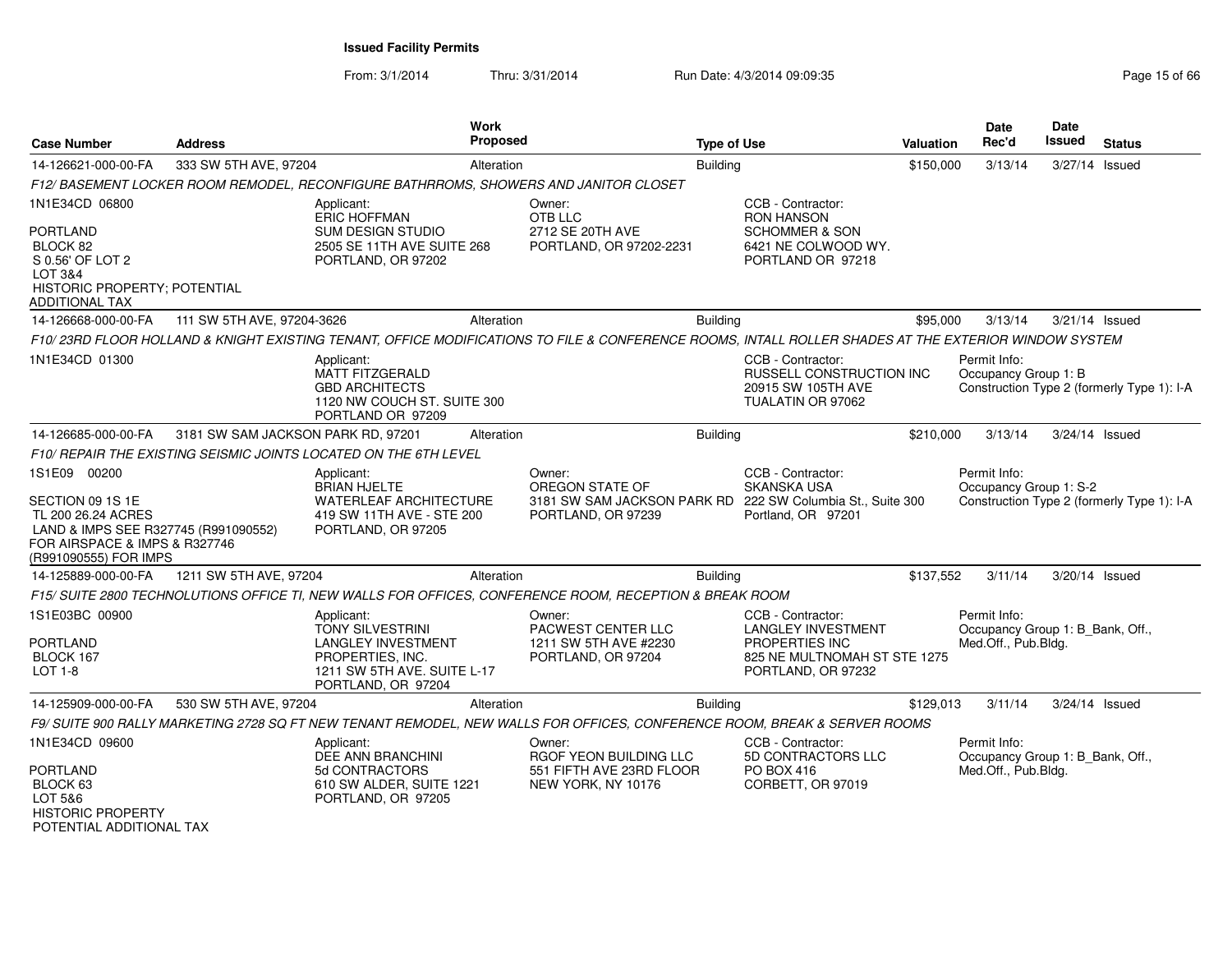| <b>Case Number</b>                                                                                                                                       | <b>Address</b>                     |                                                                                                                                                      | Work<br><b>Proposed</b> |                                                                                                               | <b>Type of Use</b> |                                                                                                                        | <b>Valuation</b> | <b>Date</b><br>Rec'd                                                    | <b>Date</b><br><b>Issued</b> | <b>Status</b>                              |
|----------------------------------------------------------------------------------------------------------------------------------------------------------|------------------------------------|------------------------------------------------------------------------------------------------------------------------------------------------------|-------------------------|---------------------------------------------------------------------------------------------------------------|--------------------|------------------------------------------------------------------------------------------------------------------------|------------------|-------------------------------------------------------------------------|------------------------------|--------------------------------------------|
| 14-126621-000-00-FA                                                                                                                                      | 333 SW 5TH AVE, 97204              |                                                                                                                                                      | Alteration              |                                                                                                               | <b>Building</b>    |                                                                                                                        | \$150,000        | 3/13/14                                                                 | 3/27/14 Issued               |                                            |
|                                                                                                                                                          |                                    | F12/BASEMENT LOCKER ROOM REMODEL, RECONFIGURE BATHRROMS, SHOWERS AND JANITOR CLOSET                                                                  |                         |                                                                                                               |                    |                                                                                                                        |                  |                                                                         |                              |                                            |
| 1N1E34CD 06800<br><b>PORTLAND</b><br>BLOCK 82<br>S 0.56' OF LOT 2<br>LOT 3&4<br>HISTORIC PROPERTY; POTENTIAL<br><b>ADDITIONAL TAX</b>                    |                                    | Applicant:<br><b>ERIC HOFFMAN</b><br><b>SUM DESIGN STUDIO</b><br>2505 SE 11TH AVE SUITE 268<br>PORTLAND, OR 97202                                    |                         | Owner:<br>OTB LLC<br>2712 SE 20TH AVE<br>PORTLAND, OR 97202-2231                                              |                    | CCB - Contractor:<br><b>RON HANSON</b><br><b>SCHOMMER &amp; SON</b><br>6421 NE COLWOOD WY.<br>PORTLAND OR 97218        |                  |                                                                         |                              |                                            |
| 14-126668-000-00-FA                                                                                                                                      | 111 SW 5TH AVE, 97204-3626         |                                                                                                                                                      | Alteration              |                                                                                                               | <b>Building</b>    |                                                                                                                        | \$95,000         | 3/13/14                                                                 | 3/21/14 Issued               |                                            |
|                                                                                                                                                          |                                    | F10/23RD FLOOR HOLLAND & KNIGHT EXISTING TENANT, OFFICE MODIFICATIONS TO FILE & CONFERENCE ROOMS, INTALL ROLLER SHADES AT THE EXTERIOR WINDOW SYSTEM |                         |                                                                                                               |                    |                                                                                                                        |                  |                                                                         |                              |                                            |
| 1N1E34CD 01300                                                                                                                                           |                                    | Applicant:<br>MATT FITZGERALD<br><b>GBD ARCHITECTS</b><br>1120 NW COUCH ST. SUITE 300<br>PORTLAND OR 97209                                           |                         |                                                                                                               |                    | CCB - Contractor:<br>RUSSELL CONSTRUCTION INC<br>20915 SW 105TH AVE<br>TUALATIN OR 97062                               |                  | Permit Info:<br>Occupancy Group 1: B                                    |                              | Construction Type 2 (formerly Type 1): I-A |
| 14-126685-000-00-FA                                                                                                                                      | 3181 SW SAM JACKSON PARK RD, 97201 |                                                                                                                                                      | Alteration              |                                                                                                               | Building           |                                                                                                                        | \$210,000        | 3/13/14                                                                 | 3/24/14 Issued               |                                            |
|                                                                                                                                                          |                                    | F10/ REPAIR THE EXISTING SEISMIC JOINTS LOCATED ON THE 6TH LEVEL                                                                                     |                         |                                                                                                               |                    |                                                                                                                        |                  |                                                                         |                              |                                            |
| 1S1E09 00200<br>SECTION 09 1S 1E<br>TL 200 26.24 ACRES<br>LAND & IMPS SEE R327745 (R991090552)<br>FOR AIRSPACE & IMPS & R327746<br>(R991090555) FOR IMPS |                                    | Applicant:<br><b>BRIAN HJELTE</b><br>WATERLEAF ARCHITECTURE<br>419 SW 11TH AVE - STE 200<br>PORTLAND, OR 97205                                       |                         | Owner:<br>OREGON STATE OF<br>3181 SW SAM JACKSON PARK RD 222 SW Columbia St., Suite 300<br>PORTLAND, OR 97239 |                    | CCB - Contractor:<br><b>SKANSKA USA</b><br>Portland, OR 97201                                                          |                  | Permit Info:<br>Occupancy Group 1: S-2                                  |                              | Construction Type 2 (formerly Type 1): I-A |
| 14-125889-000-00-FA                                                                                                                                      | 1211 SW 5TH AVE, 97204             |                                                                                                                                                      | Alteration              |                                                                                                               | <b>Building</b>    |                                                                                                                        | \$137,552        | 3/11/14                                                                 | $3/20/14$ Issued             |                                            |
|                                                                                                                                                          |                                    | F15/ SUITE 2800 TECHNOLUTIONS OFFICE TI, NEW WALLS FOR OFFICES, CONFERENCE ROOM, RECEPTION & BREAK ROOM                                              |                         |                                                                                                               |                    |                                                                                                                        |                  |                                                                         |                              |                                            |
| 1S1E03BC 00900<br><b>PORTLAND</b><br>BLOCK 167<br>$LOT 1-8$                                                                                              |                                    | Applicant:<br><b>TONY SILVESTRINI</b><br><b>LANGLEY INVESTMENT</b><br>PROPERTIES, INC.<br>1211 SW 5TH AVE. SUITE L-17<br>PORTLAND, OR 97204          |                         | Owner:<br>PACWEST CENTER LLC<br>1211 SW 5TH AVE #2230<br>PORTLAND, OR 97204                                   |                    | CCB - Contractor:<br><b>LANGLEY INVESTMENT</b><br>PROPERTIES INC<br>825 NE MULTNOMAH ST STE 1275<br>PORTLAND, OR 97232 |                  | Permit Info:<br>Occupancy Group 1: B Bank, Off.,<br>Med.Off., Pub.Bldg. |                              |                                            |
| 14-125909-000-00-FA                                                                                                                                      | 530 SW 5TH AVE, 97204              |                                                                                                                                                      | Alteration              |                                                                                                               | <b>Building</b>    |                                                                                                                        | \$129,013        | 3/11/14                                                                 | 3/24/14 Issued               |                                            |
|                                                                                                                                                          |                                    | F9/ SUITE 900 RALLY MARKETING 2728 SQ FT NEW TENANT REMODEL, NEW WALLS FOR OFFICES, CONFERENCE ROOM, BREAK & SERVER ROOMS                            |                         |                                                                                                               |                    |                                                                                                                        |                  |                                                                         |                              |                                            |
| 1N1E34CD 09600<br>PORTLAND<br>BLOCK 63<br>LOT 5&6<br><b>HISTORIC PROPERTY</b><br>POTENTIAI ADDITIONAI TAX                                                |                                    | Applicant:<br>DEE ANN BRANCHINI<br>5d CONTRACTORS<br>610 SW ALDER, SUITE 1221<br>PORTLAND, OR 97205                                                  |                         | Owner:<br>RGOF YEON BUILDING LLC<br>551 FIFTH AVE 23RD FLOOR<br>NEW YORK, NY 10176                            |                    | CCB - Contractor:<br>5D CONTRACTORS LLC<br><b>PO BOX 416</b><br>CORBETT, OR 97019                                      |                  | Permit Info:<br>Occupancy Group 1: B_Bank, Off.,<br>Med.Off., Pub.Bldg. |                              |                                            |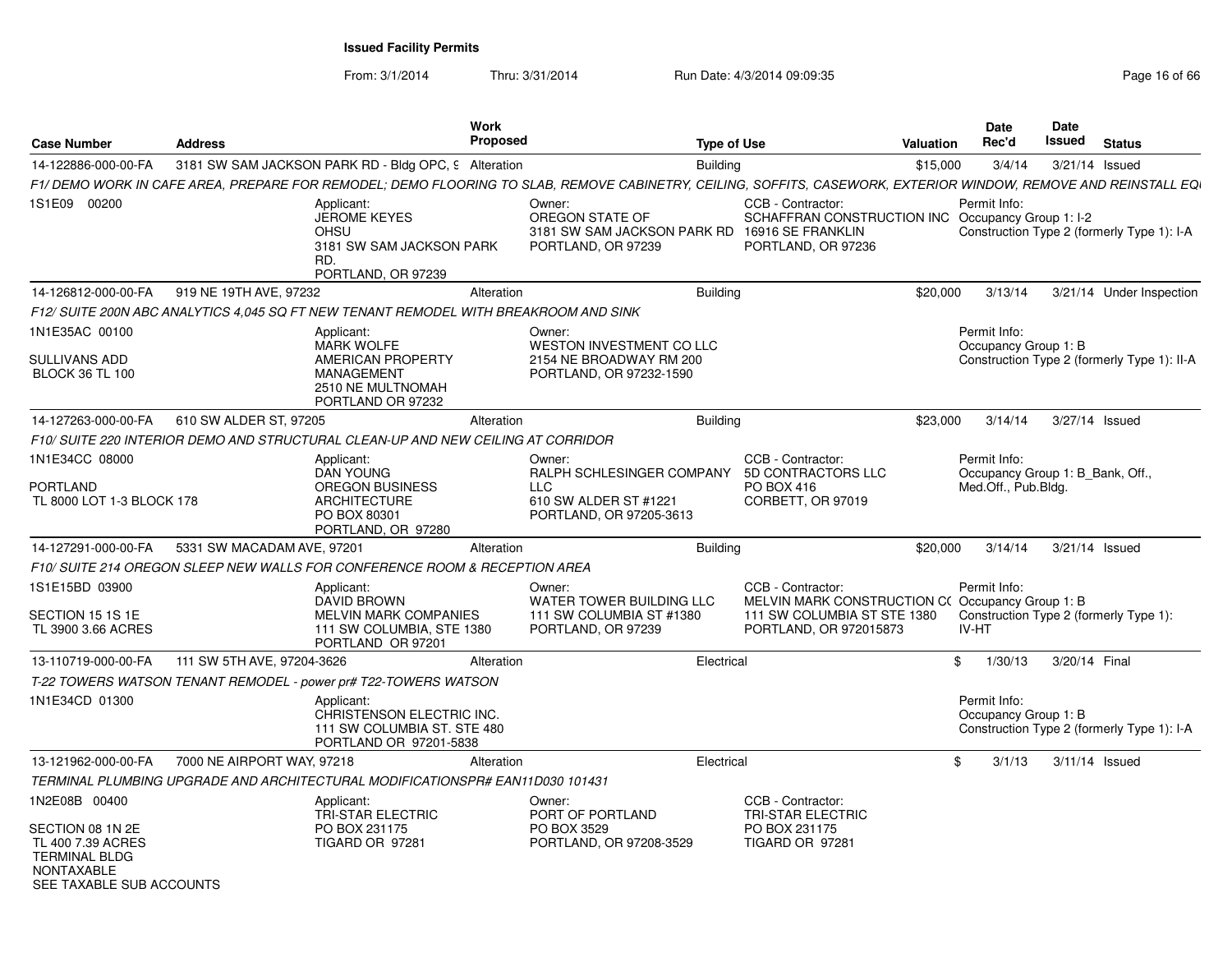| <b>Case Number</b>                                                                                                       | <b>Address</b>             | <b>Work</b><br><b>Proposed</b>                                                                                                                                  |                                                                                                       | <b>Type of Use</b> |                                                                                                                               | Valuation | <b>Date</b><br>Rec'd                                                    | <b>Date</b><br>Issued | <b>Status</b>                               |
|--------------------------------------------------------------------------------------------------------------------------|----------------------------|-----------------------------------------------------------------------------------------------------------------------------------------------------------------|-------------------------------------------------------------------------------------------------------|--------------------|-------------------------------------------------------------------------------------------------------------------------------|-----------|-------------------------------------------------------------------------|-----------------------|---------------------------------------------|
| 14-122886-000-00-FA                                                                                                      |                            | 3181 SW SAM JACKSON PARK RD - Bldg OPC, 9 Alteration                                                                                                            |                                                                                                       | <b>Building</b>    |                                                                                                                               | \$15,000  | 3/4/14                                                                  |                       | 3/21/14 Issued                              |
|                                                                                                                          |                            | F1/ DEMO WORK IN CAFE AREA. PREPARE FOR REMODEL: DEMO FLOORING TO SLAB. REMOVE CABINETRY, CEILING. SOFFITS. CASEWORK. EXTERIOR WINDOW. REMOVE AND REINSTALL EQI |                                                                                                       |                    |                                                                                                                               |           |                                                                         |                       |                                             |
| 1S1E09 00200                                                                                                             |                            | Applicant:<br><b>JEROME KEYES</b><br><b>OHSU</b><br>3181 SW SAM JACKSON PARK<br>RD.<br>PORTLAND, OR 97239                                                       | Owner:<br>OREGON STATE OF<br>3181 SW SAM JACKSON PARK RD<br>PORTLAND, OR 97239                        |                    | CCB - Contractor:<br>SCHAFFRAN CONSTRUCTION INC Occupancy Group 1: I-2<br>16916 SE FRANKLIN<br>PORTLAND, OR 97236             |           | Permit Info:                                                            |                       | Construction Type 2 (formerly Type 1): I-A  |
| 14-126812-000-00-FA                                                                                                      | 919 NE 19TH AVE, 97232     | Alteration                                                                                                                                                      |                                                                                                       | <b>Building</b>    |                                                                                                                               | \$20,000  | 3/13/14                                                                 |                       | 3/21/14 Under Inspection                    |
|                                                                                                                          |                            | F12/ SUITE 200N ABC ANALYTICS 4,045 SQ FT NEW TENANT REMODEL WITH BREAKROOM AND SINK                                                                            |                                                                                                       |                    |                                                                                                                               |           |                                                                         |                       |                                             |
| 1N1E35AC 00100<br>SULLIVANS ADD<br><b>BLOCK 36 TL 100</b>                                                                |                            | Applicant:<br><b>MARK WOLFE</b><br>AMERICAN PROPERTY<br><b>MANAGEMENT</b><br>2510 NE MULTNOMAH<br>PORTLAND OR 97232                                             | Owner:<br><b>WESTON INVESTMENT CO LLC</b><br>2154 NE BROADWAY RM 200<br>PORTLAND, OR 97232-1590       |                    |                                                                                                                               |           | Permit Info:<br>Occupancy Group 1: B                                    |                       | Construction Type 2 (formerly Type 1): II-A |
| 14-127263-000-00-FA                                                                                                      | 610 SW ALDER ST, 97205     | Alteration                                                                                                                                                      |                                                                                                       | <b>Building</b>    |                                                                                                                               | \$23,000  | 3/14/14                                                                 |                       | 3/27/14 Issued                              |
|                                                                                                                          |                            | F10/ SUITE 220 INTERIOR DEMO AND STRUCTURAL CLEAN-UP AND NEW CEILING AT CORRIDOR                                                                                |                                                                                                       |                    |                                                                                                                               |           |                                                                         |                       |                                             |
| 1N1E34CC 08000<br>PORTLAND<br>TL 8000 LOT 1-3 BLOCK 178                                                                  |                            | Applicant:<br><b>DAN YOUNG</b><br><b>OREGON BUSINESS</b><br><b>ARCHITECTURE</b><br>PO BOX 80301<br>PORTLAND, OR 97280                                           | Owner:<br>RALPH SCHLESINGER COMPANY<br><b>LLC</b><br>610 SW ALDER ST #1221<br>PORTLAND, OR 97205-3613 |                    | CCB - Contractor:<br>5D CONTRACTORS LLC<br>PO BOX 416<br>CORBETT, OR 97019                                                    |           | Permit Info:<br>Occupancy Group 1: B Bank, Off.,<br>Med.Off., Pub.Bldg. |                       |                                             |
| 14-127291-000-00-FA                                                                                                      | 5331 SW MACADAM AVE, 97201 | Alteration                                                                                                                                                      |                                                                                                       | <b>Building</b>    |                                                                                                                               | \$20,000  | 3/14/14                                                                 |                       | 3/21/14 Issued                              |
|                                                                                                                          |                            | F10/ SUITE 214 OREGON SLEEP NEW WALLS FOR CONFERENCE ROOM & RECEPTION AREA                                                                                      |                                                                                                       |                    |                                                                                                                               |           |                                                                         |                       |                                             |
| 1S1E15BD 03900<br>SECTION 15 1S 1E<br>TL 3900 3.66 ACRES                                                                 |                            | Applicant:<br>DAVID BROWN<br><b>MELVIN MARK COMPANIES</b><br>111 SW COLUMBIA, STE 1380<br>PORTLAND OR 97201                                                     | Owner:<br>WATER TOWER BUILDING LLC<br>111 SW COLUMBIA ST #1380<br>PORTLAND, OR 97239                  |                    | CCB - Contractor:<br>MELVIN MARK CONSTRUCTION C(Occupancy Group 1: B<br>111 SW COLUMBIA ST STE 1380<br>PORTLAND, OR 972015873 |           | Permit Info:<br>IV-HT                                                   |                       | Construction Type 2 (formerly Type 1):      |
| 13-110719-000-00-FA                                                                                                      | 111 SW 5TH AVE, 97204-3626 | Alteration                                                                                                                                                      |                                                                                                       | Electrical         |                                                                                                                               | \$        | 1/30/13                                                                 | 3/20/14 Final         |                                             |
|                                                                                                                          |                            | T-22 TOWERS WATSON TENANT REMODEL - power pr# T22-TOWERS WATSON                                                                                                 |                                                                                                       |                    |                                                                                                                               |           |                                                                         |                       |                                             |
| 1N1E34CD 01300                                                                                                           |                            | Applicant:<br>CHRISTENSON ELECTRIC INC.<br>111 SW COLUMBIA ST. STE 480<br>PORTLAND OR 97201-5838                                                                |                                                                                                       |                    |                                                                                                                               |           | Permit Info:<br>Occupancy Group 1: B                                    |                       | Construction Type 2 (formerly Type 1): I-A  |
| 13-121962-000-00-FA                                                                                                      | 7000 NE AIRPORT WAY, 97218 | Alteration                                                                                                                                                      |                                                                                                       | Electrical         |                                                                                                                               | \$        | 3/1/13                                                                  |                       | $3/11/14$ Issued                            |
|                                                                                                                          |                            | TERMINAL PLUMBING UPGRADE AND ARCHITECTURAL MODIFICATIONSPR# EAN11D030 101431                                                                                   |                                                                                                       |                    |                                                                                                                               |           |                                                                         |                       |                                             |
| 1N2E08B 00400<br>SECTION 08 1N 2E<br>TL 400 7.39 ACRES<br><b>TERMINAL BLDG</b><br>NONTAXABLE<br>SEE TAXABLE SUB ACCOUNTS |                            | Applicant:<br><b>TRI-STAR ELECTRIC</b><br>PO BOX 231175<br>TIGARD OR 97281                                                                                      | Owner:<br>PORT OF PORTLAND<br>PO BOX 3529<br>PORTLAND, OR 97208-3529                                  |                    | CCB - Contractor:<br><b>TRI-STAR ELECTRIC</b><br>PO BOX 231175<br>TIGARD OR 97281                                             |           |                                                                         |                       |                                             |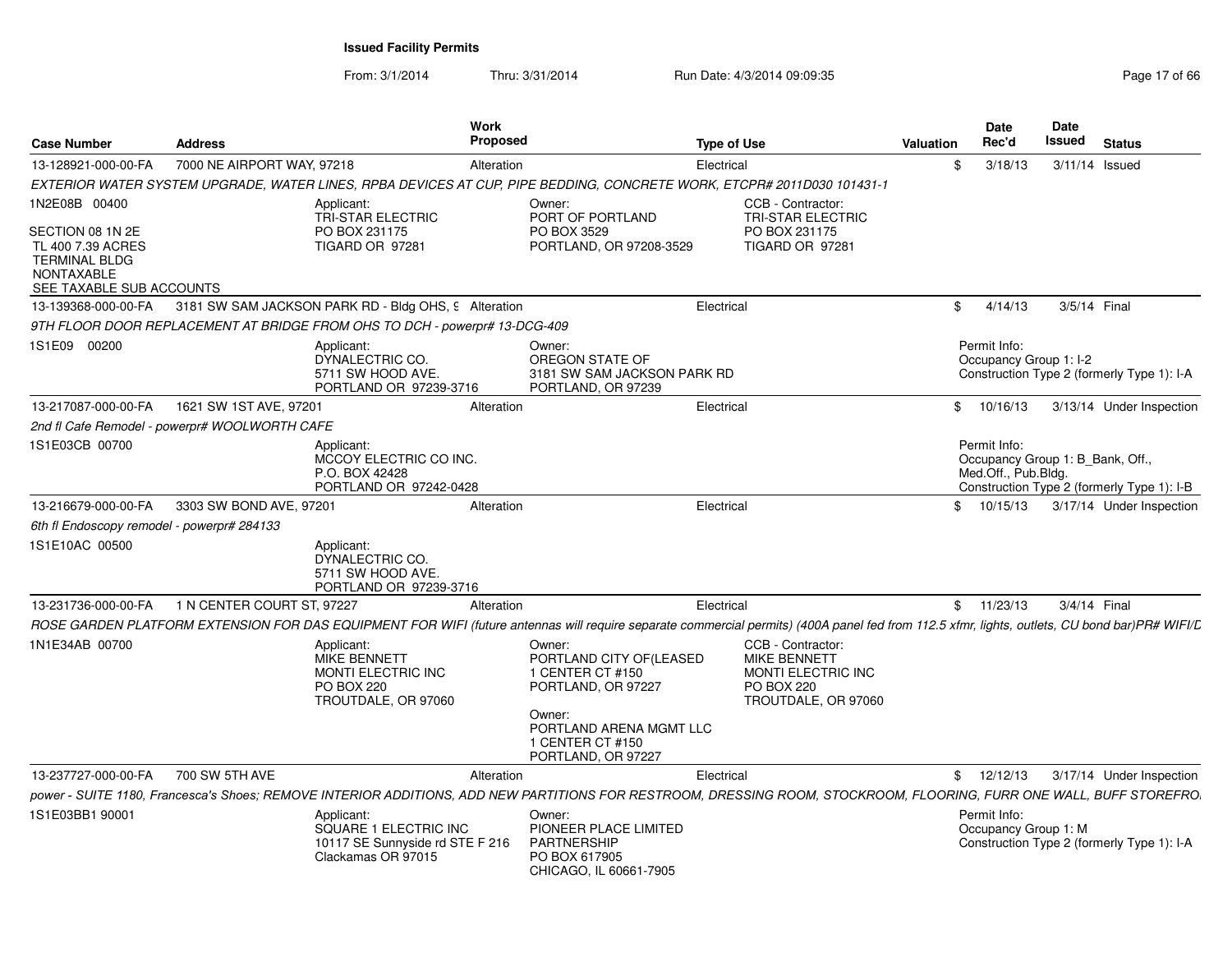| <b>Case Number</b>                                                                                             | <b>Address</b>                                |                                                                                                            | <b>Work</b><br><b>Proposed</b> |                                                                                                                                                                                               | <b>Type of Use</b> |                                                                                                            | Valuation | <b>Date</b><br>Rec'd                                                    | Date<br>Issued | <b>Status</b>                              |
|----------------------------------------------------------------------------------------------------------------|-----------------------------------------------|------------------------------------------------------------------------------------------------------------|--------------------------------|-----------------------------------------------------------------------------------------------------------------------------------------------------------------------------------------------|--------------------|------------------------------------------------------------------------------------------------------------|-----------|-------------------------------------------------------------------------|----------------|--------------------------------------------|
| 13-128921-000-00-FA                                                                                            | 7000 NE AIRPORT WAY, 97218                    |                                                                                                            | Alteration                     |                                                                                                                                                                                               | Electrical         |                                                                                                            | \$        | 3/18/13                                                                 |                | $3/11/14$ Issued                           |
|                                                                                                                |                                               |                                                                                                            |                                | EXTERIOR WATER SYSTEM UPGRADE, WATER LINES, RPBA DEVICES AT CUP, PIPE BEDDING, CONCRETE WORK, ETCPR# 2011D030 101431-1                                                                        |                    |                                                                                                            |           |                                                                         |                |                                            |
| 1N2E08B 00400                                                                                                  |                                               | Applicant:<br><b>TRI-STAR ELECTRIC</b>                                                                     |                                | Owner:<br>PORT OF PORTLAND                                                                                                                                                                    |                    | CCB - Contractor:<br><b>TRI-STAR ELECTRIC</b>                                                              |           |                                                                         |                |                                            |
| SECTION 08 1N 2E<br>TL 400 7.39 ACRES<br><b>TERMINAL BLDG</b><br><b>NONTAXABLE</b><br>SEE TAXABLE SUB ACCOUNTS |                                               | PO BOX 231175<br>TIGARD OR 97281                                                                           |                                | PO BOX 3529<br>PORTLAND, OR 97208-3529                                                                                                                                                        |                    | PO BOX 231175<br>TIGARD OR 97281                                                                           |           |                                                                         |                |                                            |
| 13-139368-000-00-FA                                                                                            |                                               | 3181 SW SAM JACKSON PARK RD - Bldg OHS, 9 Alteration                                                       |                                |                                                                                                                                                                                               | Electrical         |                                                                                                            | \$        | 4/14/13                                                                 | 3/5/14 Final   |                                            |
|                                                                                                                |                                               | 9TH FLOOR DOOR REPLACEMENT AT BRIDGE FROM OHS TO DCH - powerpr# 13-DCG-409                                 |                                |                                                                                                                                                                                               |                    |                                                                                                            |           |                                                                         |                |                                            |
| 1S1E09 00200                                                                                                   |                                               | Applicant:<br>DYNALECTRIC CO.<br>5711 SW HOOD AVE.<br>PORTLAND OR 97239-3716                               |                                | Owner:<br>OREGON STATE OF<br>3181 SW SAM JACKSON PARK RD<br>PORTLAND, OR 97239                                                                                                                |                    |                                                                                                            |           | Permit Info:<br>Occupancy Group 1: I-2                                  |                | Construction Type 2 (formerly Type 1): I-A |
| 13-217087-000-00-FA                                                                                            | 1621 SW 1ST AVE, 97201                        |                                                                                                            | Alteration                     |                                                                                                                                                                                               | Electrical         |                                                                                                            | \$        | 10/16/13                                                                |                | 3/13/14 Under Inspection                   |
|                                                                                                                | 2nd fl Cafe Remodel - powerpr# WOOLWORTH CAFE |                                                                                                            |                                |                                                                                                                                                                                               |                    |                                                                                                            |           |                                                                         |                |                                            |
| 1S1E03CB 00700                                                                                                 |                                               | Applicant:<br>MCCOY ELECTRIC CO INC.<br>P.O. BOX 42428<br>PORTLAND OR 97242-0428                           |                                |                                                                                                                                                                                               |                    |                                                                                                            |           | Permit Info:<br>Occupancy Group 1: B_Bank, Off.,<br>Med.Off., Pub.Bldg. |                | Construction Type 2 (formerly Type 1): I-B |
| 13-216679-000-00-FA                                                                                            | 3303 SW BOND AVE, 97201                       |                                                                                                            | Alteration                     |                                                                                                                                                                                               | Electrical         |                                                                                                            | \$        | 10/15/13                                                                |                | 3/17/14 Under Inspection                   |
| 6th fl Endoscopy remodel - powerpr# 284133                                                                     |                                               |                                                                                                            |                                |                                                                                                                                                                                               |                    |                                                                                                            |           |                                                                         |                |                                            |
| 1S1E10AC 00500                                                                                                 |                                               | Applicant:<br>DYNALECTRIC CO.<br>5711 SW HOOD AVE.<br>PORTLAND OR 97239-3716                               |                                |                                                                                                                                                                                               |                    |                                                                                                            |           |                                                                         |                |                                            |
| 13-231736-000-00-FA                                                                                            | 1 N CENTER COURT ST, 97227                    |                                                                                                            | Alteration                     |                                                                                                                                                                                               | Electrical         |                                                                                                            |           | \$11/23/13                                                              | 3/4/14 Final   |                                            |
|                                                                                                                |                                               |                                                                                                            |                                | ROSE GARDEN PLATFORM EXTENSION FOR DAS EQUIPMENT FOR WIFI (future antennas will require separate commercial permits) (400A panel fed from 112.5 xfmr, lights, outlets, CU bond bar)PR# WIFI/L |                    |                                                                                                            |           |                                                                         |                |                                            |
| 1N1E34AB 00700                                                                                                 |                                               | Applicant:<br><b>MIKE BENNETT</b><br><b>MONTI ELECTRIC INC</b><br><b>PO BOX 220</b><br>TROUTDALE, OR 97060 |                                | Owner:<br>PORTLAND CITY OF (LEASED<br>1 CENTER CT #150<br>PORTLAND, OR 97227<br>Owner:<br>PORTLAND ARENA MGMT LLC<br>1 CENTER CT #150<br>PORTLAND, OR 97227                                   |                    | CCB - Contractor:<br><b>MIKE BENNETT</b><br>MONTI ELECTRIC INC<br><b>PO BOX 220</b><br>TROUTDALE, OR 97060 |           |                                                                         |                |                                            |
| 13-237727-000-00-FA                                                                                            | 700 SW 5TH AVE                                |                                                                                                            | Alteration                     |                                                                                                                                                                                               | Electrical         |                                                                                                            |           | \$12/12/13                                                              |                | 3/17/14 Under Inspection                   |
|                                                                                                                |                                               |                                                                                                            |                                | power - SUITE 1180, Francesca's Shoes; REMOVE INTERIOR ADDITIONS, ADD NEW PARTITIONS FOR RESTROOM, DRESSING ROOM, STOCKROOM, FLOORING, FURR ONE WALL, BUFF STOREFRO.                          |                    |                                                                                                            |           |                                                                         |                |                                            |
| 1S1E03BB1 90001                                                                                                |                                               | Applicant:<br>SQUARE 1 ELECTRIC INC<br>10117 SE Sunnyside rd STE F 216<br>Clackamas OR 97015               |                                | Owner:<br>PIONEER PLACE LIMITED<br><b>PARTNERSHIP</b><br>PO BOX 617905<br>CHICAGO, IL 60661-7905                                                                                              |                    |                                                                                                            |           | Permit Info:<br>Occupancy Group 1: M                                    |                | Construction Type 2 (formerly Type 1): I-A |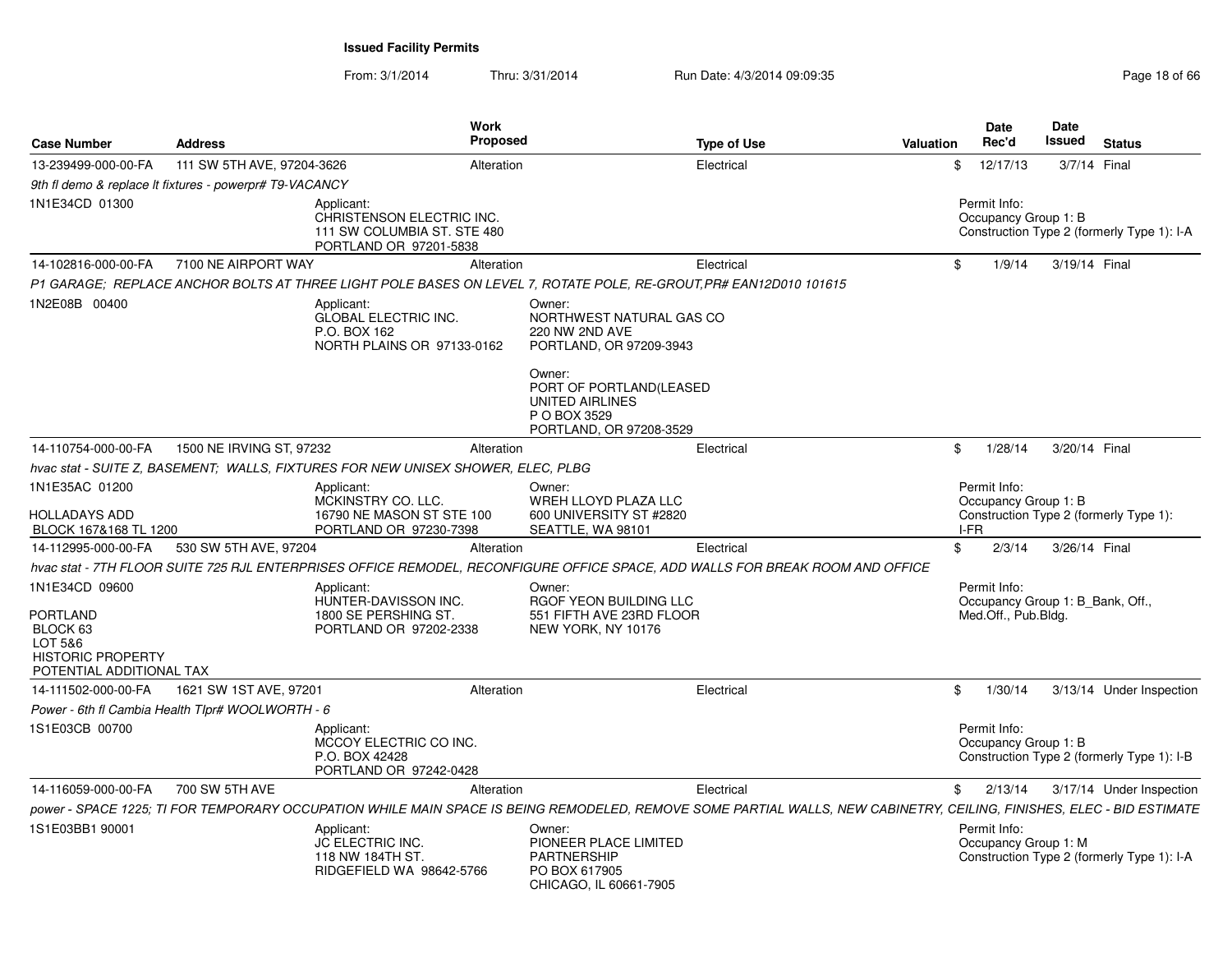From: 3/1/2014

Thru: 3/31/2014 Run Date: 4/3/2014 09:09:35 Research 2010 18:09:09:35

| <b>Case Number</b>                                                                                                   | <b>Address</b>                                          | <b>Work</b><br><b>Proposed</b>                                                                                    |                                                                                                  | <b>Type of Use</b>                                                                                                                                                    | Valuation | <b>Date</b><br>Rec'd                                                    | Date<br><b>Issued</b> | <b>Status</b>                              |
|----------------------------------------------------------------------------------------------------------------------|---------------------------------------------------------|-------------------------------------------------------------------------------------------------------------------|--------------------------------------------------------------------------------------------------|-----------------------------------------------------------------------------------------------------------------------------------------------------------------------|-----------|-------------------------------------------------------------------------|-----------------------|--------------------------------------------|
| 13-239499-000-00-FA                                                                                                  | 111 SW 5TH AVE, 97204-3626                              | Alteration                                                                                                        |                                                                                                  | Electrical                                                                                                                                                            | \$        | 12/17/13                                                                | 3/7/14 Final          |                                            |
|                                                                                                                      | 9th fl demo & replace It fixtures - powerpr# T9-VACANCY |                                                                                                                   |                                                                                                  |                                                                                                                                                                       |           |                                                                         |                       |                                            |
| 1N1E34CD 01300                                                                                                       |                                                         | Applicant:<br>CHRISTENSON ELECTRIC INC.<br>111 SW COLUMBIA ST. STE 480<br>PORTLAND OR 97201-5838                  |                                                                                                  |                                                                                                                                                                       |           | Permit Info:<br>Occupancy Group 1: B                                    |                       | Construction Type 2 (formerly Type 1): I-A |
| 14-102816-000-00-FA                                                                                                  | 7100 NE AIRPORT WAY                                     | Alteration                                                                                                        |                                                                                                  | Electrical                                                                                                                                                            | \$        | 1/9/14                                                                  | 3/19/14 Final         |                                            |
|                                                                                                                      |                                                         | P1 GARAGE; REPLACE ANCHOR BOLTS AT THREE LIGHT POLE BASES ON LEVEL 7, ROTATE POLE, RE-GROUT, PR# EAN12D010 101615 |                                                                                                  |                                                                                                                                                                       |           |                                                                         |                       |                                            |
| 1N2E08B 00400                                                                                                        |                                                         | Applicant:<br><b>GLOBAL ELECTRIC INC.</b><br>P.O. BOX 162<br>NORTH PLAINS OR 97133-0162                           | Owner:<br>NORTHWEST NATURAL GAS CO<br>220 NW 2ND AVE<br>PORTLAND, OR 97209-3943<br>Owner:        |                                                                                                                                                                       |           |                                                                         |                       |                                            |
|                                                                                                                      |                                                         |                                                                                                                   | PORT OF PORTLAND(LEASED<br>UNITED AIRLINES<br>P O BOX 3529<br>PORTLAND, OR 97208-3529            |                                                                                                                                                                       |           |                                                                         |                       |                                            |
| 14-110754-000-00-FA                                                                                                  | 1500 NE IRVING ST, 97232                                | Alteration                                                                                                        |                                                                                                  | Electrical                                                                                                                                                            | \$        | 1/28/14                                                                 | 3/20/14 Final         |                                            |
|                                                                                                                      |                                                         | hvac stat - SUITE Z, BASEMENT; WALLS, FIXTURES FOR NEW UNISEX SHOWER, ELEC, PLBG                                  |                                                                                                  |                                                                                                                                                                       |           |                                                                         |                       |                                            |
| 1N1E35AC 01200<br>HOLLADAYS ADD<br>BLOCK 167&168 TL 1200                                                             |                                                         | Applicant:<br>MCKINSTRY CO. LLC.<br>16790 NE MASON ST STE 100<br>PORTLAND OR 97230-7398                           | Owner:<br>WREH LLOYD PLAZA LLC<br>600 UNIVERSITY ST #2820<br>SEATTLE, WA 98101                   |                                                                                                                                                                       |           | Permit Info:<br>Occupancy Group 1: B<br>I-FR                            |                       | Construction Type 2 (formerly Type 1):     |
| 14-112995-000-00-FA                                                                                                  | 530 SW 5TH AVE, 97204                                   | Alteration                                                                                                        |                                                                                                  | Electrical                                                                                                                                                            | \$        | 2/3/14                                                                  | 3/26/14 Final         |                                            |
|                                                                                                                      |                                                         |                                                                                                                   |                                                                                                  | hvac stat - 7TH FLOOR SUITE 725 RJL ENTERPRISES OFFICE REMODEL, RECONFIGURE OFFICE SPACE, ADD WALLS FOR BREAK ROOM AND OFFICE                                         |           |                                                                         |                       |                                            |
| 1N1E34CD 09600<br>PORTLAND<br>BLOCK <sub>63</sub><br>LOT 5&6<br><b>HISTORIC PROPERTY</b><br>POTENTIAL ADDITIONAL TAX |                                                         | Applicant:<br>HUNTER-DAVISSON INC.<br>1800 SE PERSHING ST.<br>PORTLAND OR 97202-2338                              | Owner:<br>RGOF YEON BUILDING LLC<br>551 FIFTH AVE 23RD FLOOR<br>NEW YORK, NY 10176               |                                                                                                                                                                       |           | Permit Info:<br>Occupancy Group 1: B Bank, Off.,<br>Med.Off., Pub.Bldg. |                       |                                            |
| 14-111502-000-00-FA                                                                                                  | 1621 SW 1ST AVE, 97201                                  | Alteration                                                                                                        |                                                                                                  | Electrical                                                                                                                                                            | \$        | 1/30/14                                                                 |                       | 3/13/14 Under Inspection                   |
|                                                                                                                      | Power - 6th fl Cambia Health Tlpr# WOOLWORTH - 6        |                                                                                                                   |                                                                                                  |                                                                                                                                                                       |           |                                                                         |                       |                                            |
| 1S1E03CB 00700                                                                                                       |                                                         | Applicant:<br>MCCOY ELECTRIC CO INC.<br>P.O. BOX 42428<br>PORTLAND OR 97242-0428                                  |                                                                                                  |                                                                                                                                                                       |           | Permit Info:<br>Occupancy Group 1: B                                    |                       | Construction Type 2 (formerly Type 1): I-B |
| 14-116059-000-00-FA                                                                                                  | 700 SW 5TH AVE                                          | Alteration                                                                                                        |                                                                                                  | Electrical                                                                                                                                                            | \$        | 2/13/14                                                                 |                       | 3/17/14 Under Inspection                   |
|                                                                                                                      |                                                         |                                                                                                                   |                                                                                                  | power - SPACE 1225; TI FOR TEMPORARY OCCUPATION WHILE MAIN SPACE IS BEING REMODELED, REMOVE SOME PARTIAL WALLS, NEW CABINETRY, CEILING, FINISHES, ELEC - BID ESTIMATE |           |                                                                         |                       |                                            |
| 1S1E03BB1 90001                                                                                                      |                                                         | Applicant:<br><b>JC ELECTRIC INC.</b><br>118 NW 184TH ST.<br>RIDGEFIELD WA 98642-5766                             | Owner:<br>PIONEER PLACE LIMITED<br><b>PARTNERSHIP</b><br>PO BOX 617905<br>CHICAGO, IL 60661-7905 |                                                                                                                                                                       |           | Permit Info:<br>Occupancy Group 1: M                                    |                       | Construction Type 2 (formerly Type 1): I-A |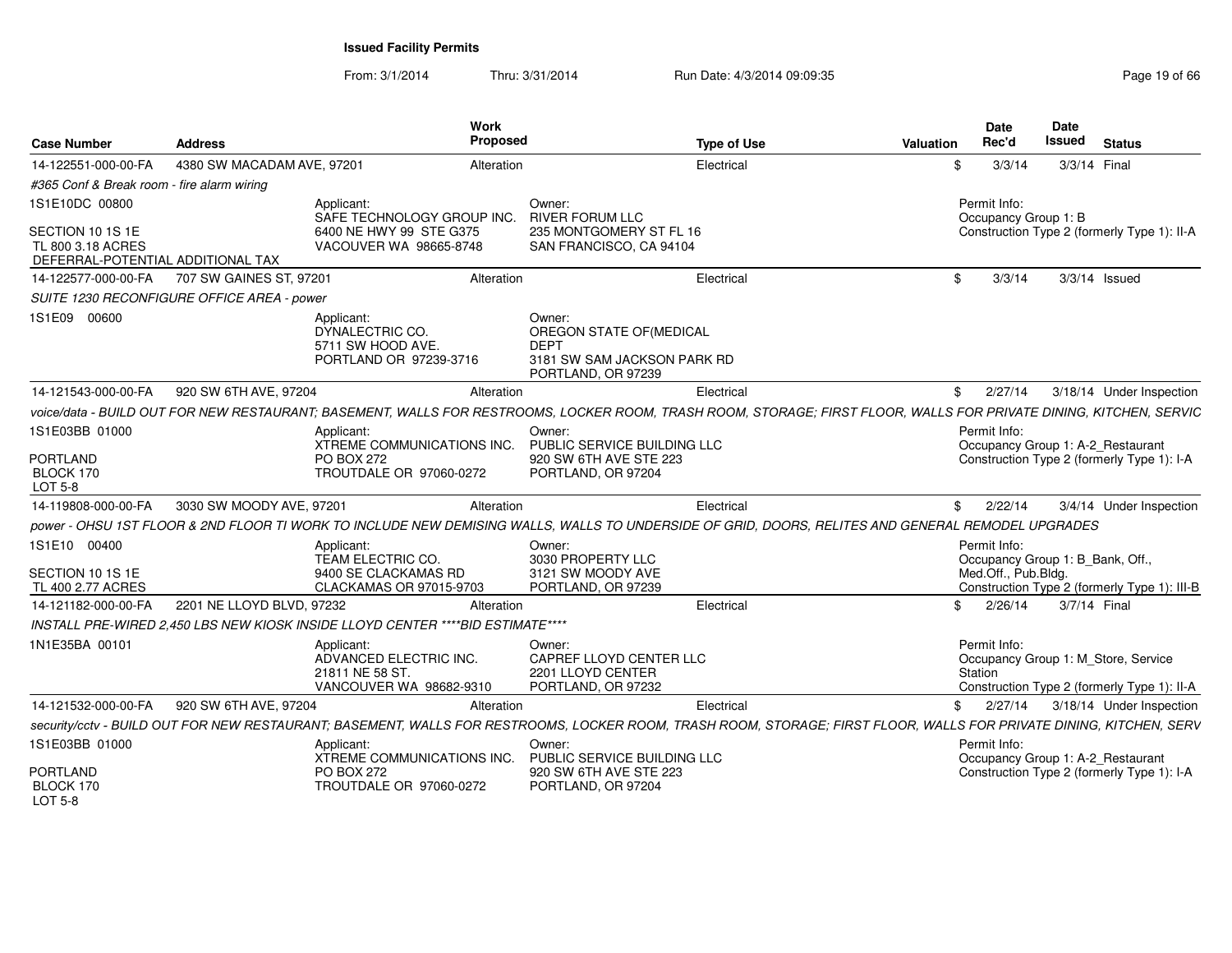| <b>Case Number</b>                                                         | Address                                    | Work                                                                              | Proposed                                                                     | <b>Type of Use</b>                                                                                                                                                  | <b>Valuation</b> | <b>Date</b><br>Rec'd                             | <b>Date</b><br><b>Issued</b> | <b>Status</b>                                                                      |
|----------------------------------------------------------------------------|--------------------------------------------|-----------------------------------------------------------------------------------|------------------------------------------------------------------------------|---------------------------------------------------------------------------------------------------------------------------------------------------------------------|------------------|--------------------------------------------------|------------------------------|------------------------------------------------------------------------------------|
| 14-122551-000-00-FA                                                        | 4380 SW MACADAM AVE, 97201                 |                                                                                   | Alteration                                                                   | Electrical                                                                                                                                                          | \$               | 3/3/14                                           |                              | 3/3/14 Final                                                                       |
| #365 Conf & Break room - fire alarm wiring                                 |                                            |                                                                                   |                                                                              |                                                                                                                                                                     |                  |                                                  |                              |                                                                                    |
| 1S1E10DC 00800                                                             |                                            | Applicant:<br>SAFE TECHNOLOGY GROUP INC.                                          | Owner:<br><b>RIVER FORUM LLC</b>                                             |                                                                                                                                                                     |                  | Permit Info:<br>Occupancy Group 1: B             |                              |                                                                                    |
| SECTION 10 1S 1E<br>TL 800 3.18 ACRES<br>DEFERRAL-POTENTIAL ADDITIONAL TAX |                                            | 6400 NE HWY 99 STE G375<br>VACOUVER WA 98665-8748                                 | 235 MONTGOMERY ST FL 16<br>SAN FRANCISCO, CA 94104                           |                                                                                                                                                                     |                  |                                                  |                              | Construction Type 2 (formerly Type 1): II-A                                        |
| 14-122577-000-00-FA                                                        | 707 SW GAINES ST, 97201                    |                                                                                   | Alteration                                                                   | Electrical                                                                                                                                                          | \$               | 3/3/14                                           |                              | $3/3/14$ Issued                                                                    |
|                                                                            | SUITE 1230 RECONFIGURE OFFICE AREA - power |                                                                                   |                                                                              |                                                                                                                                                                     |                  |                                                  |                              |                                                                                    |
| 1S1E09 00600                                                               |                                            | Applicant:<br>DYNALECTRIC CO.<br>5711 SW HOOD AVE.<br>PORTLAND OR 97239-3716      | Owner:<br>OREGON STATE OF (MEDICAL<br><b>DEPT</b><br>PORTLAND, OR 97239      | 3181 SW SAM JACKSON PARK RD                                                                                                                                         |                  |                                                  |                              |                                                                                    |
| 14-121543-000-00-FA                                                        | 920 SW 6TH AVE, 97204                      |                                                                                   | Alteration                                                                   | Electrical                                                                                                                                                          |                  | $\frac{1}{2}$ 2/27/14                            |                              | 3/18/14 Under Inspection                                                           |
|                                                                            |                                            |                                                                                   |                                                                              | voice/data - BUILD OUT FOR NEW RESTAURANT: BASEMENT, WALLS FOR RESTROOMS, LOCKER ROOM, TRASH ROOM, STORAGE: FIRST FLOOR, WALLS FOR PRIVATE DINING, KITCHEN, SERVIC  |                  |                                                  |                              |                                                                                    |
| 1S1E03BB 01000                                                             |                                            | Applicant:<br>XTREME COMMUNICATIONS INC.                                          | Owner:<br>PUBLIC SERVICE BUILDING LLC                                        |                                                                                                                                                                     |                  | Permit Info:                                     |                              | Occupancy Group 1: A-2 Restaurant                                                  |
| <b>PORTLAND</b><br>BLOCK 170<br><b>LOT 5-8</b>                             |                                            | <b>PO BOX 272</b><br>TROUTDALE OR 97060-0272                                      | 920 SW 6TH AVE STE 223<br>PORTLAND, OR 97204                                 |                                                                                                                                                                     |                  |                                                  |                              | Construction Type 2 (formerly Type 1): I-A                                         |
| 14-119808-000-00-FA                                                        | 3030 SW MOODY AVE, 97201                   |                                                                                   | Alteration                                                                   | Electrical                                                                                                                                                          |                  | \$2/22/14                                        |                              | 3/4/14 Under Inspection                                                            |
|                                                                            |                                            |                                                                                   |                                                                              | power - OHSU 1ST FLOOR & 2ND FLOOR TI WORK TO INCLUDE NEW DEMISING WALLS, WALLS TO UNDERSIDE OF GRID, DOORS, RELITES AND GENERAL REMODEL UPGRADES                   |                  |                                                  |                              |                                                                                    |
| 1S1E10 00400                                                               |                                            | Applicant:<br>TEAM ELECTRIC CO.                                                   | Owner:<br>3030 PROPERTY LLC                                                  |                                                                                                                                                                     |                  | Permit Info:<br>Occupancy Group 1: B_Bank, Off., |                              |                                                                                    |
| SECTION 10 1S 1E                                                           |                                            | 9400 SE CLACKAMAS RD                                                              | 3121 SW MOODY AVE                                                            |                                                                                                                                                                     |                  | Med.Off., Pub.Bldg.                              |                              |                                                                                    |
| TL 400 2.77 ACRES                                                          |                                            | CLACKAMAS OR 97015-9703                                                           | PORTLAND, OR 97239                                                           |                                                                                                                                                                     |                  |                                                  |                              | Construction Type 2 (formerly Type 1): III-B                                       |
| 14-121182-000-00-FA                                                        | 2201 NE LLOYD BLVD, 97232                  |                                                                                   | Alteration                                                                   | Electrical                                                                                                                                                          | \$               | 2/26/14                                          |                              | 3/7/14 Final                                                                       |
|                                                                            |                                            | INSTALL PRE-WIRED 2,450 LBS NEW KIOSK INSIDE LLOYD CENTER ****BID ESTIMATE****    |                                                                              |                                                                                                                                                                     |                  |                                                  |                              |                                                                                    |
| 1N1E35BA 00101                                                             |                                            | Applicant:<br>ADVANCED ELECTRIC INC.<br>21811 NE 58 ST<br>VANCOUVER WA 98682-9310 | Owner:<br>CAPREF LLOYD CENTER LLC<br>2201 LLOYD CENTER<br>PORTLAND, OR 97232 |                                                                                                                                                                     |                  | Permit Info:<br>Station                          |                              | Occupancy Group 1: M Store, Service<br>Construction Type 2 (formerly Type 1): II-A |
| 14-121532-000-00-FA                                                        | 920 SW 6TH AVE, 97204                      |                                                                                   | Alteration                                                                   | Electrical                                                                                                                                                          | \$               | 2/27/14                                          |                              | 3/18/14 Under Inspection                                                           |
|                                                                            |                                            |                                                                                   |                                                                              | security/cctv - BUILD OUT FOR NEW RESTAURANT; BASEMENT, WALLS FOR RESTROOMS, LOCKER ROOM, TRASH ROOM, STORAGE; FIRST FLOOR, WALLS FOR PRIVATE DINING, KITCHEN, SERV |                  |                                                  |                              |                                                                                    |
| 1S1E03BB 01000                                                             |                                            | Applicant:                                                                        | Owner:                                                                       |                                                                                                                                                                     |                  | Permit Info:                                     |                              |                                                                                    |
| <b>PORTLAND</b><br>BLOCK 170<br><b>LOT 5-8</b>                             |                                            | XTREME COMMUNICATIONS INC.<br>PO BOX 272<br>TROUTDALE OR 97060-0272               | PUBLIC SERVICE BUILDING LLC<br>920 SW 6TH AVE STE 223<br>PORTLAND, OR 97204  |                                                                                                                                                                     |                  |                                                  |                              | Occupancy Group 1: A-2_Restaurant<br>Construction Type 2 (formerly Type 1): I-A    |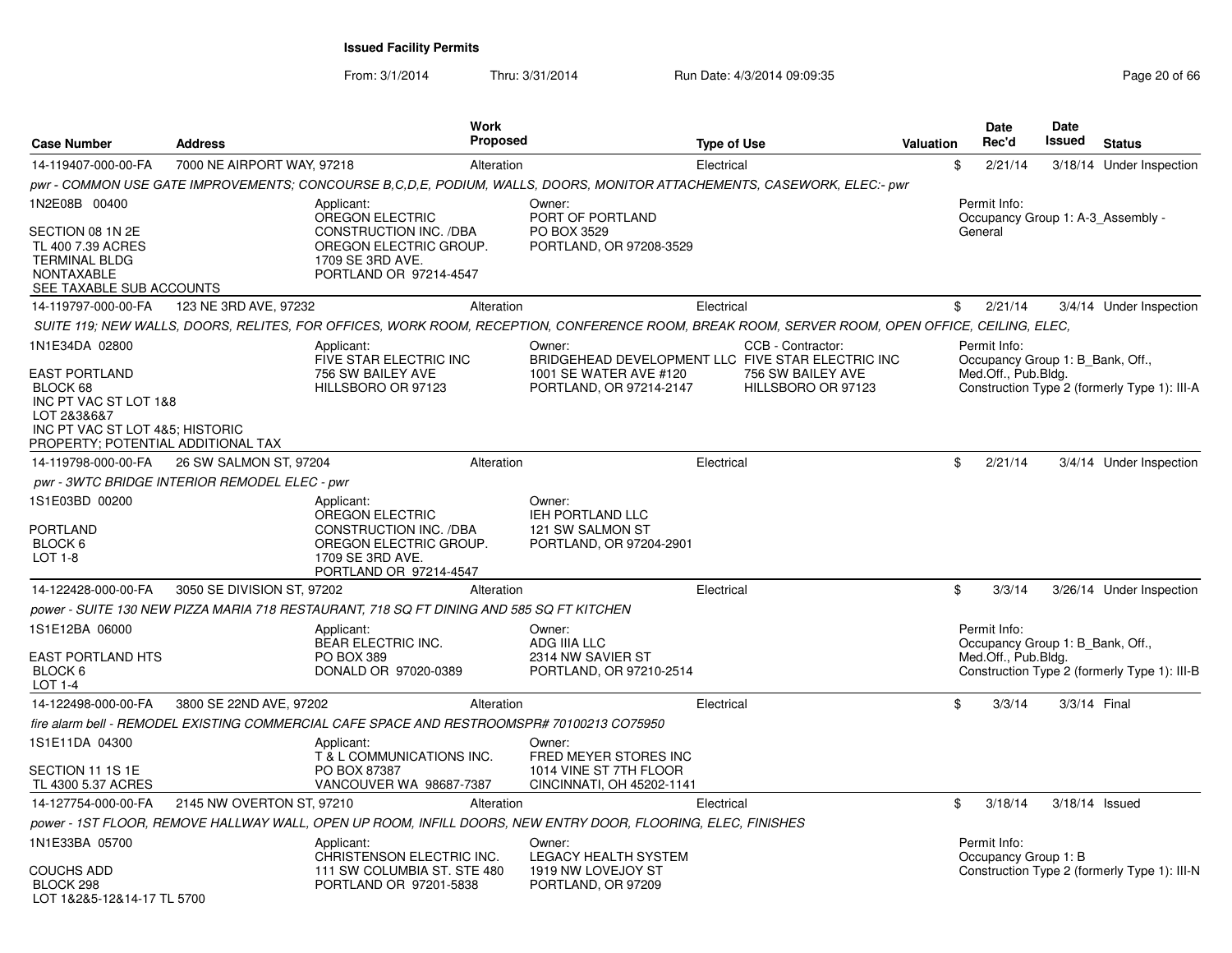| <b>Case Number</b>                                                                                                                                | <b>Address</b>                                | Work<br><b>Proposed</b>                                                                                                                        |                                                                              | <b>Type of Use</b> |                                         | <b>Valuation</b> | <b>Date</b><br>Rec'd                                    | Date<br>Issued | <b>Status</b>                                |
|---------------------------------------------------------------------------------------------------------------------------------------------------|-----------------------------------------------|------------------------------------------------------------------------------------------------------------------------------------------------|------------------------------------------------------------------------------|--------------------|-----------------------------------------|------------------|---------------------------------------------------------|----------------|----------------------------------------------|
| 14-119407-000-00-FA                                                                                                                               | 7000 NE AIRPORT WAY, 97218                    | Alteration                                                                                                                                     |                                                                              | Electrical         |                                         |                  | \$<br>2/21/14                                           |                | 3/18/14 Under Inspection                     |
|                                                                                                                                                   |                                               | pwr - COMMON USE GATE IMPROVEMENTS; CONCOURSE B,C,D,E, PODIUM, WALLS, DOORS, MONITOR ATTACHEMENTS, CASEWORK, ELEC:- pwr                        |                                                                              |                    |                                         |                  |                                                         |                |                                              |
| 1N2E08B 00400                                                                                                                                     |                                               | Applicant:<br>OREGON ELECTRIC                                                                                                                  | Owner:<br>PORT OF PORTLAND                                                   |                    |                                         |                  | Permit Info:                                            |                | Occupancy Group 1: A-3 Assembly -            |
| SECTION 08 1N 2E<br>TL 400 7.39 ACRES<br><b>TERMINAL BLDG</b><br><b>NONTAXABLE</b><br>SEE TAXABLE SUB ACCOUNTS                                    |                                               | CONSTRUCTION INC. /DBA<br>OREGON ELECTRIC GROUP.<br>1709 SE 3RD AVE.<br>PORTLAND OR 97214-4547                                                 | PO BOX 3529<br>PORTLAND, OR 97208-3529                                       |                    |                                         |                  | General                                                 |                |                                              |
| 14-119797-000-00-FA                                                                                                                               | 123 NE 3RD AVE, 97232                         | Alteration                                                                                                                                     |                                                                              | Electrical         |                                         |                  | \$<br>2/21/14                                           |                | 3/4/14 Under Inspection                      |
|                                                                                                                                                   |                                               | SUITE 119; NEW WALLS, DOORS, RELITES, FOR OFFICES, WORK ROOM, RECEPTION, CONFERENCE ROOM, BREAK ROOM, SERVER ROOM, OPEN OFFICE, CEILING, ELEC, |                                                                              |                    |                                         |                  |                                                         |                |                                              |
| 1N1E34DA 02800                                                                                                                                    |                                               | Applicant:<br>FIVE STAR ELECTRIC INC                                                                                                           | Owner:<br>BRIDGEHEAD DEVELOPMENT LLC FIVE STAR ELECTRIC INC                  |                    | CCB - Contractor:                       |                  | Permit Info:<br>Occupancy Group 1: B Bank, Off.,        |                |                                              |
| <b>EAST PORTLAND</b><br>BLOCK 68<br>INC PT VAC ST LOT 1&8<br>LOT 2&3&6&7<br>INC PT VAC ST LOT 4&5; HISTORIC<br>PROPERTY; POTENTIAL ADDITIONAL TAX |                                               | 756 SW BAILEY AVE<br>HILLSBORO OR 97123                                                                                                        | 1001 SE WATER AVE #120<br>PORTLAND, OR 97214-2147                            |                    | 756 SW BAILEY AVE<br>HILLSBORO OR 97123 |                  | Med.Off., Pub.Bldg.                                     |                | Construction Type 2 (formerly Type 1): III-A |
| 14-119798-000-00-FA                                                                                                                               | 26 SW SALMON ST, 97204                        | Alteration                                                                                                                                     |                                                                              | Electrical         |                                         |                  | \$<br>2/21/14                                           |                | 3/4/14 Under Inspection                      |
|                                                                                                                                                   | pwr - 3WTC BRIDGE INTERIOR REMODEL ELEC - pwr |                                                                                                                                                |                                                                              |                    |                                         |                  |                                                         |                |                                              |
| 1S1E03BD 00200<br><b>PORTLAND</b><br>BLOCK 6<br><b>LOT 1-8</b>                                                                                    |                                               | Applicant:<br>OREGON ELECTRIC<br>CONSTRUCTION INC. /DBA<br>OREGON ELECTRIC GROUP.<br>1709 SE 3RD AVE.<br>PORTLAND OR 97214-4547                | Owner:<br>IEH PORTLAND LLC<br>121 SW SALMON ST<br>PORTLAND, OR 97204-2901    |                    |                                         |                  |                                                         |                |                                              |
| 14-122428-000-00-FA                                                                                                                               | 3050 SE DIVISION ST, 97202                    | Alteration                                                                                                                                     |                                                                              | Electrical         |                                         |                  | \$<br>3/3/14                                            |                | 3/26/14 Under Inspection                     |
|                                                                                                                                                   |                                               | power - SUITE 130 NEW PIZZA MARIA 718 RESTAURANT, 718 SQ FT DINING AND 585 SQ FT KITCHEN                                                       |                                                                              |                    |                                         |                  |                                                         |                |                                              |
| 1S1E12BA 06000                                                                                                                                    |                                               | Applicant:                                                                                                                                     | Owner:                                                                       |                    |                                         |                  | Permit Info:                                            |                |                                              |
| <b>EAST PORTLAND HTS</b><br>BLOCK 6<br>LOT 1-4                                                                                                    |                                               | <b>BEAR ELECTRIC INC.</b><br><b>PO BOX 389</b><br>DONALD OR 97020-0389                                                                         | ADG IIIA LLC<br>2314 NW SAVIER ST<br>PORTLAND, OR 97210-2514                 |                    |                                         |                  | Occupancy Group 1: B Bank, Off.,<br>Med.Off., Pub.Bldg. |                | Construction Type 2 (formerly Type 1): III-B |
| 14-122498-000-00-FA                                                                                                                               | 3800 SE 22ND AVE, 97202                       | Alteration                                                                                                                                     |                                                                              | Electrical         |                                         |                  | \$<br>3/3/14                                            | 3/3/14 Final   |                                              |
|                                                                                                                                                   |                                               | fire alarm bell - REMODEL EXISTING COMMERCIAL CAFE SPACE AND RESTROOMSPR# 70100213 CO75950                                                     |                                                                              |                    |                                         |                  |                                                         |                |                                              |
| 1S1E11DA 04300                                                                                                                                    |                                               | Applicant:                                                                                                                                     | Owner:                                                                       |                    |                                         |                  |                                                         |                |                                              |
| SECTION 11 1S 1E<br>TL 4300 5.37 ACRES                                                                                                            |                                               | T & L COMMUNICATIONS INC.<br>PO BOX 87387<br>VANCOUVER WA 98687-7387                                                                           | FRED MEYER STORES INC<br>1014 VINE ST 7TH FLOOR<br>CINCINNATI, OH 45202-1141 |                    |                                         |                  |                                                         |                |                                              |
| 14-127754-000-00-FA                                                                                                                               | 2145 NW OVERTON ST, 97210                     | Alteration                                                                                                                                     |                                                                              | Electrical         |                                         |                  | \$<br>3/18/14                                           | 3/18/14 Issued |                                              |
|                                                                                                                                                   |                                               | power - 1ST FLOOR, REMOVE HALLWAY WALL, OPEN UP ROOM, INFILL DOORS, NEW ENTRY DOOR, FLOORING, ELEC, FINISHES                                   |                                                                              |                    |                                         |                  |                                                         |                |                                              |
| 1N1E33BA 05700                                                                                                                                    |                                               | Applicant:<br>CHRISTENSON ELECTRIC INC.                                                                                                        | Owner:<br><b>LEGACY HEALTH SYSTEM</b>                                        |                    |                                         |                  | Permit Info:<br>Occupancy Group 1: B                    |                |                                              |
| <b>COUCHS ADD</b><br>BLOCK 298<br>LOT 1&2&5-12&14-17 TL 5700                                                                                      |                                               | 111 SW COLUMBIA ST. STE 480<br>PORTLAND OR 97201-5838                                                                                          | 1919 NW LOVEJOY ST<br>PORTLAND, OR 97209                                     |                    |                                         |                  |                                                         |                | Construction Type 2 (formerly Type 1): III-N |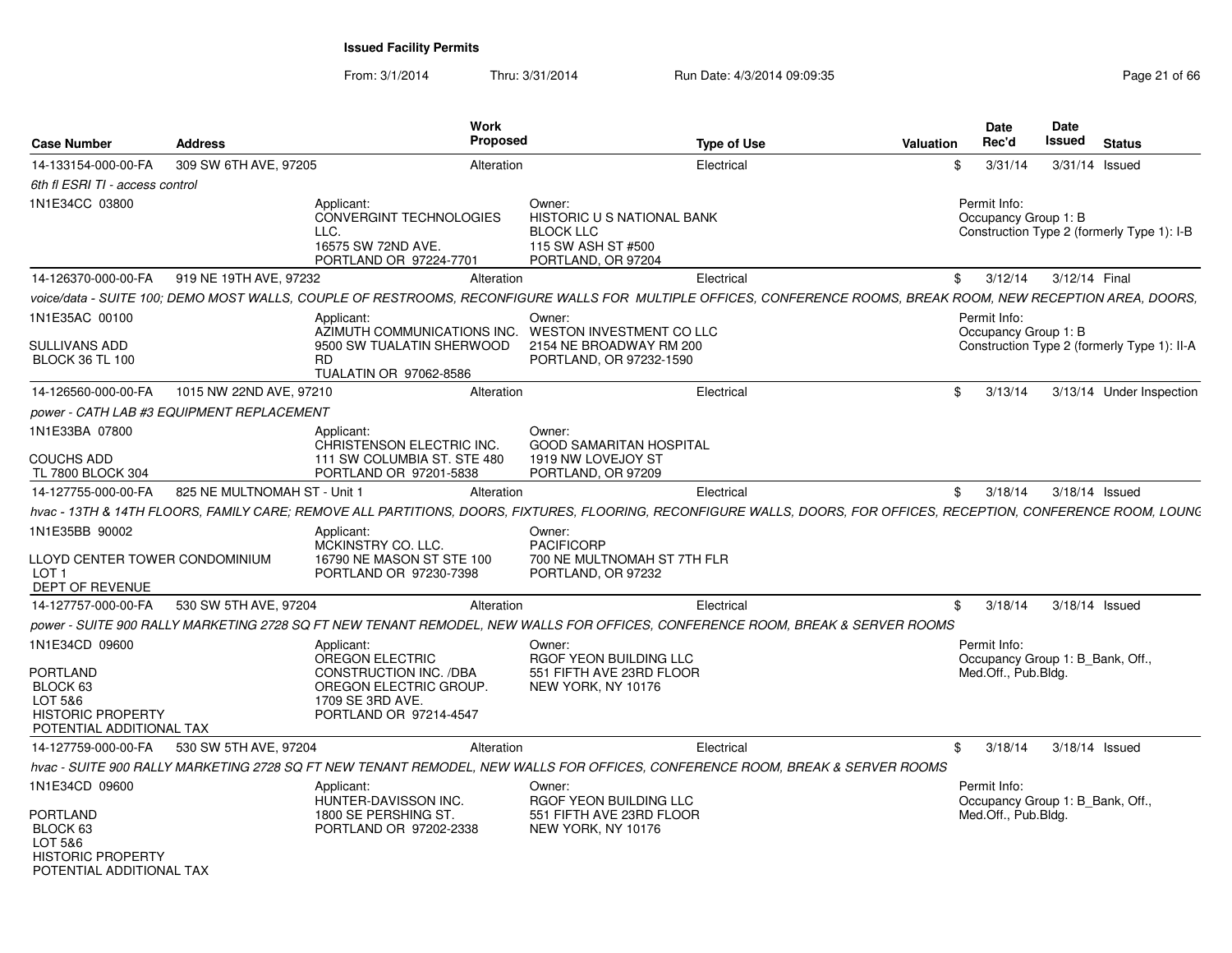|                                                                                                                  |                                           | Work                                                                                                                            | <b>Proposed</b>                                                                                                                                                    |                    |                  | <b>Date</b><br>Rec'd                                                    | <b>Date</b><br>Issued |                                             |
|------------------------------------------------------------------------------------------------------------------|-------------------------------------------|---------------------------------------------------------------------------------------------------------------------------------|--------------------------------------------------------------------------------------------------------------------------------------------------------------------|--------------------|------------------|-------------------------------------------------------------------------|-----------------------|---------------------------------------------|
| <b>Case Number</b>                                                                                               | <b>Address</b>                            |                                                                                                                                 |                                                                                                                                                                    | <b>Type of Use</b> | <b>Valuation</b> |                                                                         |                       | <b>Status</b>                               |
| 14-133154-000-00-FA                                                                                              | 309 SW 6TH AVE, 97205                     |                                                                                                                                 | Alteration                                                                                                                                                         | Electrical         |                  | 3/31/14<br>\$                                                           | 3/31/14 Issued        |                                             |
| 6th fl ESRI TI - access control                                                                                  |                                           |                                                                                                                                 |                                                                                                                                                                    |                    |                  |                                                                         |                       |                                             |
| 1N1E34CC 03800                                                                                                   |                                           | Applicant:<br>CONVERGINT TECHNOLOGIES<br>LLC.<br>16575 SW 72ND AVE.<br>PORTLAND OR 97224-7701                                   | Owner:<br>HISTORIC U S NATIONAL BANK<br><b>BLOCK LLC</b><br>115 SW ASH ST #500<br>PORTLAND, OR 97204                                                               |                    |                  | Permit Info:<br>Occupancy Group 1: B                                    |                       | Construction Type 2 (formerly Type 1): I-B  |
| 14-126370-000-00-FA                                                                                              | 919 NE 19TH AVE, 97232                    |                                                                                                                                 | Alteration                                                                                                                                                         | Electrical         |                  | 3/12/14<br>\$                                                           | 3/12/14 Final         |                                             |
|                                                                                                                  |                                           |                                                                                                                                 | voice/data - SUITE 100; DEMO MOST WALLS, COUPLE OF RESTROOMS, RECONFIGURE WALLS FOR MULTIPLE OFFICES, CONFERENCE ROOMS, BREAK ROOM, NEW RECEPTION AREA, DOORS,     |                    |                  |                                                                         |                       |                                             |
| 1N1E35AC 00100<br><b>SULLIVANS ADD</b><br><b>BLOCK 36 TL 100</b>                                                 |                                           | Applicant:<br>AZIMUTH COMMUNICATIONS INC.<br>9500 SW TUALATIN SHERWOOD<br><b>RD</b><br>TUALATIN OR 97062-8586                   | Owner:<br>WESTON INVESTMENT CO LLC<br>2154 NE BROADWAY RM 200<br>PORTLAND, OR 97232-1590                                                                           |                    |                  | Permit Info:<br>Occupancy Group 1: B                                    |                       | Construction Type 2 (formerly Type 1): II-A |
| 14-126560-000-00-FA                                                                                              | 1015 NW 22ND AVE, 97210                   |                                                                                                                                 | Alteration                                                                                                                                                         | Electrical         |                  | 3/13/14<br>$^{\circ}$                                                   |                       | 3/13/14 Under Inspection                    |
|                                                                                                                  | power - CATH LAB #3 EQUIPMENT REPLACEMENT |                                                                                                                                 |                                                                                                                                                                    |                    |                  |                                                                         |                       |                                             |
| 1N1E33BA 07800                                                                                                   |                                           | Applicant:<br>CHRISTENSON ELECTRIC INC.                                                                                         | Owner:<br><b>GOOD SAMARITAN HOSPITAL</b>                                                                                                                           |                    |                  |                                                                         |                       |                                             |
| <b>COUCHS ADD</b><br>TL 7800 BLOCK 304                                                                           |                                           | 111 SW COLUMBIA ST. STE 480<br>PORTLAND OR 97201-5838                                                                           | 1919 NW LOVEJOY ST<br>PORTLAND, OR 97209                                                                                                                           |                    |                  |                                                                         |                       |                                             |
| 14-127755-000-00-FA                                                                                              | 825 NE MULTNOMAH ST - Unit 1              |                                                                                                                                 | Alteration                                                                                                                                                         | Electrical         |                  | \$3/18/14                                                               | 3/18/14 Issued        |                                             |
|                                                                                                                  |                                           |                                                                                                                                 | hvac - 13TH & 14TH FLOORS, FAMILY CARE; REMOVE ALL PARTITIONS, DOORS, FIXTURES, FLOORING, RECONFIGURE WALLS, DOORS, FOR OFFICES, RECEPTION, CONFERENCE ROOM, LOUNG |                    |                  |                                                                         |                       |                                             |
| 1N1E35BB 90002<br>LLOYD CENTER TOWER CONDOMINIUM<br>LOT <sub>1</sub><br><b>DEPT OF REVENUE</b>                   |                                           | Applicant:<br>MCKINSTRY CO. LLC.<br>16790 NE MASON ST STE 100<br>PORTLAND OR 97230-7398                                         | Owner:<br><b>PACIFICORP</b><br>700 NE MULTNOMAH ST 7TH FLR<br>PORTLAND, OR 97232                                                                                   |                    |                  |                                                                         |                       |                                             |
| 14-127757-000-00-FA                                                                                              | 530 SW 5TH AVE, 97204                     |                                                                                                                                 | Alteration                                                                                                                                                         | Electrical         |                  | \$<br>3/18/14                                                           | 3/18/14 Issued        |                                             |
|                                                                                                                  |                                           |                                                                                                                                 | power - SUITE 900 RALLY MARKETING 2728 SQ FT NEW TENANT REMODEL. NEW WALLS FOR OFFICES, CONFERENCE ROOM, BREAK & SERVER ROOMS                                      |                    |                  |                                                                         |                       |                                             |
| 1N1E34CD 09600<br><b>PORTLAND</b><br>BLOCK 63<br>LOT 5&6<br><b>HISTORIC PROPERTY</b><br>POTENTIAL ADDITIONAL TAX |                                           | Applicant:<br>OREGON ELECTRIC<br>CONSTRUCTION INC. /DBA<br>OREGON ELECTRIC GROUP.<br>1709 SE 3RD AVE.<br>PORTLAND OR 97214-4547 | Owner:<br>RGOF YEON BUILDING LLC<br>551 FIFTH AVE 23RD FLOOR<br>NEW YORK, NY 10176                                                                                 |                    |                  | Permit Info:<br>Occupancy Group 1: B_Bank, Off.,<br>Med.Off., Pub.Bldg. |                       |                                             |
| 14-127759-000-00-FA                                                                                              | 530 SW 5TH AVE, 97204                     |                                                                                                                                 | Alteration                                                                                                                                                         | Electrical         |                  | \$3/18/14                                                               | 3/18/14 Issued        |                                             |
|                                                                                                                  |                                           |                                                                                                                                 | hvac - SUITE 900 RALLY MARKETING 2728 SQ FT NEW TENANT REMODEL, NEW WALLS FOR OFFICES, CONFERENCE ROOM, BREAK & SERVER ROOMS                                       |                    |                  |                                                                         |                       |                                             |
| 1N1E34CD 09600                                                                                                   |                                           | Applicant:<br>HUNTER-DAVISSON INC.                                                                                              | Owner:<br>RGOF YEON BUILDING LLC                                                                                                                                   |                    |                  | Permit Info:<br>Occupancy Group 1: B Bank, Off.,                        |                       |                                             |
| <b>PORTLAND</b><br>BLOCK 63<br>LOT 5&6<br><b>HISTORIC PROPERTY</b><br>POTENTIAL ADDITIONAL TAX                   |                                           | 1800 SE PERSHING ST.<br>PORTLAND OR 97202-2338                                                                                  | 551 FIFTH AVE 23RD FLOOR<br>NEW YORK, NY 10176                                                                                                                     |                    |                  | Med.Off., Pub.Bldg.                                                     |                       |                                             |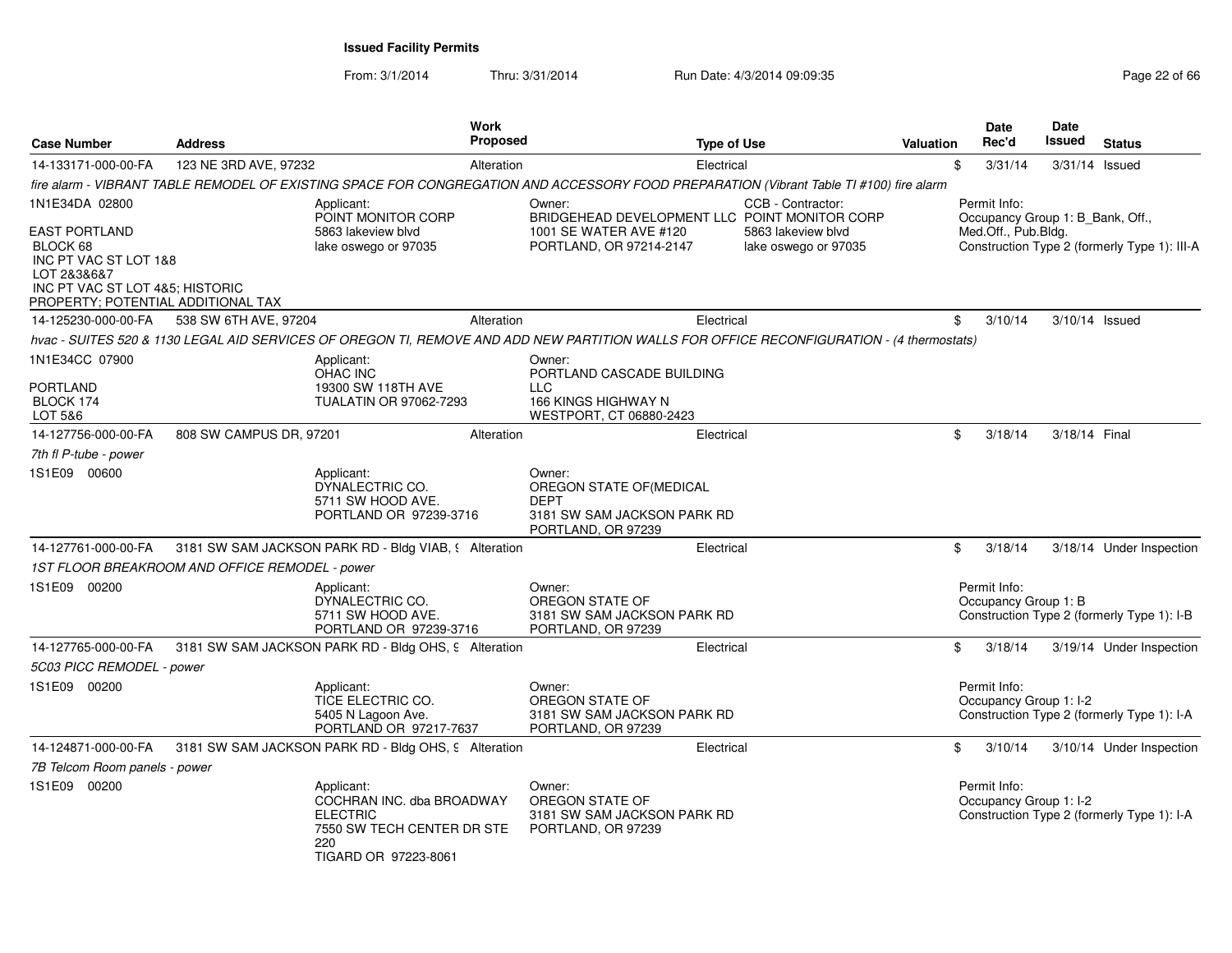| <b>Case Number</b>                                                                                                                                | <b>Address</b>                                 | Work                                                                                                                                      | <b>Proposed</b>       | <b>Type of Use</b>                                                           |                                            | Valuation | <b>Date</b><br>Rec'd                             | <b>Date</b><br>Issued | <b>Status</b>                                |
|---------------------------------------------------------------------------------------------------------------------------------------------------|------------------------------------------------|-------------------------------------------------------------------------------------------------------------------------------------------|-----------------------|------------------------------------------------------------------------------|--------------------------------------------|-----------|--------------------------------------------------|-----------------------|----------------------------------------------|
| 14-133171-000-00-FA                                                                                                                               | 123 NE 3RD AVE, 97232                          |                                                                                                                                           | Alteration            | Electrical                                                                   |                                            | \$        | 3/31/14                                          | $3/31/14$ Issued      |                                              |
|                                                                                                                                                   |                                                | fire alarm - VIBRANT TABLE REMODEL OF EXISTING SPACE FOR CONGREGATION AND ACCESSORY FOOD PREPARATION (Vibrant Table TI #100) fire alarm   |                       |                                                                              |                                            |           |                                                  |                       |                                              |
| 1N1E34DA 02800                                                                                                                                    |                                                | Applicant:<br>POINT MONITOR CORP                                                                                                          | Owner:                | BRIDGEHEAD DEVELOPMENT LLC POINT MONITOR CORP                                | CCB - Contractor:                          |           | Permit Info:<br>Occupancy Group 1: B_Bank, Off., |                       |                                              |
| <b>EAST PORTLAND</b><br>BLOCK 68<br>INC PT VAC ST LOT 1&8<br>LOT 2&3&6&7<br>INC PT VAC ST LOT 4&5; HISTORIC<br>PROPERTY; POTENTIAL ADDITIONAL TAX |                                                | 5863 lakeview blyd<br>lake oswego or 97035                                                                                                |                       | 1001 SE WATER AVE #120<br>PORTLAND, OR 97214-2147                            | 5863 lakeview blyd<br>lake oswego or 97035 |           | Med.Off., Pub.Bldg.                              |                       | Construction Type 2 (formerly Type 1): III-A |
| 14-125230-000-00-FA                                                                                                                               | 538 SW 6TH AVE, 97204                          |                                                                                                                                           | Alteration            | Electrical                                                                   |                                            | \$        | 3/10/14                                          |                       | 3/10/14 Issued                               |
|                                                                                                                                                   |                                                | hvac - SUITES 520 & 1130 LEGAL AID SERVICES OF OREGON TI, REMOVE AND ADD NEW PARTITION WALLS FOR OFFICE RECONFIGURATION - (4 thermostats) |                       |                                                                              |                                            |           |                                                  |                       |                                              |
| 1N1E34CC 07900<br><b>PORTLAND</b>                                                                                                                 |                                                | Applicant:<br><b>OHAC INC</b><br>19300 SW 118TH AVE                                                                                       | Owner:<br><b>LLC</b>  | PORTLAND CASCADE BUILDING                                                    |                                            |           |                                                  |                       |                                              |
| BLOCK 174<br>LOT 5&6                                                                                                                              |                                                | <b>TUALATIN OR 97062-7293</b>                                                                                                             |                       | 166 KINGS HIGHWAY N<br>WESTPORT, CT 06880-2423                               |                                            |           |                                                  |                       |                                              |
| 14-127756-000-00-FA                                                                                                                               | 808 SW CAMPUS DR, 97201                        |                                                                                                                                           | Alteration            | Electrical                                                                   |                                            | \$        | 3/18/14                                          | 3/18/14 Final         |                                              |
| 7th fl P-tube - power                                                                                                                             |                                                |                                                                                                                                           |                       |                                                                              |                                            |           |                                                  |                       |                                              |
| 1S1E09 00600                                                                                                                                      |                                                | Applicant:<br>DYNALECTRIC CO.<br>5711 SW HOOD AVE.<br>PORTLAND OR 97239-3716                                                              | Owner:<br><b>DEPT</b> | OREGON STATE OF(MEDICAL<br>3181 SW SAM JACKSON PARK RD<br>PORTLAND, OR 97239 |                                            |           |                                                  |                       |                                              |
| 14-127761-000-00-FA                                                                                                                               |                                                | 3181 SW SAM JACKSON PARK RD - Bldg VIAB, § Alteration                                                                                     |                       | Electrical                                                                   |                                            | \$        | 3/18/14                                          |                       | 3/18/14 Under Inspection                     |
|                                                                                                                                                   | 1ST FLOOR BREAKROOM AND OFFICE REMODEL - power |                                                                                                                                           |                       |                                                                              |                                            |           |                                                  |                       |                                              |
| 1S1E09 00200                                                                                                                                      |                                                | Applicant:<br>DYNALECTRIC CO.<br>5711 SW HOOD AVE.<br>PORTLAND OR 97239-3716                                                              | Owner:                | OREGON STATE OF<br>3181 SW SAM JACKSON PARK RD<br>PORTLAND, OR 97239         |                                            |           | Permit Info:<br>Occupancy Group 1: B             |                       | Construction Type 2 (formerly Type 1): I-B   |
| 14-127765-000-00-FA                                                                                                                               |                                                | 3181 SW SAM JACKSON PARK RD - Bldg OHS, 9 Alteration                                                                                      |                       | Electrical                                                                   |                                            | \$        | 3/18/14                                          |                       | 3/19/14 Under Inspection                     |
| 5C03 PICC REMODEL - power                                                                                                                         |                                                |                                                                                                                                           |                       |                                                                              |                                            |           |                                                  |                       |                                              |
| 1S1E09 00200                                                                                                                                      |                                                | Applicant:<br>TICE ELECTRIC CO.<br>5405 N Lagoon Ave.<br>PORTLAND OR 97217-7637                                                           | Owner:                | OREGON STATE OF<br>3181 SW SAM JACKSON PARK RD<br>PORTLAND, OR 97239         |                                            |           | Permit Info:<br>Occupancy Group 1: I-2           |                       | Construction Type 2 (formerly Type 1): I-A   |
| 14-124871-000-00-FA                                                                                                                               |                                                | 3181 SW SAM JACKSON PARK RD - Bldg OHS, 9 Alteration                                                                                      |                       | Electrical                                                                   |                                            | \$        | 3/10/14                                          |                       | 3/10/14 Under Inspection                     |
| 7B Telcom Room panels - power                                                                                                                     |                                                |                                                                                                                                           |                       |                                                                              |                                            |           |                                                  |                       |                                              |
| 1S1E09 00200                                                                                                                                      |                                                | Applicant:<br>COCHRAN INC. dba BROADWAY<br><b>ELECTRIC</b><br>7550 SW TECH CENTER DR STE<br>220<br>TIGARD OR 97223-8061                   | Owner:                | OREGON STATE OF<br>3181 SW SAM JACKSON PARK RD<br>PORTLAND, OR 97239         |                                            |           | Permit Info:<br>Occupancy Group 1: I-2           |                       | Construction Type 2 (formerly Type 1): I-A   |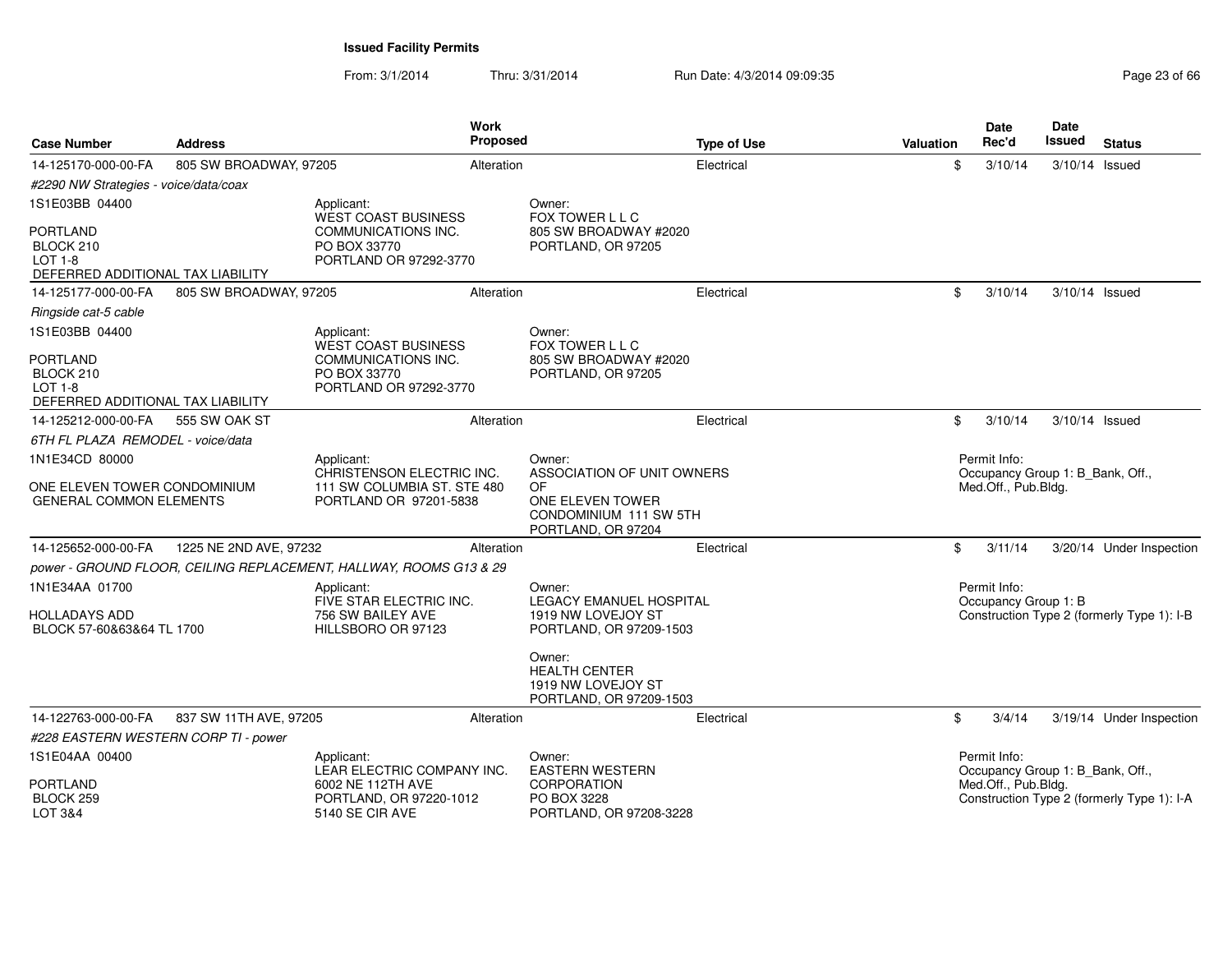| <b>Case Number</b>                                                                  | <b>Address</b>         | <b>Work</b><br>Proposed                                            |                                                                                 | <b>Type of Use</b> | Valuation | Date<br>Rec'd                                    | Date<br>Issued | <b>Status</b>                              |
|-------------------------------------------------------------------------------------|------------------------|--------------------------------------------------------------------|---------------------------------------------------------------------------------|--------------------|-----------|--------------------------------------------------|----------------|--------------------------------------------|
| 14-125170-000-00-FA                                                                 | 805 SW BROADWAY, 97205 | Alteration                                                         |                                                                                 | Electrical         | \$        | 3/10/14                                          | 3/10/14 Issued |                                            |
| #2290 NW Strategies - voice/data/coax                                               |                        |                                                                    |                                                                                 |                    |           |                                                  |                |                                            |
| 1S1E03BB 04400                                                                      |                        | Applicant:<br><b>WEST COAST BUSINESS</b>                           | Owner:<br>FOX TOWER L L C                                                       |                    |           |                                                  |                |                                            |
| PORTLAND<br>BLOCK 210<br><b>LOT 1-8</b><br>DEFERRED ADDITIONAL TAX LIABILITY        |                        | COMMUNICATIONS INC.<br>PO BOX 33770<br>PORTLAND OR 97292-3770      | 805 SW BROADWAY #2020<br>PORTLAND, OR 97205                                     |                    |           |                                                  |                |                                            |
| 14-125177-000-00-FA                                                                 | 805 SW BROADWAY, 97205 | Alteration                                                         |                                                                                 | Electrical         | \$        | 3/10/14                                          | 3/10/14 Issued |                                            |
| Ringside cat-5 cable                                                                |                        |                                                                    |                                                                                 |                    |           |                                                  |                |                                            |
| 1S1E03BB 04400                                                                      |                        | Applicant:<br>WEST COAST BUSINESS                                  | Owner:<br>FOX TOWER L L C                                                       |                    |           |                                                  |                |                                            |
| <b>PORTLAND</b><br>BLOCK 210<br><b>LOT 1-8</b><br>DEFERRED ADDITIONAL TAX LIABILITY |                        | COMMUNICATIONS INC.<br>PO BOX 33770<br>PORTLAND OR 97292-3770      | 805 SW BROADWAY #2020<br>PORTLAND, OR 97205                                     |                    |           |                                                  |                |                                            |
| 14-125212-000-00-FA                                                                 | 555 SW OAK ST          | Alteration                                                         |                                                                                 | Electrical         | \$        | 3/10/14                                          | 3/10/14 Issued |                                            |
| 6TH FL PLAZA REMODEL - voice/data                                                   |                        |                                                                    |                                                                                 |                    |           |                                                  |                |                                            |
| 1N1E34CD 80000                                                                      |                        | Applicant:<br>CHRISTENSON ELECTRIC INC.                            | Owner:<br>ASSOCIATION OF UNIT OWNERS                                            |                    |           | Permit Info:<br>Occupancy Group 1: B Bank, Off., |                |                                            |
| ONE ELEVEN TOWER CONDOMINIUM<br><b>GENERAL COMMON ELEMENTS</b>                      |                        | 111 SW COLUMBIA ST. STE 480<br>PORTLAND OR 97201-5838              | 0F<br>ONE ELEVEN TOWER<br>CONDOMINIUM 111 SW 5TH<br>PORTLAND, OR 97204          |                    |           | Med.Off., Pub.Bldg.                              |                |                                            |
| 14-125652-000-00-FA                                                                 | 1225 NE 2ND AVE, 97232 | Alteration                                                         |                                                                                 | Electrical         | \$        | 3/11/14                                          |                | 3/20/14 Under Inspection                   |
|                                                                                     |                        | power - GROUND FLOOR, CEILING REPLACEMENT, HALLWAY, ROOMS G13 & 29 |                                                                                 |                    |           |                                                  |                |                                            |
| 1N1E34AA 01700                                                                      |                        | Applicant:<br>FIVE STAR ELECTRIC INC.                              | Owner:<br><b>LEGACY EMANUEL HOSPITAL</b>                                        |                    |           | Permit Info:<br>Occupancy Group 1: B             |                |                                            |
| HOLLADAYS ADD<br>BLOCK 57-60&63&64 TL 1700                                          |                        | 756 SW BAILEY AVE<br>HILLSBORO OR 97123                            | 1919 NW LOVEJOY ST<br>PORTLAND, OR 97209-1503                                   |                    |           |                                                  |                | Construction Type 2 (formerly Type 1): I-B |
|                                                                                     |                        |                                                                    | Owner:<br><b>HEALTH CENTER</b><br>1919 NW LOVEJOY ST<br>PORTLAND, OR 97209-1503 |                    |           |                                                  |                |                                            |
| 14-122763-000-00-FA                                                                 | 837 SW 11TH AVE, 97205 | Alteration                                                         |                                                                                 | Electrical         | \$        | 3/4/14                                           |                | 3/19/14 Under Inspection                   |
| #228 EASTERN WESTERN CORP TI - power                                                |                        |                                                                    |                                                                                 |                    |           |                                                  |                |                                            |
| 1S1E04AA 00400                                                                      |                        | Applicant:<br>LEAR ELECTRIC COMPANY INC.                           | Owner:<br><b>EASTERN WESTERN</b>                                                |                    |           | Permit Info:<br>Occupancy Group 1: B_Bank, Off., |                |                                            |
| PORTLAND<br>BLOCK 259<br>LOT 3&4                                                    |                        | 6002 NE 112TH AVE<br>PORTLAND, OR 97220-1012<br>5140 SE CIR AVE    | CORPORATION<br>PO BOX 3228<br>PORTLAND, OR 97208-3228                           |                    |           | Med.Off., Pub.Bldg.                              |                | Construction Type 2 (formerly Type 1): I-A |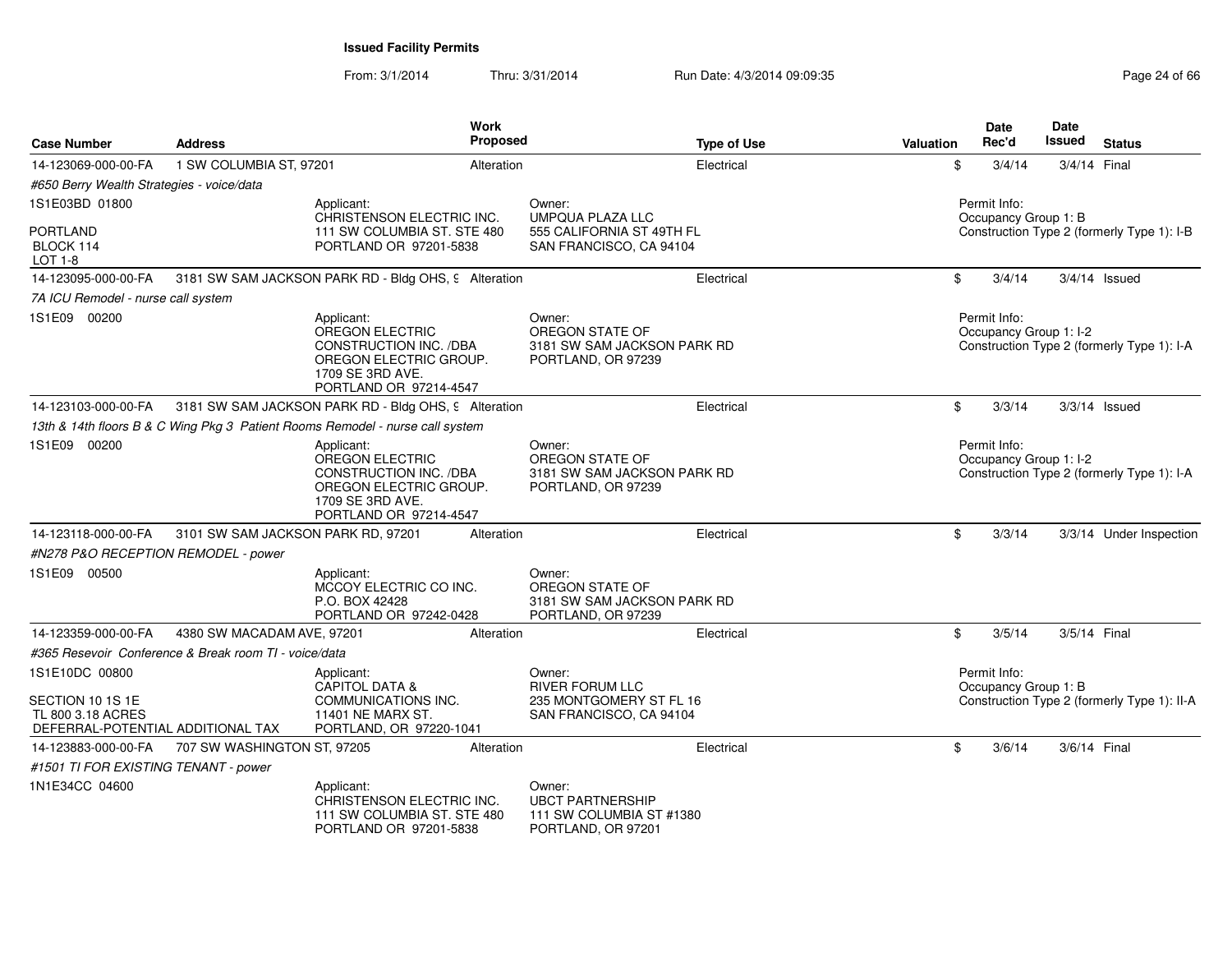From: 3/1/2014

| <b>Case Number</b>                                                         | <b>Address</b>                                        | Work<br>Proposed                                                                                                                       |                                                                                     | <b>Type of Use</b> | <b>Valuation</b> | <b>Date</b><br>Rec'd                   | Date<br>Issued | <b>Status</b>                               |
|----------------------------------------------------------------------------|-------------------------------------------------------|----------------------------------------------------------------------------------------------------------------------------------------|-------------------------------------------------------------------------------------|--------------------|------------------|----------------------------------------|----------------|---------------------------------------------|
| 14-123069-000-00-FA                                                        | 1 SW COLUMBIA ST, 97201                               | Alteration                                                                                                                             |                                                                                     | Electrical         | \$               | 3/4/14                                 |                | 3/4/14 Final                                |
| #650 Berry Wealth Strategies - voice/data                                  |                                                       |                                                                                                                                        |                                                                                     |                    |                  |                                        |                |                                             |
| 1S1E03BD 01800                                                             |                                                       | Applicant:                                                                                                                             | Owner:                                                                              |                    |                  | Permit Info:                           |                |                                             |
| <b>PORTLAND</b><br>BLOCK 114<br>LOT 1-8                                    |                                                       | CHRISTENSON ELECTRIC INC.<br>111 SW COLUMBIA ST. STE 480<br>PORTLAND OR 97201-5838                                                     | <b>UMPQUA PLAZA LLC</b><br>555 CALIFORNIA ST 49TH FL<br>SAN FRANCISCO, CA 94104     |                    |                  | Occupancy Group 1: B                   |                | Construction Type 2 (formerly Type 1): I-B  |
| 14-123095-000-00-FA                                                        |                                                       | 3181 SW SAM JACKSON PARK RD - Bldg OHS, 9 Alteration                                                                                   |                                                                                     | Electrical         | \$               | 3/4/14                                 |                | $3/4/14$ Issued                             |
| 7A ICU Remodel - nurse call system                                         |                                                       |                                                                                                                                        |                                                                                     |                    |                  |                                        |                |                                             |
| 1S1E09 00200                                                               |                                                       | Applicant:<br>OREGON ELECTRIC<br>CONSTRUCTION INC. /DBA<br>OREGON ELECTRIC GROUP.<br>1709 SE 3RD AVE.<br>PORTLAND OR 97214-4547        | Owner:<br>OREGON STATE OF<br>3181 SW SAM JACKSON PARK RD<br>PORTLAND, OR 97239      |                    |                  | Permit Info:<br>Occupancy Group 1: I-2 |                | Construction Type 2 (formerly Type 1): I-A  |
|                                                                            |                                                       | 14-123103-000-00-FA 3181 SW SAM JACKSON PARK RD - Bldg OHS, 9 Alteration                                                               |                                                                                     | Electrical         | \$               | 3/3/14                                 |                | $3/3/14$ Issued                             |
|                                                                            |                                                       | 13th & 14th floors B & C Wing Pkg 3 Patient Rooms Remodel - nurse call system                                                          |                                                                                     |                    |                  |                                        |                |                                             |
| 1S1E09 00200                                                               |                                                       | Applicant:<br><b>OREGON ELECTRIC</b><br>CONSTRUCTION INC. /DBA<br>OREGON ELECTRIC GROUP.<br>1709 SE 3RD AVE.<br>PORTLAND OR 97214-4547 | Owner:<br>OREGON STATE OF<br>3181 SW SAM JACKSON PARK RD<br>PORTLAND, OR 97239      |                    |                  | Permit Info:<br>Occupancy Group 1: I-2 |                | Construction Type 2 (formerly Type 1): I-A  |
| 14-123118-000-00-FA                                                        | 3101 SW SAM JACKSON PARK RD, 97201                    | Alteration                                                                                                                             |                                                                                     | Electrical         | \$               | 3/3/14                                 |                | 3/3/14 Under Inspection                     |
| #N278 P&O RECEPTION REMODEL - power                                        |                                                       |                                                                                                                                        |                                                                                     |                    |                  |                                        |                |                                             |
| 1S1E09 00500                                                               |                                                       | Applicant:<br>MCCOY ELECTRIC CO INC.<br>P.O. BOX 42428<br>PORTLAND OR 97242-0428                                                       | Owner:<br>OREGON STATE OF<br>3181 SW SAM JACKSON PARK RD<br>PORTLAND, OR 97239      |                    |                  |                                        |                |                                             |
| 14-123359-000-00-FA                                                        | 4380 SW MACADAM AVE, 97201                            | Alteration                                                                                                                             |                                                                                     | Electrical         | \$               | 3/5/14                                 |                | 3/5/14 Final                                |
|                                                                            | #365 Resevoir Conference & Break room TI - voice/data |                                                                                                                                        |                                                                                     |                    |                  |                                        |                |                                             |
| 1S1E10DC 00800                                                             |                                                       | Applicant:                                                                                                                             | Owner:                                                                              |                    |                  | Permit Info:                           |                |                                             |
| SECTION 10 1S 1E<br>TL 800 3.18 ACRES<br>DEFERRAL-POTENTIAL ADDITIONAL TAX |                                                       | <b>CAPITOL DATA &amp;</b><br>COMMUNICATIONS INC.<br>11401 NE MARX ST.<br>PORTLAND, OR 97220-1041                                       | <b>RIVER FORUM LLC</b><br>235 MONTGOMERY ST FL 16<br>SAN FRANCISCO, CA 94104        |                    |                  | Occupancy Group 1: B                   |                | Construction Type 2 (formerly Type 1): II-A |
| 14-123883-000-00-FA                                                        | 707 SW WASHINGTON ST, 97205                           | Alteration                                                                                                                             |                                                                                     | Electrical         | \$               | 3/6/14                                 |                | 3/6/14 Final                                |
| #1501 TI FOR EXISTING TENANT - power                                       |                                                       |                                                                                                                                        |                                                                                     |                    |                  |                                        |                |                                             |
| 1N1E34CC 04600                                                             |                                                       | Applicant:<br>CHRISTENSON ELECTRIC INC.<br>111 SW COLUMBIA ST. STE 480<br>PORTLAND OR 97201-5838                                       | Owner:<br><b>UBCT PARTNERSHIP</b><br>111 SW COLUMBIA ST #1380<br>PORTLAND, OR 97201 |                    |                  |                                        |                |                                             |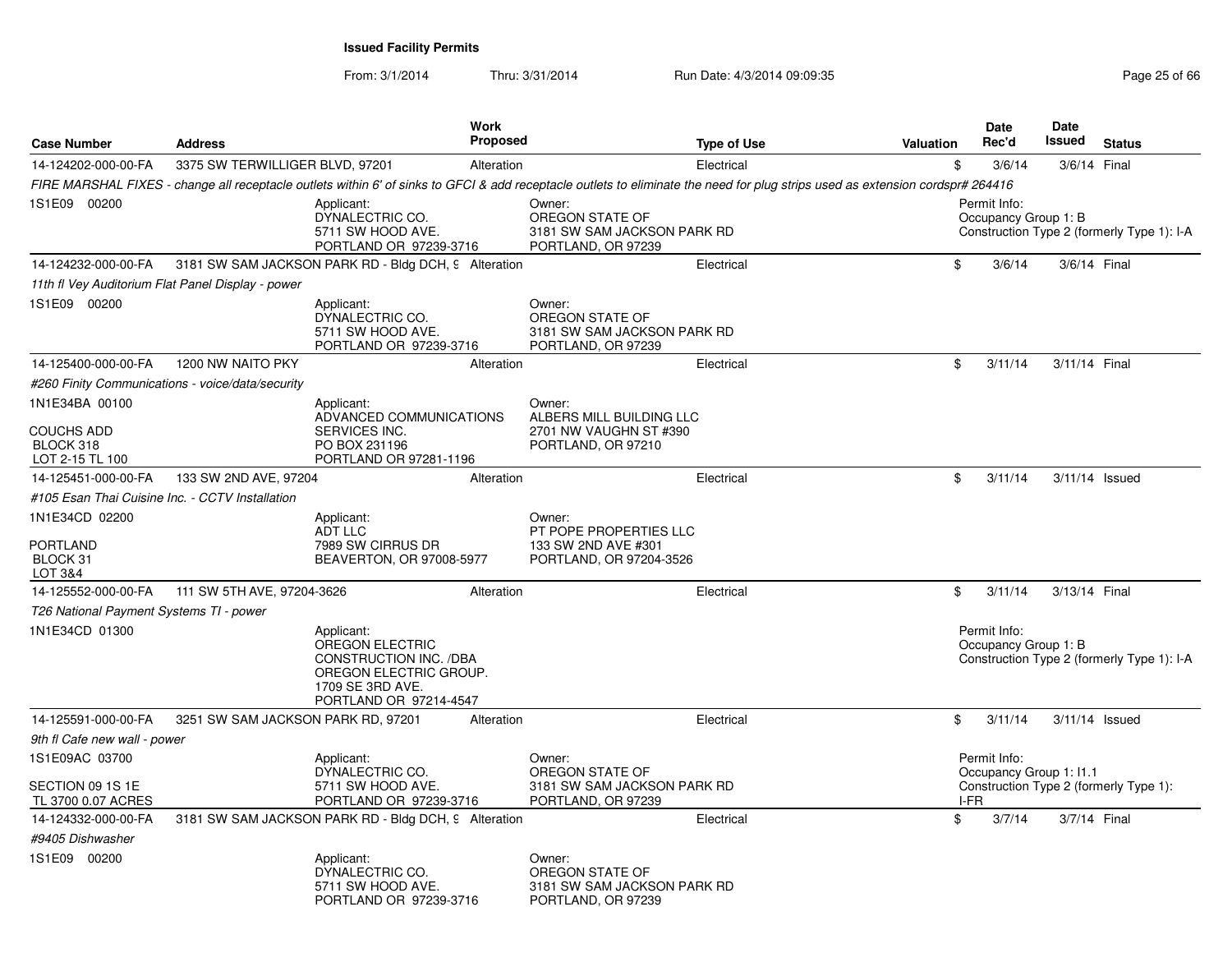| <b>Case Number</b>                                | <b>Address</b>                                    | <b>Work</b><br>Proposed                                                                                                                                                        |                                                                                    | <b>Type of Use</b> | <b>Valuation</b> |      | Date<br>Rec'd                        | Date<br>Issued          | <b>Status</b>                              |
|---------------------------------------------------|---------------------------------------------------|--------------------------------------------------------------------------------------------------------------------------------------------------------------------------------|------------------------------------------------------------------------------------|--------------------|------------------|------|--------------------------------------|-------------------------|--------------------------------------------|
| 14-124202-000-00-FA                               | 3375 SW TERWILLIGER BLVD, 97201                   | Alteration                                                                                                                                                                     |                                                                                    | Electrical         |                  | \$   | 3/6/14                               | 3/6/14 Final            |                                            |
|                                                   |                                                   | FIRE MARSHAL FIXES - change all receptacle outlets within 6' of sinks to GFCI & add receptacle outlets to eliminate the need for plug strips used as extension cordspr# 264416 |                                                                                    |                    |                  |      |                                      |                         |                                            |
| 1S1E09 00200                                      |                                                   | Applicant:<br>DYNALECTRIC CO.<br>5711 SW HOOD AVE.<br>PORTLAND OR 97239-3716                                                                                                   | Owner:<br>OREGON STATE OF<br>3181 SW SAM JACKSON PARK RD<br>PORTLAND, OR 97239     |                    |                  |      | Permit Info:<br>Occupancy Group 1: B |                         | Construction Type 2 (formerly Type 1): I-A |
| 14-124232-000-00-FA                               |                                                   | 3181 SW SAM JACKSON PARK RD - Bldg DCH, 9 Alteration                                                                                                                           |                                                                                    | Electrical         |                  | \$   | 3/6/14                               | 3/6/14 Final            |                                            |
|                                                   | 11th fl Vey Auditorium Flat Panel Display - power |                                                                                                                                                                                |                                                                                    |                    |                  |      |                                      |                         |                                            |
| 1S1E09 00200                                      |                                                   | Applicant:<br>DYNALECTRIC CO.<br>5711 SW HOOD AVE.<br>PORTLAND OR 97239-3716                                                                                                   | Owner:<br>OREGON STATE OF<br>3181 SW SAM JACKSON PARK RD<br>PORTLAND, OR 97239     |                    |                  |      |                                      |                         |                                            |
| 14-125400-000-00-FA                               | 1200 NW NAITO PKY                                 | Alteration                                                                                                                                                                     |                                                                                    | Electrical         |                  | \$   | 3/11/14                              | 3/11/14 Final           |                                            |
|                                                   | #260 Finity Communications - voice/data/security  |                                                                                                                                                                                |                                                                                    |                    |                  |      |                                      |                         |                                            |
| 1N1E34BA 00100                                    |                                                   | Applicant:                                                                                                                                                                     | Owner:                                                                             |                    |                  |      |                                      |                         |                                            |
| <b>COUCHS ADD</b><br>BLOCK 318<br>LOT 2-15 TL 100 |                                                   | ADVANCED COMMUNICATIONS<br>SERVICES INC.<br>PO BOX 231196<br>PORTLAND OR 97281-1196                                                                                            | ALBERS MILL BUILDING LLC<br>2701 NW VAUGHN ST #390<br>PORTLAND, OR 97210           |                    |                  |      |                                      |                         |                                            |
| 14-125451-000-00-FA                               | 133 SW 2ND AVE, 97204                             | Alteration                                                                                                                                                                     |                                                                                    | Electrical         |                  | \$   | 3/11/14                              |                         | $3/11/14$ Issued                           |
| #105 Esan Thai Cuisine Inc. - CCTV Installation   |                                                   |                                                                                                                                                                                |                                                                                    |                    |                  |      |                                      |                         |                                            |
| 1N1E34CD 02200<br>PORTLAND<br>BLOCK 31<br>LOT 3&4 |                                                   | Applicant:<br>ADT LLC<br>7989 SW CIRRUS DR<br>BEAVERTON, OR 97008-5977                                                                                                         | Owner:<br>PT POPE PROPERTIES LLC<br>133 SW 2ND AVE #301<br>PORTLAND, OR 97204-3526 |                    |                  |      |                                      |                         |                                            |
| 14-125552-000-00-FA                               | 111 SW 5TH AVE, 97204-3626                        | Alteration                                                                                                                                                                     |                                                                                    | Electrical         |                  | \$   | 3/11/14                              | 3/13/14 Final           |                                            |
| T26 National Payment Systems TI - power           |                                                   |                                                                                                                                                                                |                                                                                    |                    |                  |      |                                      |                         |                                            |
| 1N1E34CD 01300                                    |                                                   | Applicant:<br><b>OREGON ELECTRIC</b><br><b>CONSTRUCTION INC. /DBA</b><br>OREGON ELECTRIC GROUP.<br>1709 SE 3RD AVE.<br>PORTLAND OR 97214-4547                                  |                                                                                    |                    |                  |      | Permit Info:<br>Occupancy Group 1: B |                         | Construction Type 2 (formerly Type 1): I-A |
| 14-125591-000-00-FA                               | 3251 SW SAM JACKSON PARK RD, 97201                | Alteration                                                                                                                                                                     |                                                                                    | Electrical         |                  | \$   | 3/11/14                              |                         | 3/11/14 Issued                             |
| 9th fl Cafe new wall - power                      |                                                   |                                                                                                                                                                                |                                                                                    |                    |                  |      |                                      |                         |                                            |
| 1S1E09AC 03700                                    |                                                   | Applicant:                                                                                                                                                                     | Owner:                                                                             |                    |                  |      | Permit Info:                         |                         |                                            |
| SECTION 09 1S 1E<br>TL 3700 0.07 ACRES            |                                                   | DYNALECTRIC CO.<br>5711 SW HOOD AVE.<br>PORTLAND OR 97239-3716                                                                                                                 | OREGON STATE OF<br>3181 SW SAM JACKSON PARK RD<br>PORTLAND, OR 97239               |                    |                  | I-FR |                                      | Occupancy Group 1: I1.1 | Construction Type 2 (formerly Type 1):     |
| 14-124332-000-00-FA                               |                                                   | 3181 SW SAM JACKSON PARK RD - Bldg DCH, 9 Alteration                                                                                                                           |                                                                                    | Electrical         |                  | \$   | 3/7/14                               | 3/7/14 Final            |                                            |
| #9405 Dishwasher                                  |                                                   |                                                                                                                                                                                |                                                                                    |                    |                  |      |                                      |                         |                                            |
| 1S1E09 00200                                      |                                                   | Applicant:<br>DYNALECTRIC CO.<br>5711 SW HOOD AVE.<br>PORTLAND OR 97239-3716                                                                                                   | Owner:<br>OREGON STATE OF<br>3181 SW SAM JACKSON PARK RD<br>PORTLAND, OR 97239     |                    |                  |      |                                      |                         |                                            |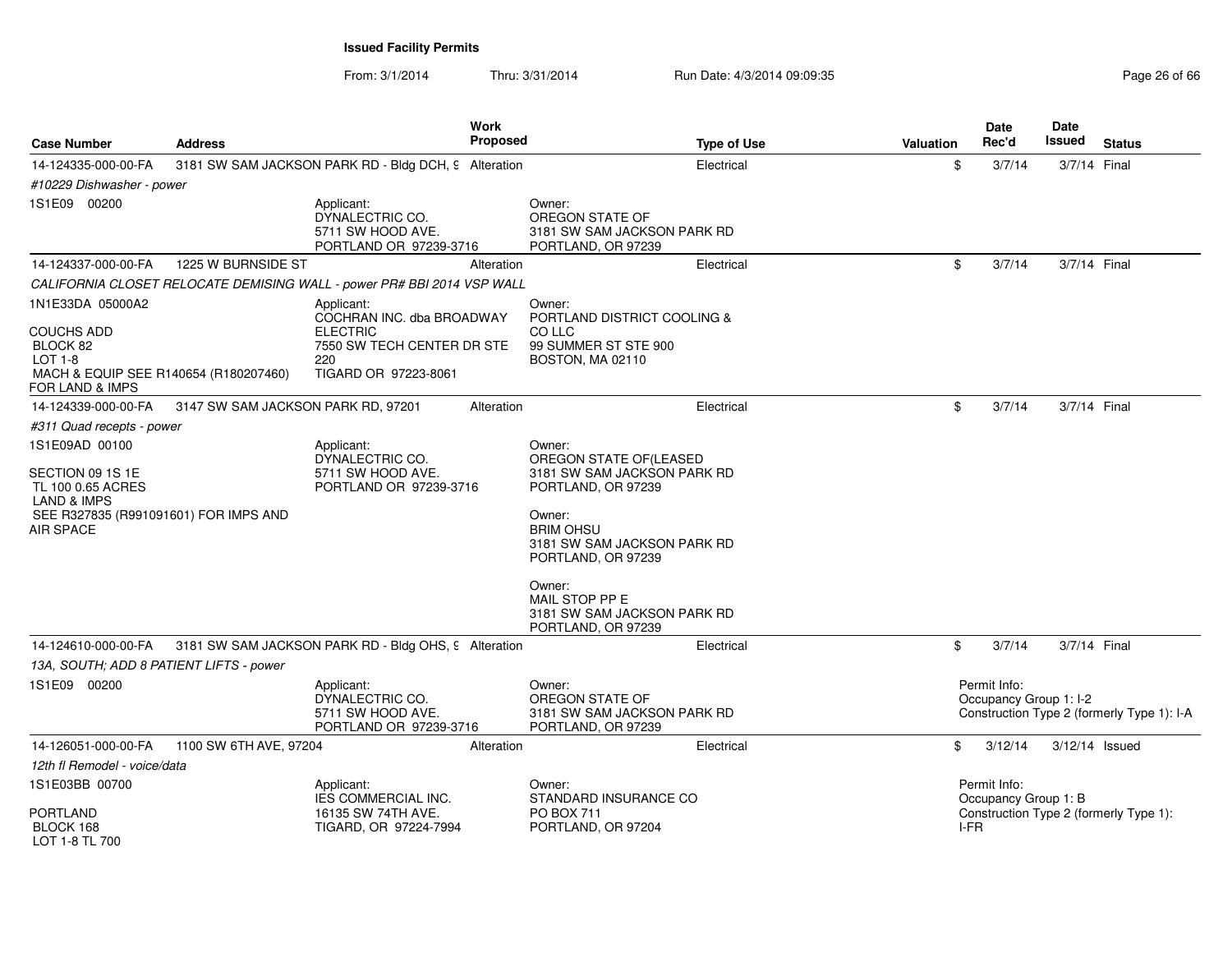| <b>Case Number</b>                                                                                                                             | <b>Address</b>                     |                                                                                                                         | <b>Work</b><br><b>Proposed</b> | <b>Type of Use</b>                                                                                                                                                                                                                                         | Valuation | <b>Date</b><br>Rec'd                         | Date<br>Issued | <b>Status</b>                              |
|------------------------------------------------------------------------------------------------------------------------------------------------|------------------------------------|-------------------------------------------------------------------------------------------------------------------------|--------------------------------|------------------------------------------------------------------------------------------------------------------------------------------------------------------------------------------------------------------------------------------------------------|-----------|----------------------------------------------|----------------|--------------------------------------------|
| 14-124335-000-00-FA                                                                                                                            |                                    | 3181 SW SAM JACKSON PARK RD - Bldg DCH, 9 Alteration                                                                    |                                | Electrical                                                                                                                                                                                                                                                 | \$        | 3/7/14                                       | 3/7/14 Final   |                                            |
| #10229 Dishwasher - power                                                                                                                      |                                    |                                                                                                                         |                                |                                                                                                                                                                                                                                                            |           |                                              |                |                                            |
| 1S1E09 00200                                                                                                                                   |                                    | Applicant:<br>DYNALECTRIC CO.<br>5711 SW HOOD AVE.<br>PORTLAND OR 97239-3716                                            |                                | Owner:<br>OREGON STATE OF<br>3181 SW SAM JACKSON PARK RD<br>PORTLAND, OR 97239                                                                                                                                                                             |           |                                              |                |                                            |
| 14-124337-000-00-FA                                                                                                                            | 1225 W BURNSIDE ST                 |                                                                                                                         | Alteration                     | Electrical                                                                                                                                                                                                                                                 | \$        | 3/7/14                                       | 3/7/14 Final   |                                            |
|                                                                                                                                                |                                    | CALIFORNIA CLOSET RELOCATE DEMISING WALL - power PR# BBI 2014 VSP WALL                                                  |                                |                                                                                                                                                                                                                                                            |           |                                              |                |                                            |
| 1N1E33DA 05000A2<br><b>COUCHS ADD</b><br>BLOCK 82<br>LOT 1-8<br>MACH & EQUIP SEE R140654 (R180207460)<br>FOR LAND & IMPS                       |                                    | Applicant:<br>COCHRAN INC. dba BROADWAY<br><b>ELECTRIC</b><br>7550 SW TECH CENTER DR STE<br>220<br>TIGARD OR 97223-8061 |                                | Owner:<br>PORTLAND DISTRICT COOLING &<br>CO LLC<br>99 SUMMER ST STE 900<br>BOSTON, MA 02110                                                                                                                                                                |           |                                              |                |                                            |
| 14-124339-000-00-FA                                                                                                                            | 3147 SW SAM JACKSON PARK RD, 97201 |                                                                                                                         | Alteration                     | Electrical                                                                                                                                                                                                                                                 | \$        | 3/7/14                                       | 3/7/14 Final   |                                            |
| #311 Quad recepts - power                                                                                                                      |                                    |                                                                                                                         |                                |                                                                                                                                                                                                                                                            |           |                                              |                |                                            |
| 1S1E09AD 00100<br>SECTION 09 1S 1E<br>TL 100 0.65 ACRES<br><b>LAND &amp; IMPS</b><br>SEE R327835 (R991091601) FOR IMPS AND<br><b>AIR SPACE</b> |                                    | Applicant:<br>DYNALECTRIC CO.<br>5711 SW HOOD AVE.<br>PORTLAND OR 97239-3716                                            |                                | Owner:<br>OREGON STATE OF (LEASED<br>3181 SW SAM JACKSON PARK RD<br>PORTLAND, OR 97239<br>Owner:<br><b>BRIM OHSU</b><br>3181 SW SAM JACKSON PARK RD<br>PORTLAND, OR 97239<br>Owner:<br>MAIL STOP PP E<br>3181 SW SAM JACKSON PARK RD<br>PORTLAND, OR 97239 |           |                                              |                |                                            |
| 14-124610-000-00-FA                                                                                                                            |                                    | 3181 SW SAM JACKSON PARK RD - Bldg OHS, 9 Alteration                                                                    |                                | Electrical                                                                                                                                                                                                                                                 | \$        | 3/7/14                                       | 3/7/14 Final   |                                            |
| 13A, SOUTH; ADD 8 PATIENT LIFTS - power                                                                                                        |                                    |                                                                                                                         |                                |                                                                                                                                                                                                                                                            |           |                                              |                |                                            |
| 1S1E09 00200                                                                                                                                   |                                    | Applicant:<br>DYNALECTRIC CO.<br>5711 SW HOOD AVE.<br>PORTLAND OR 97239-3716                                            |                                | Owner:<br>OREGON STATE OF<br>3181 SW SAM JACKSON PARK RD<br>PORTLAND, OR 97239                                                                                                                                                                             |           | Permit Info:<br>Occupancy Group 1: I-2       |                | Construction Type 2 (formerly Type 1): I-A |
| 14-126051-000-00-FA                                                                                                                            | 1100 SW 6TH AVE, 97204             |                                                                                                                         | Alteration                     | Electrical                                                                                                                                                                                                                                                 | \$        | 3/12/14                                      |                | $3/12/14$ Issued                           |
| 12th fl Remodel - voice/data                                                                                                                   |                                    |                                                                                                                         |                                |                                                                                                                                                                                                                                                            |           |                                              |                |                                            |
| 1S1E03BB 00700<br><b>PORTLAND</b><br>BLOCK 168<br>LOT 1-8 TL 700                                                                               |                                    | Applicant:<br><b>IES COMMERCIAL INC.</b><br>16135 SW 74TH AVE.<br>TIGARD, OR 97224-7994                                 |                                | Owner:<br>STANDARD INSURANCE CO<br><b>PO BOX 711</b><br>PORTLAND, OR 97204                                                                                                                                                                                 |           | Permit Info:<br>Occupancy Group 1: B<br>I-FR |                | Construction Type 2 (formerly Type 1):     |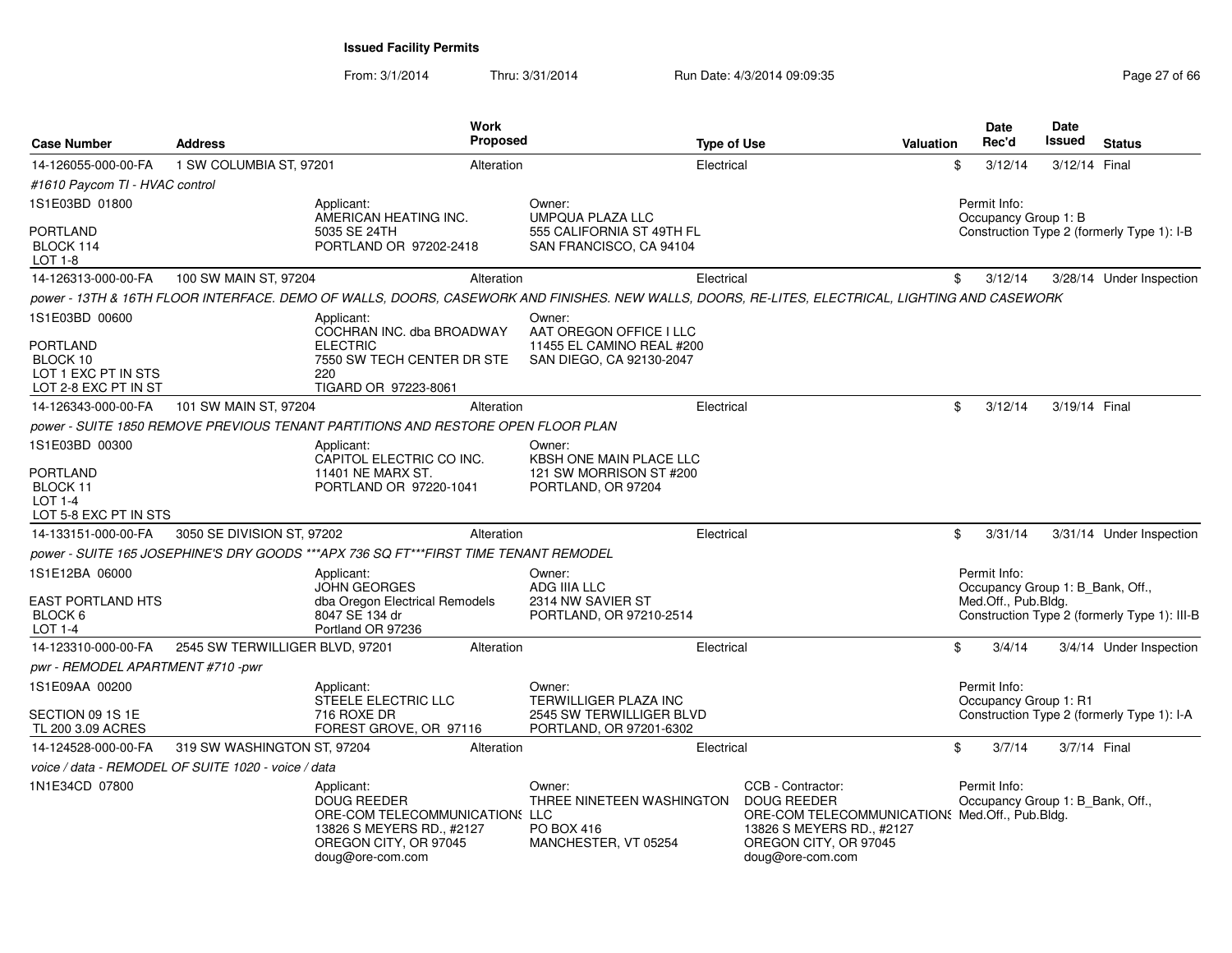| <b>Case Number</b>                                                | <b>Address</b>                                      |                                                                                                                                              | <b>Work</b><br><b>Proposed</b> |                                                                                                                                                 | <b>Type of Use</b>                                                                                                                                                  | Valuation | Date<br>Rec'd       | <b>Date</b><br>Issued | <b>Status</b>                                |
|-------------------------------------------------------------------|-----------------------------------------------------|----------------------------------------------------------------------------------------------------------------------------------------------|--------------------------------|-------------------------------------------------------------------------------------------------------------------------------------------------|---------------------------------------------------------------------------------------------------------------------------------------------------------------------|-----------|---------------------|-----------------------|----------------------------------------------|
| 14-126055-000-00-FA                                               | 1 SW COLUMBIA ST, 97201                             |                                                                                                                                              | Alteration                     | Electrical                                                                                                                                      |                                                                                                                                                                     | \$        | 3/12/14             |                       | 3/12/14 Final                                |
| #1610 Paycom TI - HVAC control                                    |                                                     |                                                                                                                                              |                                |                                                                                                                                                 |                                                                                                                                                                     |           |                     |                       |                                              |
| 1S1E03BD 01800                                                    |                                                     | Applicant:<br>AMERICAN HEATING INC.                                                                                                          |                                | Owner:<br><b>UMPQUA PLAZA LLC</b>                                                                                                               |                                                                                                                                                                     |           | Permit Info:        | Occupancy Group 1: B  |                                              |
| <b>PORTLAND</b><br>BLOCK 114<br>$LOT 1-8$                         |                                                     | 5035 SE 24TH<br>PORTLAND OR 97202-2418                                                                                                       |                                | 555 CALIFORNIA ST 49TH FL<br>SAN FRANCISCO, CA 94104                                                                                            |                                                                                                                                                                     |           |                     |                       | Construction Type 2 (formerly Type 1): I-B   |
| 14-126313-000-00-FA                                               | 100 SW MAIN ST, 97204                               |                                                                                                                                              | Alteration                     | Electrical                                                                                                                                      |                                                                                                                                                                     | \$        | 3/12/14             |                       | 3/28/14 Under Inspection                     |
|                                                                   |                                                     |                                                                                                                                              |                                | power - 13TH & 16TH FLOOR INTERFACE. DEMO OF WALLS, DOORS, CASEWORK AND FINISHES. NEW WALLS, DOORS, RE-LITES, ELECTRICAL, LIGHTING AND CASEWORK |                                                                                                                                                                     |           |                     |                       |                                              |
| 1S1E03BD 00600<br><b>PORTLAND</b>                                 |                                                     | Applicant:<br>COCHRAN INC. dba BROADWAY<br><b>ELECTRIC</b>                                                                                   |                                | Owner:<br>AAT OREGON OFFICE I LLC<br>11455 EL CAMINO REAL #200                                                                                  |                                                                                                                                                                     |           |                     |                       |                                              |
| BLOCK 10<br>LOT 1 EXC PT IN STS<br>LOT 2-8 EXC PT IN ST           |                                                     | 7550 SW TECH CENTER DR STE<br>220<br>TIGARD OR 97223-8061                                                                                    |                                | SAN DIEGO, CA 92130-2047                                                                                                                        |                                                                                                                                                                     |           |                     |                       |                                              |
| 14-126343-000-00-FA                                               | 101 SW MAIN ST, 97204                               |                                                                                                                                              | Alteration                     | Electrical                                                                                                                                      |                                                                                                                                                                     | \$        | 3/12/14             |                       | 3/19/14 Final                                |
|                                                                   |                                                     | power - SUITE 1850 REMOVE PREVIOUS TENANT PARTITIONS AND RESTORE OPEN FLOOR PLAN                                                             |                                |                                                                                                                                                 |                                                                                                                                                                     |           |                     |                       |                                              |
| 1S1E03BD 00300                                                    |                                                     | Applicant:<br>CAPITOL ELECTRIC CO INC.                                                                                                       |                                | Owner:<br><b>KBSH ONE MAIN PLACE LLC</b>                                                                                                        |                                                                                                                                                                     |           |                     |                       |                                              |
| <b>PORTLAND</b><br>BLOCK 11<br>$LOT 1-4$<br>LOT 5-8 EXC PT IN STS |                                                     | 11401 NE MARX ST.<br>PORTLAND OR 97220-1041                                                                                                  |                                | 121 SW MORRISON ST #200<br>PORTLAND, OR 97204                                                                                                   |                                                                                                                                                                     |           |                     |                       |                                              |
| 14-133151-000-00-FA                                               | 3050 SE DIVISION ST, 97202                          |                                                                                                                                              | Alteration                     | Electrical                                                                                                                                      |                                                                                                                                                                     | \$        | 3/31/14             |                       | 3/31/14 Under Inspection                     |
|                                                                   |                                                     | power - SUITE 165 JOSEPHINE'S DRY GOODS ***APX 736 SQ FT***FIRST TIME TENANT REMODEL                                                         |                                |                                                                                                                                                 |                                                                                                                                                                     |           |                     |                       |                                              |
| 1S1E12BA 06000                                                    |                                                     | Applicant:<br><b>JOHN GEORGES</b>                                                                                                            |                                | Owner:<br>ADG IIIA LLC                                                                                                                          |                                                                                                                                                                     |           | Permit Info:        |                       | Occupancy Group 1: B_Bank, Off.,             |
| EAST PORTLAND HTS                                                 |                                                     | dba Oregon Electrical Remodels                                                                                                               |                                | 2314 NW SAVIER ST                                                                                                                               |                                                                                                                                                                     |           | Med.Off., Pub.Bldg. |                       |                                              |
| BLOCK 6<br>LOT 1-4                                                |                                                     | 8047 SE 134 dr<br>Portland OR 97236                                                                                                          |                                | PORTLAND, OR 97210-2514                                                                                                                         |                                                                                                                                                                     |           |                     |                       | Construction Type 2 (formerly Type 1): III-B |
| 14-123310-000-00-FA                                               | 2545 SW TERWILLIGER BLVD, 97201                     |                                                                                                                                              | Alteration                     | Electrical                                                                                                                                      |                                                                                                                                                                     | \$        | 3/4/14              |                       | 3/4/14 Under Inspection                      |
| pwr - REMODEL APARTMENT #710 -pwr                                 |                                                     |                                                                                                                                              |                                |                                                                                                                                                 |                                                                                                                                                                     |           |                     |                       |                                              |
| 1S1E09AA 00200                                                    |                                                     | Applicant:<br>STEELE ELECTRIC LLC                                                                                                            |                                | Owner:<br><b>TERWILLIGER PLAZA INC</b>                                                                                                          |                                                                                                                                                                     |           | Permit Info:        | Occupancy Group 1: R1 |                                              |
| SECTION 09 1S 1E<br>TL 200 3.09 ACRES                             |                                                     | 716 ROXE DR<br>FOREST GROVE, OR 97116                                                                                                        |                                | 2545 SW TERWILLIGER BLVD<br>PORTLAND, OR 97201-6302                                                                                             |                                                                                                                                                                     |           |                     |                       | Construction Type 2 (formerly Type 1): I-A   |
| 14-124528-000-00-FA                                               | 319 SW WASHINGTON ST, 97204                         |                                                                                                                                              | Alteration                     | Electrical                                                                                                                                      |                                                                                                                                                                     | \$        | 3/7/14              |                       | 3/7/14 Final                                 |
|                                                                   | voice / data - REMODEL OF SUITE 1020 - voice / data |                                                                                                                                              |                                |                                                                                                                                                 |                                                                                                                                                                     |           |                     |                       |                                              |
| 1N1E34CD 07800                                                    |                                                     | Applicant:<br><b>DOUG REEDER</b><br>ORE-COM TELECOMMUNICATIONS LLC<br>13826 S MEYERS RD., #2127<br>OREGON CITY, OR 97045<br>doug@ore-com.com |                                | Owner:<br>THREE NINETEEN WASHINGTON<br><b>PO BOX 416</b><br>MANCHESTER, VT 05254                                                                | CCB - Contractor:<br><b>DOUG REEDER</b><br>ORE-COM TELECOMMUNICATION: Med.Off., Pub.Bldg.<br>13826 S MEYERS RD., #2127<br>OREGON CITY, OR 97045<br>doug@ore-com.com |           | Permit Info:        |                       | Occupancy Group 1: B_Bank, Off.,             |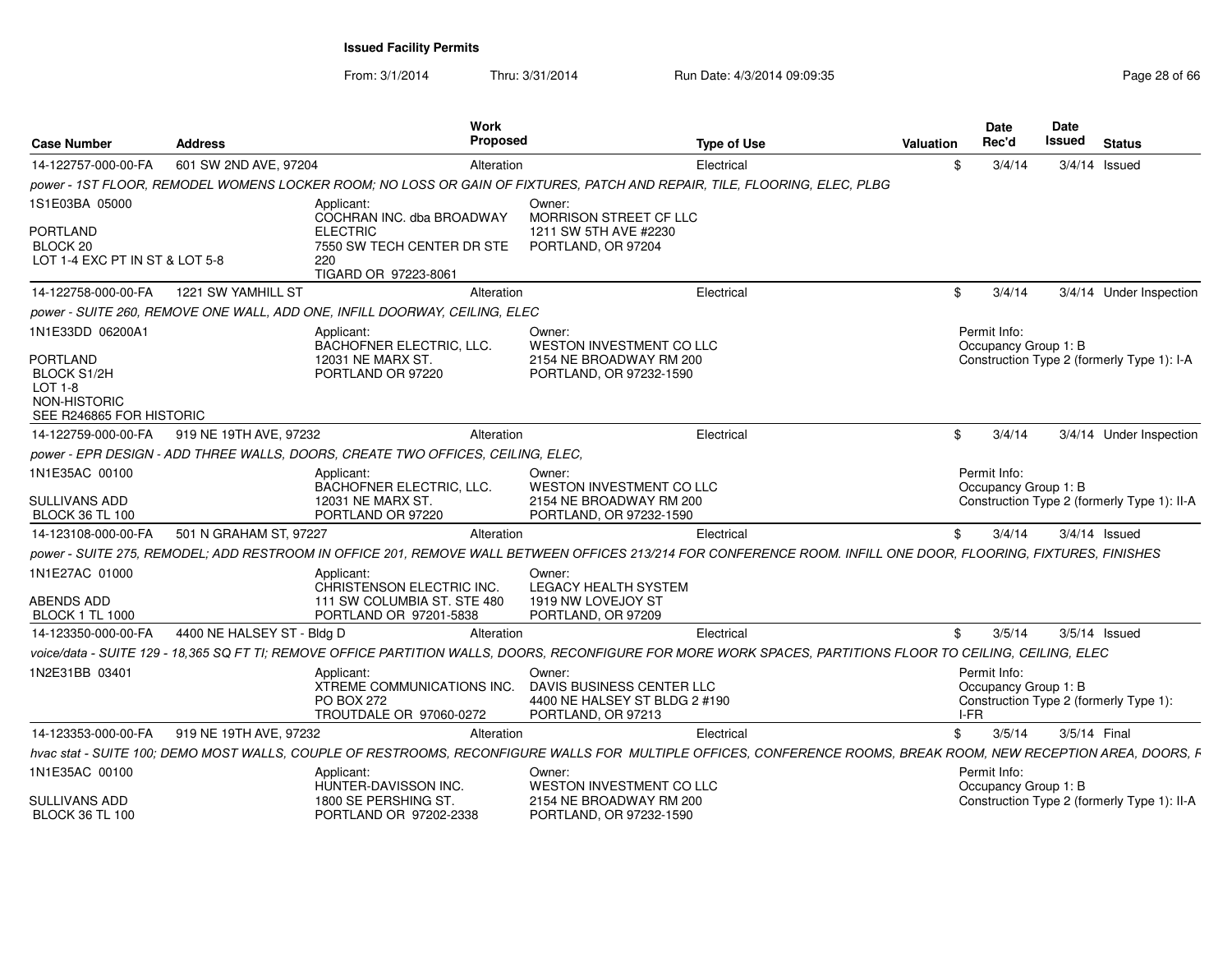| <b>Case Number</b>                                                        | <b>Address</b>             | Work<br><b>Proposed</b>                                                                                                                                        |                                                                                            | <b>Type of Use</b> | Valuation | <b>Date</b><br>Rec'd                         | <b>Date</b><br><b>Issued</b> | <b>Status</b>                               |
|---------------------------------------------------------------------------|----------------------------|----------------------------------------------------------------------------------------------------------------------------------------------------------------|--------------------------------------------------------------------------------------------|--------------------|-----------|----------------------------------------------|------------------------------|---------------------------------------------|
| 14-122757-000-00-FA                                                       | 601 SW 2ND AVE, 97204      | Alteration                                                                                                                                                     |                                                                                            | Electrical         | \$        | 3/4/14                                       |                              | $3/4/14$ Issued                             |
|                                                                           |                            | power - 1ST FLOOR, REMODEL WOMENS LOCKER ROOM; NO LOSS OR GAIN OF FIXTURES, PATCH AND REPAIR, TILE, FLOORING, ELEC, PLBG                                       |                                                                                            |                    |           |                                              |                              |                                             |
| 1S1E03BA 05000                                                            |                            | Applicant:                                                                                                                                                     | Owner:                                                                                     |                    |           |                                              |                              |                                             |
| <b>PORTLAND</b><br>BLOCK 20<br>LOT 1-4 EXC PT IN ST & LOT 5-8             |                            | COCHRAN INC. dba BROADWAY<br><b>ELECTRIC</b><br>7550 SW TECH CENTER DR STE<br>220                                                                              | MORRISON STREET CF LLC<br>1211 SW 5TH AVE #2230<br>PORTLAND, OR 97204                      |                    |           |                                              |                              |                                             |
|                                                                           |                            | TIGARD OR 97223-8061                                                                                                                                           |                                                                                            |                    |           |                                              |                              |                                             |
| 14-122758-000-00-FA                                                       | 1221 SW YAMHILL ST         | Alteration                                                                                                                                                     |                                                                                            | Electrical         | \$        | 3/4/14                                       |                              | 3/4/14 Under Inspection                     |
|                                                                           |                            | power - SUITE 260. REMOVE ONE WALL. ADD ONE. INFILL DOORWAY. CEILING. ELEC                                                                                     |                                                                                            |                    |           |                                              |                              |                                             |
| 1N1E33DD 06200A1<br><b>PORTLAND</b>                                       |                            | Applicant:<br>BACHOFNER ELECTRIC, LLC.<br>12031 NE MARX ST.                                                                                                    | Owner:<br><b>WESTON INVESTMENT CO LLC</b><br>2154 NE BROADWAY RM 200                       |                    |           | Permit Info:<br>Occupancy Group 1: B         |                              | Construction Type 2 (formerly Type 1): I-A  |
| <b>BLOCK S1/2H</b><br>LOT 1-8<br>NON-HISTORIC<br>SEE R246865 FOR HISTORIC |                            | PORTLAND OR 97220                                                                                                                                              | PORTLAND, OR 97232-1590                                                                    |                    |           |                                              |                              |                                             |
| 14-122759-000-00-FA                                                       | 919 NE 19TH AVE, 97232     | Alteration                                                                                                                                                     |                                                                                            | Electrical         | \$        | 3/4/14                                       |                              | 3/4/14 Under Inspection                     |
|                                                                           |                            | power - EPR DESIGN - ADD THREE WALLS, DOORS, CREATE TWO OFFICES, CEILING, ELEC,                                                                                |                                                                                            |                    |           |                                              |                              |                                             |
| 1N1E35AC 00100                                                            |                            | Applicant:<br>BACHOFNER ELECTRIC, LLC.                                                                                                                         | Owner:<br><b>WESTON INVESTMENT CO LLC</b>                                                  |                    |           | Permit Info:<br>Occupancy Group 1: B         |                              |                                             |
| <b>SULLIVANS ADD</b><br><b>BLOCK 36 TL 100</b>                            |                            | 12031 NE MARX ST.<br>PORTLAND OR 97220                                                                                                                         | 2154 NE BROADWAY RM 200<br>PORTLAND, OR 97232-1590                                         |                    |           |                                              |                              | Construction Type 2 (formerly Type 1): II-A |
| 14-123108-000-00-FA                                                       | 501 N GRAHAM ST, 97227     | Alteration                                                                                                                                                     |                                                                                            | Electrical         | \$        | 3/4/14                                       |                              | $3/4/14$ Issued                             |
|                                                                           |                            | power - SUITE 275, REMODEL; ADD RESTROOM IN OFFICE 201, REMOVE WALL BETWEEN OFFICES 213/214 FOR CONFERENCE ROOM. INFILL ONE DOOR, FLOORING, FIXTURES, FINISHES |                                                                                            |                    |           |                                              |                              |                                             |
| 1N1E27AC 01000                                                            |                            | Applicant:<br>CHRISTENSON ELECTRIC INC.                                                                                                                        | Owner:<br><b>LEGACY HEALTH SYSTEM</b>                                                      |                    |           |                                              |                              |                                             |
| ABENDS ADD<br><b>BLOCK 1 TL 1000</b>                                      |                            | 111 SW COLUMBIA ST. STE 480<br>PORTLAND OR 97201-5838                                                                                                          | 1919 NW LOVEJOY ST<br>PORTLAND, OR 97209                                                   |                    |           |                                              |                              |                                             |
| 14-123350-000-00-FA                                                       | 4400 NE HALSEY ST - Bldg D | Alteration                                                                                                                                                     |                                                                                            | Electrical         | \$        | 3/5/14                                       |                              | $3/5/14$ Issued                             |
|                                                                           |                            | voice/data - SUITE 129 - 18,365 SQ FT TI; REMOVE OFFICE PARTITION WALLS, DOORS, RECONFIGURE FOR MORE WORK SPACES, PARTITIONS FLOOR TO CEILING, CEILING, ELEC   |                                                                                            |                    |           |                                              |                              |                                             |
| 1N2E31BB 03401                                                            |                            | Applicant:<br>XTREME COMMUNICATIONS INC.<br><b>PO BOX 272</b><br>TROUTDALE OR 97060-0272                                                                       | Owner:<br>DAVIS BUSINESS CENTER LLC<br>4400 NE HALSEY ST BLDG 2 #190<br>PORTLAND, OR 97213 |                    |           | Permit Info:<br>Occupancy Group 1: B<br>I-FR |                              | Construction Type 2 (formerly Type 1):      |
| 14-123353-000-00-FA                                                       | 919 NE 19TH AVE, 97232     | Alteration                                                                                                                                                     |                                                                                            | Electrical         | \$        | 3/5/14                                       |                              | 3/5/14 Final                                |
|                                                                           |                            | hvac stat - SUITE 100: DEMO MOST WALLS, COUPLE OF RESTROOMS, RECONFIGURE WALLS FOR MULTIPLE OFFICES, CONFERENCE ROOMS, BREAK ROOM.                             |                                                                                            |                    |           |                                              |                              | NEW RECEPTION AREA, DOORS, F                |
| 1N1E35AC 00100                                                            |                            | Applicant:<br>HUNTER-DAVISSON INC.                                                                                                                             | Owner:<br>WESTON INVESTMENT CO LLC                                                         |                    |           | Permit Info:<br>Occupancy Group 1: B         |                              |                                             |
| <b>SULLIVANS ADD</b><br><b>BLOCK 36 TL 100</b>                            |                            | 1800 SE PERSHING ST.<br>PORTLAND OR 97202-2338                                                                                                                 | 2154 NE BROADWAY RM 200<br>PORTLAND, OR 97232-1590                                         |                    |           |                                              |                              | Construction Type 2 (formerly Type 1): II-A |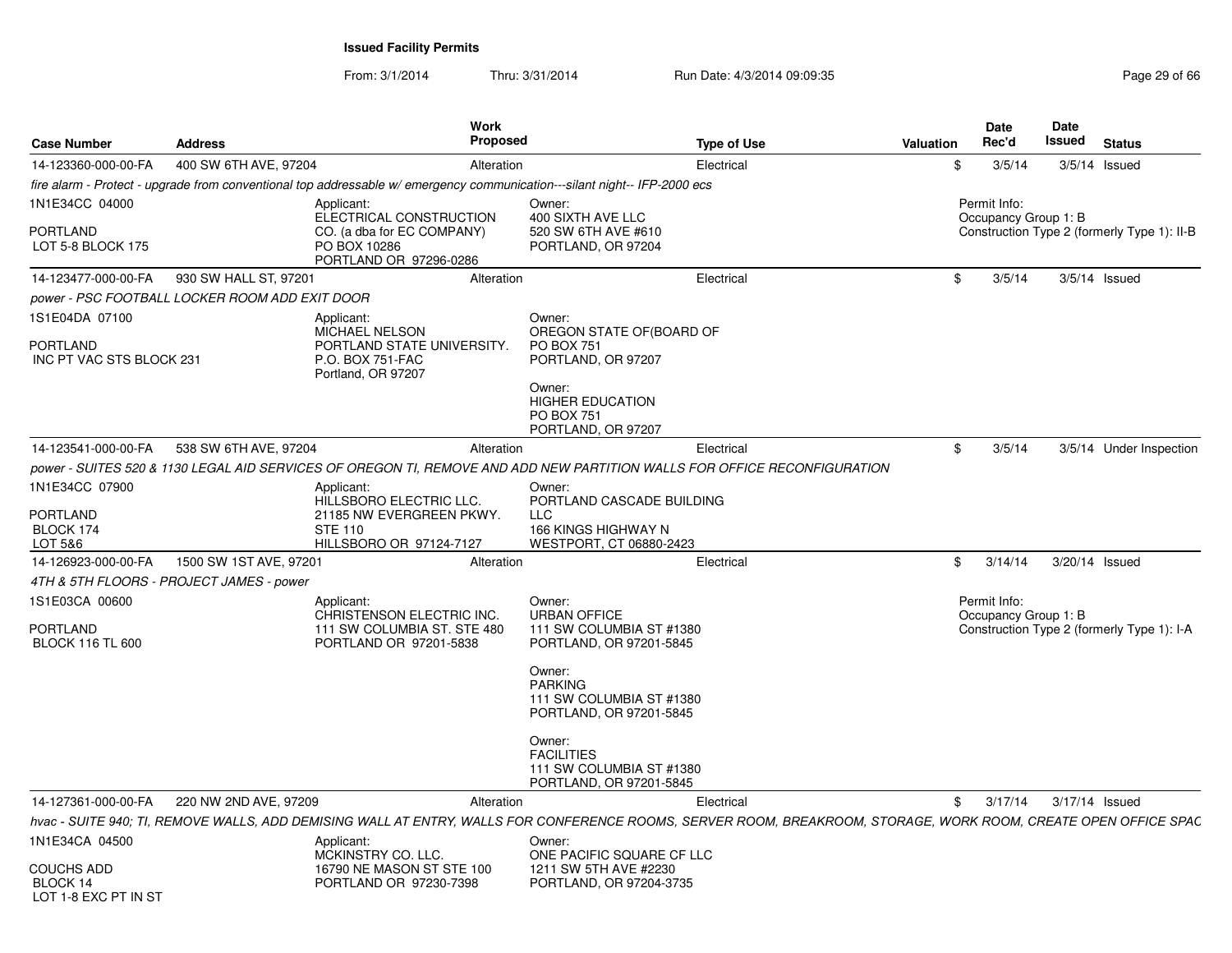From: 3/1/2014

| <b>Case Number</b>                                               | <b>Address</b>                                 | <b>Work</b><br>Proposed                                                                                                                                         |                                                                                                                                                                                                        | <b>Type of Use</b> | Valuation | <b>Date</b><br>Rec'd                 | Date<br><b>Issued</b> | <b>Status</b>                               |
|------------------------------------------------------------------|------------------------------------------------|-----------------------------------------------------------------------------------------------------------------------------------------------------------------|--------------------------------------------------------------------------------------------------------------------------------------------------------------------------------------------------------|--------------------|-----------|--------------------------------------|-----------------------|---------------------------------------------|
| 14-123360-000-00-FA                                              | 400 SW 6TH AVE, 97204                          | Alteration                                                                                                                                                      |                                                                                                                                                                                                        | Electrical         | \$        | 3/5/14                               |                       | $3/5/14$ Issued                             |
|                                                                  |                                                | fire alarm - Protect - upgrade from conventional top addressable w/emergency communication---silant night-- IFP-2000 ecs                                        |                                                                                                                                                                                                        |                    |           |                                      |                       |                                             |
| 1N1E34CC 04000                                                   |                                                | Applicant:                                                                                                                                                      | Owner:                                                                                                                                                                                                 |                    |           | Permit Info:                         |                       |                                             |
| <b>PORTLAND</b><br>LOT 5-8 BLOCK 175                             |                                                | ELECTRICAL CONSTRUCTION<br>CO. (a dba for EC COMPANY)<br>PO BOX 10286<br>PORTLAND OR 97296-0286                                                                 | 400 SIXTH AVE LLC<br>520 SW 6TH AVE #610<br>PORTLAND, OR 97204                                                                                                                                         |                    |           | Occupancy Group 1: B                 |                       | Construction Type 2 (formerly Type 1): II-B |
| 14-123477-000-00-FA                                              | 930 SW HALL ST, 97201                          | Alteration                                                                                                                                                      |                                                                                                                                                                                                        | Electrical         | \$        | 3/5/14                               |                       | $3/5/14$ Issued                             |
|                                                                  | power - PSC FOOTBALL LOCKER ROOM ADD EXIT DOOR |                                                                                                                                                                 |                                                                                                                                                                                                        |                    |           |                                      |                       |                                             |
| 1S1E04DA 07100<br><b>PORTLAND</b><br>INC PT VAC STS BLOCK 231    |                                                | Applicant:<br><b>MICHAEL NELSON</b><br>PORTLAND STATE UNIVERSITY.<br>P.O. BOX 751-FAC<br>Portland, OR 97207                                                     | Owner:<br>OREGON STATE OF (BOARD OF<br><b>PO BOX 751</b><br>PORTLAND, OR 97207<br>Owner:<br><b>HIGHER EDUCATION</b><br><b>PO BOX 751</b>                                                               |                    |           |                                      |                       |                                             |
| 14-123541-000-00-FA                                              | 538 SW 6TH AVE, 97204                          | Alteration                                                                                                                                                      | PORTLAND, OR 97207                                                                                                                                                                                     | Electrical         | \$        | 3/5/14                               |                       | 3/5/14 Under Inspection                     |
|                                                                  |                                                | power - SUITES 520 & 1130 LEGAL AID SERVICES OF OREGON TI, REMOVE AND ADD NEW PARTITION WALLS FOR OFFICE RECONFIGURATION                                        |                                                                                                                                                                                                        |                    |           |                                      |                       |                                             |
| 1N1E34CC 07900                                                   |                                                | Applicant:                                                                                                                                                      | Owner:                                                                                                                                                                                                 |                    |           |                                      |                       |                                             |
| <b>PORTLAND</b><br>BLOCK 174<br>LOT 5&6                          |                                                | HILLSBORO ELECTRIC LLC.<br>21185 NW EVERGREEN PKWY.<br><b>STE 110</b><br>HILLSBORO OR 97124-7127                                                                | PORTLAND CASCADE BUILDING<br><b>LLC</b><br>166 KINGS HIGHWAY N<br>WESTPORT, CT 06880-2423                                                                                                              |                    |           |                                      |                       |                                             |
| 14-126923-000-00-FA                                              | 1500 SW 1ST AVE, 97201                         | Alteration                                                                                                                                                      |                                                                                                                                                                                                        | Electrical         | \$        | 3/14/14                              |                       | 3/20/14 Issued                              |
|                                                                  | 4TH & 5TH FLOORS - PROJECT JAMES - power       |                                                                                                                                                                 |                                                                                                                                                                                                        |                    |           |                                      |                       |                                             |
| 1S1E03CA 00600<br><b>PORTLAND</b><br><b>BLOCK 116 TL 600</b>     |                                                | Applicant:<br>CHRISTENSON ELECTRIC INC.<br>111 SW COLUMBIA ST. STE 480<br>PORTLAND OR 97201-5838                                                                | Owner:<br><b>URBAN OFFICE</b><br>111 SW COLUMBIA ST #1380<br>PORTLAND, OR 97201-5845<br>Owner:<br><b>PARKING</b><br>111 SW COLUMBIA ST #1380<br>PORTLAND, OR 97201-5845<br>Owner:<br><b>FACILITIES</b> |                    |           | Permit Info:<br>Occupancy Group 1: B |                       | Construction Type 2 (formerly Type 1): I-A  |
|                                                                  |                                                |                                                                                                                                                                 | 111 SW COLUMBIA ST #1380<br>PORTLAND, OR 97201-5845                                                                                                                                                    |                    |           |                                      |                       |                                             |
| 14-127361-000-00-FA                                              | 220 NW 2ND AVE, 97209                          | Alteration                                                                                                                                                      |                                                                                                                                                                                                        | Electrical         | \$        | 3/17/14                              |                       | 3/17/14 Issued                              |
|                                                                  |                                                | hvac - SUITE 940; TI, REMOVE WALLS, ADD DEMISING WALL AT ENTRY, WALLS FOR CONFERENCE ROOMS, SERVER ROOM, BREAKROOM, STORAGE, WORK ROOM, CREATE OPEN OFFICE SPAC |                                                                                                                                                                                                        |                    |           |                                      |                       |                                             |
| 1N1E34CA 04500<br>COUCHS ADD<br>BLOCK 14<br>LOT 1-8 EXC PT IN ST |                                                | Applicant:<br>MCKINSTRY CO. LLC.<br>16790 NE MASON ST STE 100<br>PORTLAND OR 97230-7398                                                                         | Owner:<br>ONE PACIFIC SQUARE CF LLC<br>1211 SW 5TH AVE #2230<br>PORTLAND, OR 97204-3735                                                                                                                |                    |           |                                      |                       |                                             |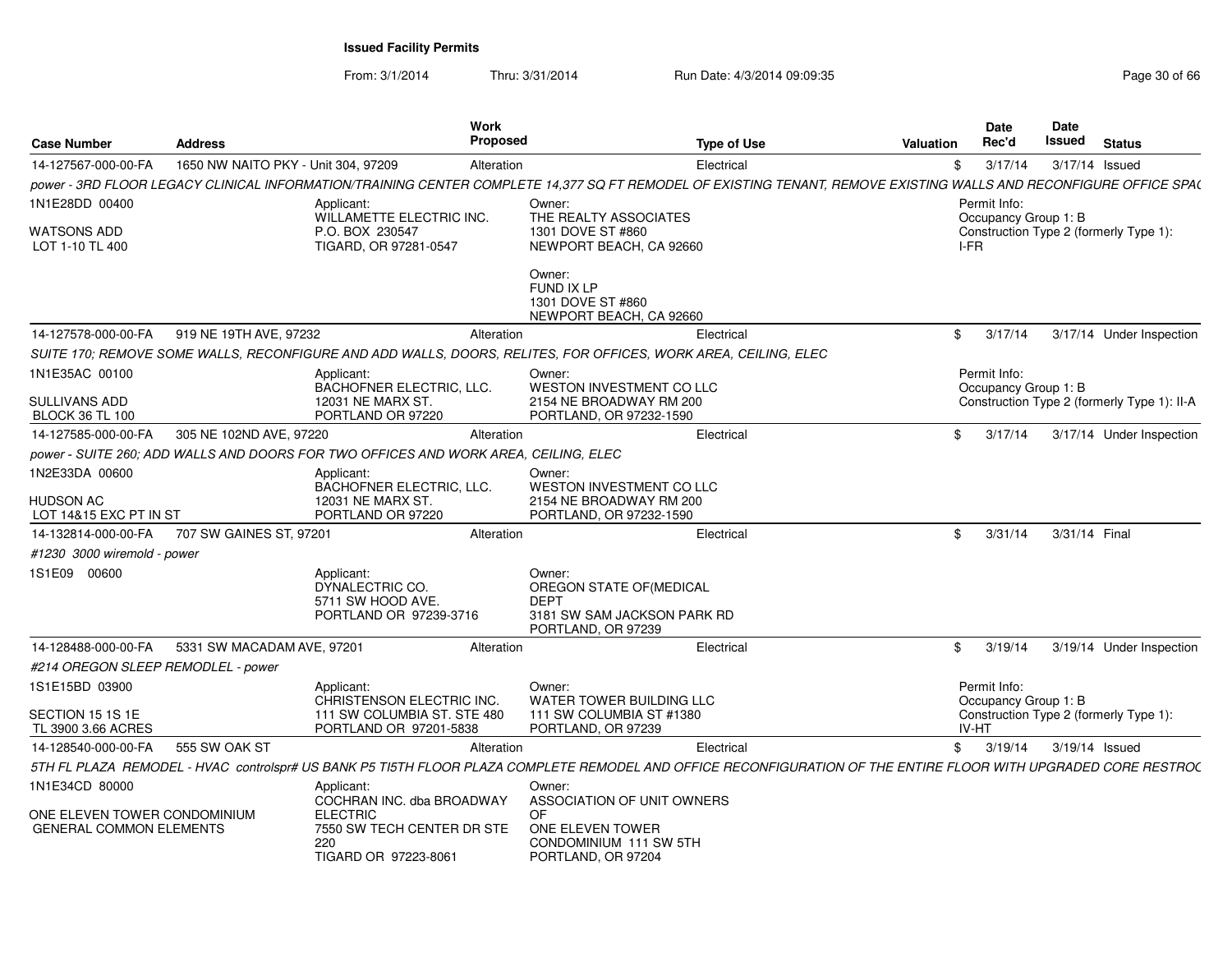From: 3/1/2014

| <b>Case Number</b>                                             | <b>Address</b>                      |                                                                                     | Work<br><b>Proposed</b> | <b>Type of Use</b>                                                                                                                                                | <b>Valuation</b> | <b>Date</b><br>Rec'd                 | <b>Date</b><br>Issued | <b>Status</b>                               |
|----------------------------------------------------------------|-------------------------------------|-------------------------------------------------------------------------------------|-------------------------|-------------------------------------------------------------------------------------------------------------------------------------------------------------------|------------------|--------------------------------------|-----------------------|---------------------------------------------|
| 14-127567-000-00-FA                                            | 1650 NW NAITO PKY - Unit 304, 97209 |                                                                                     | Alteration              | Electrical                                                                                                                                                        | \$               | 3/17/14                              | 3/17/14 Issued        |                                             |
|                                                                |                                     |                                                                                     |                         | power - 3RD FLOOR LEGACY CLINICAL INFORMATION/TRAINING CENTER COMPLETE 14,377 SQ FT REMODEL OF EXISTING TENANT, REMOVE EXISTING WALLS AND RECONFIGURE OFFICE SPA( |                  |                                      |                       |                                             |
| 1N1E28DD 00400                                                 |                                     | Applicant:<br>WILLAMETTE ELECTRIC INC.                                              |                         | Owner:<br>THE REALTY ASSOCIATES                                                                                                                                   |                  | Permit Info:<br>Occupancy Group 1: B |                       |                                             |
| <b>WATSONS ADD</b><br>LOT 1-10 TL 400                          |                                     | P.O. BOX 230547<br>TIGARD, OR 97281-0547                                            |                         | 1301 DOVE ST #860<br>NEWPORT BEACH, CA 92660                                                                                                                      |                  | I-FR                                 |                       | Construction Type 2 (formerly Type 1):      |
|                                                                |                                     |                                                                                     |                         | Owner:<br>FUND IX LP<br>1301 DOVE ST #860<br>NEWPORT BEACH, CA 92660                                                                                              |                  |                                      |                       |                                             |
| 14-127578-000-00-FA                                            | 919 NE 19TH AVE, 97232              |                                                                                     | Alteration              | Electrical                                                                                                                                                        | \$               | 3/17/14                              |                       | 3/17/14 Under Inspection                    |
|                                                                |                                     |                                                                                     |                         | SUITE 170; REMOVE SOME WALLS, RECONFIGURE AND ADD WALLS, DOORS, RELITES, FOR OFFICES, WORK AREA, CEILING, ELEC                                                    |                  |                                      |                       |                                             |
| 1N1E35AC 00100<br>SULLIVANS ADD                                |                                     | Applicant:<br>BACHOFNER ELECTRIC, LLC.<br>12031 NE MARX ST.                         |                         | Owner:<br>WESTON INVESTMENT CO LLC<br>2154 NE BROADWAY RM 200                                                                                                     |                  | Permit Info:<br>Occupancy Group 1: B |                       | Construction Type 2 (formerly Type 1): II-A |
| <b>BLOCK 36 TL 100</b>                                         |                                     | PORTLAND OR 97220                                                                   |                         | PORTLAND, OR 97232-1590                                                                                                                                           |                  |                                      |                       |                                             |
| 14-127585-000-00-FA                                            | 305 NE 102ND AVE, 97220             |                                                                                     | Alteration              | Electrical                                                                                                                                                        | \$               | 3/17/14                              |                       | 3/17/14 Under Inspection                    |
|                                                                |                                     | power - SUITE 260; ADD WALLS AND DOORS FOR TWO OFFICES AND WORK AREA, CEILING, ELEC |                         |                                                                                                                                                                   |                  |                                      |                       |                                             |
| 1N2E33DA 00600                                                 |                                     | Applicant:<br>BACHOFNER ELECTRIC, LLC.                                              |                         | Owner:<br><b>WESTON INVESTMENT CO LLC</b>                                                                                                                         |                  |                                      |                       |                                             |
| <b>HUDSON AC</b><br>LOT 14&15 EXC PT IN ST                     |                                     | 12031 NE MARX ST.<br>PORTLAND OR 97220                                              |                         | 2154 NE BROADWAY RM 200<br>PORTLAND, OR 97232-1590                                                                                                                |                  |                                      |                       |                                             |
| 14-132814-000-00-FA                                            | 707 SW GAINES ST, 97201             |                                                                                     | Alteration              | Electrical                                                                                                                                                        | \$               | 3/31/14                              | 3/31/14 Final         |                                             |
| #1230 3000 wiremold - power                                    |                                     |                                                                                     |                         |                                                                                                                                                                   |                  |                                      |                       |                                             |
| 1S1E09 00600                                                   |                                     | Applicant:<br>DYNALECTRIC CO.<br>5711 SW HOOD AVE.<br>PORTLAND OR 97239-3716        |                         | Owner:<br>OREGON STATE OF (MEDICAL<br><b>DEPT</b><br>3181 SW SAM JACKSON PARK RD<br>PORTLAND, OR 97239                                                            |                  |                                      |                       |                                             |
| 14-128488-000-00-FA                                            | 5331 SW MACADAM AVE, 97201          |                                                                                     | Alteration              | Electrical                                                                                                                                                        | \$.              | 3/19/14                              |                       | 3/19/14 Under Inspection                    |
| #214 OREGON SLEEP REMODLEL - power                             |                                     |                                                                                     |                         |                                                                                                                                                                   |                  |                                      |                       |                                             |
| 1S1E15BD 03900                                                 |                                     | Applicant:<br>CHRISTENSON ELECTRIC INC.                                             |                         | Owner:<br><b>WATER TOWER BUILDING LLC</b>                                                                                                                         |                  | Permit Info:<br>Occupancy Group 1: B |                       |                                             |
| SECTION 15 1S 1E<br>TL 3900 3.66 ACRES                         |                                     | 111 SW COLUMBIA ST. STE 480<br>PORTLAND OR 97201-5838                               |                         | 111 SW COLUMBIA ST #1380<br>PORTLAND, OR 97239                                                                                                                    |                  | <b>IV-HT</b>                         |                       | Construction Type 2 (formerly Type 1):      |
| 14-128540-000-00-FA                                            | 555 SW OAK ST                       |                                                                                     | Alteration              | Electrical                                                                                                                                                        | \$               | 3/19/14                              | 3/19/14 Issued        |                                             |
|                                                                |                                     |                                                                                     |                         | 5TH FL PLAZA REMODEL - HVAC controlspr# US BANK P5 TI5TH FLOOR PLAZA COMPLETE REMODEL AND OFFICE RECONFIGURATION OF THE ENTIRE FLOOR WITH UPGRADED CORE RESTROC   |                  |                                      |                       |                                             |
| 1N1E34CD 80000                                                 |                                     | Applicant:<br>COCHRAN INC. dba BROADWAY                                             |                         | Owner:<br>ASSOCIATION OF UNIT OWNERS                                                                                                                              |                  |                                      |                       |                                             |
| ONE ELEVEN TOWER CONDOMINIUM<br><b>GENERAL COMMON ELEMENTS</b> |                                     | <b>ELECTRIC</b><br>7550 SW TECH CENTER DR STE<br>220<br>TIGARD OR 97223-8061        |                         | <b>OF</b><br>ONE ELEVEN TOWER<br>CONDOMINIUM 111 SW 5TH<br>PORTLAND, OR 97204                                                                                     |                  |                                      |                       |                                             |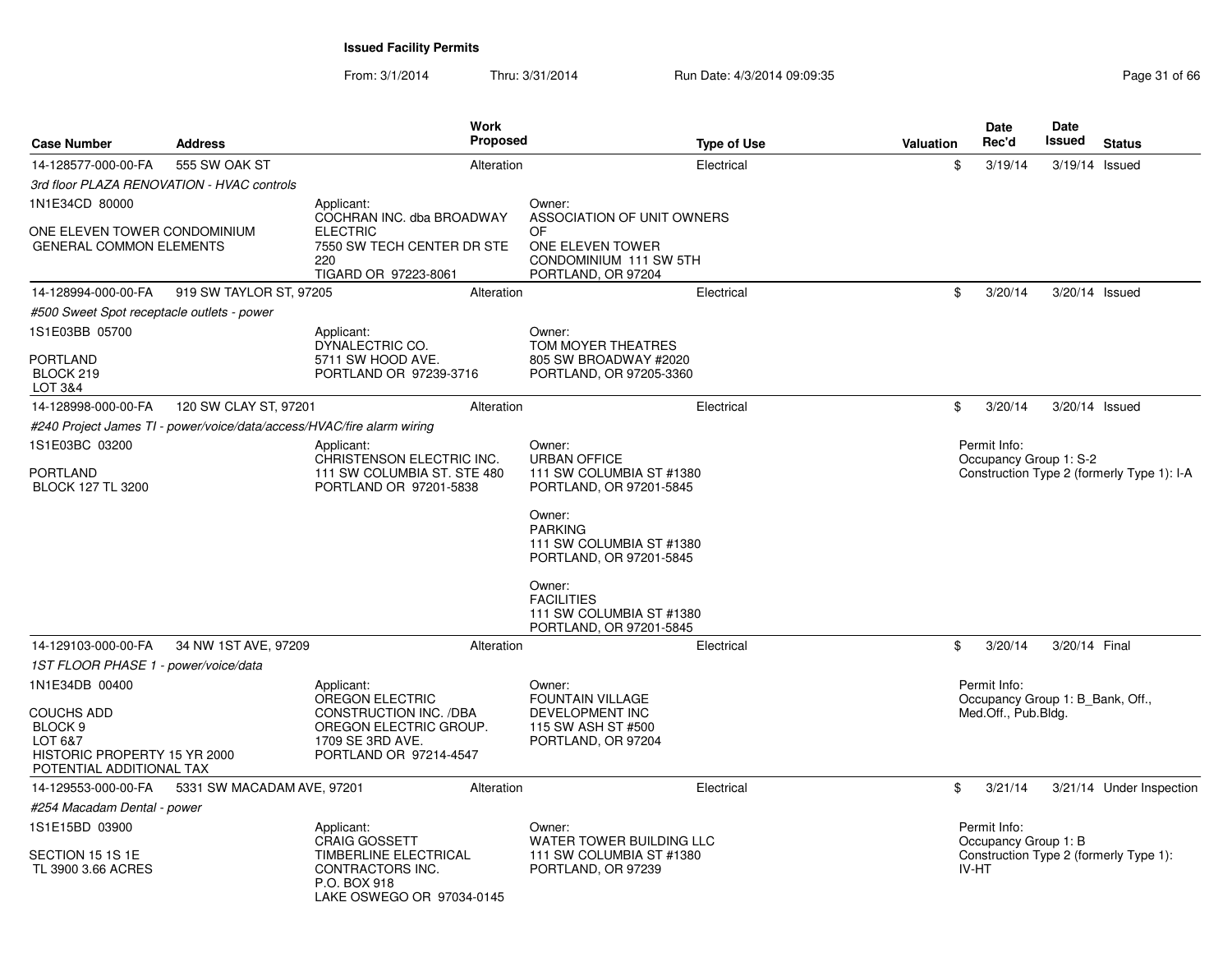| <b>Case Number</b>                                                                        | <b>Address</b>                                                         | <b>Work</b><br><b>Proposed</b>                                                                                 |                                                                                                      | <b>Type of Use</b> | Valuation | <b>Date</b><br>Rec'd                                                    | Date<br><b>Issued</b> | <b>Status</b>                              |
|-------------------------------------------------------------------------------------------|------------------------------------------------------------------------|----------------------------------------------------------------------------------------------------------------|------------------------------------------------------------------------------------------------------|--------------------|-----------|-------------------------------------------------------------------------|-----------------------|--------------------------------------------|
| 14-128577-000-00-FA                                                                       | 555 SW OAK ST                                                          | Alteration                                                                                                     |                                                                                                      | Electrical         | \$        | 3/19/14                                                                 | 3/19/14 Issued        |                                            |
| 3rd floor PLAZA RENOVATION - HVAC controls                                                |                                                                        |                                                                                                                |                                                                                                      |                    |           |                                                                         |                       |                                            |
| 1N1E34CD 80000                                                                            |                                                                        | Applicant:                                                                                                     | Owner:                                                                                               |                    |           |                                                                         |                       |                                            |
| ONE ELEVEN TOWER CONDOMINIUM<br><b>GENERAL COMMON ELEMENTS</b>                            |                                                                        | COCHRAN INC. dba BROADWAY<br><b>ELECTRIC</b><br>7550 SW TECH CENTER DR STE<br>220<br>TIGARD OR 97223-8061      | ASSOCIATION OF UNIT OWNERS<br>OF<br>ONE ELEVEN TOWER<br>CONDOMINIUM 111 SW 5TH<br>PORTLAND, OR 97204 |                    |           |                                                                         |                       |                                            |
| 14-128994-000-00-FA                                                                       | 919 SW TAYLOR ST, 97205                                                | Alteration                                                                                                     |                                                                                                      | Electrical         | \$        | 3/20/14                                                                 | 3/20/14 Issued        |                                            |
| #500 Sweet Spot receptacle outlets - power                                                |                                                                        |                                                                                                                |                                                                                                      |                    |           |                                                                         |                       |                                            |
| 1S1E03BB 05700                                                                            |                                                                        | Applicant:                                                                                                     | Owner:                                                                                               |                    |           |                                                                         |                       |                                            |
| <b>PORTLAND</b><br>BLOCK 219<br>LOT 3&4                                                   |                                                                        | DYNALECTRIC CO.<br>5711 SW HOOD AVE.<br>PORTLAND OR 97239-3716                                                 | TOM MOYER THEATRES<br>805 SW BROADWAY #2020<br>PORTLAND, OR 97205-3360                               |                    |           |                                                                         |                       |                                            |
| 14-128998-000-00-FA                                                                       | 120 SW CLAY ST, 97201                                                  | Alteration                                                                                                     |                                                                                                      | Electrical         | \$        | 3/20/14                                                                 | 3/20/14 Issued        |                                            |
|                                                                                           | #240 Project James TI - power/voice/data/access/HVAC/fire alarm wiring |                                                                                                                |                                                                                                      |                    |           |                                                                         |                       |                                            |
| 1S1E03BC 03200                                                                            |                                                                        | Applicant:<br>CHRISTENSON ELECTRIC INC.                                                                        | Owner:<br><b>URBAN OFFICE</b>                                                                        |                    |           | Permit Info:<br>Occupancy Group 1: S-2                                  |                       |                                            |
| <b>PORTLAND</b><br><b>BLOCK 127 TL 3200</b>                                               |                                                                        | 111 SW COLUMBIA ST. STE 480<br>PORTLAND OR 97201-5838                                                          | 111 SW COLUMBIA ST #1380<br>PORTLAND, OR 97201-5845                                                  |                    |           |                                                                         |                       | Construction Type 2 (formerly Type 1): I-A |
|                                                                                           |                                                                        |                                                                                                                | Owner:<br><b>PARKING</b><br>111 SW COLUMBIA ST #1380<br>PORTLAND, OR 97201-5845                      |                    |           |                                                                         |                       |                                            |
|                                                                                           |                                                                        |                                                                                                                | Owner:<br><b>FACILITIES</b><br>111 SW COLUMBIA ST #1380<br>PORTLAND, OR 97201-5845                   |                    |           |                                                                         |                       |                                            |
| 14-129103-000-00-FA                                                                       | 34 NW 1ST AVE, 97209                                                   | Alteration                                                                                                     |                                                                                                      | Electrical         | \$        | 3/20/14                                                                 | 3/20/14 Final         |                                            |
| 1ST FLOOR PHASE 1 - power/voice/data                                                      |                                                                        |                                                                                                                |                                                                                                      |                    |           |                                                                         |                       |                                            |
| 1N1E34DB 00400<br><b>COUCHS ADD</b>                                                       |                                                                        | Applicant:<br><b>OREGON ELECTRIC</b><br>CONSTRUCTION INC. /DBA                                                 | Owner:<br><b>FOUNTAIN VILLAGE</b><br>DEVELOPMENT INC                                                 |                    |           | Permit Info:<br>Occupancy Group 1: B Bank, Off.,<br>Med.Off., Pub.Bldg. |                       |                                            |
| BLOCK <sub>9</sub><br>LOT 6&7<br>HISTORIC PROPERTY 15 YR 2000<br>POTENTIAL ADDITIONAL TAX |                                                                        | OREGON ELECTRIC GROUP.<br>1709 SE 3RD AVE.<br>PORTLAND OR 97214-4547                                           | 115 SW ASH ST #500<br>PORTLAND, OR 97204                                                             |                    |           |                                                                         |                       |                                            |
| 14-129553-000-00-FA                                                                       | 5331 SW MACADAM AVE, 97201                                             | Alteration                                                                                                     |                                                                                                      | Electrical         | \$        | 3/21/14                                                                 |                       | 3/21/14 Under Inspection                   |
| #254 Macadam Dental - power                                                               |                                                                        |                                                                                                                |                                                                                                      |                    |           |                                                                         |                       |                                            |
| 1S1E15BD 03900                                                                            |                                                                        | Applicant:                                                                                                     | Owner:                                                                                               |                    |           | Permit Info:                                                            |                       |                                            |
| SECTION 15 1S 1E<br>TL 3900 3.66 ACRES                                                    |                                                                        | <b>CRAIG GOSSETT</b><br>TIMBERLINE ELECTRICAL<br>CONTRACTORS INC.<br>P.O. BOX 918<br>LAKE OSWEGO OR 97034-0145 | WATER TOWER BUILDING LLC<br>111 SW COLUMBIA ST #1380<br>PORTLAND, OR 97239                           |                    |           | Occupancy Group 1: B<br>IV-HT                                           |                       | Construction Type 2 (formerly Type 1):     |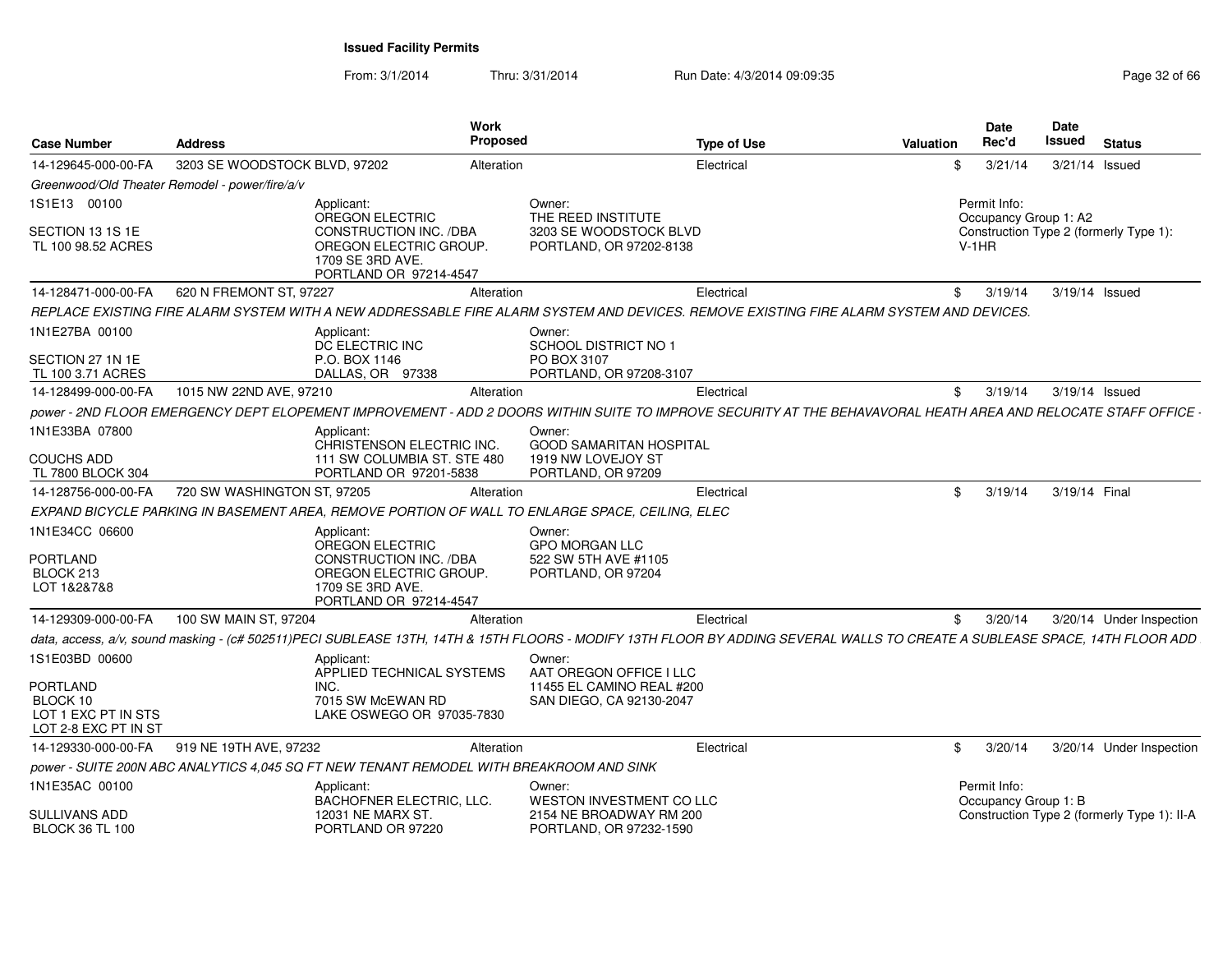| <b>Case Number</b>                                                         | <b>Address</b>                                                                                                                                                              | Work<br><b>Proposed</b>     |                                                       | <b>Type of Use</b> | <b>Valuation</b> | <b>Date</b><br>Rec'd                  | Date<br><b>Issued</b> | <b>Status</b>                               |
|----------------------------------------------------------------------------|-----------------------------------------------------------------------------------------------------------------------------------------------------------------------------|-----------------------------|-------------------------------------------------------|--------------------|------------------|---------------------------------------|-----------------------|---------------------------------------------|
| 14-129645-000-00-FA                                                        | 3203 SE WOODSTOCK BLVD, 97202                                                                                                                                               | Alteration                  |                                                       | Electrical         | \$               | 3/21/14                               | 3/21/14 Issued        |                                             |
|                                                                            | Greenwood/Old Theater Remodel - power/fire/a/v                                                                                                                              |                             |                                                       |                    |                  |                                       |                       |                                             |
| 1S1E13 00100                                                               | Applicant:<br>OREGON ELECTRIC                                                                                                                                               |                             | Owner:<br>THE REED INSTITUTE                          |                    |                  | Permit Info:<br>Occupancy Group 1: A2 |                       |                                             |
| SECTION 13 1S 1E<br>TL 100 98.52 ACRES                                     | CONSTRUCTION INC. /DBA<br>OREGON ELECTRIC GROUP<br>1709 SE 3RD AVE.<br>PORTLAND OR 97214-4547                                                                               |                             | 3203 SE WOODSTOCK BLVD<br>PORTLAND, OR 97202-8138     |                    |                  | $V-1HR$                               |                       | Construction Type 2 (formerly Type 1):      |
| 14-128471-000-00-FA                                                        | 620 N FREMONT ST, 97227                                                                                                                                                     | Alteration                  |                                                       | Electrical         | \$               | 3/19/14                               | 3/19/14 Issued        |                                             |
|                                                                            | REPLACE EXISTING FIRE ALARM SYSTEM WITH A NEW ADDRESSABLE FIRE ALARM SYSTEM AND DEVICES. REMOVE EXISTING FIRE ALARM SYSTEM AND DEVICES.                                     |                             |                                                       |                    |                  |                                       |                       |                                             |
| 1N1E27BA 00100                                                             | Applicant:<br>DC ELECTRIC INC                                                                                                                                               |                             | Owner:<br><b>SCHOOL DISTRICT NO 1</b>                 |                    |                  |                                       |                       |                                             |
| SECTION 27 1N 1E<br>TL 100 3.71 ACRES                                      | P.O. BOX 1146<br>DALLAS, OR 97338                                                                                                                                           |                             | PO BOX 3107<br>PORTLAND, OR 97208-3107                |                    |                  |                                       |                       |                                             |
| 14-128499-000-00-FA                                                        | 1015 NW 22ND AVE, 97210                                                                                                                                                     | Alteration                  |                                                       | Electrical         | \$               | 3/19/14                               | 3/19/14 Issued        |                                             |
|                                                                            | power - 2ND FLOOR EMERGENCY DEPT ELOPEMENT IMPROVEMENT - ADD 2 DOORS WITHIN SUITE TO IMPROVE SECURITY AT THE BEHAVAVORAL HEATH AREA AND RELOCATE STAFF OFFICE               |                             |                                                       |                    |                  |                                       |                       |                                             |
| 1N1E33BA 07800                                                             | Applicant:                                                                                                                                                                  | CHRISTENSON ELECTRIC INC.   | Owner:<br><b>GOOD SAMARITAN HOSPITAL</b>              |                    |                  |                                       |                       |                                             |
| <b>COUCHS ADD</b><br>TL 7800 BLOCK 304                                     | PORTLAND OR 97201-5838                                                                                                                                                      | 111 SW COLUMBIA ST. STE 480 | 1919 NW LOVEJOY ST<br>PORTLAND, OR 97209              |                    |                  |                                       |                       |                                             |
| 14-128756-000-00-FA                                                        | 720 SW WASHINGTON ST, 97205                                                                                                                                                 | Alteration                  |                                                       | Electrical         | SS.              | 3/19/14                               | 3/19/14 Final         |                                             |
|                                                                            | EXPAND BICYCLE PARKING IN BASEMENT AREA, REMOVE PORTION OF WALL TO ENLARGE SPACE, CEILING, ELEC                                                                             |                             |                                                       |                    |                  |                                       |                       |                                             |
| 1N1E34CC 06600                                                             | Applicant:<br>OREGON ELECTRIC                                                                                                                                               |                             | Owner:<br><b>GPO MORGAN LLC</b>                       |                    |                  |                                       |                       |                                             |
| <b>PORTLAND</b><br>BLOCK 213<br>LOT 1&2&7&8                                | <b>CONSTRUCTION INC. /DBA</b><br>OREGON ELECTRIC GROUP.<br>1709 SE 3RD AVE.<br>PORTLAND OR 97214-4547                                                                       |                             | 522 SW 5TH AVE #1105<br>PORTLAND, OR 97204            |                    |                  |                                       |                       |                                             |
| 14-129309-000-00-FA                                                        | 100 SW MAIN ST, 97204                                                                                                                                                       | Alteration                  |                                                       | Electrical         | S.               | 3/20/14                               |                       | 3/20/14 Under Inspection                    |
|                                                                            | data, access, a/v, sound masking - (c# 502511)PECI SUBLEASE 13TH, 14TH & 15TH FLOORS - MODIFY 13TH FLOOR BY ADDING SEVERAL WALLS TO CREATE A SUBLEASE SPACE, 14TH FLOOR ADD |                             |                                                       |                    |                  |                                       |                       |                                             |
| 1S1E03BD 00600                                                             | Applicant:                                                                                                                                                                  | APPLIED TECHNICAL SYSTEMS   | Owner:<br>AAT OREGON OFFICE I LLC                     |                    |                  |                                       |                       |                                             |
| <b>PORTLAND</b><br>BLOCK 10<br>LOT 1 EXC PT IN STS<br>LOT 2-8 EXC PT IN ST | INC.<br>7015 SW McEWAN RD                                                                                                                                                   | LAKE OSWEGO OR 97035-7830   | 11455 EL CAMINO REAL #200<br>SAN DIEGO, CA 92130-2047 |                    |                  |                                       |                       |                                             |
|                                                                            | 14-129330-000-00-FA 919 NE 19TH AVE, 97232                                                                                                                                  | Alteration                  |                                                       | Electrical         | \$               | 3/20/14                               |                       | 3/20/14 Under Inspection                    |
|                                                                            | power - SUITE 200N ABC ANALYTICS 4,045 SQ FT NEW TENANT REMODEL WITH BREAKROOM AND SINK                                                                                     |                             |                                                       |                    |                  |                                       |                       |                                             |
| 1N1E35AC 00100                                                             | Applicant:<br><b>BACHOFNER ELECTRIC, LLC</b>                                                                                                                                |                             | Owner:<br>WESTON INVESTMENT CO LLC                    |                    |                  | Permit Info:<br>Occupancy Group 1: B  |                       |                                             |
| SULLIVANS ADD<br><b>BLOCK 36 TL 100</b>                                    | 12031 NE MARX ST.<br>PORTLAND OR 97220                                                                                                                                      |                             | 2154 NE BROADWAY RM 200<br>PORTLAND, OR 97232-1590    |                    |                  |                                       |                       | Construction Type 2 (formerly Type 1): II-A |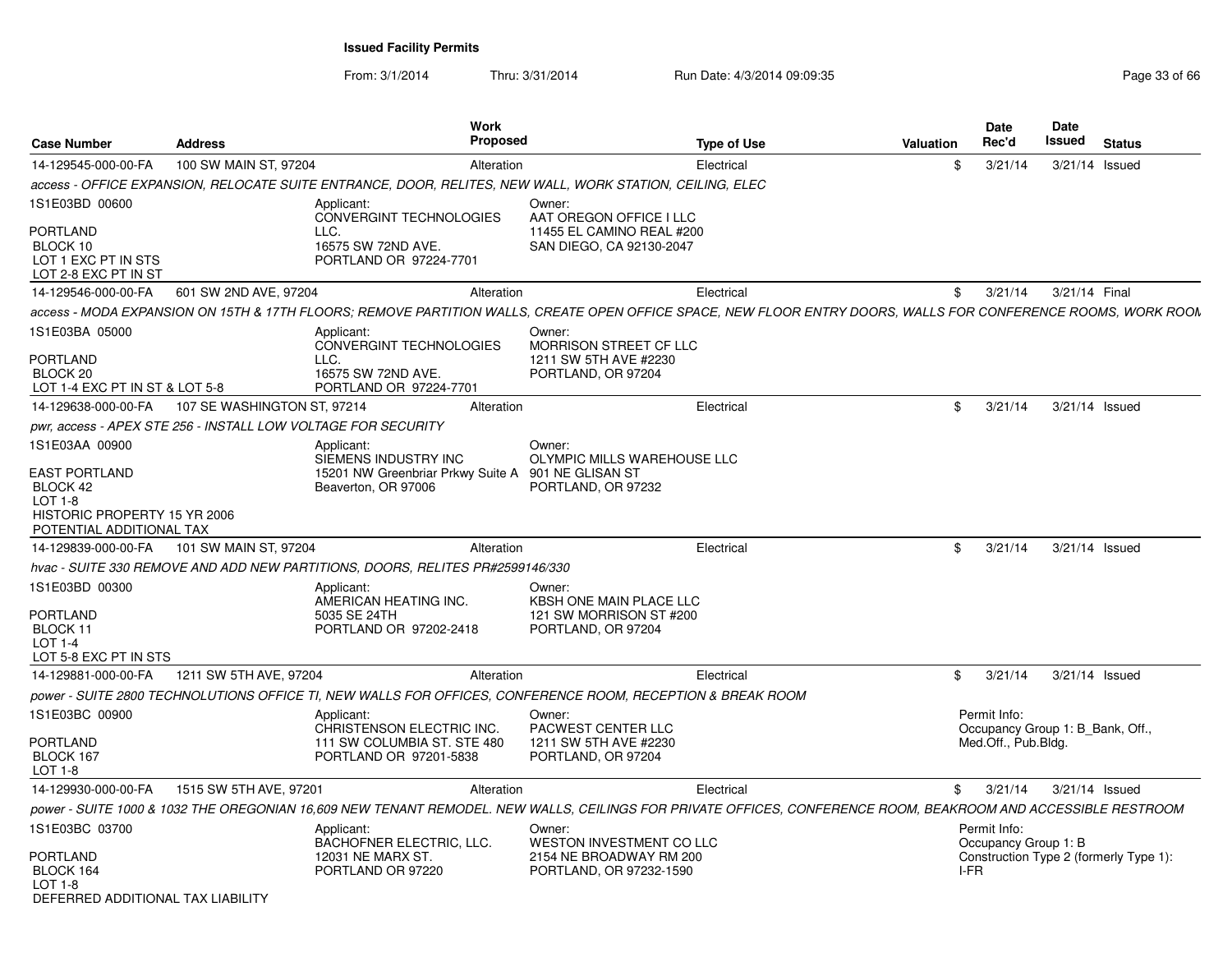From: 3/1/2014Thru: 3/31/2014 Run Date: 4/3/2014 09:09:35 Run Date: 4/3/2014 09:09:35

| <b>Case Number</b>                                                                                        | <b>Address</b>                                                | Work<br><b>Proposed</b>                                                                                                                                       |                                                                                    | <b>Type of Use</b> | <b>Valuation</b> | <b>Date</b><br>Rec'd                                                    | <b>Date</b><br>Issued | <b>Status</b>                          |
|-----------------------------------------------------------------------------------------------------------|---------------------------------------------------------------|---------------------------------------------------------------------------------------------------------------------------------------------------------------|------------------------------------------------------------------------------------|--------------------|------------------|-------------------------------------------------------------------------|-----------------------|----------------------------------------|
| 14-129545-000-00-FA                                                                                       | 100 SW MAIN ST, 97204                                         | Alteration                                                                                                                                                    |                                                                                    | Electrical         | \$               | 3/21/14                                                                 | 3/21/14 Issued        |                                        |
|                                                                                                           |                                                               | access - OFFICE EXPANSION, RELOCATE SUITE ENTRANCE, DOOR, RELITES, NEW WALL, WORK STATION, CEILING, ELEC                                                      |                                                                                    |                    |                  |                                                                         |                       |                                        |
| 1S1E03BD 00600                                                                                            |                                                               | Applicant:<br>CONVERGINT TECHNOLOGIES                                                                                                                         | Owner:<br>AAT OREGON OFFICE I LLC                                                  |                    |                  |                                                                         |                       |                                        |
| <b>PORTLAND</b><br>BLOCK 10<br>LOT 1 EXC PT IN STS<br>LOT 2-8 EXC PT IN ST                                |                                                               | LLC.<br>16575 SW 72ND AVE.<br>PORTLAND OR 97224-7701                                                                                                          | 11455 EL CAMINO REAL #200<br>SAN DIEGO, CA 92130-2047                              |                    |                  |                                                                         |                       |                                        |
| 14-129546-000-00-FA                                                                                       | 601 SW 2ND AVE, 97204                                         | Alteration                                                                                                                                                    |                                                                                    | Electrical         | \$               | 3/21/14                                                                 | 3/21/14 Final         |                                        |
|                                                                                                           |                                                               | access - MODA EXPANSION ON 15TH & 17TH FLOORS: REMOVE PARTITION WALLS. CREATE OPEN OFFICE SPACE. NEW FLOOR ENTRY DOORS. WALLS FOR CONFERENCE ROOMS. WORK ROON |                                                                                    |                    |                  |                                                                         |                       |                                        |
| 1S1E03BA 05000<br><b>PORTLAND</b>                                                                         |                                                               | Applicant:<br>CONVERGINT TECHNOLOGIES<br>LLC.                                                                                                                 | Owner:<br><b>MORRISON STREET CF LLC</b><br>1211 SW 5TH AVE #2230                   |                    |                  |                                                                         |                       |                                        |
| BLOCK <sub>20</sub><br>LOT 1-4 EXC PT IN ST & LOT 5-8                                                     |                                                               | 16575 SW 72ND AVE.<br>PORTLAND OR 97224-7701                                                                                                                  | PORTLAND, OR 97204                                                                 |                    |                  |                                                                         |                       |                                        |
| 14-129638-000-00-FA                                                                                       | 107 SE WASHINGTON ST, 97214                                   | Alteration                                                                                                                                                    |                                                                                    | Electrical         | \$               | 3/21/14                                                                 | 3/21/14 Issued        |                                        |
|                                                                                                           | pwr, access - APEX STE 256 - INSTALL LOW VOLTAGE FOR SECURITY |                                                                                                                                                               |                                                                                    |                    |                  |                                                                         |                       |                                        |
| 1S1E03AA 00900                                                                                            |                                                               | Applicant:<br>SIEMENS INDUSTRY INC                                                                                                                            | Owner:<br>OLYMPIC MILLS WAREHOUSE LLC                                              |                    |                  |                                                                         |                       |                                        |
| <b>EAST PORTLAND</b><br>BLOCK 42<br>$LOT 1-8$<br>HISTORIC PROPERTY 15 YR 2006<br>POTENTIAL ADDITIONAL TAX |                                                               | 15201 NW Greenbriar Prkwy Suite A<br>Beaverton, OR 97006                                                                                                      | 901 NE GLISAN ST<br>PORTLAND, OR 97232                                             |                    |                  |                                                                         |                       |                                        |
|                                                                                                           | 14-129839-000-00-FA 101 SW MAIN ST, 97204                     | Alteration                                                                                                                                                    |                                                                                    | Electrical         | \$               | 3/21/14                                                                 | 3/21/14 Issued        |                                        |
|                                                                                                           |                                                               | hvac - SUITE 330 REMOVE AND ADD NEW PARTITIONS, DOORS, RELITES PR#2599146/330                                                                                 |                                                                                    |                    |                  |                                                                         |                       |                                        |
| 1S1E03BD 00300<br><b>PORTLAND</b><br>BLOCK 11<br>LOT $1-4$                                                |                                                               | Applicant:<br>AMERICAN HEATING INC.<br>5035 SE 24TH<br>PORTLAND OR 97202-2418                                                                                 | Owner:<br>KBSH ONE MAIN PLACE LLC<br>121 SW MORRISON ST #200<br>PORTLAND, OR 97204 |                    |                  |                                                                         |                       |                                        |
| LOT 5-8 EXC PT IN STS                                                                                     |                                                               |                                                                                                                                                               |                                                                                    |                    |                  |                                                                         |                       |                                        |
| 14-129881-000-00-FA                                                                                       | 1211 SW 5TH AVE, 97204                                        | Alteration                                                                                                                                                    |                                                                                    | Electrical         | \$               | 3/21/14                                                                 | 3/21/14 Issued        |                                        |
|                                                                                                           |                                                               | power - SUITE 2800 TECHNOLUTIONS OFFICE TI, NEW WALLS FOR OFFICES, CONFERENCE ROOM, RECEPTION & BREAK ROOM                                                    |                                                                                    |                    |                  |                                                                         |                       |                                        |
| 1S1E03BC 00900<br><b>PORTLAND</b><br>BLOCK 167<br>$LOT 1-8$                                               |                                                               | Applicant:<br>CHRISTENSON ELECTRIC INC.<br>111 SW COLUMBIA ST. STE 480<br>PORTLAND OR 97201-5838                                                              | Owner:<br>PACWEST CENTER LLC<br>1211 SW 5TH AVE #2230<br>PORTLAND, OR 97204        |                    |                  | Permit Info:<br>Occupancy Group 1: B Bank, Off.,<br>Med.Off., Pub.Bldg. |                       |                                        |
| 14-129930-000-00-FA                                                                                       | 1515 SW 5TH AVE, 97201                                        | Alteration                                                                                                                                                    |                                                                                    | Electrical         | \$               | 3/21/14                                                                 | 3/21/14 Issued        |                                        |
|                                                                                                           |                                                               | power - SUITE 1000 & 1032 THE OREGONIAN 16,609 NEW TENANT REMODEL. NEW WALLS, CEILINGS FOR PRIVATE OFFICES, CONFERENCE ROOM, BEAKROOM AND ACCESSIBLE RESTROOM |                                                                                    |                    |                  |                                                                         |                       |                                        |
| 1S1E03BC 03700                                                                                            |                                                               | Applicant:<br>BACHOFNER ELECTRIC, LLC.                                                                                                                        | Owner:<br>WESTON INVESTMENT CO LLC                                                 |                    |                  | Permit Info:<br>Occupancy Group 1: B                                    |                       |                                        |
| <b>PORTLAND</b><br>BLOCK 164<br>LOT $1-8$<br>DEFERRED ADDITIONAL TAX LIABILITY                            |                                                               | 12031 NE MARX ST.<br>PORTLAND OR 97220                                                                                                                        | 2154 NE BROADWAY RM 200<br>PORTLAND, OR 97232-1590                                 |                    | I-FR             |                                                                         |                       | Construction Type 2 (formerly Type 1): |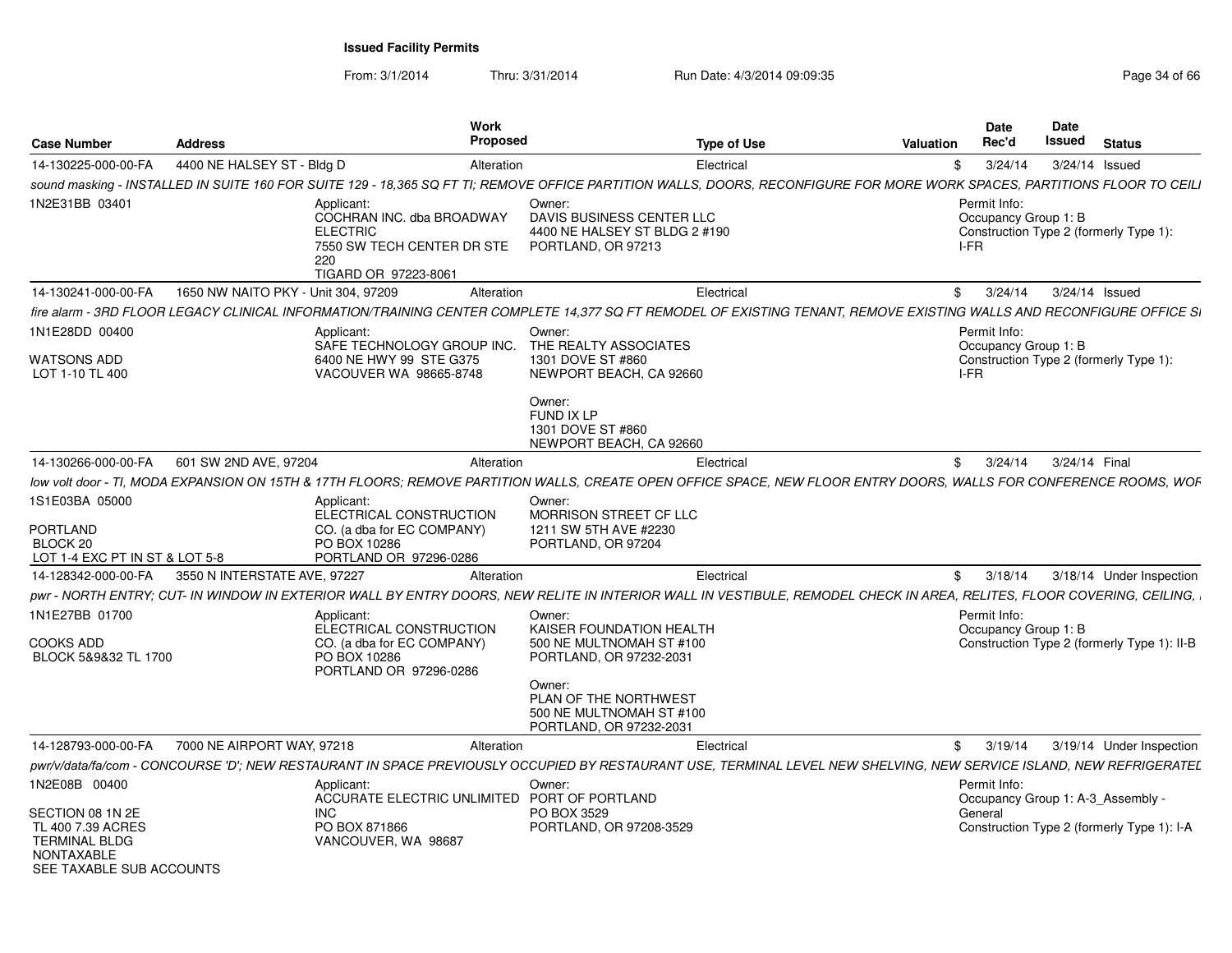| <b>Case Number</b>                                                                                      | <b>Address</b>                      | Work<br>Proposed                                                                                                                                                          |                                                                                            | <b>Type of Use</b> | <b>Valuation</b> | Date<br>Rec'd                                | <b>Date</b><br>Issued | <b>Status</b>                               |
|---------------------------------------------------------------------------------------------------------|-------------------------------------|---------------------------------------------------------------------------------------------------------------------------------------------------------------------------|--------------------------------------------------------------------------------------------|--------------------|------------------|----------------------------------------------|-----------------------|---------------------------------------------|
| 14-130225-000-00-FA                                                                                     | 4400 NE HALSEY ST - Bldg D          | Alteration                                                                                                                                                                |                                                                                            | Electrical         | -SS              | 3/24/14                                      |                       | 3/24/14 Issued                              |
|                                                                                                         |                                     | sound masking - INSTALLED IN SUITE 160 FOR SUITE 129 - 18,365 SQ FT TI; REMOVE OFFICE PARTITION WALLS, DOORS, RECONFIGURE FOR MORE WORK SPACES, PARTITIONS FLOOR TO CEILI |                                                                                            |                    |                  |                                              |                       |                                             |
| 1N2E31BB 03401                                                                                          |                                     | Applicant:<br>COCHRAN INC. dba BROADWAY<br><b>ELECTRIC</b><br>7550 SW TECH CENTER DR STE<br>220<br>TIGARD OR 97223-8061                                                   | Owner:<br>DAVIS BUSINESS CENTER LLC<br>4400 NE HALSEY ST BLDG 2 #190<br>PORTLAND, OR 97213 |                    |                  | Permit Info:<br>Occupancy Group 1: B<br>I-FR |                       | Construction Type 2 (formerly Type 1):      |
| 14-130241-000-00-FA                                                                                     | 1650 NW NAITO PKY - Unit 304, 97209 | Alteration                                                                                                                                                                |                                                                                            | Electrical         |                  | \$3/24/14                                    |                       | 3/24/14 Issued                              |
|                                                                                                         |                                     | fire alarm - 3RD FLOOR LEGACY CLINICAL INFORMATION/TRAINING CENTER COMPLETE 14.377 SQ FT REMODEL OF EXISTING TENANT. REMOVE EXISTING WALLS AND RECONFIGURE OFFICE SI      |                                                                                            |                    |                  |                                              |                       |                                             |
| 1N1E28DD 00400<br><b>WATSONS ADD</b>                                                                    |                                     | Applicant<br>SAFE TECHNOLOGY GROUP INC.<br>6400 NE HWY 99 STE G375                                                                                                        | Owner:<br>THE REALTY ASSOCIATES<br>1301 DOVE ST #860                                       |                    |                  | Permit Info:<br>Occupancy Group 1: B         |                       | Construction Type 2 (formerly Type 1):      |
| LOT 1-10 TL 400                                                                                         |                                     | VACOUVER WA 98665-8748                                                                                                                                                    | NEWPORT BEACH, CA 92660<br>Owner:                                                          |                    |                  | I-FR                                         |                       |                                             |
|                                                                                                         |                                     |                                                                                                                                                                           | FUND IX LP<br>1301 DOVE ST #860<br>NEWPORT BEACH, CA 92660                                 |                    |                  |                                              |                       |                                             |
| 14-130266-000-00-FA                                                                                     | 601 SW 2ND AVE, 97204               | Alteration                                                                                                                                                                |                                                                                            | Electrical         |                  | \$3/24/14                                    |                       | 3/24/14 Final                               |
|                                                                                                         |                                     | low volt door - TI. MODA EXPANSION ON 15TH & 17TH FLOORS: REMOVE PARTITION WALLS. CREATE OPEN OFFICE SPACE. NEW FLOOR ENTRY DOORS. WALLS FOR CONFERENCE ROOMS. WOF        |                                                                                            |                    |                  |                                              |                       |                                             |
| 1S1E03BA 05000<br>PORTLAND                                                                              |                                     | Applicant:<br>ELECTRICAL CONSTRUCTION<br>CO. (a dba for EC COMPANY)                                                                                                       | Owner:<br>MORRISON STREET CF LLC<br>1211 SW 5TH AVE #2230                                  |                    |                  |                                              |                       |                                             |
| BLOCK 20<br>LOT 1-4 EXC PT IN ST & LOT 5-8                                                              |                                     | PO BOX 10286<br>PORTLAND OR 97296-0286                                                                                                                                    | PORTLAND, OR 97204                                                                         |                    |                  |                                              |                       |                                             |
| 14-128342-000-00-FA                                                                                     | 3550 N INTERSTATE AVE, 97227        | Alteration                                                                                                                                                                |                                                                                            | Electrical         |                  | \$3/18/14                                    |                       | 3/18/14 Under Inspection                    |
|                                                                                                         |                                     | pwr - NORTH ENTRY; CUT- IN WINDOW IN EXTERIOR WALL BY ENTRY DOORS, NEW RELITE IN INTERIOR WALL IN VESTIBULE, REMODEL CHECK IN AREA, RELITES, FLOOR COVERING, CEILING,     |                                                                                            |                    |                  |                                              |                       |                                             |
| 1N1E27BB 01700<br><b>COOKS ADD</b><br>BLOCK 5&9&32 TL 1700                                              |                                     | Applicant:<br>ELECTRICAL CONSTRUCTION<br>CO. (a dba for EC COMPANY)<br>PO BOX 10286                                                                                       | Owner:<br>KAISER FOUNDATION HEALTH<br>500 NE MULTNOMAH ST #100<br>PORTLAND, OR 97232-2031  |                    |                  | Permit Info:<br>Occupancy Group 1: B         |                       | Construction Type 2 (formerly Type 1): II-B |
|                                                                                                         |                                     | PORTLAND OR 97296-0286                                                                                                                                                    | Owner:<br>PLAN OF THE NORTHWEST<br>500 NE MULTNOMAH ST #100<br>PORTLAND, OR 97232-2031     |                    |                  |                                              |                       |                                             |
| 14-128793-000-00-FA                                                                                     | 7000 NE AIRPORT WAY, 97218          | Alteration                                                                                                                                                                |                                                                                            | Electrical         |                  | \$3/19/14                                    |                       | 3/19/14 Under Inspection                    |
|                                                                                                         |                                     | pwr/v/data/fa/com - CONCOURSE 'D': NEW RESTAURANT IN SPACE PREVIOUSLY OCCUPIED BY RESTAURANT USE. TERMINAL LEVEL NEW SHELVING. NEW SERVICE ISLAND. NEW REFRIGERATEL       |                                                                                            |                    |                  |                                              |                       |                                             |
| 1N2E08B 00400                                                                                           |                                     | Applicant:<br>ACCURATE ELECTRIC UNLIMITED PORT OF PORTLAND                                                                                                                | Owner:                                                                                     |                    |                  | Permit Info:                                 |                       | Occupancy Group 1: A-3_Assembly -           |
| SECTION 08 1N 2E<br>TL 400 7.39 ACRES<br><b>TERMINAL BLDG</b><br>NONTAXABLE<br>SEE TAXABLE SUB ACCOUNTS |                                     | INC.<br>PO BOX 871866<br>VANCOUVER, WA 98687                                                                                                                              | PO BOX 3529<br>PORTLAND, OR 97208-3529                                                     |                    |                  | General                                      |                       | Construction Type 2 (formerly Type 1): I-A  |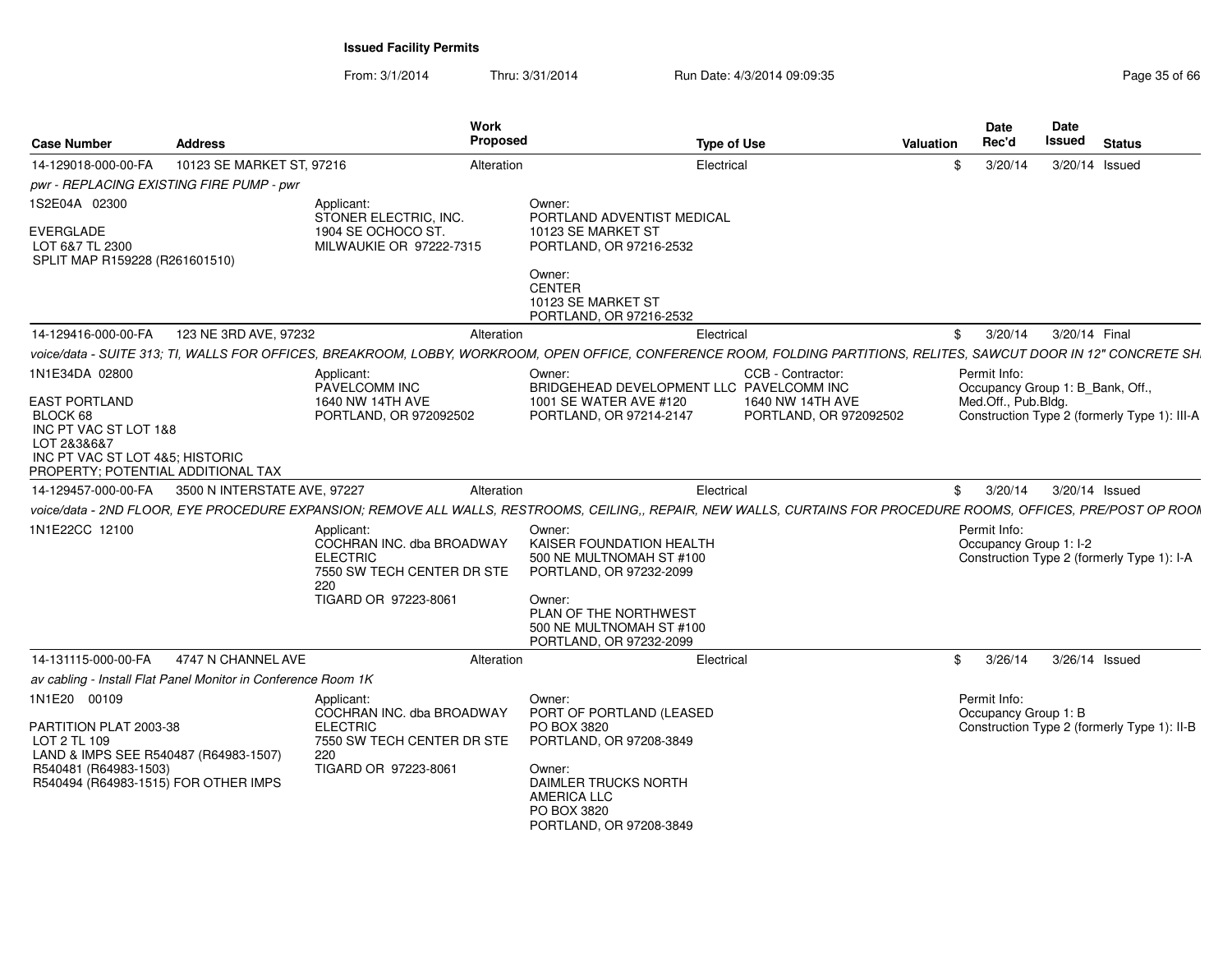| <b>Case Number</b>                                                                                                                                | <b>Address</b>                                                | Work                                                                                                                    | <b>Proposed</b>         | <b>Type of Use</b>                                                                                                                                                    | Valuation      | <b>Date</b><br>Rec'd                   | Date<br>Issued | <b>Status</b>                                |
|---------------------------------------------------------------------------------------------------------------------------------------------------|---------------------------------------------------------------|-------------------------------------------------------------------------------------------------------------------------|-------------------------|-----------------------------------------------------------------------------------------------------------------------------------------------------------------------|----------------|----------------------------------------|----------------|----------------------------------------------|
| 14-129018-000-00-FA                                                                                                                               | 10123 SE MARKET ST, 97216                                     |                                                                                                                         | Alteration              | Electrical                                                                                                                                                            | \$             | 3/20/14                                |                | 3/20/14 Issued                               |
| pwr - REPLACING EXISTING FIRE PUMP - pwr                                                                                                          |                                                               |                                                                                                                         |                         |                                                                                                                                                                       |                |                                        |                |                                              |
| 1S2E04A 02300                                                                                                                                     |                                                               | Applicant:                                                                                                              | Owner:                  |                                                                                                                                                                       |                |                                        |                |                                              |
| EVERGLADE<br>LOT 6&7 TL 2300<br>SPLIT MAP R159228 (R261601510)                                                                                    |                                                               | STONER ELECTRIC, INC.<br>1904 SE OCHOCO ST.<br>MILWAUKIE OR 97222-7315                                                  |                         | PORTLAND ADVENTIST MEDICAL<br>10123 SE MARKET ST<br>PORTLAND, OR 97216-2532                                                                                           |                |                                        |                |                                              |
|                                                                                                                                                   |                                                               |                                                                                                                         | Owner:<br><b>CENTER</b> | 10123 SE MARKET ST<br>PORTLAND, OR 97216-2532                                                                                                                         |                |                                        |                |                                              |
| 14-129416-000-00-FA                                                                                                                               | 123 NE 3RD AVE, 97232                                         |                                                                                                                         | Alteration              | Electrical                                                                                                                                                            | \$             | 3/20/14                                |                | 3/20/14 Final                                |
|                                                                                                                                                   |                                                               |                                                                                                                         |                         | voice/data - SUITE 313; TI, WALLS FOR OFFICES, BREAKROOM, LOBBY, WORKROOM, OPEN OFFICE, CONFERENCE ROOM, FOLDING PARTITIONS, RELITES, SAWCUT DOOR IN 12" CONCRETE SH. |                |                                        |                |                                              |
| 1N1E34DA 02800                                                                                                                                    |                                                               | Applicant:<br>PAVELCOMM INC                                                                                             | Owner:                  | CCB - Contractor:<br>BRIDGEHEAD DEVELOPMENT LLC PAVELCOMM INC                                                                                                         |                | Permit Info:                           |                | Occupancy Group 1: B_Bank, Off.,             |
| <b>EAST PORTLAND</b><br>BLOCK 68<br>INC PT VAC ST LOT 1&8<br>LOT 2&3&6&7<br>INC PT VAC ST LOT 4&5: HISTORIC<br>PROPERTY: POTENTIAL ADDITIONAL TAX |                                                               | 1640 NW 14TH AVE<br>PORTLAND, OR 972092502                                                                              |                         | 1001 SE WATER AVE #120<br>1640 NW 14TH AVE<br>PORTLAND, OR 97214-2147<br>PORTLAND, OR 972092502                                                                       |                | Med.Off., Pub.Bldg.                    |                | Construction Type 2 (formerly Type 1): III-A |
| 14-129457-000-00-FA                                                                                                                               | 3500 N INTERSTATE AVE, 97227                                  |                                                                                                                         | Alteration              | Electrical                                                                                                                                                            | \$             | 3/20/14                                |                | 3/20/14 Issued                               |
|                                                                                                                                                   |                                                               |                                                                                                                         |                         | voice/data - 2ND FLOOR, EYE PROCEDURE EXPANSION; REMOVE ALL WALLS, RESTROOMS, CEILING,, REPAIR, NEW WALLS, CURTAINS FOR PROCEDURE ROOMS, OFFICES, PRE/POST OP ROOM    |                |                                        |                |                                              |
| 1N1E22CC 12100                                                                                                                                    |                                                               | Applicant:<br>COCHRAN INC. dba BROADWAY<br><b>ELECTRIC</b><br>7550 SW TECH CENTER DR STE<br>220<br>TIGARD OR 97223-8061 | Owner:<br>Owner:        | KAISER FOUNDATION HEALTH<br>500 NE MULTNOMAH ST #100<br>PORTLAND, OR 97232-2099<br>PLAN OF THE NORTHWEST                                                              |                | Permit Info:<br>Occupancy Group 1: I-2 |                | Construction Type 2 (formerly Type 1): I-A   |
|                                                                                                                                                   |                                                               |                                                                                                                         |                         | 500 NE MULTNOMAH ST #100<br>PORTLAND, OR 97232-2099                                                                                                                   |                |                                        |                |                                              |
| 14-131115-000-00-FA                                                                                                                               | 4747 N CHANNEL AVE                                            |                                                                                                                         | Alteration              | Electrical                                                                                                                                                            | $\mathfrak{S}$ | 3/26/14                                |                | 3/26/14 Issued                               |
|                                                                                                                                                   | av cabling - Install Flat Panel Monitor in Conference Room 1K |                                                                                                                         |                         |                                                                                                                                                                       |                |                                        |                |                                              |
| 1N1E20 00109<br>PARTITION PLAT 2003-38                                                                                                            |                                                               | Applicant:<br>COCHRAN INC. dba BROADWAY<br><b>ELECTRIC</b>                                                              | Owner:                  | PORT OF PORTLAND (LEASED<br>PO BOX 3820                                                                                                                               |                | Permit Info:<br>Occupancy Group 1: B   |                | Construction Type 2 (formerly Type 1): II-B  |
| LOT 2 TL 109<br>LAND & IMPS SEE R540487 (R64983-1507)                                                                                             |                                                               | 7550 SW TECH CENTER DR STE<br>220                                                                                       |                         | PORTLAND, OR 97208-3849                                                                                                                                               |                |                                        |                |                                              |
| R540481 (R64983-1503)<br>R540494 (R64983-1515) FOR OTHER IMPS                                                                                     |                                                               | TIGARD OR 97223-8061                                                                                                    | Owner:                  | DAIMLER TRUCKS NORTH<br><b>AMERICA LLC</b><br>PO BOX 3820<br>PORTLAND, OR 97208-3849                                                                                  |                |                                        |                |                                              |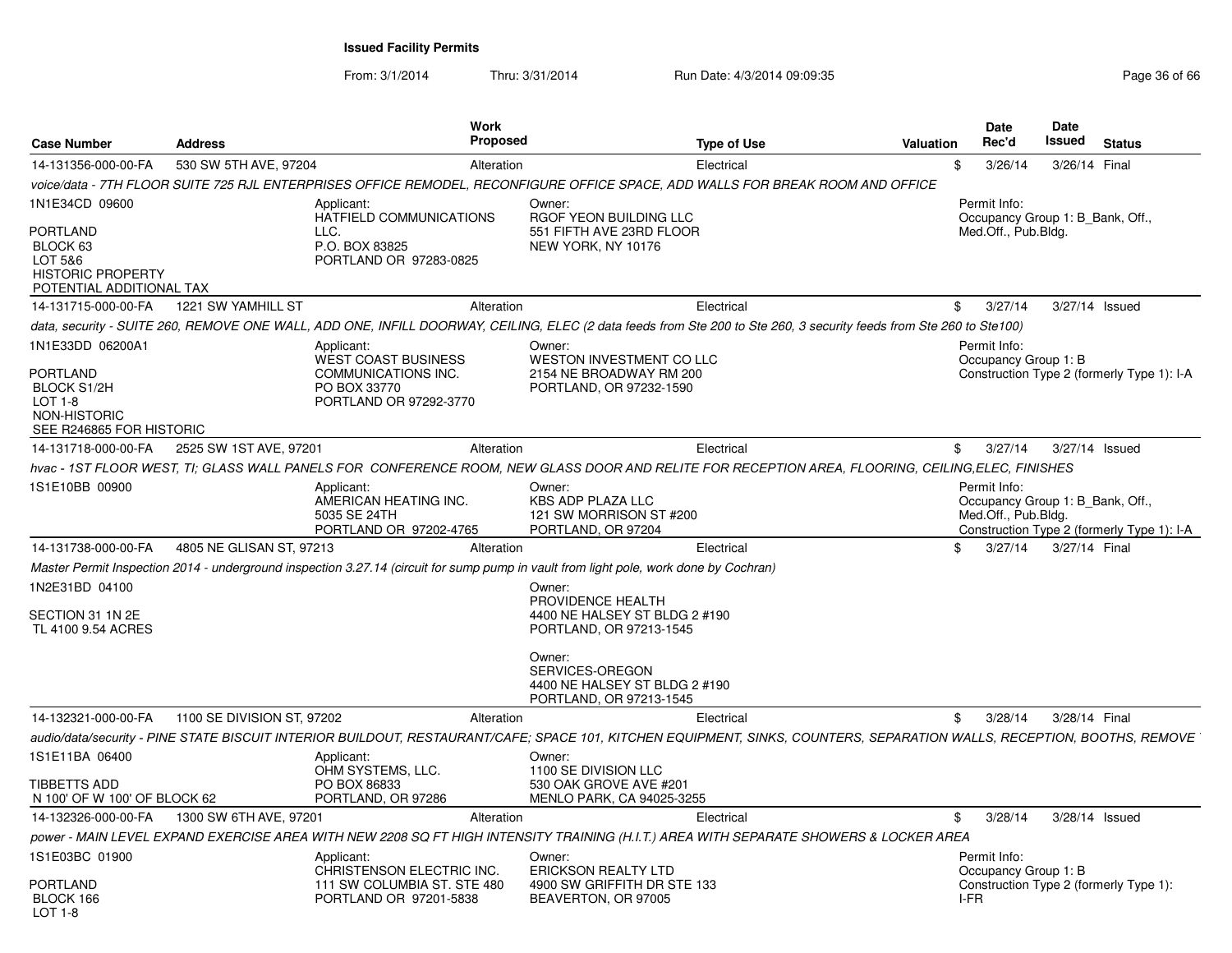From: 3/1/2014

| Case Number                                                                             | <b>Address</b>                                 | Work<br><b>Proposed</b>                                                                                                                                                 |                                                                                       | <b>Type of Use</b> | <b>Valuation</b> | Date<br>Rec'd                                                           | <b>Date</b><br>Issued | <b>Status</b>                              |
|-----------------------------------------------------------------------------------------|------------------------------------------------|-------------------------------------------------------------------------------------------------------------------------------------------------------------------------|---------------------------------------------------------------------------------------|--------------------|------------------|-------------------------------------------------------------------------|-----------------------|--------------------------------------------|
| 14-131356-000-00-FA                                                                     | 530 SW 5TH AVE, 97204                          | Alteration                                                                                                                                                              |                                                                                       | Electrical         | \$               | 3/26/14                                                                 | 3/26/14 Final         |                                            |
|                                                                                         |                                                | voice/data - 7TH FLOOR SUITE 725 RJL ENTERPRISES OFFICE REMODEL. RECONFIGURE OFFICE SPACE. ADD WALLS FOR BREAK ROOM AND OFFICE                                          |                                                                                       |                    |                  |                                                                         |                       |                                            |
| 1N1E34CD 09600                                                                          |                                                | Applicant:                                                                                                                                                              | Owner:                                                                                |                    |                  | Permit Info:                                                            |                       |                                            |
| PORTLAND<br>BLOCK 63<br>LOT 5&6<br><b>HISTORIC PROPERTY</b><br>POTENTIAL ADDITIONAL TAX | LLC.                                           | HATFIELD COMMUNICATIONS<br>P.O. BOX 83825<br>PORTLAND OR 97283-0825                                                                                                     | RGOF YEON BUILDING LLC<br>551 FIFTH AVE 23RD FLOOR<br>NEW YORK, NY 10176              |                    |                  | Occupancy Group 1: B_Bank, Off.,<br>Med.Off., Pub.Bldg.                 |                       |                                            |
| 14-131715-000-00-FA                                                                     | 1221 SW YAMHILL ST                             | Alteration                                                                                                                                                              |                                                                                       | Electrical         |                  | \$3/27/14                                                               | 3/27/14 Issued        |                                            |
|                                                                                         |                                                | data, security - SUITE 260, REMOVE ONE WALL, ADD ONE, INFILL DOORWAY, CEILING, ELEC (2 data feeds from Ste 200 to Ste 260, 3 security feeds from Ste 260 to Ste100)     |                                                                                       |                    |                  |                                                                         |                       |                                            |
| 1N1E33DD 06200A1<br>PORTLAND                                                            |                                                | Applicant:<br>WEST COAST BUSINESS<br>COMMUNICATIONS INC.                                                                                                                | Owner:<br>WESTON INVESTMENT CO LLC<br>2154 NE BROADWAY RM 200                         |                    |                  | Permit Info:<br>Occupancy Group 1: B                                    |                       | Construction Type 2 (formerly Type 1): I-A |
| <b>BLOCK S1/2H</b><br>LOT $1-8$<br>NON-HISTORIC<br>SEE R246865 FOR HISTORIC             |                                                | PO BOX 33770<br>PORTLAND OR 97292-3770                                                                                                                                  | PORTLAND, OR 97232-1590                                                               |                    |                  |                                                                         |                       |                                            |
| 14-131718-000-00-FA                                                                     | 2525 SW 1ST AVE, 97201                         | Alteration                                                                                                                                                              |                                                                                       | Electrical         |                  | \$3/27/14                                                               | 3/27/14 Issued        |                                            |
|                                                                                         |                                                | hvac - 1ST FLOOR WEST. TI: GLASS WALL PANELS FOR  CONFERENCE ROOM. NEW GLASS DOOR AND RELITE FOR RECEPTION AREA. FLOORING. CEILING.ELEC. FINISHES                       |                                                                                       |                    |                  |                                                                         |                       |                                            |
| IS1E10BB 00900                                                                          |                                                | Applicant:<br>AMERICAN HEATING INC.<br>5035 SE 24TH<br>PORTLAND OR 97202-4765                                                                                           | Owner:<br>KBS ADP PLAZA LLC<br>121 SW MORRISON ST #200<br>PORTLAND, OR 97204          |                    |                  | Permit Info:<br>Occupancy Group 1: B Bank, Off.,<br>Med.Off., Pub.Bldg. |                       | Construction Type 2 (formerly Type 1): I-A |
| 14-131738-000-00-FA                                                                     | 4805 NE GLISAN ST, 97213                       | Alteration                                                                                                                                                              |                                                                                       | Electrical         | \$               | 3/27/14                                                                 | 3/27/14 Final         |                                            |
|                                                                                         |                                                | Master Permit Inspection 2014 - underground inspection 3.27.14 (circuit for sump pump in vault from light pole, work done by Cochran)                                   |                                                                                       |                    |                  |                                                                         |                       |                                            |
| 1N2E31BD 04100<br>SECTION 31 1N 2E                                                      |                                                |                                                                                                                                                                         | Owner:<br>PROVIDENCE HEALTH<br>4400 NE HALSEY ST BLDG 2 #190                          |                    |                  |                                                                         |                       |                                            |
| TL 4100 9.54 ACRES                                                                      |                                                |                                                                                                                                                                         | PORTLAND, OR 97213-1545                                                               |                    |                  |                                                                         |                       |                                            |
|                                                                                         |                                                |                                                                                                                                                                         | Owner:<br>SERVICES-OREGON<br>4400 NE HALSEY ST BLDG 2 #190<br>PORTLAND, OR 97213-1545 |                    |                  |                                                                         |                       |                                            |
|                                                                                         | 14-132321-000-00-FA 1100 SE DIVISION ST, 97202 | Alteration                                                                                                                                                              |                                                                                       | Electrical         |                  | \$3/28/14                                                               | 3/28/14 Final         |                                            |
|                                                                                         |                                                | audio/data/security - PINE STATE BISCUIT INTERIOR BUILDOUT, RESTAURANT/CAFE; SPACE 101, KITCHEN EQUIPMENT, SINKS, COUNTERS, SEPARATION WALLS, RECEPTION, BOOTHS, REMOVE |                                                                                       |                    |                  |                                                                         |                       |                                            |
| 1S1E11BA 06400                                                                          |                                                | Applicant:<br>OHM SYSTEMS, LLC.                                                                                                                                         | Owner:<br>1100 SE DIVISION LLC                                                        |                    |                  |                                                                         |                       |                                            |
| TIBBETTS ADD<br>N 100' OF W 100' OF BLOCK 62                                            |                                                | PO BOX 86833<br>PORTLAND, OR 97286                                                                                                                                      | 530 OAK GROVE AVE #201<br>MENLO PARK, CA 94025-3255                                   |                    |                  |                                                                         |                       |                                            |
| 14-132326-000-00-FA                                                                     | 1300 SW 6TH AVE, 97201                         | Alteration                                                                                                                                                              |                                                                                       | Electrical         | \$               | 3/28/14                                                                 | 3/28/14 Issued        |                                            |
|                                                                                         |                                                | power - MAIN LEVEL EXPAND EXERCISE AREA WITH NEW 2208 SQ FT HIGH INTENSITY TRAINING (H.I.T.) AREA WITH SEPARATE SHOWERS & LOCKER AREA                                   |                                                                                       |                    |                  |                                                                         |                       |                                            |
| IS1E03BC 01900                                                                          |                                                | Applicant:<br>CHRISTENSON ELECTRIC INC.                                                                                                                                 | Owner:<br><b>ERICKSON REALTY LTD</b>                                                  |                    |                  | Permit Info:<br>Occupancy Group 1: B                                    |                       |                                            |
| PORTLAND<br>BLOCK 166<br>LOT 1-8                                                        |                                                | 111 SW COLUMBIA ST. STE 480<br>PORTLAND OR 97201-5838                                                                                                                   | 4900 SW GRIFFITH DR STE 133<br>BEAVERTON, OR 97005                                    |                    |                  | I-FR                                                                    |                       | Construction Type 2 (formerly Type 1):     |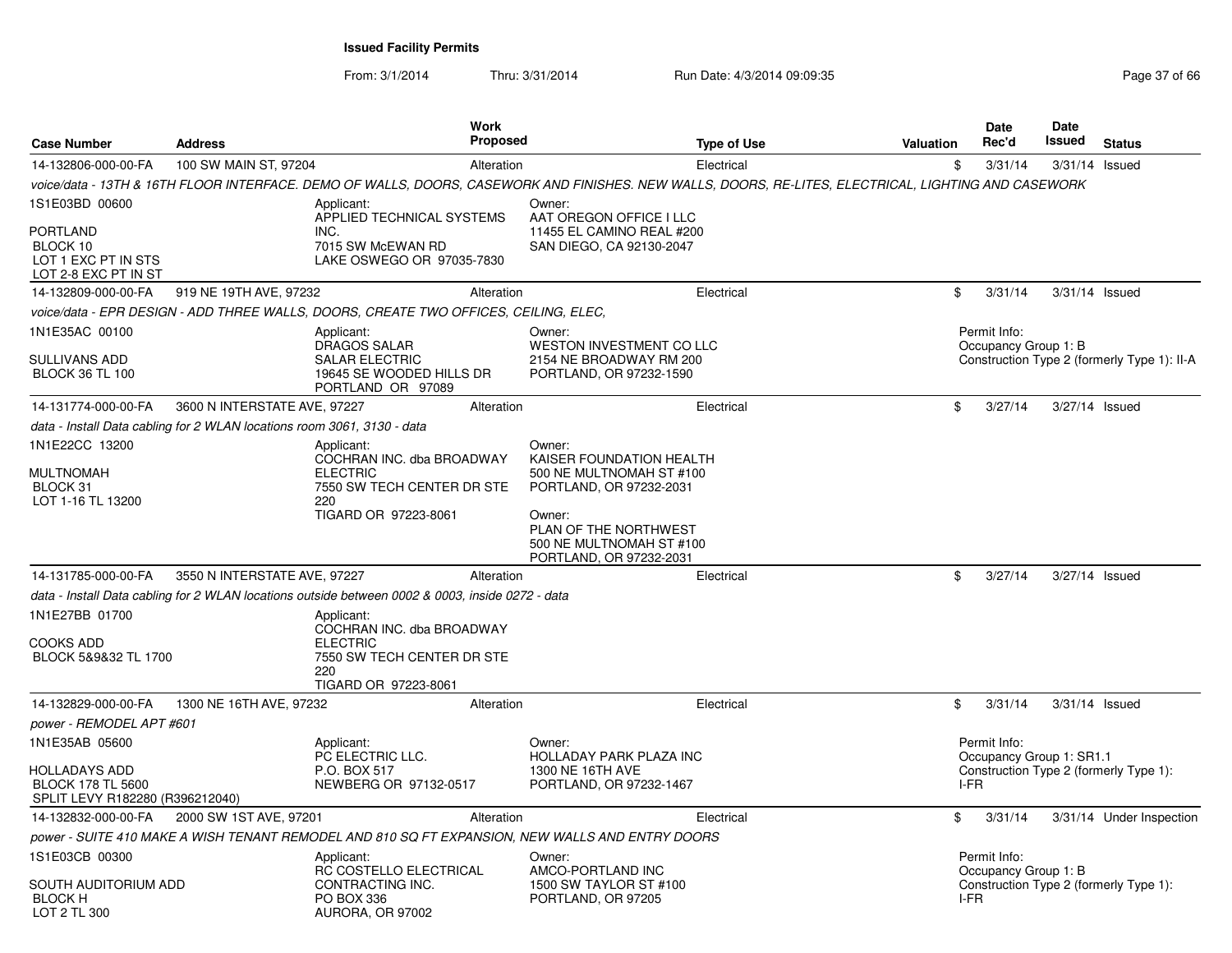| <b>Case Number</b>                                                                             | <b>Address</b>                                                                                   | Work<br><b>Proposed</b>                                                                       |                                                                                                                                                                                                   | <b>Type of Use</b> | Valuation | Date<br>Rec'd                                    | Date<br>Issued   | <b>Status</b>                               |
|------------------------------------------------------------------------------------------------|--------------------------------------------------------------------------------------------------|-----------------------------------------------------------------------------------------------|---------------------------------------------------------------------------------------------------------------------------------------------------------------------------------------------------|--------------------|-----------|--------------------------------------------------|------------------|---------------------------------------------|
| 14-132806-000-00-FA                                                                            | 100 SW MAIN ST, 97204                                                                            | Alteration                                                                                    | Electrical                                                                                                                                                                                        |                    | \$        | 3/31/14                                          | $3/31/14$ Issued |                                             |
|                                                                                                |                                                                                                  |                                                                                               | voice/data - 13TH & 16TH FLOOR INTERFACE. DEMO OF WALLS, DOORS, CASEWORK AND FINISHES. NEW WALLS, DOORS, RE-LITES, ELECTRICAL, LIGHTING AND CASEWORK                                              |                    |           |                                                  |                  |                                             |
| 1S1E03BD 00600<br><b>PORTLAND</b><br>BLOCK 10<br>LOT 1 EXC PT IN STS<br>LOT 2-8 EXC PT IN ST   | Applicant:<br>INC.                                                                               | APPLIED TECHNICAL SYSTEMS<br>7015 SW McEWAN RD<br>LAKE OSWEGO OR 97035-7830                   | Owner:<br>AAT OREGON OFFICE I LLC<br>11455 EL CAMINO REAL #200<br>SAN DIEGO, CA 92130-2047                                                                                                        |                    |           |                                                  |                  |                                             |
| 14-132809-000-00-FA                                                                            | 919 NE 19TH AVE, 97232                                                                           | Alteration                                                                                    | Electrical                                                                                                                                                                                        |                    | \$        | 3/31/14                                          | 3/31/14 Issued   |                                             |
|                                                                                                | voice/data - EPR DESIGN - ADD THREE WALLS, DOORS, CREATE TWO OFFICES, CEILING, ELEC,             |                                                                                               |                                                                                                                                                                                                   |                    |           |                                                  |                  |                                             |
| 1N1E35AC 00100<br>SULLIVANS ADD<br><b>BLOCK 36 TL 100</b>                                      | Applicant:                                                                                       | <b>DRAGOS SALAR</b><br><b>SALAR ELECTRIC</b><br>19645 SE WOODED HILLS DR<br>PORTLAND OR 97089 | Owner:<br>WESTON INVESTMENT CO LLC<br>2154 NE BROADWAY RM 200<br>PORTLAND, OR 97232-1590                                                                                                          |                    |           | Permit Info:<br>Occupancy Group 1: B             |                  | Construction Type 2 (formerly Type 1): II-A |
| 14-131774-000-00-FA                                                                            | 3600 N INTERSTATE AVE, 97227                                                                     | Alteration                                                                                    | Electrical                                                                                                                                                                                        |                    | \$        | 3/27/14                                          | 3/27/14 Issued   |                                             |
|                                                                                                | data - Install Data cabling for 2 WLAN locations room 3061, 3130 - data                          |                                                                                               |                                                                                                                                                                                                   |                    |           |                                                  |                  |                                             |
| 1N1E22CC 13200<br>MULTNOMAH<br>BLOCK 31<br>LOT 1-16 TL 13200<br>14-131785-000-00-FA            | Applicant:<br><b>ELECTRIC</b><br>220<br>3550 N INTERSTATE AVE, 97227                             | COCHRAN INC. dba BROADWAY<br>7550 SW TECH CENTER DR STE<br>TIGARD OR 97223-8061<br>Alteration | Owner:<br>KAISER FOUNDATION HEALTH<br>500 NE MULTNOMAH ST #100<br>PORTLAND, OR 97232-2031<br>Owner:<br>PLAN OF THE NORTHWEST<br>500 NE MULTNOMAH ST #100<br>PORTLAND, OR 97232-2031<br>Electrical |                    | \$        | 3/27/14                                          | 3/27/14 Issued   |                                             |
|                                                                                                | data - Install Data cabling for 2 WLAN locations outside between 0002 & 0003, inside 0272 - data |                                                                                               |                                                                                                                                                                                                   |                    |           |                                                  |                  |                                             |
| 1N1E27BB 01700<br>COOKS ADD<br>BLOCK 5&9&32 TL 1700                                            | Applicant:<br><b>ELECTRIC</b><br>220                                                             | COCHRAN INC. dba BROADWAY<br>7550 SW TECH CENTER DR STE<br>TIGARD OR 97223-8061               |                                                                                                                                                                                                   |                    |           |                                                  |                  |                                             |
| 14-132829-000-00-FA                                                                            | 1300 NE 16TH AVE, 97232                                                                          | Alteration                                                                                    | Electrical                                                                                                                                                                                        |                    | \$        | 3/31/14                                          | 3/31/14 Issued   |                                             |
| <i>power - REMODEL APT #601</i>                                                                |                                                                                                  |                                                                                               |                                                                                                                                                                                                   |                    |           |                                                  |                  |                                             |
| 1N1E35AB 05600<br>HOLLADAYS ADD<br><b>BLOCK 178 TL 5600</b><br>SPLIT LEVY R182280 (R396212040) | Applicant:<br>P.O. BOX 517                                                                       | PC ELECTRIC LLC.<br>NEWBERG OR 97132-0517                                                     | Owner:<br>HOLLADAY PARK PLAZA INC<br>1300 NE 16TH AVE<br>PORTLAND, OR 97232-1467                                                                                                                  |                    |           | Permit Info:<br>Occupancy Group 1: SR1.1<br>I-FR |                  | Construction Type 2 (formerly Type 1):      |
| 14-132832-000-00-FA                                                                            | 2000 SW 1ST AVE, 97201                                                                           | Alteration                                                                                    | Electrical                                                                                                                                                                                        |                    | \$        | 3/31/14                                          |                  | 3/31/14 Under Inspection                    |
|                                                                                                | power - SUITE 410 MAKE A WISH TENANT REMODEL AND 810 SQ FT EXPANSION, NEW WALLS AND ENTRY DOORS  |                                                                                               |                                                                                                                                                                                                   |                    |           |                                                  |                  |                                             |
| 1S1E03CB 00300<br>SOUTH AUDITORIUM ADD<br><b>BLOCK H</b><br>LOT 2 TL 300                       | Applicant:<br>PO BOX 336                                                                         | RC COSTELLO ELECTRICAL<br>CONTRACTING INC.<br>AURORA, OR 97002                                | Owner:<br>AMCO-PORTLAND INC<br>1500 SW TAYLOR ST #100<br>PORTLAND, OR 97205                                                                                                                       |                    |           | Permit Info:<br>Occupancy Group 1: B<br>I-FR     |                  | Construction Type 2 (formerly Type 1):      |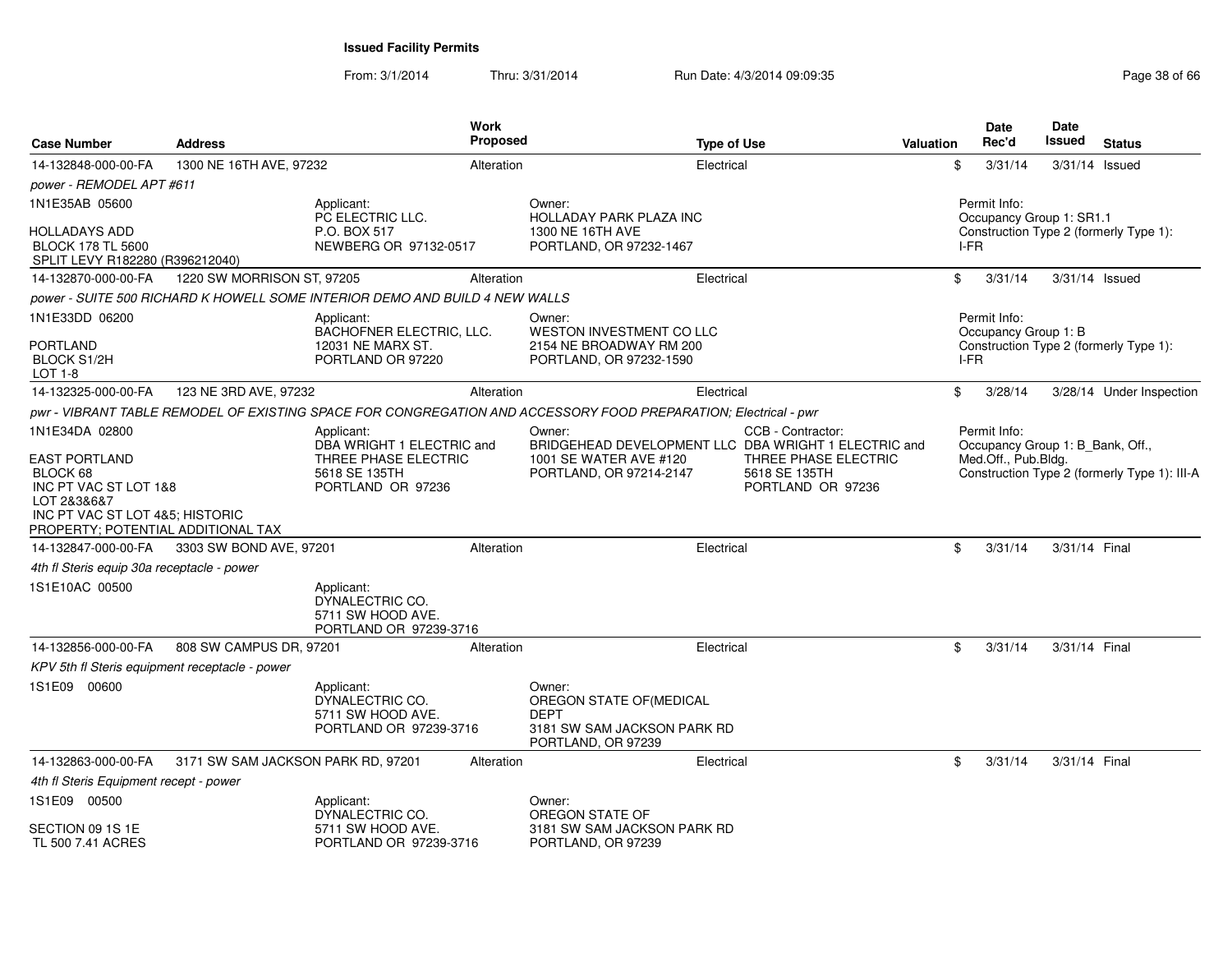From: 3/1/2014

| <b>Case Number</b>                                                                                                                                | <b>Address</b>                     |                                                                              | Work<br><b>Proposed</b> | <b>Type of Use</b>                                                                                              |                                                            | <b>Valuation</b> |      | <b>Date</b><br>Rec'd | Date<br><b>Issued</b>            | <b>Status</b>                                |
|---------------------------------------------------------------------------------------------------------------------------------------------------|------------------------------------|------------------------------------------------------------------------------|-------------------------|-----------------------------------------------------------------------------------------------------------------|------------------------------------------------------------|------------------|------|----------------------|----------------------------------|----------------------------------------------|
| 14-132848-000-00-FA                                                                                                                               | 1300 NE 16TH AVE, 97232            |                                                                              | Alteration              | Electrical                                                                                                      |                                                            |                  | \$   | 3/31/14              | 3/31/14 Issued                   |                                              |
| power - REMODEL APT #611                                                                                                                          |                                    |                                                                              |                         |                                                                                                                 |                                                            |                  |      |                      |                                  |                                              |
| 1N1E35AB 05600                                                                                                                                    |                                    | Applicant:<br>PC ELECTRIC LLC.                                               |                         | Owner:<br><b>HOLLADAY PARK PLAZA INC</b>                                                                        |                                                            |                  |      | Permit Info:         | Occupancy Group 1: SR1.1         |                                              |
| <b>HOLLADAYS ADD</b><br><b>BLOCK 178 TL 5600</b><br>SPLIT LEVY R182280 (R396212040)                                                               |                                    | P.O. BOX 517<br>NEWBERG OR 97132-0517                                        |                         | 1300 NE 16TH AVE<br>PORTLAND, OR 97232-1467                                                                     |                                                            |                  | I-FR |                      |                                  | Construction Type 2 (formerly Type 1):       |
| 14-132870-000-00-FA                                                                                                                               | 1220 SW MORRISON ST, 97205         |                                                                              | Alteration              | Electrical                                                                                                      |                                                            |                  | \$   | 3/31/14              | 3/31/14 Issued                   |                                              |
|                                                                                                                                                   |                                    | power - SUITE 500 RICHARD K HOWELL SOME INTERIOR DEMO AND BUILD 4 NEW WALLS  |                         |                                                                                                                 |                                                            |                  |      |                      |                                  |                                              |
| 1N1E33DD 06200                                                                                                                                    |                                    | Applicant:                                                                   |                         | Owner:                                                                                                          |                                                            |                  |      | Permit Info:         |                                  |                                              |
| <b>PORTLAND</b><br><b>BLOCK S1/2H</b><br>LOT 1-8                                                                                                  |                                    | BACHOFNER ELECTRIC, LLC.<br>12031 NE MARX ST.<br>PORTLAND OR 97220           |                         | <b>WESTON INVESTMENT CO LLC</b><br>2154 NE BROADWAY RM 200<br>PORTLAND, OR 97232-1590                           |                                                            |                  | I-FR | Occupancy Group 1: B |                                  | Construction Type 2 (formerly Type 1):       |
| 14-132325-000-00-FA                                                                                                                               | 123 NE 3RD AVE, 97232              |                                                                              | Alteration              | Electrical                                                                                                      |                                                            |                  | \$   | 3/28/14              |                                  | 3/28/14 Under Inspection                     |
|                                                                                                                                                   |                                    |                                                                              |                         | pwr - VIBRANT TABLE REMODEL OF EXISTING SPACE FOR CONGREGATION AND ACCESSORY FOOD PREPARATION; Electrical - pwr |                                                            |                  |      |                      |                                  |                                              |
| 1N1E34DA 02800                                                                                                                                    |                                    | Applicant:<br>DBA WRIGHT 1 ELECTRIC and                                      |                         | Owner:<br>BRIDGEHEAD DEVELOPMENT LLC DBA WRIGHT 1 ELECTRIC and                                                  | CCB - Contractor:                                          |                  |      | Permit Info:         | Occupancy Group 1: B_Bank, Off., |                                              |
| <b>EAST PORTLAND</b><br>BLOCK 68<br>INC PT VAC ST LOT 1&8<br>LOT 2&3&6&7<br>INC PT VAC ST LOT 4&5; HISTORIC<br>PROPERTY; POTENTIAL ADDITIONAL TAX |                                    | THREE PHASE ELECTRIC<br>5618 SE 135TH<br>PORTLAND OR 97236                   |                         | 1001 SE WATER AVE #120<br>PORTLAND, OR 97214-2147                                                               | THREE PHASE ELECTRIC<br>5618 SE 135TH<br>PORTLAND OR 97236 |                  |      | Med.Off., Pub.Bldg.  |                                  | Construction Type 2 (formerly Type 1): III-A |
| 14-132847-000-00-FA                                                                                                                               | 3303 SW BOND AVE, 97201            |                                                                              | Alteration              | Electrical                                                                                                      |                                                            |                  | \$   | 3/31/14              | 3/31/14 Final                    |                                              |
| 4th fl Steris equip 30a receptacle - power                                                                                                        |                                    |                                                                              |                         |                                                                                                                 |                                                            |                  |      |                      |                                  |                                              |
| 1S1E10AC 00500                                                                                                                                    |                                    | Applicant:<br>DYNALECTRIC CO.<br>5711 SW HOOD AVE.<br>PORTLAND OR 97239-3716 |                         |                                                                                                                 |                                                            |                  |      |                      |                                  |                                              |
| 14-132856-000-00-FA                                                                                                                               | 808 SW CAMPUS DR, 97201            |                                                                              | Alteration              | Electrical                                                                                                      |                                                            |                  | \$   | 3/31/14              | 3/31/14 Final                    |                                              |
| KPV 5th fl Steris equipment receptacle - power                                                                                                    |                                    |                                                                              |                         |                                                                                                                 |                                                            |                  |      |                      |                                  |                                              |
| 1S1E09 00600                                                                                                                                      |                                    | Applicant:<br>DYNALECTRIC CO.<br>5711 SW HOOD AVE.<br>PORTLAND OR 97239-3716 |                         | Owner:<br>OREGON STATE OF(MEDICAL<br><b>DEPT</b><br>3181 SW SAM JACKSON PARK RD<br>PORTLAND, OR 97239           |                                                            |                  |      |                      |                                  |                                              |
| 14-132863-000-00-FA                                                                                                                               | 3171 SW SAM JACKSON PARK RD, 97201 |                                                                              | Alteration              | Electrical                                                                                                      |                                                            |                  | \$   | 3/31/14              | 3/31/14 Final                    |                                              |
| 4th fl Steris Equipment recept - power                                                                                                            |                                    |                                                                              |                         |                                                                                                                 |                                                            |                  |      |                      |                                  |                                              |
| 1S1E09 00500                                                                                                                                      |                                    | Applicant:<br>DYNALECTRIC CO.                                                |                         | Owner:<br>OREGON STATE OF                                                                                       |                                                            |                  |      |                      |                                  |                                              |
| SECTION 09 1S 1E<br>TL 500 7.41 ACRES                                                                                                             |                                    | 5711 SW HOOD AVE.<br>PORTLAND OR 97239-3716                                  |                         | 3181 SW SAM JACKSON PARK RD<br>PORTLAND, OR 97239                                                               |                                                            |                  |      |                      |                                  |                                              |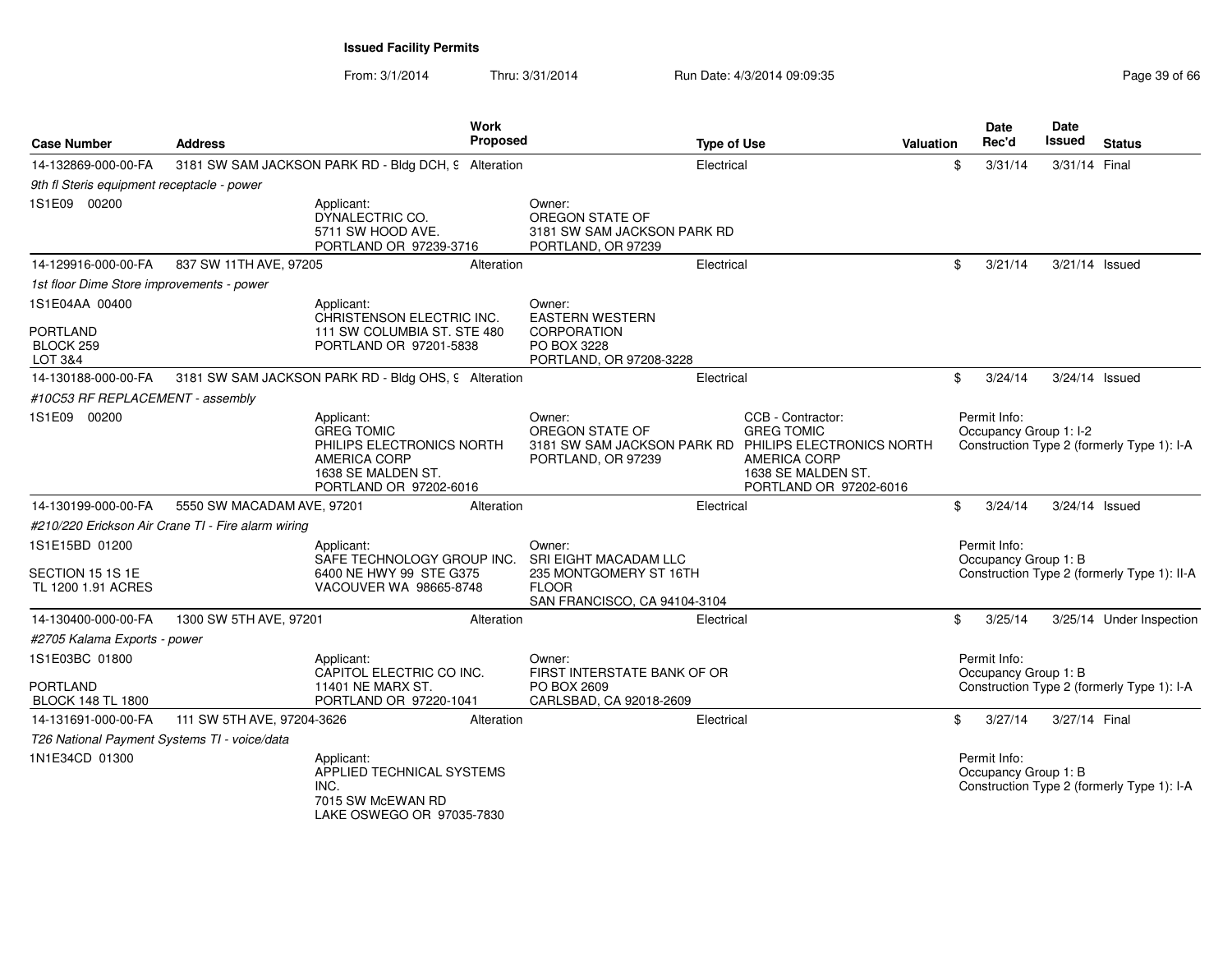| <b>Case Number</b>                                            | <b>Address</b>                                     |                                                                                                                                     | Work<br><b>Proposed</b> |                                                                                                 | <b>Type of Use</b> |                                                                                                                                                                        | <b>Valuation</b> | Date<br>Rec'd                          | <b>Date</b><br>Issued | <b>Status</b>                               |
|---------------------------------------------------------------|----------------------------------------------------|-------------------------------------------------------------------------------------------------------------------------------------|-------------------------|-------------------------------------------------------------------------------------------------|--------------------|------------------------------------------------------------------------------------------------------------------------------------------------------------------------|------------------|----------------------------------------|-----------------------|---------------------------------------------|
| 14-132869-000-00-FA                                           |                                                    | 3181 SW SAM JACKSON PARK RD - Bldg DCH, 9 Alteration                                                                                |                         |                                                                                                 | Electrical         |                                                                                                                                                                        | \$               | 3/31/14                                | 3/31/14 Final         |                                             |
| 9th fl Steris equipment receptacle - power                    |                                                    |                                                                                                                                     |                         |                                                                                                 |                    |                                                                                                                                                                        |                  |                                        |                       |                                             |
| 1S1E09 00200                                                  |                                                    | Applicant:<br>DYNALECTRIC CO.<br>5711 SW HOOD AVE.<br>PORTLAND OR 97239-3716                                                        |                         | Owner:<br>OREGON STATE OF<br>3181 SW SAM JACKSON PARK RD<br>PORTLAND, OR 97239                  |                    |                                                                                                                                                                        |                  |                                        |                       |                                             |
| 14-129916-000-00-FA                                           | 837 SW 11TH AVE, 97205                             |                                                                                                                                     | Alteration              |                                                                                                 | Electrical         |                                                                                                                                                                        | \$               | 3/21/14                                | 3/21/14 Issued        |                                             |
| 1st floor Dime Store improvements - power                     |                                                    |                                                                                                                                     |                         |                                                                                                 |                    |                                                                                                                                                                        |                  |                                        |                       |                                             |
| 1S1E04AA 00400                                                |                                                    | Applicant:<br>CHRISTENSON ELECTRIC INC.                                                                                             |                         | Owner:                                                                                          |                    |                                                                                                                                                                        |                  |                                        |                       |                                             |
| <b>PORTLAND</b><br>BLOCK <sub>259</sub><br>LOT 3&4            |                                                    | 111 SW COLUMBIA ST. STE 480<br>PORTLAND OR 97201-5838                                                                               |                         | <b>EASTERN WESTERN</b><br><b>CORPORATION</b><br>PO BOX 3228<br>PORTLAND, OR 97208-3228          |                    |                                                                                                                                                                        |                  |                                        |                       |                                             |
| 14-130188-000-00-FA                                           |                                                    | 3181 SW SAM JACKSON PARK RD - Bldg OHS, 9 Alteration                                                                                |                         |                                                                                                 | Electrical         |                                                                                                                                                                        |                  | \$<br>3/24/14                          | 3/24/14 Issued        |                                             |
| #10C53 RF REPLACEMENT - assembly                              |                                                    |                                                                                                                                     |                         |                                                                                                 |                    |                                                                                                                                                                        |                  |                                        |                       |                                             |
| 1S1E09 00200                                                  |                                                    | Applicant:<br><b>GREG TOMIC</b><br>PHILIPS ELECTRONICS NORTH<br><b>AMERICA CORP</b><br>1638 SE MALDEN ST.<br>PORTLAND OR 97202-6016 |                         | Owner:<br>OREGON STATE OF<br>PORTLAND, OR 97239                                                 |                    | CCB - Contractor:<br><b>GREG TOMIC</b><br>3181 SW SAM JACKSON PARK RD PHILIPS ELECTRONICS NORTH<br><b>AMERICA CORP</b><br>1638 SE MALDEN ST.<br>PORTLAND OR 97202-6016 |                  | Permit Info:<br>Occupancy Group 1: I-2 |                       | Construction Type 2 (formerly Type 1): I-A  |
| 14-130199-000-00-FA                                           | 5550 SW MACADAM AVE, 97201                         |                                                                                                                                     | Alteration              |                                                                                                 | Electrical         |                                                                                                                                                                        |                  | \$<br>3/24/14                          | 3/24/14 Issued        |                                             |
|                                                               | #210/220 Erickson Air Crane TI - Fire alarm wiring |                                                                                                                                     |                         |                                                                                                 |                    |                                                                                                                                                                        |                  |                                        |                       |                                             |
| 1S1E15BD 01200                                                |                                                    | Applicant:                                                                                                                          |                         | Owner:                                                                                          |                    |                                                                                                                                                                        |                  | Permit Info:                           |                       |                                             |
| SECTION 15 1S 1E<br>TL 1200 1.91 ACRES                        |                                                    | SAFE TECHNOLOGY GROUP INC.<br>6400 NE HWY 99 STE G375<br>VACOUVER WA 98665-8748                                                     |                         | SRI EIGHT MACADAM LLC<br>235 MONTGOMERY ST 16TH<br><b>FLOOR</b><br>SAN FRANCISCO, CA 94104-3104 |                    |                                                                                                                                                                        |                  | Occupancy Group 1: B                   |                       | Construction Type 2 (formerly Type 1): II-A |
| 14-130400-000-00-FA                                           | 1300 SW 5TH AVE, 97201                             |                                                                                                                                     | Alteration              |                                                                                                 | Electrical         |                                                                                                                                                                        |                  | \$<br>3/25/14                          |                       | 3/25/14 Under Inspection                    |
| #2705 Kalama Exports - power                                  |                                                    |                                                                                                                                     |                         |                                                                                                 |                    |                                                                                                                                                                        |                  |                                        |                       |                                             |
| 1S1E03BC 01800<br><b>PORTLAND</b><br><b>BLOCK 148 TL 1800</b> |                                                    | Applicant:<br>CAPITOL ELECTRIC CO INC.<br>11401 NE MARX ST.<br>PORTLAND OR 97220-1041                                               |                         | Owner:<br>FIRST INTERSTATE BANK OF OR<br>PO BOX 2609<br>CARLSBAD, CA 92018-2609                 |                    |                                                                                                                                                                        |                  | Permit Info:<br>Occupancy Group 1: B   |                       | Construction Type 2 (formerly Type 1): I-A  |
| 14-131691-000-00-FA                                           | 111 SW 5TH AVE, 97204-3626                         |                                                                                                                                     | Alteration              |                                                                                                 | Electrical         |                                                                                                                                                                        | \$               | 3/27/14                                | 3/27/14 Final         |                                             |
| T26 National Payment Systems TI - voice/data                  |                                                    |                                                                                                                                     |                         |                                                                                                 |                    |                                                                                                                                                                        |                  |                                        |                       |                                             |
| 1N1E34CD 01300                                                |                                                    | Applicant:<br>APPLIED TECHNICAL SYSTEMS<br>INC.<br>7015 SW McEWAN RD<br>LAKE OSWEGO OR 97035-7830                                   |                         |                                                                                                 |                    |                                                                                                                                                                        |                  | Permit Info:<br>Occupancy Group 1: B   |                       | Construction Type 2 (formerly Type 1): I-A  |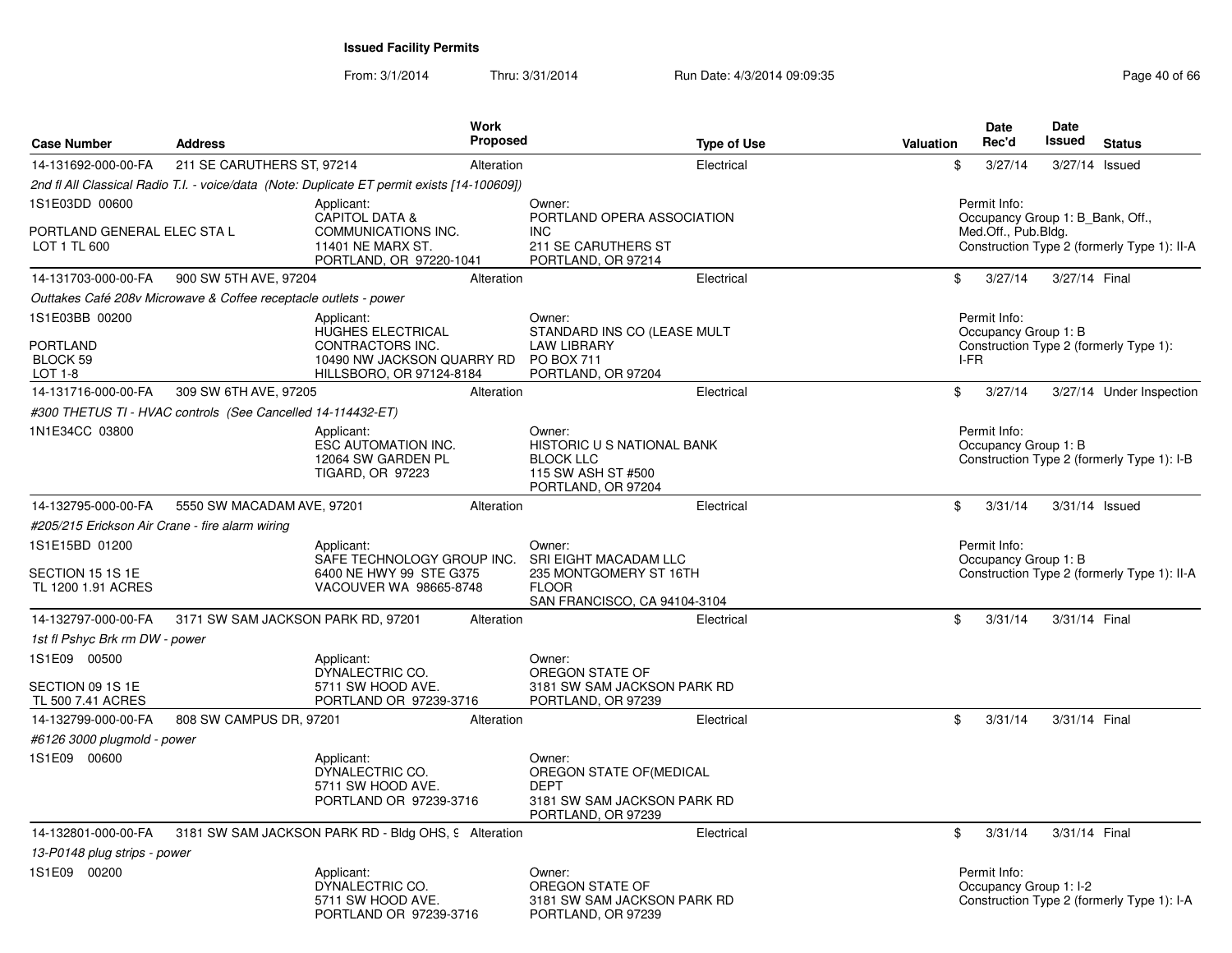| <b>Case Number</b>                                            | <b>Address</b>                                                   | <b>Work</b><br>Proposed                                                                                        |                                                                                                                  | <b>Type of Use</b> | <b>Valuation</b> | <b>Date</b><br>Rec'd                                                    | <b>Date</b><br><b>Issued</b> | <b>Status</b>                               |
|---------------------------------------------------------------|------------------------------------------------------------------|----------------------------------------------------------------------------------------------------------------|------------------------------------------------------------------------------------------------------------------|--------------------|------------------|-------------------------------------------------------------------------|------------------------------|---------------------------------------------|
| 14-131692-000-00-FA                                           | 211 SE CARUTHERS ST, 97214                                       | Alteration                                                                                                     |                                                                                                                  | Electrical         | \$               | 3/27/14                                                                 |                              | 3/27/14 Issued                              |
|                                                               |                                                                  | 2nd fl All Classical Radio T.I. - voice/data (Note: Duplicate ET permit exists [14-100609])                    |                                                                                                                  |                    |                  |                                                                         |                              |                                             |
| 1S1E03DD 00600<br>PORTLAND GENERAL ELEC STA L<br>LOT 1 TL 600 |                                                                  | Applicant:<br><b>CAPITOL DATA &amp;</b><br>COMMUNICATIONS INC.<br>11401 NE MARX ST.<br>PORTLAND, OR 97220-1041 | Owner:<br>PORTLAND OPERA ASSOCIATION<br><b>INC</b><br>211 SE CARUTHERS ST<br>PORTLAND, OR 97214                  |                    |                  | Permit Info:<br>Occupancy Group 1: B_Bank, Off.,<br>Med.Off., Pub.Bldg. |                              | Construction Type 2 (formerly Type 1): II-A |
| 14-131703-000-00-FA                                           | 900 SW 5TH AVE, 97204                                            | Alteration                                                                                                     |                                                                                                                  | Electrical         | \$               | 3/27/14                                                                 | 3/27/14 Final                |                                             |
|                                                               | Outtakes Café 208v Microwave & Coffee receptacle outlets - power |                                                                                                                |                                                                                                                  |                    |                  |                                                                         |                              |                                             |
| 1S1E03BB 00200<br><b>PORTLAND</b>                             |                                                                  | Applicant:<br><b>HUGHES ELECTRICAL</b><br>CONTRACTORS INC.                                                     | Owner:<br>STANDARD INS CO (LEASE MULT<br><b>LAW LIBRARY</b>                                                      |                    |                  | Permit Info:<br>Occupancy Group 1: B                                    |                              | Construction Type 2 (formerly Type 1):      |
| <b>BLOCK 59</b><br>LOT 1-8                                    |                                                                  | 10490 NW JACKSON QUARRY RD<br>HILLSBORO, OR 97124-8184                                                         | PO BOX 711<br>PORTLAND, OR 97204                                                                                 |                    |                  | IFR                                                                     |                              |                                             |
| 14-131716-000-00-FA                                           | 309 SW 6TH AVE, 97205                                            | Alteration                                                                                                     |                                                                                                                  | Electrical         | \$               | 3/27/14                                                                 |                              | 3/27/14 Under Inspection                    |
|                                                               | #300 THETUS TI - HVAC controls (See Cancelled 14-114432-ET)      |                                                                                                                |                                                                                                                  |                    |                  |                                                                         |                              |                                             |
| 1N1E34CC 03800                                                |                                                                  | Applicant:<br>ESC AUTOMATION INC.<br>12064 SW GARDEN PL<br>TIGARD, OR 97223                                    | Owner:<br>HISTORIC U S NATIONAL BANK<br><b>BLOCK LLC</b><br>115 SW ASH ST #500<br>PORTLAND, OR 97204             |                    |                  | Permit Info:<br>Occupancy Group 1: B                                    |                              | Construction Type 2 (formerly Type 1): I-B  |
| 14-132795-000-00-FA                                           | 5550 SW MACADAM AVE, 97201                                       | Alteration                                                                                                     |                                                                                                                  | Electrical         | \$               | 3/31/14                                                                 |                              | 3/31/14 Issued                              |
| #205/215 Erickson Air Crane - fire alarm wiring               |                                                                  |                                                                                                                |                                                                                                                  |                    |                  |                                                                         |                              |                                             |
| 1S1E15BD 01200<br>SECTION 15 1S 1E<br>TL 1200 1.91 ACRES      |                                                                  | Applicant:<br>SAFE TECHNOLOGY GROUP INC.<br>6400 NE HWY 99 STE G375<br>VACOUVER WA 98665-8748                  | Owner:<br><b>SRI EIGHT MACADAM LLC</b><br>235 MONTGOMERY ST 16TH<br><b>FLOOR</b><br>SAN FRANCISCO, CA 94104-3104 |                    |                  | Permit Info:<br>Occupancy Group 1: B                                    |                              | Construction Type 2 (formerly Type 1): II-A |
| 14-132797-000-00-FA                                           |                                                                  | 3171 SW SAM JACKSON PARK RD, 97201<br>Alteration                                                               |                                                                                                                  | Electrical         | \$               | 3/31/14                                                                 | 3/31/14 Final                |                                             |
| 1st fl Pshyc Brk rm DW - power                                |                                                                  |                                                                                                                |                                                                                                                  |                    |                  |                                                                         |                              |                                             |
| 1S1E09 00500<br>SECTION 09 1S 1E<br>TL 500 7.41 ACRES         |                                                                  | Applicant:<br>DYNALECTRIC CO.<br>5711 SW HOOD AVE.<br>PORTLAND OR 97239-3716                                   | Owner:<br>OREGON STATE OF<br>3181 SW SAM JACKSON PARK RD<br>PORTLAND, OR 97239                                   |                    |                  |                                                                         |                              |                                             |
| 14-132799-000-00-FA                                           | 808 SW CAMPUS DR, 97201                                          | Alteration                                                                                                     |                                                                                                                  | Electrical         | \$               | 3/31/14                                                                 | 3/31/14 Final                |                                             |
| #6126 3000 plugmold - power                                   |                                                                  |                                                                                                                |                                                                                                                  |                    |                  |                                                                         |                              |                                             |
| 1S1E09 00600                                                  |                                                                  | Applicant:<br>DYNALECTRIC CO.<br>5711 SW HOOD AVE.<br>PORTLAND OR 97239-3716                                   | Owner:<br>OREGON STATE OF (MEDICAL<br><b>DEPT</b><br>3181 SW SAM JACKSON PARK RD<br>PORTLAND, OR 97239           |                    |                  |                                                                         |                              |                                             |
| 14-132801-000-00-FA                                           |                                                                  | 3181 SW SAM JACKSON PARK RD - Bldg OHS, 9 Alteration                                                           |                                                                                                                  | Electrical         | \$               | 3/31/14                                                                 | 3/31/14 Final                |                                             |
| 13-P0148 plug strips - power                                  |                                                                  |                                                                                                                |                                                                                                                  |                    |                  |                                                                         |                              |                                             |
| 1S1E09 00200                                                  |                                                                  | Applicant:<br>DYNALECTRIC CO.<br>5711 SW HOOD AVE.<br>PORTLAND OR 97239-3716                                   | Owner:<br>OREGON STATE OF<br>3181 SW SAM JACKSON PARK RD<br>PORTLAND, OR 97239                                   |                    |                  | Permit Info:<br>Occupancy Group 1: I-2                                  |                              | Construction Type 2 (formerly Type 1): I-A  |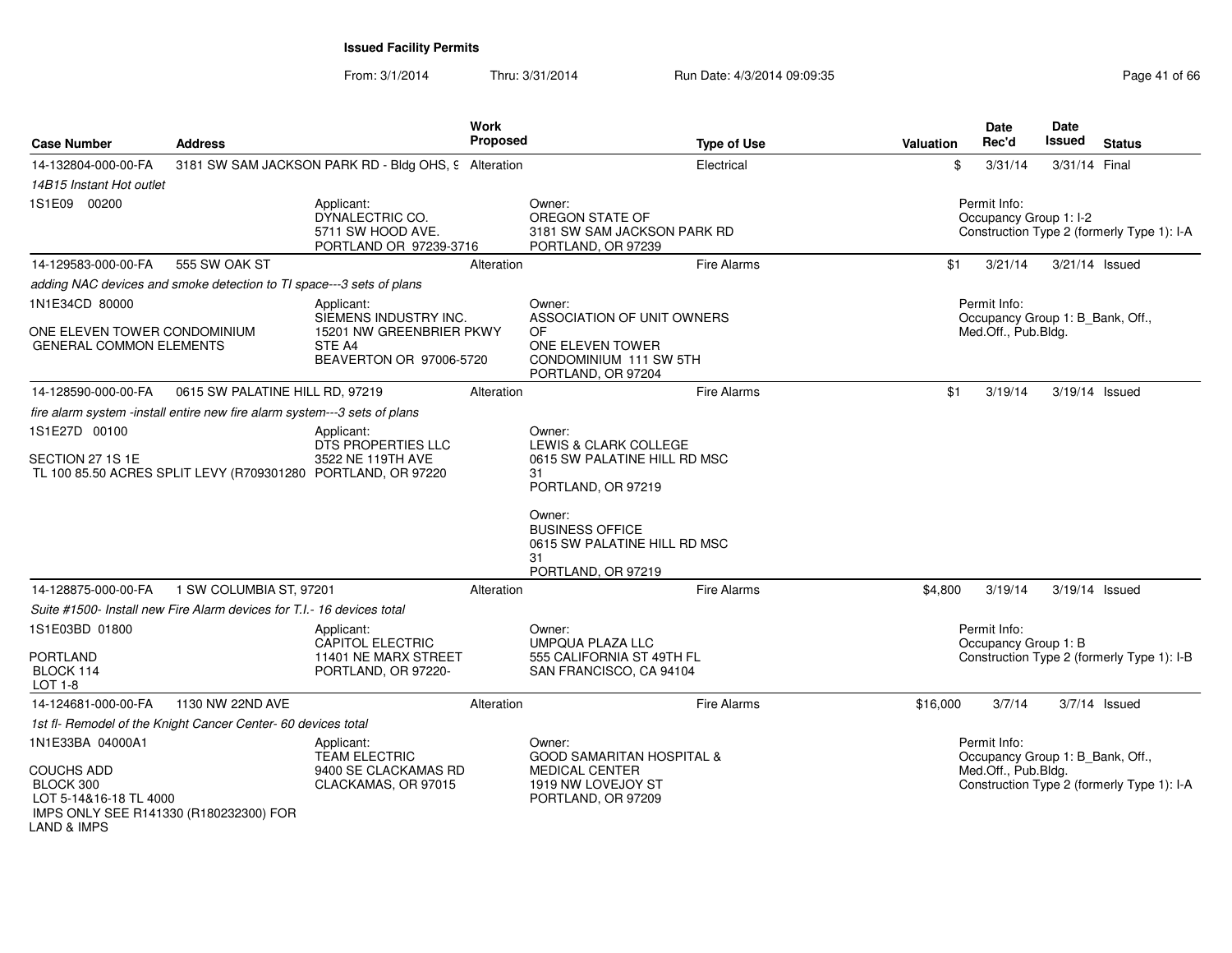| <b>Case Number</b>                                                                                                | <b>Address</b>                                                            |                                                                                   | <b>Work</b><br><b>Proposed</b> |                                                                                | <b>Type of Use</b> | <b>Valuation</b> | <b>Date</b><br>Rec'd                             | Date<br><b>Issued</b> | <b>Status</b>                              |
|-------------------------------------------------------------------------------------------------------------------|---------------------------------------------------------------------------|-----------------------------------------------------------------------------------|--------------------------------|--------------------------------------------------------------------------------|--------------------|------------------|--------------------------------------------------|-----------------------|--------------------------------------------|
| 14-132804-000-00-FA                                                                                               |                                                                           | 3181 SW SAM JACKSON PARK RD - Bldg OHS, 9 Alteration                              |                                |                                                                                | Electrical         | \$               | 3/31/14                                          | 3/31/14 Final         |                                            |
| 14B15 Instant Hot outlet                                                                                          |                                                                           |                                                                                   |                                |                                                                                |                    |                  |                                                  |                       |                                            |
| 1S1E09 00200                                                                                                      |                                                                           | Applicant:<br>DYNALECTRIC CO.<br>5711 SW HOOD AVE.<br>PORTLAND OR 97239-3716      |                                | Owner:<br>OREGON STATE OF<br>3181 SW SAM JACKSON PARK RD<br>PORTLAND, OR 97239 |                    |                  | Permit Info:<br>Occupancy Group 1: I-2           |                       | Construction Type 2 (formerly Type 1): I-A |
| 14-129583-000-00-FA                                                                                               | 555 SW OAK ST                                                             |                                                                                   | Alteration                     |                                                                                | <b>Fire Alarms</b> | \$1              | 3/21/14                                          |                       | 3/21/14 Issued                             |
|                                                                                                                   | adding NAC devices and smoke detection to TI space---3 sets of plans      |                                                                                   |                                |                                                                                |                    |                  |                                                  |                       |                                            |
| 1N1E34CD 80000                                                                                                    |                                                                           | Applicant:<br>SIEMENS INDUSTRY INC.                                               |                                | Owner:<br>ASSOCIATION OF UNIT OWNERS                                           |                    |                  | Permit Info:<br>Occupancy Group 1: B_Bank, Off., |                       |                                            |
| ONE ELEVEN TOWER CONDOMINIUM<br><b>GENERAL COMMON ELEMENTS</b>                                                    |                                                                           | 15201 NW GREENBRIER PKWY<br>STE A4<br>BEAVERTON OR 97006-5720                     |                                | OF<br>ONE ELEVEN TOWER<br>CONDOMINIUM 111 SW 5TH<br>PORTLAND, OR 97204         |                    |                  | Med.Off., Pub.Bldg.                              |                       |                                            |
| 14-128590-000-00-FA                                                                                               | 0615 SW PALATINE HILL RD, 97219                                           |                                                                                   | Alteration                     |                                                                                | <b>Fire Alarms</b> | \$1              | 3/19/14                                          |                       | 3/19/14 Issued                             |
|                                                                                                                   | fire alarm system -install entire new fire alarm system---3 sets of plans |                                                                                   |                                |                                                                                |                    |                  |                                                  |                       |                                            |
| 1S1E27D 00100                                                                                                     |                                                                           | Applicant:<br><b>DTS PROPERTIES LLC</b>                                           |                                | Owner:<br>LEWIS & CLARK COLLEGE                                                |                    |                  |                                                  |                       |                                            |
| SECTION 27 1S 1E                                                                                                  |                                                                           | 3522 NE 119TH AVE<br>TL 100 85.50 ACRES SPLIT LEVY (R709301280 PORTLAND, OR 97220 |                                | 0615 SW PALATINE HILL RD MSC<br>31<br>PORTLAND, OR 97219                       |                    |                  |                                                  |                       |                                            |
|                                                                                                                   |                                                                           |                                                                                   |                                | Owner:<br><b>BUSINESS OFFICE</b><br>0615 SW PALATINE HILL RD MSC<br>31         |                    |                  |                                                  |                       |                                            |
|                                                                                                                   |                                                                           |                                                                                   |                                | PORTLAND, OR 97219                                                             |                    |                  |                                                  |                       |                                            |
| 14-128875-000-00-FA                                                                                               | 1 SW COLUMBIA ST, 97201                                                   |                                                                                   | Alteration                     |                                                                                | <b>Fire Alarms</b> | \$4,800          | 3/19/14                                          |                       | 3/19/14 Issued                             |
|                                                                                                                   | Suite #1500- Install new Fire Alarm devices for T.I.- 16 devices total    |                                                                                   |                                |                                                                                |                    |                  |                                                  |                       |                                            |
| 1S1E03BD 01800                                                                                                    |                                                                           | Applicant:<br><b>CAPITOL ELECTRIC</b>                                             |                                | Owner:<br><b>UMPQUA PLAZA LLC</b>                                              |                    |                  | Permit Info:<br>Occupancy Group 1: B             |                       |                                            |
| <b>PORTLAND</b><br>BLOCK 114<br>LOT 1-8                                                                           |                                                                           | 11401 NE MARX STREET<br>PORTLAND, OR 97220-                                       |                                | 555 CALIFORNIA ST 49TH FL<br>SAN FRANCISCO, CA 94104                           |                    |                  |                                                  |                       | Construction Type 2 (formerly Type 1): I-B |
| 14-124681-000-00-FA                                                                                               | 1130 NW 22ND AVE                                                          |                                                                                   | Alteration                     |                                                                                | Fire Alarms        | \$16,000         | 3/7/14                                           |                       | $3/7/14$ Issued                            |
|                                                                                                                   | 1st fl- Remodel of the Knight Cancer Center- 60 devices total             |                                                                                   |                                |                                                                                |                    |                  |                                                  |                       |                                            |
| 1N1E33BA 04000A1                                                                                                  |                                                                           | Applicant:<br>TEAM ELECTRIC                                                       |                                | Owner:<br><b>GOOD SAMARITAN HOSPITAL &amp;</b>                                 |                    |                  | Permit Info:<br>Occupancy Group 1: B_Bank, Off., |                       |                                            |
| <b>COUCHS ADD</b><br>BLOCK 300<br>LOT 5-14&16-18 TL 4000<br>IMPS ONLY SEE R141330 (R180232300) FOR<br>LAND & IMPS |                                                                           | 9400 SE CLACKAMAS RD<br>CLACKAMAS, OR 97015                                       |                                | <b>MEDICAL CENTER</b><br>1919 NW LOVEJOY ST<br>PORTLAND, OR 97209              |                    |                  | Med.Off., Pub.Bldg.                              |                       | Construction Type 2 (formerly Type 1): I-A |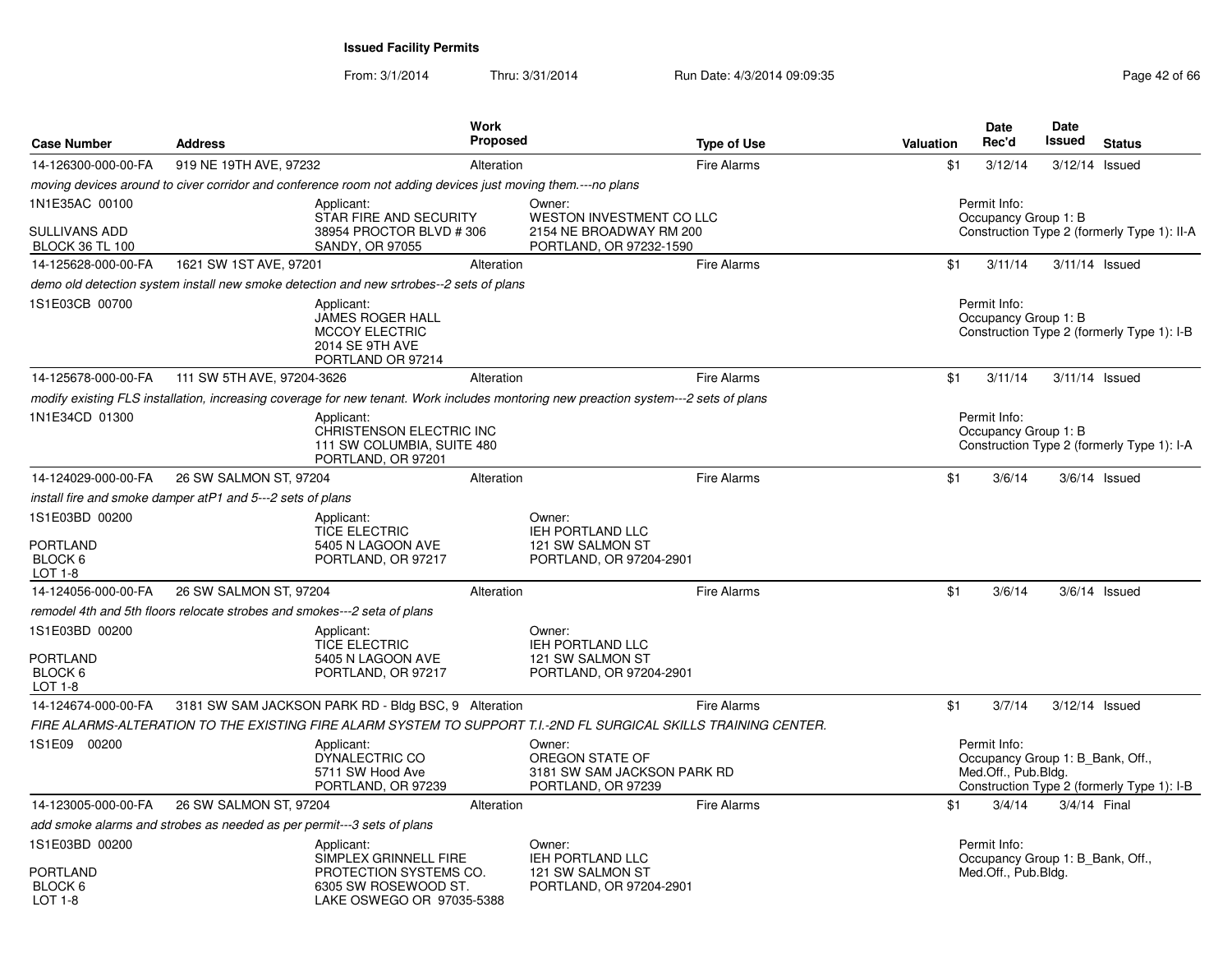| <b>Case Number</b>                                                 | <b>Address</b>                                                                                              |                                                                                                                    | <b>Work</b><br>Proposed |                                                                                                                                      | <b>Type of Use</b> | Valuation | Date<br>Rec'd                                                           | Date<br>Issued | <b>Status</b>                               |
|--------------------------------------------------------------------|-------------------------------------------------------------------------------------------------------------|--------------------------------------------------------------------------------------------------------------------|-------------------------|--------------------------------------------------------------------------------------------------------------------------------------|--------------------|-----------|-------------------------------------------------------------------------|----------------|---------------------------------------------|
| 14-126300-000-00-FA                                                | 919 NE 19TH AVE, 97232                                                                                      |                                                                                                                    | Alteration              |                                                                                                                                      | <b>Fire Alarms</b> | \$1       | 3/12/14                                                                 |                | 3/12/14 Issued                              |
|                                                                    | moving devices around to civer corridor and conference room not adding devices just moving them.---no plans |                                                                                                                    |                         |                                                                                                                                      |                    |           |                                                                         |                |                                             |
| 1N1E35AC 00100<br><b>SULLIVANS ADD</b><br><b>BLOCK 36 TL 100</b>   |                                                                                                             | Applicant:<br>STAR FIRE AND SECURITY<br>38954 PROCTOR BLVD # 306<br>SANDY, OR 97055                                |                         | Owner:<br><b>WESTON INVESTMENT CO LLC</b><br>2154 NE BROADWAY RM 200<br>PORTLAND, OR 97232-1590                                      |                    |           | Permit Info:<br>Occupancy Group 1: B                                    |                | Construction Type 2 (formerly Type 1): II-A |
| 14-125628-000-00-FA                                                | 1621 SW 1ST AVE, 97201                                                                                      |                                                                                                                    | Alteration              |                                                                                                                                      | Fire Alarms        | \$1       | 3/11/14                                                                 |                | 3/11/14 Issued                              |
|                                                                    | demo old detection system install new smoke detection and new srtrobes--2 sets of plans                     |                                                                                                                    |                         |                                                                                                                                      |                    |           |                                                                         |                |                                             |
| 1S1E03CB 00700                                                     |                                                                                                             | Applicant:<br>JAMES ROGER HALL<br><b>MCCOY ELECTRIC</b><br>2014 SE 9TH AVE<br>PORTLAND OR 97214                    |                         |                                                                                                                                      |                    |           | Permit Info:<br>Occupancy Group 1: B                                    |                | Construction Type 2 (formerly Type 1): I-B  |
| 14-125678-000-00-FA                                                | 111 SW 5TH AVE, 97204-3626                                                                                  |                                                                                                                    | Alteration              |                                                                                                                                      | <b>Fire Alarms</b> | \$1       | 3/11/14                                                                 |                | 3/11/14 Issued                              |
|                                                                    |                                                                                                             |                                                                                                                    |                         | modify existing FLS installation, increasing coverage for new tenant. Work includes montoring new preaction system---2 sets of plans |                    |           |                                                                         |                |                                             |
| 1N1E34CD 01300                                                     |                                                                                                             | Applicant:<br>CHRISTENSON ELECTRIC INC<br>111 SW COLUMBIA, SUITE 480<br>PORTLAND, OR 97201                         |                         |                                                                                                                                      |                    |           | Permit Info:<br>Occupancy Group 1: B                                    |                | Construction Type 2 (formerly Type 1): I-A  |
| 14-124029-000-00-FA                                                | 26 SW SALMON ST, 97204                                                                                      |                                                                                                                    | Alteration              |                                                                                                                                      | <b>Fire Alarms</b> | \$1       | 3/6/14                                                                  |                | $3/6/14$ Issued                             |
|                                                                    | install fire and smoke damper atP1 and 5---2 sets of plans                                                  |                                                                                                                    |                         |                                                                                                                                      |                    |           |                                                                         |                |                                             |
| 1S1E03BD 00200<br>PORTLAND<br>BLOCK 6<br>LOT 1-8                   |                                                                                                             | Applicant:<br><b>TICE ELECTRIC</b><br>5405 N LAGOON AVE<br>PORTLAND, OR 97217                                      |                         | Owner:<br>IEH PORTLAND LLC<br>121 SW SALMON ST<br>PORTLAND, OR 97204-2901                                                            |                    |           |                                                                         |                |                                             |
| 14-124056-000-00-FA                                                | 26 SW SALMON ST, 97204                                                                                      |                                                                                                                    | Alteration              |                                                                                                                                      | Fire Alarms        | \$1       | 3/6/14                                                                  |                | $3/6/14$ Issued                             |
|                                                                    | remodel 4th and 5th floors relocate strobes and smokes---2 seta of plans                                    |                                                                                                                    |                         |                                                                                                                                      |                    |           |                                                                         |                |                                             |
| 1S1E03BD 00200<br><b>PORTLAND</b><br>BLOCK <sub>6</sub><br>LOT 1-8 |                                                                                                             | Applicant:<br><b>TICE ELECTRIC</b><br>5405 N LAGOON AVE<br>PORTLAND, OR 97217                                      |                         | Owner:<br><b>IEH PORTLAND LLC</b><br>121 SW SALMON ST<br>PORTLAND, OR 97204-2901                                                     |                    |           |                                                                         |                |                                             |
| 14-124674-000-00-FA                                                | 3181 SW SAM JACKSON PARK RD - Bldg BSC, 9 Alteration                                                        |                                                                                                                    |                         |                                                                                                                                      | <b>Fire Alarms</b> | \$1       | 3/7/14                                                                  |                | 3/12/14 Issued                              |
|                                                                    |                                                                                                             |                                                                                                                    |                         | FIRE ALARMS-ALTERATION TO THE EXISTING FIRE ALARM SYSTEM TO SUPPORT T.I.-2ND FL SURGICAL SKILLS TRAINING CENTER.                     |                    |           |                                                                         |                |                                             |
| 1S1E09 00200                                                       |                                                                                                             | Applicant:<br>DYNALECTRIC CO<br>5711 SW Hood Ave<br>PORTLAND, OR 97239                                             |                         | Owner:<br>OREGON STATE OF<br>3181 SW SAM JACKSON PARK RD<br>PORTLAND, OR 97239                                                       |                    |           | Permit Info:<br>Occupancy Group 1: B Bank, Off.,<br>Med.Off., Pub.Bldg. |                | Construction Type 2 (formerly Type 1): I-B  |
| 14-123005-000-00-FA                                                | 26 SW SALMON ST, 97204                                                                                      |                                                                                                                    | Alteration              |                                                                                                                                      | <b>Fire Alarms</b> | \$1       | 3/4/14                                                                  |                | 3/4/14 Final                                |
|                                                                    | add smoke alarms and strobes as needed as per permit---3 sets of plans                                      |                                                                                                                    |                         |                                                                                                                                      |                    |           |                                                                         |                |                                             |
| 1S1E03BD 00200<br><b>PORTLAND</b><br>BLOCK 6<br>LOT 1-8            |                                                                                                             | Applicant:<br>SIMPLEX GRINNELL FIRE<br>PROTECTION SYSTEMS CO.<br>6305 SW ROSEWOOD ST.<br>LAKE OSWEGO OR 97035-5388 |                         | Owner:<br><b>IEH PORTLAND LLC</b><br>121 SW SALMON ST<br>PORTLAND, OR 97204-2901                                                     |                    |           | Permit Info:<br>Occupancy Group 1: B_Bank, Off.,<br>Med.Off., Pub.Bldg. |                |                                             |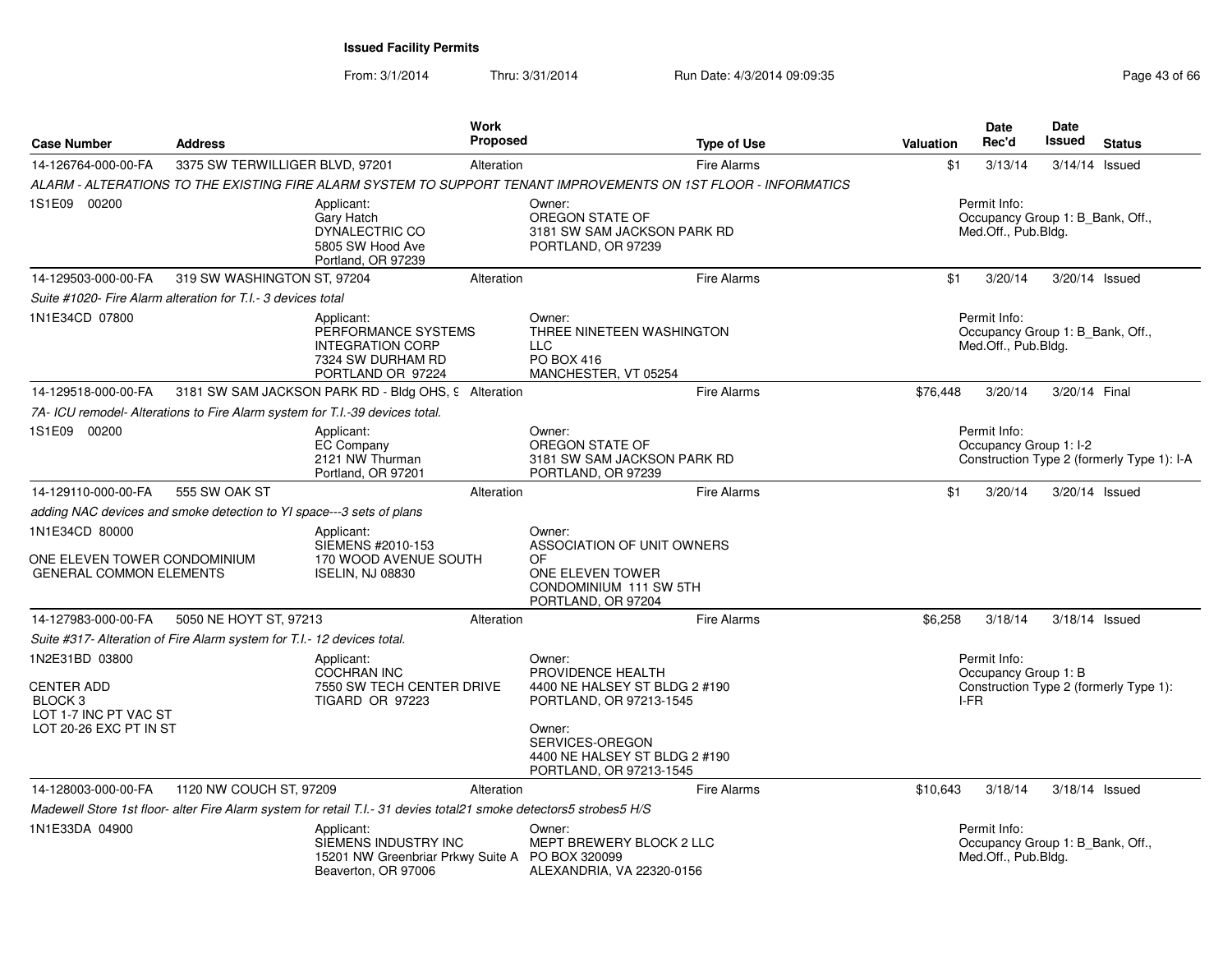| <b>Case Number</b>                                                                                           | <b>Address</b>                                                               |                                                                                                                    | <b>Work</b><br>Proposed | <b>Type of Use</b>                                                                                                                                                               | Valuation | <b>Date</b><br>Rec'd                                                    | Date<br><b>Issued</b> | <b>Status</b>                              |
|--------------------------------------------------------------------------------------------------------------|------------------------------------------------------------------------------|--------------------------------------------------------------------------------------------------------------------|-------------------------|----------------------------------------------------------------------------------------------------------------------------------------------------------------------------------|-----------|-------------------------------------------------------------------------|-----------------------|--------------------------------------------|
| 14-126764-000-00-FA                                                                                          | 3375 SW TERWILLIGER BLVD, 97201                                              |                                                                                                                    | Alteration              | <b>Fire Alarms</b>                                                                                                                                                               | \$1       | 3/13/14                                                                 |                       | $3/14/14$ Issued                           |
|                                                                                                              |                                                                              |                                                                                                                    |                         | ALARM - ALTERATIONS TO THE EXISTING FIRE ALARM SYSTEM TO SUPPORT TENANT IMPROVEMENTS ON 1ST FLOOR - INFORMATICS                                                                  |           |                                                                         |                       |                                            |
| 1S1E09 00200                                                                                                 |                                                                              | Applicant:<br>Gary Hatch<br>DYNALECTRIC CO<br>5805 SW Hood Ave<br>Portland, OR 97239                               |                         | Owner:<br>OREGON STATE OF<br>3181 SW SAM JACKSON PARK RD<br>PORTLAND, OR 97239                                                                                                   |           | Permit Info:<br>Occupancy Group 1: B_Bank, Off.,<br>Med.Off., Pub.Bldg. |                       |                                            |
| 14-129503-000-00-FA                                                                                          | 319 SW WASHINGTON ST, 97204                                                  |                                                                                                                    | Alteration              | <b>Fire Alarms</b>                                                                                                                                                               | \$1       | 3/20/14                                                                 |                       | 3/20/14 Issued                             |
|                                                                                                              | Suite #1020- Fire Alarm alteration for T.I.- 3 devices total                 |                                                                                                                    |                         |                                                                                                                                                                                  |           |                                                                         |                       |                                            |
| 1N1E34CD 07800                                                                                               |                                                                              | Applicant:<br>PERFORMANCE SYSTEMS<br><b>INTEGRATION CORP</b><br>7324 SW DURHAM RD<br>PORTLAND OR 97224             |                         | Owner:<br>THREE NINETEEN WASHINGTON<br><b>LLC</b><br>PO BOX 416<br>MANCHESTER, VT 05254                                                                                          |           | Permit Info:<br>Occupancy Group 1: B_Bank, Off.,<br>Med.Off., Pub.Bldg. |                       |                                            |
| 14-129518-000-00-FA                                                                                          |                                                                              | 3181 SW SAM JACKSON PARK RD - Bldg OHS, 9 Alteration                                                               |                         | Fire Alarms                                                                                                                                                                      | \$76,448  | 3/20/14                                                                 | 3/20/14 Final         |                                            |
|                                                                                                              | 7A- ICU remodel- Alterations to Fire Alarm system for T.I.-39 devices total. |                                                                                                                    |                         |                                                                                                                                                                                  |           |                                                                         |                       |                                            |
| 1S1E09 00200                                                                                                 |                                                                              | Applicant:<br><b>EC Company</b><br>2121 NW Thurman<br>Portland, OR 97201                                           |                         | Owner:<br>OREGON STATE OF<br>3181 SW SAM JACKSON PARK RD<br>PORTLAND, OR 97239                                                                                                   |           | Permit Info:<br>Occupancy Group 1: I-2                                  |                       | Construction Type 2 (formerly Type 1): I-A |
| 14-129110-000-00-FA                                                                                          | 555 SW OAK ST                                                                |                                                                                                                    | Alteration              | <b>Fire Alarms</b>                                                                                                                                                               | \$1       | 3/20/14                                                                 |                       | 3/20/14 Issued                             |
|                                                                                                              | adding NAC devices and smoke detection to YI space---3 sets of plans         |                                                                                                                    |                         |                                                                                                                                                                                  |           |                                                                         |                       |                                            |
| 1N1E34CD 80000<br>ONE ELEVEN TOWER CONDOMINIUM<br><b>GENERAL COMMON ELEMENTS</b>                             |                                                                              | Applicant:<br>SIEMENS #2010-153<br>170 WOOD AVENUE SOUTH<br><b>ISELIN, NJ 08830</b>                                |                         | Owner:<br>ASSOCIATION OF UNIT OWNERS<br>OF<br>ONE ELEVEN TOWER<br>CONDOMINIUM 111 SW 5TH<br>PORTLAND, OR 97204                                                                   |           |                                                                         |                       |                                            |
| 14-127983-000-00-FA                                                                                          | 5050 NE HOYT ST, 97213                                                       |                                                                                                                    | Alteration              | <b>Fire Alarms</b>                                                                                                                                                               | \$6.258   | 3/18/14                                                                 |                       | 3/18/14 Issued                             |
|                                                                                                              | Suite #317- Alteration of Fire Alarm system for T.I.- 12 devices total.      |                                                                                                                    |                         |                                                                                                                                                                                  |           |                                                                         |                       |                                            |
| 1N2E31BD 03800<br><b>CENTER ADD</b><br>BLOCK <sub>3</sub><br>LOT 1-7 INC PT VAC ST<br>LOT 20-26 EXC PT IN ST |                                                                              | Applicant:<br><b>COCHRAN INC</b><br>7550 SW TECH CENTER DRIVE<br>TIGARD OR 97223                                   |                         | Owner:<br>PROVIDENCE HEALTH<br>4400 NE HALSEY ST BLDG 2 #190<br>PORTLAND, OR 97213-1545<br>Owner:<br>SERVICES-OREGON<br>4400 NE HALSEY ST BLDG 2 #190<br>PORTLAND, OR 97213-1545 |           | Permit Info:<br>Occupancy Group 1: B<br>I-FR                            |                       | Construction Type 2 (formerly Type 1):     |
| 14-128003-000-00-FA                                                                                          | 1120 NW COUCH ST, 97209                                                      |                                                                                                                    | Alteration              | <b>Fire Alarms</b>                                                                                                                                                               | \$10,643  | 3/18/14                                                                 |                       | $3/18/14$ Issued                           |
|                                                                                                              |                                                                              | Madewell Store 1st floor- alter Fire Alarm system for retail T.I.- 31 devies total21 smoke detectors5 strobes5 H/S |                         |                                                                                                                                                                                  |           |                                                                         |                       |                                            |
| 1N1E33DA 04900                                                                                               |                                                                              | Applicant:<br>SIEMENS INDUSTRY INC<br>15201 NW Greenbriar Prkwy Suite A<br>Beaverton, OR 97006                     |                         | Owner:<br>MEPT BREWERY BLOCK 2 LLC<br>PO BOX 320099<br>ALEXANDRIA, VA 22320-0156                                                                                                 |           | Permit Info:<br>Occupancy Group 1: B Bank, Off.,<br>Med.Off., Pub.Bldg. |                       |                                            |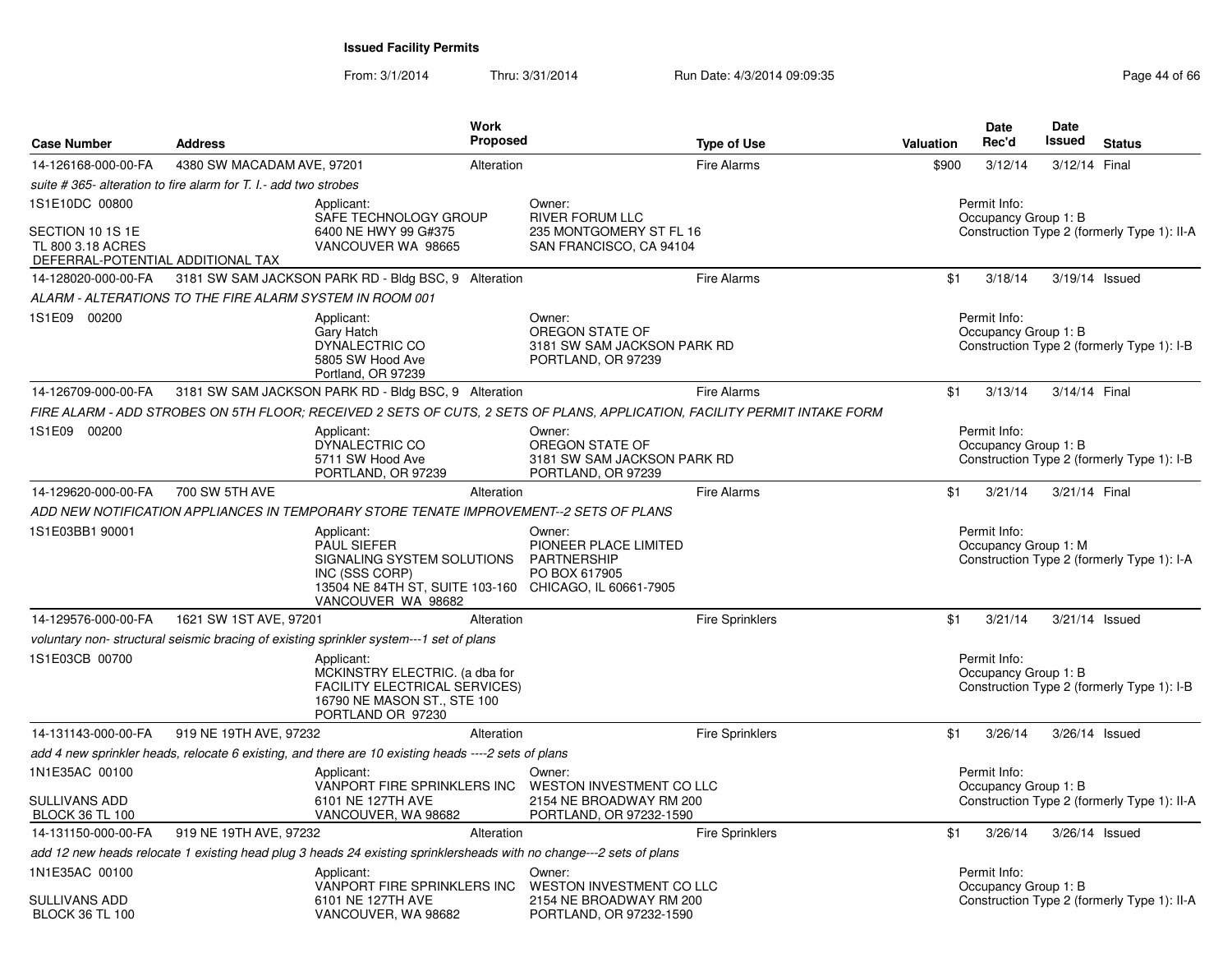From: 3/1/2014

| <b>Case Number</b>                                                         | <b>Address</b>                                                  | Work<br>Proposed                                                                                                                                                 | <b>Type of Use</b>                                                                                                        | <b>Valuation</b> | <b>Date</b><br>Rec'd                 | <b>Date</b><br><b>Issued</b> | <b>Status</b>                               |
|----------------------------------------------------------------------------|-----------------------------------------------------------------|------------------------------------------------------------------------------------------------------------------------------------------------------------------|---------------------------------------------------------------------------------------------------------------------------|------------------|--------------------------------------|------------------------------|---------------------------------------------|
| 14-126168-000-00-FA                                                        | 4380 SW MACADAM AVE, 97201                                      | Alteration                                                                                                                                                       | <b>Fire Alarms</b>                                                                                                        | \$900            | 3/12/14                              | 3/12/14 Final                |                                             |
|                                                                            | suite #365- alteration to fire alarm for T. I.- add two strobes |                                                                                                                                                                  |                                                                                                                           |                  |                                      |                              |                                             |
| 1S1E10DC 00800                                                             |                                                                 | Applicant:<br>SAFE TECHNOLOGY GROUP                                                                                                                              | Owner:<br><b>RIVER FORUM LLC</b>                                                                                          |                  | Permit Info:<br>Occupancy Group 1: B |                              |                                             |
| SECTION 10 1S 1E<br>TL 800 3.18 ACRES<br>DEFERRAL-POTENTIAL ADDITIONAL TAX |                                                                 | 6400 NE HWY 99 G#375<br>VANCOUVER WA 98665                                                                                                                       | 235 MONTGOMERY ST FL 16<br>SAN FRANCISCO, CA 94104                                                                        |                  |                                      |                              | Construction Type 2 (formerly Type 1): II-A |
| 14-128020-000-00-FA                                                        |                                                                 | 3181 SW SAM JACKSON PARK RD - Bldg BSC, 9 Alteration                                                                                                             | <b>Fire Alarms</b>                                                                                                        | \$1              | 3/18/14                              | 3/19/14 Issued               |                                             |
|                                                                            | ALARM - ALTERATIONS TO THE FIRE ALARM SYSTEM IN ROOM 001        |                                                                                                                                                                  |                                                                                                                           |                  |                                      |                              |                                             |
| 1S1E09 00200                                                               |                                                                 | Applicant:<br>Gary Hatch<br>DYNALECTRIC CO<br>5805 SW Hood Ave<br>Portland, OR 97239                                                                             | Owner:<br>OREGON STATE OF<br>3181 SW SAM JACKSON PARK RD<br>PORTLAND, OR 97239                                            |                  | Permit Info:<br>Occupancy Group 1: B |                              | Construction Type 2 (formerly Type 1): I-B  |
| 14-126709-000-00-FA                                                        |                                                                 | 3181 SW SAM JACKSON PARK RD - Bldg BSC, 9 Alteration                                                                                                             | <b>Fire Alarms</b>                                                                                                        | \$1              | 3/13/14                              | 3/14/14 Final                |                                             |
|                                                                            |                                                                 |                                                                                                                                                                  | FIRE ALARM - ADD STROBES ON 5TH FLOOR; RECEIVED 2 SETS OF CUTS, 2 SETS OF PLANS, APPLICATION, FACILITY PERMIT INTAKE FORM |                  |                                      |                              |                                             |
| 1S1E09 00200                                                               |                                                                 | Applicant:<br>DYNALECTRIC CO<br>5711 SW Hood Ave<br>PORTLAND, OR 97239                                                                                           | Owner:<br>OREGON STATE OF<br>3181 SW SAM JACKSON PARK RD<br>PORTLAND, OR 97239                                            |                  | Permit Info:<br>Occupancy Group 1: B |                              | Construction Type 2 (formerly Type 1): I-B  |
| 14-129620-000-00-FA                                                        | 700 SW 5TH AVE                                                  | Alteration                                                                                                                                                       | <b>Fire Alarms</b>                                                                                                        | \$1              | 3/21/14                              | 3/21/14 Final                |                                             |
|                                                                            |                                                                 | ADD NEW NOTIFICATION APPLIANCES IN TEMPORARY STORE TENATE IMPROVEMENT--2 SETS OF PLANS                                                                           |                                                                                                                           |                  |                                      |                              |                                             |
| 1S1E03BB1 90001                                                            |                                                                 | Applicant:<br><b>PAUL SIEFER</b><br>SIGNALING SYSTEM SOLUTIONS<br>INC (SSS CORP)<br>13504 NE 84TH ST, SUITE 103-160 CHICAGO, IL 60661-7905<br>VANCOUVER WA 98682 | Owner:<br>PIONEER PLACE LIMITED<br><b>PARTNERSHIP</b><br>PO BOX 617905                                                    |                  | Permit Info:<br>Occupancy Group 1: M |                              | Construction Type 2 (formerly Type 1): I-A  |
| 14-129576-000-00-FA                                                        | 1621 SW 1ST AVE, 97201                                          | Alteration                                                                                                                                                       | <b>Fire Sprinklers</b>                                                                                                    | \$1              | 3/21/14                              | 3/21/14 Issued               |                                             |
|                                                                            |                                                                 | voluntary non- structural seismic bracing of existing sprinkler system---1 set of plans                                                                          |                                                                                                                           |                  |                                      |                              |                                             |
| 1S1E03CB 00700                                                             |                                                                 | Applicant:<br>MCKINSTRY ELECTRIC. (a dba for<br><b>FACILITY ELECTRICAL SERVICES)</b><br>16790 NE MASON ST., STE 100<br>PORTLAND OR 97230                         |                                                                                                                           |                  | Permit Info:<br>Occupancy Group 1: B |                              | Construction Type 2 (formerly Type 1): I-B  |
| 14-131143-000-00-FA                                                        | 919 NE 19TH AVE, 97232                                          | Alteration                                                                                                                                                       | <b>Fire Sprinklers</b>                                                                                                    | \$1              | 3/26/14                              | $3/26/14$ Issued             |                                             |
|                                                                            |                                                                 | add 4 new sprinkler heads, relocate 6 existing, and there are 10 existing heads ----2 sets of plans                                                              |                                                                                                                           |                  |                                      |                              |                                             |
| 1N1E35AC 00100                                                             |                                                                 | Applicant:                                                                                                                                                       | Owner:                                                                                                                    |                  | Permit Info:                         |                              |                                             |
| <b>SULLIVANS ADD</b><br><b>BLOCK 36 TL 100</b>                             |                                                                 | VANPORT FIRE SPRINKLERS INC WESTON INVESTMENT CO LLC<br>6101 NE 127TH AVE<br>VANCOUVER, WA 98682                                                                 | 2154 NE BROADWAY RM 200<br>PORTLAND, OR 97232-1590                                                                        |                  | Occupancy Group 1: B                 |                              | Construction Type 2 (formerly Type 1): II-A |
| 14-131150-000-00-FA                                                        | 919 NE 19TH AVE, 97232                                          | Alteration                                                                                                                                                       | <b>Fire Sprinklers</b>                                                                                                    | \$1              | 3/26/14                              | $3/26/14$ Issued             |                                             |
|                                                                            |                                                                 | add 12 new heads relocate 1 existing head plug 3 heads 24 existing sprinklersheads with no change---2 sets of plans                                              |                                                                                                                           |                  |                                      |                              |                                             |
| 1N1E35AC 00100<br><b>SULLIVANS ADD</b><br><b>BLOCK 36 TL 100</b>           |                                                                 | Applicant:<br>VANPORT FIRE SPRINKLERS INC<br>6101 NE 127TH AVE<br>VANCOUVER, WA 98682                                                                            | Owner:<br>WESTON INVESTMENT CO LLC<br>2154 NE BROADWAY RM 200<br>PORTLAND, OR 97232-1590                                  |                  | Permit Info:<br>Occupancy Group 1: B |                              | Construction Type 2 (formerly Type 1): II-A |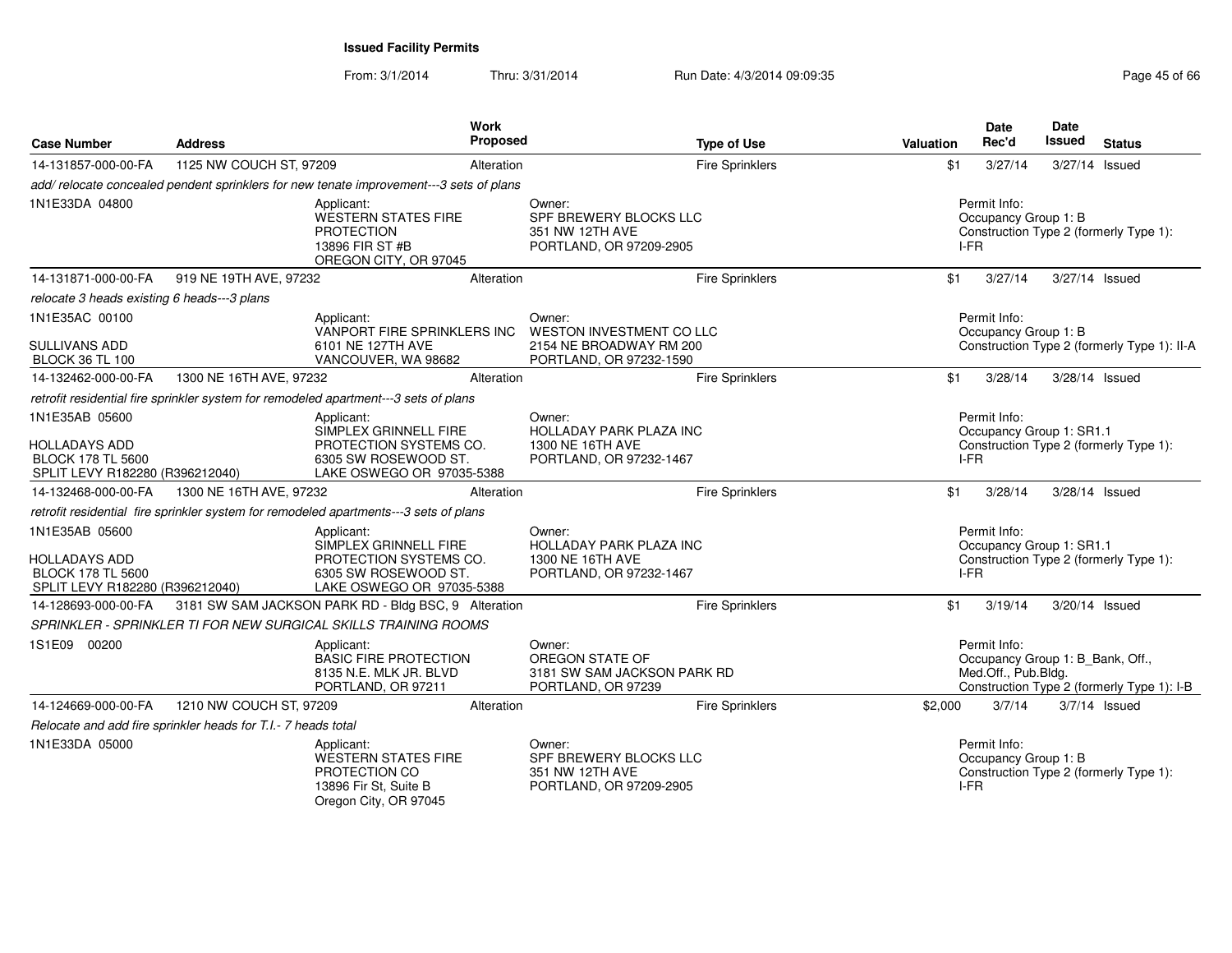| <b>Case Number</b>                                                                                    | <b>Address</b>                                                | Work<br>Proposed                                                                                                   |                                                                                  | <b>Type of Use</b>     | <b>Valuation</b> | Date<br>Rec'd                                                           | <b>Date</b><br>Issued | <b>Status</b>                               |
|-------------------------------------------------------------------------------------------------------|---------------------------------------------------------------|--------------------------------------------------------------------------------------------------------------------|----------------------------------------------------------------------------------|------------------------|------------------|-------------------------------------------------------------------------|-----------------------|---------------------------------------------|
| 14-131857-000-00-FA                                                                                   | 1125 NW COUCH ST, 97209                                       | Alteration                                                                                                         |                                                                                  | <b>Fire Sprinklers</b> | \$1              | 3/27/14                                                                 |                       | 3/27/14 Issued                              |
|                                                                                                       |                                                               | add/relocate concealed pendent sprinklers for new tenate improvement---3 sets of plans                             |                                                                                  |                        |                  |                                                                         |                       |                                             |
| 1N1E33DA 04800                                                                                        |                                                               | Applicant:<br><b>WESTERN STATES FIRE</b><br><b>PROTECTION</b><br>13896 FIR ST #B<br>OREGON CITY, OR 97045          | Owner:<br>SPF BREWERY BLOCKS LLC<br>351 NW 12TH AVE<br>PORTLAND, OR 97209-2905   |                        | I-FR             | Permit Info:<br>Occupancy Group 1: B                                    |                       | Construction Type 2 (formerly Type 1):      |
| 14-131871-000-00-FA                                                                                   | 919 NE 19TH AVE, 97232                                        | Alteration                                                                                                         |                                                                                  | Fire Sprinklers        | \$1              | 3/27/14                                                                 |                       | 3/27/14 Issued                              |
| relocate 3 heads existing 6 heads---3 plans                                                           |                                                               |                                                                                                                    |                                                                                  |                        |                  |                                                                         |                       |                                             |
| 1N1E35AC 00100                                                                                        |                                                               | Applicant:                                                                                                         | Owner:<br><b>WESTON INVESTMENT CO LLC</b>                                        |                        |                  | Permit Info:                                                            |                       |                                             |
| SULLIVANS ADD<br><b>BLOCK 36 TL 100</b>                                                               |                                                               | VANPORT FIRE SPRINKLERS INC<br>6101 NE 127TH AVE<br>VANCOUVER, WA 98682                                            | 2154 NE BROADWAY RM 200<br>PORTLAND, OR 97232-1590                               |                        |                  | Occupancy Group 1: B                                                    |                       | Construction Type 2 (formerly Type 1): II-A |
| 14-132462-000-00-FA                                                                                   | 1300 NE 16TH AVE, 97232                                       | Alteration                                                                                                         |                                                                                  | <b>Fire Sprinklers</b> | \$1              | 3/28/14                                                                 |                       | 3/28/14 Issued                              |
|                                                                                                       |                                                               | retrofit residential fire sprinkler system for remodeled apartment---3 sets of plans                               |                                                                                  |                        |                  |                                                                         |                       |                                             |
| 1N1E35AB 05600<br><b>HOLLADAYS ADD</b>                                                                |                                                               | Applicant:<br>SIMPLEX GRINNELL FIRE<br>PROTECTION SYSTEMS CO.                                                      | Owner:<br><b>HOLLADAY PARK PLAZA INC</b><br>1300 NE 16TH AVE                     |                        |                  | Permit Info:<br>Occupancy Group 1: SR1.1                                |                       | Construction Type 2 (formerly Type 1):      |
| <b>BLOCK 178 TL 5600</b><br>SPLIT LEVY R182280 (R396212040)                                           |                                                               | 6305 SW ROSEWOOD ST.<br>LAKE OSWEGO OR 97035-5388                                                                  | PORTLAND, OR 97232-1467                                                          |                        | I-FR             |                                                                         |                       |                                             |
| 14-132468-000-00-FA                                                                                   | 1300 NE 16TH AVE, 97232                                       | Alteration                                                                                                         |                                                                                  | <b>Fire Sprinklers</b> | \$1              | 3/28/14                                                                 |                       | 3/28/14 Issued                              |
|                                                                                                       |                                                               | retrofit residential fire sprinkler system for remodeled apartments---3 sets of plans                              |                                                                                  |                        |                  |                                                                         |                       |                                             |
| 1N1E35AB 05600<br><b>HOLLADAYS ADD</b><br><b>BLOCK 178 TL 5600</b><br>SPLIT LEVY R182280 (R396212040) |                                                               | Applicant:<br>SIMPLEX GRINNELL FIRE<br>PROTECTION SYSTEMS CO.<br>6305 SW ROSEWOOD ST.<br>LAKE OSWEGO OR 97035-5388 | Owner:<br>HOLLADAY PARK PLAZA INC<br>1300 NE 16TH AVE<br>PORTLAND, OR 97232-1467 |                        | I-FR             | Permit Info:<br>Occupancy Group 1: SR1.1                                |                       | Construction Type 2 (formerly Type 1):      |
| 14-128693-000-00-FA                                                                                   |                                                               | 3181 SW SAM JACKSON PARK RD - Bldg BSC, 9 Alteration                                                               |                                                                                  | Fire Sprinklers        | \$1              | 3/19/14                                                                 |                       | 3/20/14 Issued                              |
|                                                                                                       |                                                               | SPRINKLER - SPRINKLER TI FOR NEW SURGICAL SKILLS TRAINING ROOMS                                                    |                                                                                  |                        |                  |                                                                         |                       |                                             |
| 1S1E09 00200                                                                                          |                                                               | Applicant:<br><b>BASIC FIRE PROTECTION</b><br>8135 N.E. MLK JR. BLVD<br>PORTLAND, OR 97211                         | Owner:<br>OREGON STATE OF<br>3181 SW SAM JACKSON PARK RD<br>PORTLAND, OR 97239   |                        |                  | Permit Info:<br>Occupancy Group 1: B_Bank, Off.,<br>Med.Off., Pub.Bldg. |                       | Construction Type 2 (formerly Type 1): I-B  |
| 14-124669-000-00-FA                                                                                   | 1210 NW COUCH ST, 97209                                       | Alteration                                                                                                         |                                                                                  | Fire Sprinklers        | \$2,000          | 3/7/14                                                                  |                       | $3/7/14$ Issued                             |
|                                                                                                       | Relocate and add fire sprinkler heads for T.I.- 7 heads total |                                                                                                                    |                                                                                  |                        |                  |                                                                         |                       |                                             |
| 1N1E33DA 05000                                                                                        |                                                               | Applicant:<br>WESTERN STATES FIRE<br>PROTECTION CO<br>13896 Fir St, Suite B<br>Oregon City, OR 97045               | Owner:<br>SPF BREWERY BLOCKS LLC<br>351 NW 12TH AVE<br>PORTLAND, OR 97209-2905   |                        | I-FR             | Permit Info:<br>Occupancy Group 1: B                                    |                       | Construction Type 2 (formerly Type 1):      |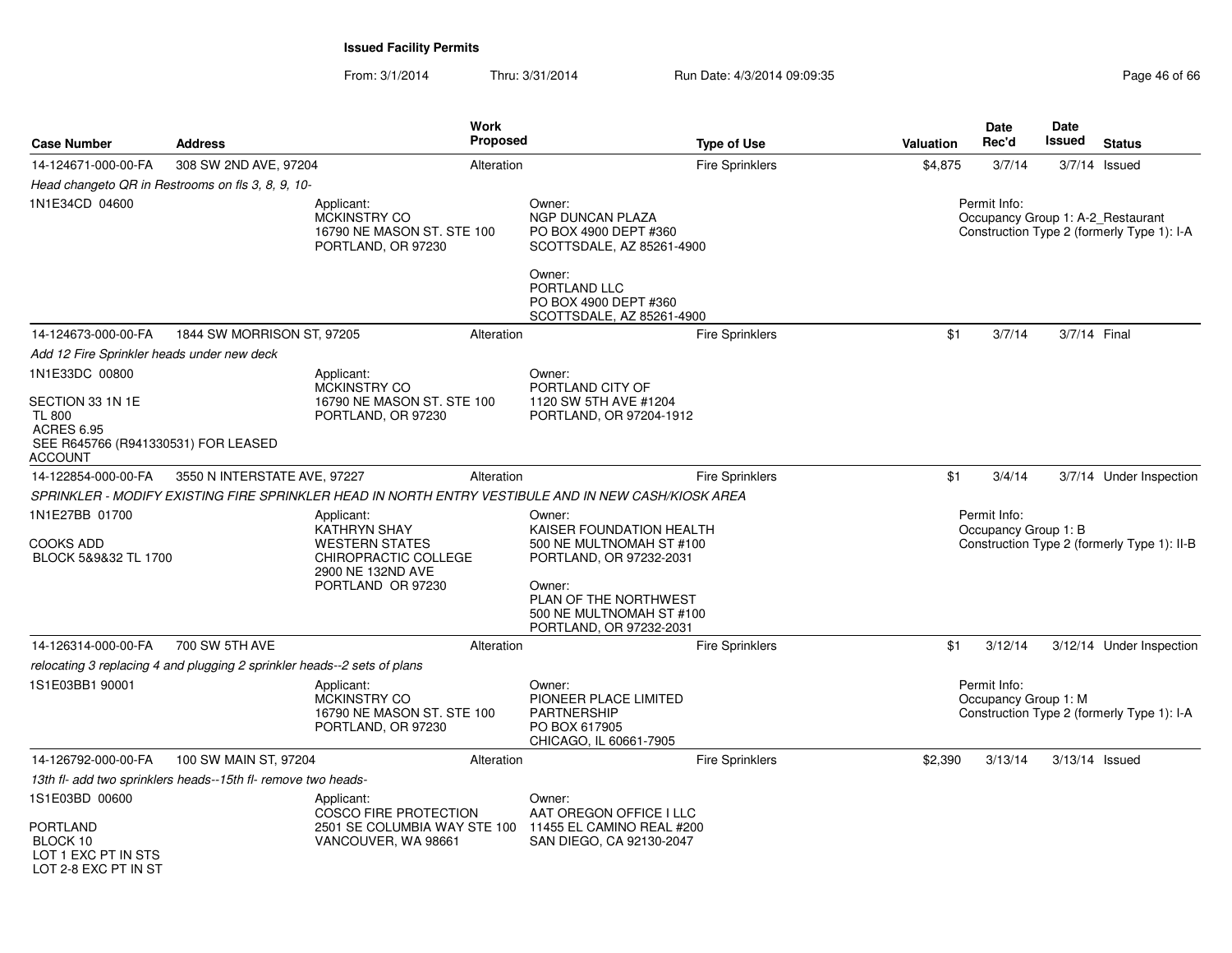| <b>Case Number</b>                                                                                              | <b>Address</b>                                                           | <b>Work</b><br><b>Proposed</b>                                                                                        |                                                                                                                                                                                     | <b>Type of Use</b>     | Valuation | Date<br>Rec'd                        | Date<br>Issued | <b>Status</b>                                                                   |
|-----------------------------------------------------------------------------------------------------------------|--------------------------------------------------------------------------|-----------------------------------------------------------------------------------------------------------------------|-------------------------------------------------------------------------------------------------------------------------------------------------------------------------------------|------------------------|-----------|--------------------------------------|----------------|---------------------------------------------------------------------------------|
| 14-124671-000-00-FA                                                                                             | 308 SW 2ND AVE, 97204                                                    | Alteration                                                                                                            |                                                                                                                                                                                     | <b>Fire Sprinklers</b> | \$4,875   | 3/7/14                               |                | $3/7/14$ Issued                                                                 |
|                                                                                                                 | Head changeto QR in Restrooms on fls 3, 8, 9, 10-                        |                                                                                                                       |                                                                                                                                                                                     |                        |           |                                      |                |                                                                                 |
| 1N1E34CD 04600                                                                                                  |                                                                          | Applicant:<br><b>MCKINSTRY CO</b><br>16790 NE MASON ST. STE 100<br>PORTLAND, OR 97230                                 | Owner:<br><b>NGP DUNCAN PLAZA</b><br>PO BOX 4900 DEPT #360<br>SCOTTSDALE, AZ 85261-4900<br>Owner:<br>PORTLAND LLC                                                                   |                        |           | Permit Info:                         |                | Occupancy Group 1: A-2 Restaurant<br>Construction Type 2 (formerly Type 1): I-A |
|                                                                                                                 |                                                                          |                                                                                                                       | PO BOX 4900 DEPT #360<br>SCOTTSDALE, AZ 85261-4900                                                                                                                                  |                        |           |                                      |                |                                                                                 |
| 14-124673-000-00-FA                                                                                             | 1844 SW MORRISON ST, 97205                                               | Alteration                                                                                                            |                                                                                                                                                                                     | <b>Fire Sprinklers</b> | \$1       | 3/7/14                               | 3/7/14 Final   |                                                                                 |
| Add 12 Fire Sprinkler heads under new deck                                                                      |                                                                          |                                                                                                                       |                                                                                                                                                                                     |                        |           |                                      |                |                                                                                 |
| 1N1E33DC 00800                                                                                                  |                                                                          | Applicant:                                                                                                            | Owner:                                                                                                                                                                              |                        |           |                                      |                |                                                                                 |
| SECTION 33 1N 1E<br><b>TL 800</b><br><b>ACRES 6.95</b><br>SEE R645766 (R941330531) FOR LEASED<br><b>ACCOUNT</b> |                                                                          | <b>MCKINSTRY CO</b><br>16790 NE MASON ST. STE 100<br>PORTLAND, OR 97230                                               | PORTLAND CITY OF<br>1120 SW 5TH AVE #1204<br>PORTLAND, OR 97204-1912                                                                                                                |                        |           |                                      |                |                                                                                 |
| 14-122854-000-00-FA                                                                                             | 3550 N INTERSTATE AVE, 97227                                             | Alteration                                                                                                            |                                                                                                                                                                                     | <b>Fire Sprinklers</b> | \$1       | 3/4/14                               |                | 3/7/14 Under Inspection                                                         |
|                                                                                                                 |                                                                          | SPRINKLER - MODIFY EXISTING FIRE SPRINKLER HEAD IN NORTH ENTRY VESTIBULE AND IN NEW CASH/KIOSK AREA                   |                                                                                                                                                                                     |                        |           |                                      |                |                                                                                 |
| 1N1E27BB 01700<br>COOKS ADD<br>BLOCK 5&9&32 TL 1700                                                             |                                                                          | Applicant:<br>KATHRYN SHAY<br><b>WESTERN STATES</b><br>CHIROPRACTIC COLLEGE<br>2900 NE 132ND AVE<br>PORTLAND OR 97230 | Owner:<br>KAISER FOUNDATION HEALTH<br>500 NE MULTNOMAH ST #100<br>PORTLAND, OR 97232-2031<br>Owner:<br>PLAN OF THE NORTHWEST<br>500 NE MULTNOMAH ST #100<br>PORTLAND, OR 97232-2031 |                        |           | Permit Info:<br>Occupancy Group 1: B |                | Construction Type 2 (formerly Type 1): II-B                                     |
| 14-126314-000-00-FA                                                                                             | 700 SW 5TH AVE                                                           | Alteration                                                                                                            |                                                                                                                                                                                     | Fire Sprinklers        | \$1       | 3/12/14                              |                | 3/12/14 Under Inspection                                                        |
|                                                                                                                 | relocating 3 replacing 4 and plugging 2 sprinkler heads--2 sets of plans |                                                                                                                       |                                                                                                                                                                                     |                        |           |                                      |                |                                                                                 |
| 1S1E03BB1 90001                                                                                                 |                                                                          | Applicant:<br><b>MCKINSTRY CO</b><br>16790 NE MASON ST. STE 100<br>PORTLAND, OR 97230                                 | Owner:<br>PIONEER PLACE LIMITED<br><b>PARTNERSHIP</b><br>PO BOX 617905<br>CHICAGO, IL 60661-7905                                                                                    |                        |           | Permit Info:<br>Occupancy Group 1: M |                | Construction Type 2 (formerly Type 1): I-A                                      |
| 14-126792-000-00-FA                                                                                             | 100 SW MAIN ST, 97204                                                    | Alteration                                                                                                            |                                                                                                                                                                                     | Fire Sprinklers        | \$2,390   | 3/13/14                              | 3/13/14 Issued |                                                                                 |
|                                                                                                                 | 13th fl- add two sprinklers heads--15th fl- remove two heads-            |                                                                                                                       |                                                                                                                                                                                     |                        |           |                                      |                |                                                                                 |
| 1S1E03BD 00600<br>PORTLAND<br>BLOCK 10<br>LOT 1 EXC PT IN STS<br>LOT 2-8 EXC PT IN ST                           |                                                                          | Applicant:<br><b>COSCO FIRE PROTECTION</b><br>2501 SE COLUMBIA WAY STE 100<br>VANCOUVER, WA 98661                     | Owner:<br>AAT OREGON OFFICE I LLC<br>11455 EL CAMINO REAL #200<br>SAN DIEGO, CA 92130-2047                                                                                          |                        |           |                                      |                |                                                                                 |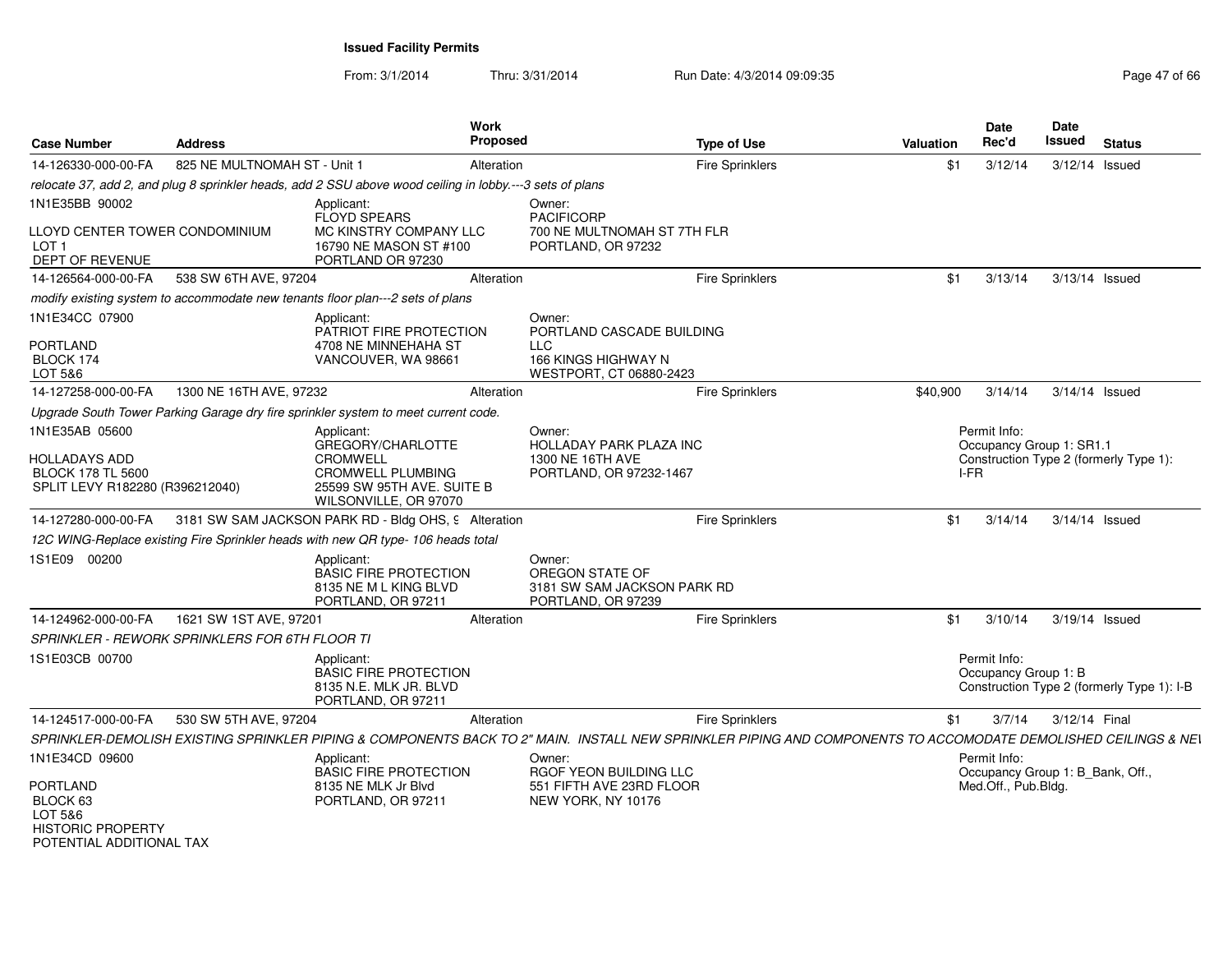| <b>Case Number</b>                                                                                    | <b>Address</b>                                        |                                                                                                                         | Work<br>Proposed |                                                                                                                                                                | <b>Type of Use</b>     | Valuation | <b>Date</b><br>Rec'd                                                    | Date<br>Issued | <b>Status</b>                              |
|-------------------------------------------------------------------------------------------------------|-------------------------------------------------------|-------------------------------------------------------------------------------------------------------------------------|------------------|----------------------------------------------------------------------------------------------------------------------------------------------------------------|------------------------|-----------|-------------------------------------------------------------------------|----------------|--------------------------------------------|
| 14-126330-000-00-FA                                                                                   | 825 NE MULTNOMAH ST - Unit 1                          |                                                                                                                         | Alteration       |                                                                                                                                                                | Fire Sprinklers        | \$1       | 3/12/14                                                                 | 3/12/14 Issued |                                            |
|                                                                                                       |                                                       | relocate 37, add 2, and plug 8 sprinkler heads, add 2 SSU above wood ceiling in lobby .--- 3 sets of plans              |                  |                                                                                                                                                                |                        |           |                                                                         |                |                                            |
| 1N1E35BB 90002<br>LLOYD CENTER TOWER CONDOMINIUM<br>LOT <sub>1</sub>                                  |                                                       | Applicant:<br>FLOYD SPEARS<br>MC KINSTRY COMPANY LLC<br>16790 NE MASON ST #100                                          |                  | Owner:<br><b>PACIFICORP</b><br>700 NE MULTNOMAH ST 7TH FLR<br>PORTLAND, OR 97232                                                                               |                        |           |                                                                         |                |                                            |
| DEPT OF REVENUE                                                                                       |                                                       | PORTLAND OR 97230                                                                                                       |                  |                                                                                                                                                                |                        |           |                                                                         |                |                                            |
| 14-126564-000-00-FA                                                                                   | 538 SW 6TH AVE, 97204                                 |                                                                                                                         | Alteration       |                                                                                                                                                                | <b>Fire Sprinklers</b> | \$1       | 3/13/14                                                                 | 3/13/14 Issued |                                            |
|                                                                                                       |                                                       | modify existing system to accommodate new tenants floor plan---2 sets of plans                                          |                  |                                                                                                                                                                |                        |           |                                                                         |                |                                            |
| 1N1E34CC 07900<br><b>PORTLAND</b><br>BLOCK 174<br>LOT 5&6                                             |                                                       | Applicant:<br>PATRIOT FIRE PROTECTION<br>4708 NE MINNEHAHA ST<br>VANCOUVER, WA 98661                                    |                  | Owner:<br>PORTLAND CASCADE BUILDING<br>LLC.<br>166 KINGS HIGHWAY N<br>WESTPORT, CT 06880-2423                                                                  |                        |           |                                                                         |                |                                            |
| 14-127258-000-00-FA                                                                                   | 1300 NE 16TH AVE, 97232                               |                                                                                                                         | Alteration       |                                                                                                                                                                | Fire Sprinklers        | \$40,900  | 3/14/14                                                                 | 3/14/14 Issued |                                            |
|                                                                                                       |                                                       | Upgrade South Tower Parking Garage dry fire sprinkler system to meet current code.                                      |                  |                                                                                                                                                                |                        |           |                                                                         |                |                                            |
| 1N1E35AB 05600<br><b>HOLLADAYS ADD</b><br><b>BLOCK 178 TL 5600</b><br>SPLIT LEVY R182280 (R396212040) |                                                       | Applicant:<br>GREGORY/CHARLOTTE<br>CROMWELL<br>CROMWELL PLUMBING<br>25599 SW 95TH AVE. SUITE B<br>WILSONVILLE, OR 97070 |                  | Owner:<br><b>HOLLADAY PARK PLAZA INC</b><br>1300 NE 16TH AVE<br>PORTLAND, OR 97232-1467                                                                        |                        |           | Permit Info:<br>Occupancy Group 1: SR1.1<br>I-FR                        |                | Construction Type 2 (formerly Type 1):     |
| 14-127280-000-00-FA                                                                                   |                                                       | 3181 SW SAM JACKSON PARK RD - Bldg OHS, 9 Alteration                                                                    |                  |                                                                                                                                                                | Fire Sprinklers        | \$1       | 3/14/14                                                                 | 3/14/14 Issued |                                            |
|                                                                                                       |                                                       | 12C WING-Replace existing Fire Sprinkler heads with new QR type-106 heads total                                         |                  |                                                                                                                                                                |                        |           |                                                                         |                |                                            |
| 1S1E09 00200                                                                                          |                                                       | Applicant:<br><b>BASIC FIRE PROTECTION</b><br>8135 NE M L KING BLVD<br>PORTLAND, OR 97211                               |                  | Owner:<br>OREGON STATE OF<br>3181 SW SAM JACKSON PARK RD<br>PORTLAND, OR 97239                                                                                 |                        |           |                                                                         |                |                                            |
| 14-124962-000-00-FA                                                                                   | 1621 SW 1ST AVE, 97201                                |                                                                                                                         | Alteration       |                                                                                                                                                                | Fire Sprinklers        | \$1       | 3/10/14                                                                 | 3/19/14 Issued |                                            |
|                                                                                                       | <b>SPRINKLER - REWORK SPRINKLERS FOR 6TH FLOOR TI</b> |                                                                                                                         |                  |                                                                                                                                                                |                        |           |                                                                         |                |                                            |
| 1S1E03CB 00700                                                                                        |                                                       | Applicant:<br><b>BASIC FIRE PROTECTION</b><br>8135 N.E. MLK JR. BLVD<br>PORTLAND, OR 97211                              |                  |                                                                                                                                                                |                        |           | Permit Info:<br>Occupancy Group 1: B                                    |                | Construction Type 2 (formerly Type 1): I-B |
| 14-124517-000-00-FA                                                                                   | 530 SW 5TH AVE, 97204                                 |                                                                                                                         | Alteration       |                                                                                                                                                                | Fire Sprinklers        | \$1       | 3/7/14                                                                  | 3/12/14 Final  |                                            |
|                                                                                                       |                                                       |                                                                                                                         |                  | SPRINKLER-DEMOLISH EXISTING SPRINKLER PIPING & COMPONENTS BACK TO 2" MAIN. INSTALL NEW SPRINKLER PIPING AND COMPONENTS TO ACCOMODATE DEMOLISHED CEILINGS & NEI |                        |           |                                                                         |                |                                            |
| 1N1E34CD 09600<br><b>PORTLAND</b>                                                                     |                                                       | Applicant:<br><b>BASIC FIRE PROTECTION</b><br>8135 NE MLK Jr Blvd                                                       |                  | Owner:<br>RGOF YEON BUILDING LLC<br>551 FIFTH AVE 23RD FLOOR                                                                                                   |                        |           | Permit Info:<br>Occupancy Group 1: B_Bank, Off.,<br>Med.Off., Pub.Bldg. |                |                                            |
| BLOCK 63<br>LOT 5&6<br><b>HISTORIC PROPERTY</b><br>POTENTIAL ADDITIONAL TAX                           |                                                       | PORTLAND, OR 97211                                                                                                      |                  | NEW YORK, NY 10176                                                                                                                                             |                        |           |                                                                         |                |                                            |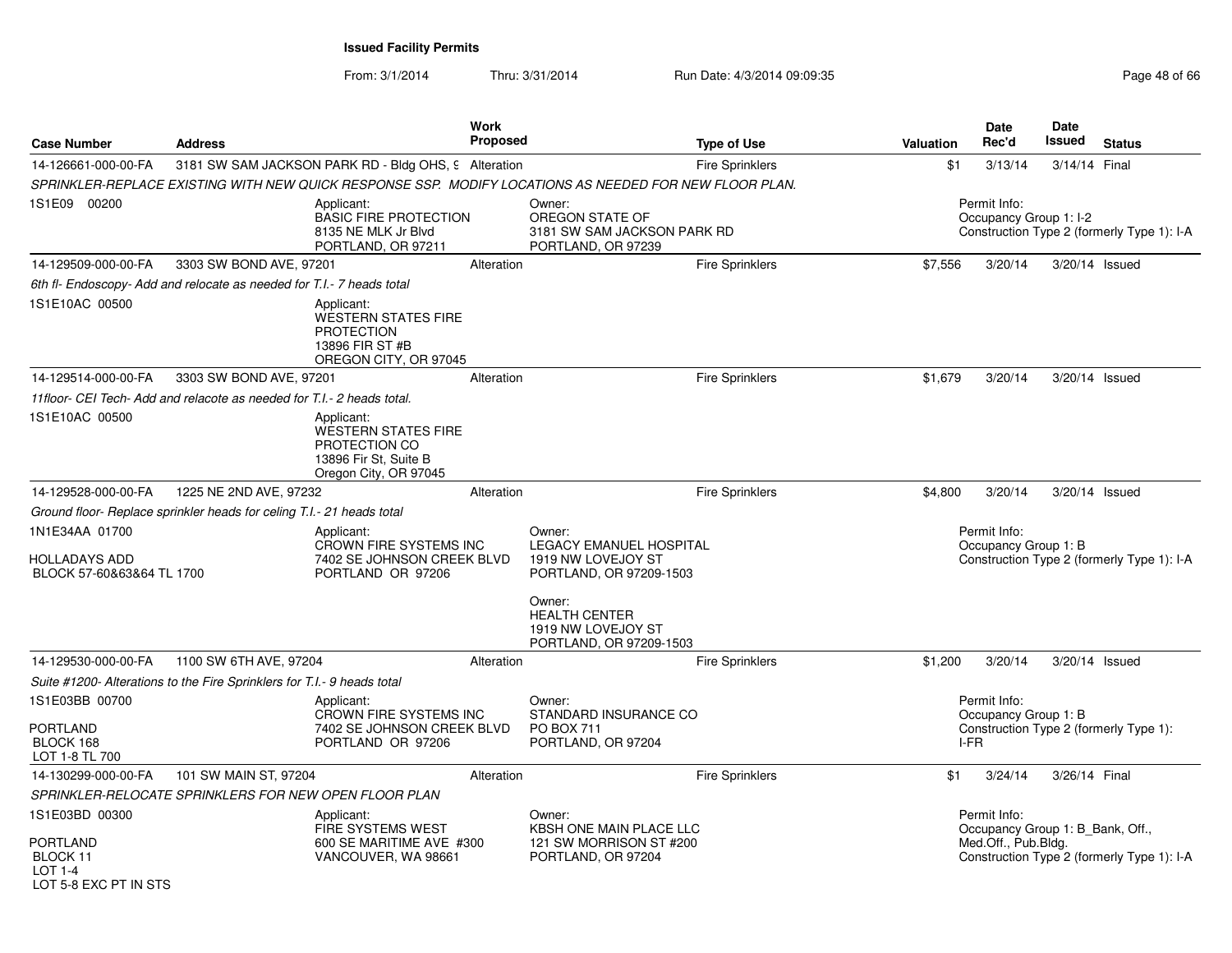From: 3/1/2014

| <b>Case Number</b>                                                  | <b>Address</b>                                                          |                                                                                                             | <b>Work</b><br>Proposed |                                                                                                        | <b>Type of Use</b>     | <b>Valuation</b> | Date<br>Rec'd                                           | Date<br>Issued | <b>Status</b>                              |
|---------------------------------------------------------------------|-------------------------------------------------------------------------|-------------------------------------------------------------------------------------------------------------|-------------------------|--------------------------------------------------------------------------------------------------------|------------------------|------------------|---------------------------------------------------------|----------------|--------------------------------------------|
| 14-126661-000-00-FA                                                 |                                                                         | 3181 SW SAM JACKSON PARK RD - Bldg OHS, 9 Alteration                                                        |                         |                                                                                                        | <b>Fire Sprinklers</b> | \$1              | 3/13/14                                                 | 3/14/14 Final  |                                            |
|                                                                     |                                                                         |                                                                                                             |                         | SPRINKLER-REPLACE EXISTING WITH NEW QUICK RESPONSE SSP. MODIFY LOCATIONS AS NEEDED FOR NEW FLOOR PLAN. |                        |                  |                                                         |                |                                            |
| 1S1E09 00200                                                        |                                                                         | Applicant:<br><b>BASIC FIRE PROTECTION</b><br>8135 NE MLK Jr Blvd<br>PORTLAND, OR 97211                     |                         | Owner:<br>OREGON STATE OF<br>3181 SW SAM JACKSON PARK RD<br>PORTLAND, OR 97239                         |                        |                  | Permit Info:<br>Occupancy Group 1: I-2                  |                | Construction Type 2 (formerly Type 1): I-A |
| 14-129509-000-00-FA                                                 | 3303 SW BOND AVE, 97201                                                 |                                                                                                             | Alteration              |                                                                                                        | <b>Fire Sprinklers</b> | \$7,556          | 3/20/14                                                 |                | 3/20/14 Issued                             |
|                                                                     | 6th fl- Endoscopy- Add and relocate as needed for T.I.- 7 heads total   |                                                                                                             |                         |                                                                                                        |                        |                  |                                                         |                |                                            |
| 1S1E10AC 00500                                                      |                                                                         | Applicant:<br><b>WESTERN STATES FIRE</b><br><b>PROTECTION</b><br>13896 FIR ST #B<br>OREGON CITY, OR 97045   |                         |                                                                                                        |                        |                  |                                                         |                |                                            |
| 14-129514-000-00-FA                                                 | 3303 SW BOND AVE, 97201                                                 |                                                                                                             | Alteration              |                                                                                                        | Fire Sprinklers        | \$1,679          | 3/20/14                                                 |                | 3/20/14 Issued                             |
|                                                                     | 11floor- CEI Tech- Add and relacote as needed for T.I.- 2 heads total.  |                                                                                                             |                         |                                                                                                        |                        |                  |                                                         |                |                                            |
| 1S1E10AC 00500                                                      |                                                                         | Applicant:<br><b>WESTERN STATES FIRE</b><br>PROTECTION CO<br>13896 Fir St, Suite B<br>Oregon City, OR 97045 |                         |                                                                                                        |                        |                  |                                                         |                |                                            |
| 14-129528-000-00-FA                                                 | 1225 NE 2ND AVE, 97232                                                  |                                                                                                             | Alteration              |                                                                                                        | <b>Fire Sprinklers</b> | \$4,800          | 3/20/14                                                 |                | 3/20/14 Issued                             |
|                                                                     | Ground floor- Replace sprinkler heads for celing T.I.- 21 heads total   |                                                                                                             |                         |                                                                                                        |                        |                  |                                                         |                |                                            |
| 1N1E34AA 01700<br><b>HOLLADAYS ADD</b><br>BLOCK 57-60&63&64 TL 1700 |                                                                         | Applicant:<br>CROWN FIRE SYSTEMS INC<br>7402 SE JOHNSON CREEK BLVD<br>PORTLAND OR 97206                     |                         | Owner:<br><b>LEGACY EMANUEL HOSPITAL</b><br>1919 NW LOVEJOY ST<br>PORTLAND, OR 97209-1503              |                        |                  | Permit Info:<br>Occupancy Group 1: B                    |                | Construction Type 2 (formerly Type 1): I-A |
|                                                                     |                                                                         |                                                                                                             |                         | Owner:<br><b>HEALTH CENTER</b><br>1919 NW LOVEJOY ST<br>PORTLAND, OR 97209-1503                        |                        |                  |                                                         |                |                                            |
| 14-129530-000-00-FA                                                 | 1100 SW 6TH AVE, 97204                                                  |                                                                                                             | Alteration              |                                                                                                        | <b>Fire Sprinklers</b> | \$1,200          | 3/20/14                                                 |                | 3/20/14 Issued                             |
|                                                                     | Suite #1200- Alterations to the Fire Sprinklers for T.I.- 9 heads total |                                                                                                             |                         |                                                                                                        |                        |                  |                                                         |                |                                            |
| 1S1E03BB 00700                                                      |                                                                         | Applicant:                                                                                                  |                         | Owner:                                                                                                 |                        |                  | Permit Info:                                            |                |                                            |
| <b>PORTLAND</b><br>BLOCK 168<br>LOT 1-8 TL 700                      |                                                                         | CROWN FIRE SYSTEMS INC<br>7402 SE JOHNSON CREEK BLVD<br>PORTLAND OR 97206                                   |                         | STANDARD INSURANCE CO<br><b>PO BOX 711</b><br>PORTLAND, OR 97204                                       |                        | I-FR             | Occupancy Group 1: B                                    |                | Construction Type 2 (formerly Type 1):     |
| 14-130299-000-00-FA                                                 | 101 SW MAIN ST, 97204                                                   |                                                                                                             | Alteration              |                                                                                                        | Fire Sprinklers        | \$1              | 3/24/14                                                 | 3/26/14 Final  |                                            |
|                                                                     | SPRINKLER-RELOCATE SPRINKLERS FOR NEW OPEN FLOOR PLAN                   |                                                                                                             |                         |                                                                                                        |                        |                  |                                                         |                |                                            |
| 1S1E03BD 00300                                                      |                                                                         | Applicant:                                                                                                  |                         | Owner:                                                                                                 |                        |                  | Permit Info:                                            |                |                                            |
| PORTLAND<br>BLOCK 11<br>$LOT 1-4$<br>LOT 5-8 FXC PT IN STS          |                                                                         | <b>FIRE SYSTEMS WEST</b><br>600 SE MARITIME AVE #300<br>VANCOUVER, WA 98661                                 |                         | <b>KBSH ONE MAIN PLACE LLC</b><br>121 SW MORRISON ST #200<br>PORTLAND, OR 97204                        |                        |                  | Occupancy Group 1: B Bank, Off.,<br>Med.Off., Pub.Bldg. |                | Construction Type 2 (formerly Type 1): I-A |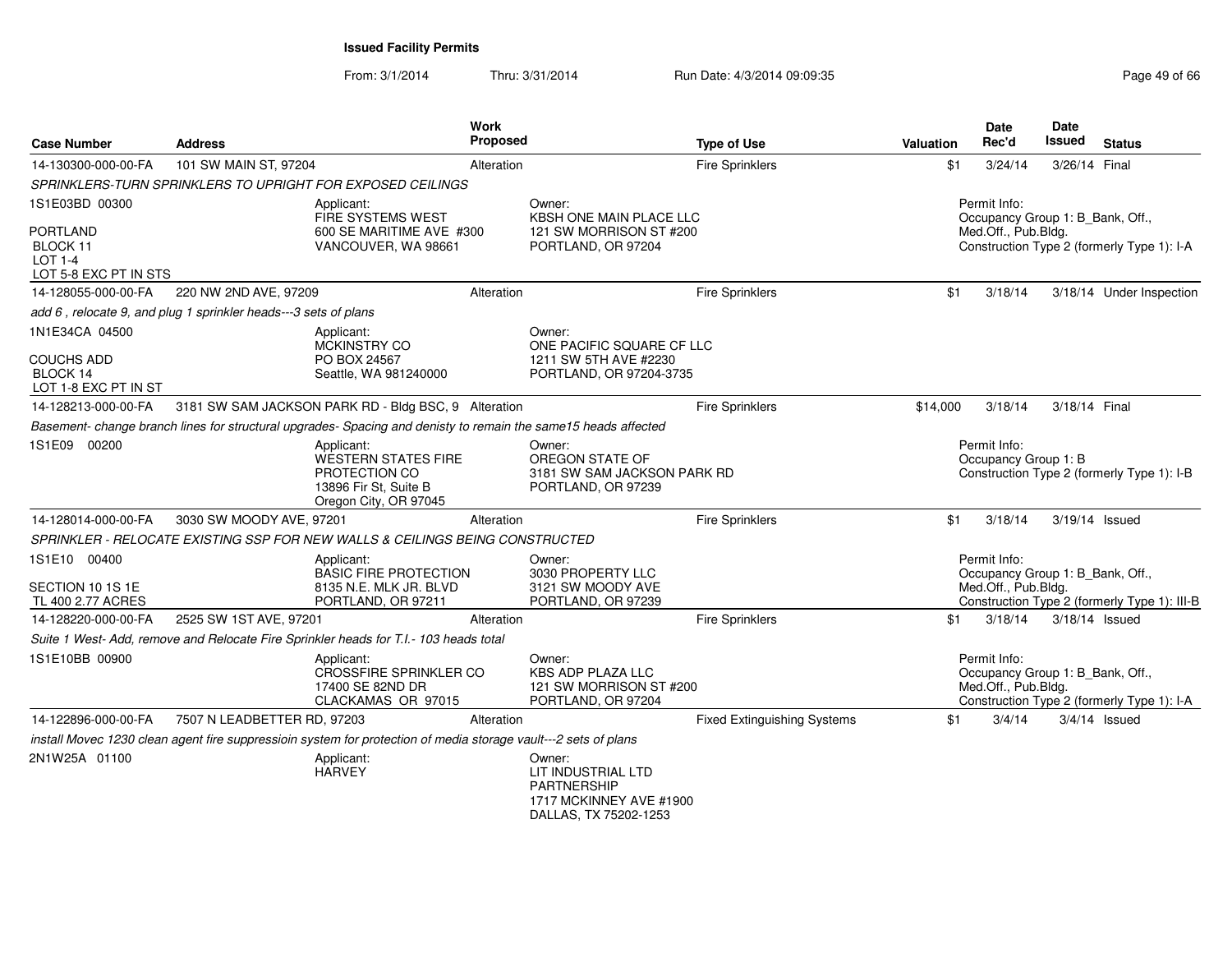| <b>Case Number</b>                                                      | <b>Address</b>                                                  |                                                                                                                 | Work<br><b>Proposed</b> |                                                                                                        | <b>Type of Use</b>                 | <b>Valuation</b> | <b>Date</b><br>Rec'd                                                    | Date<br>Issued | <b>Status</b>                                |
|-------------------------------------------------------------------------|-----------------------------------------------------------------|-----------------------------------------------------------------------------------------------------------------|-------------------------|--------------------------------------------------------------------------------------------------------|------------------------------------|------------------|-------------------------------------------------------------------------|----------------|----------------------------------------------|
| 14-130300-000-00-FA                                                     | 101 SW MAIN ST, 97204                                           |                                                                                                                 | Alteration              |                                                                                                        | <b>Fire Sprinklers</b>             | \$1              | 3/24/14                                                                 | 3/26/14 Final  |                                              |
|                                                                         |                                                                 | SPRINKLERS-TURN SPRINKLERS TO UPRIGHT FOR EXPOSED CEILINGS                                                      |                         |                                                                                                        |                                    |                  |                                                                         |                |                                              |
| 1S1E03BD 00300                                                          |                                                                 | Applicant:<br>FIRE SYSTEMS WEST                                                                                 |                         | Owner:<br><b>KBSH ONE MAIN PLACE LLC</b>                                                               |                                    |                  | Permit Info:<br>Occupancy Group 1: B Bank, Off.,                        |                |                                              |
| PORTLAND<br>BLOCK 11<br><b>LOT 1-4</b><br>LOT 5-8 EXC PT IN STS         |                                                                 | 600 SE MARITIME AVE #300<br>VANCOUVER, WA 98661                                                                 |                         | 121 SW MORRISON ST #200<br>PORTLAND, OR 97204                                                          |                                    |                  | Med.Off., Pub.Bldg.                                                     |                | Construction Type 2 (formerly Type 1): I-A   |
| 14-128055-000-00-FA                                                     | 220 NW 2ND AVE, 97209                                           |                                                                                                                 | Alteration              |                                                                                                        | <b>Fire Sprinklers</b>             | \$1              | 3/18/14                                                                 |                | 3/18/14 Under Inspection                     |
|                                                                         | add 6, relocate 9, and plug 1 sprinkler heads---3 sets of plans |                                                                                                                 |                         |                                                                                                        |                                    |                  |                                                                         |                |                                              |
| 1N1E34CA 04500<br><b>COUCHS ADD</b><br>BLOCK 14<br>LOT 1-8 EXC PT IN ST |                                                                 | Applicant:<br>MCKINSTRY CO<br>PO BOX 24567<br>Seattle, WA 981240000                                             |                         | Owner:<br>ONE PACIFIC SQUARE CF LLC<br>1211 SW 5TH AVE #2230<br>PORTLAND, OR 97204-3735                |                                    |                  |                                                                         |                |                                              |
| 14-128213-000-00-FA                                                     |                                                                 | 3181 SW SAM JACKSON PARK RD - Bldg BSC, 9 Alteration                                                            |                         |                                                                                                        | Fire Sprinklers                    | \$14,000         | 3/18/14                                                                 | 3/18/14 Final  |                                              |
|                                                                         |                                                                 | Basement- change branch lines for structural upgrades- Spacing and denisty to remain the same15 heads affected  |                         |                                                                                                        |                                    |                  |                                                                         |                |                                              |
| 1S1E09 00200                                                            |                                                                 | Applicant:<br>WESTERN STATES FIRE<br>PROTECTION CO<br>13896 Fir St, Suite B<br>Oregon City, OR 97045            |                         | Owner:<br>OREGON STATE OF<br>3181 SW SAM JACKSON PARK RD<br>PORTLAND, OR 97239                         |                                    |                  | Permit Info:<br>Occupancy Group 1: B                                    |                | Construction Type 2 (formerly Type 1): I-B   |
| 14-128014-000-00-FA                                                     | 3030 SW MOODY AVE, 97201                                        |                                                                                                                 | Alteration              |                                                                                                        | <b>Fire Sprinklers</b>             | \$1              | 3/18/14                                                                 | 3/19/14 Issued |                                              |
|                                                                         |                                                                 | SPRINKLER - RELOCATE EXISTING SSP FOR NEW WALLS & CEILINGS BEING CONSTRUCTED                                    |                         |                                                                                                        |                                    |                  |                                                                         |                |                                              |
| 1S1E10 00400<br>SECTION 10 1S 1E                                        |                                                                 | Applicant:<br><b>BASIC FIRE PROTECTION</b><br>8135 N.E. MLK JR. BLVD                                            |                         | Owner:<br>3030 PROPERTY LLC<br>3121 SW MOODY AVE                                                       |                                    |                  | Permit Info:<br>Occupancy Group 1: B_Bank, Off.,<br>Med.Off., Pub.Bldg. |                |                                              |
| TL 400 2.77 ACRES                                                       |                                                                 | PORTLAND, OR 97211                                                                                              |                         | PORTLAND, OR 97239                                                                                     |                                    |                  |                                                                         |                | Construction Type 2 (formerly Type 1): III-B |
| 14-128220-000-00-FA                                                     | 2525 SW 1ST AVE, 97201                                          |                                                                                                                 | Alteration              |                                                                                                        | <b>Fire Sprinklers</b>             | \$1              | 3/18/14                                                                 |                | 3/18/14 Issued                               |
|                                                                         |                                                                 | Suite 1 West- Add, remove and Relocate Fire Sprinkler heads for T.I.- 103 heads total                           |                         |                                                                                                        |                                    |                  |                                                                         |                |                                              |
| 1S1E10BB 00900                                                          |                                                                 | Applicant:<br><b>CROSSFIRE SPRINKLER CO</b><br>17400 SE 82ND DR<br>CLACKAMAS OR 97015                           |                         | Owner:<br><b>KBS ADP PLAZA LLC</b><br>121 SW MORRISON ST #200<br>PORTLAND, OR 97204                    |                                    |                  | Permit Info:<br>Occupancy Group 1: B_Bank, Off.,<br>Med.Off., Pub.Bldg. |                | Construction Type 2 (formerly Type 1): I-A   |
| 14-122896-000-00-FA                                                     | 7507 N LEADBETTER RD, 97203                                     |                                                                                                                 | Alteration              |                                                                                                        | <b>Fixed Extinguishing Systems</b> | \$1              | 3/4/14                                                                  |                | $3/4/14$ Issued                              |
|                                                                         |                                                                 | install Movec 1230 clean agent fire suppressioin system for protection of media storage vault---2 sets of plans |                         |                                                                                                        |                                    |                  |                                                                         |                |                                              |
| 2N1W25A 01100                                                           |                                                                 | Applicant:<br><b>HARVEY</b>                                                                                     |                         | Owner:<br>LIT INDUSTRIAL LTD<br><b>PARTNERSHIP</b><br>1717 MCKINNEY AVE #1900<br>DALLAS, TX 75202-1253 |                                    |                  |                                                                         |                |                                              |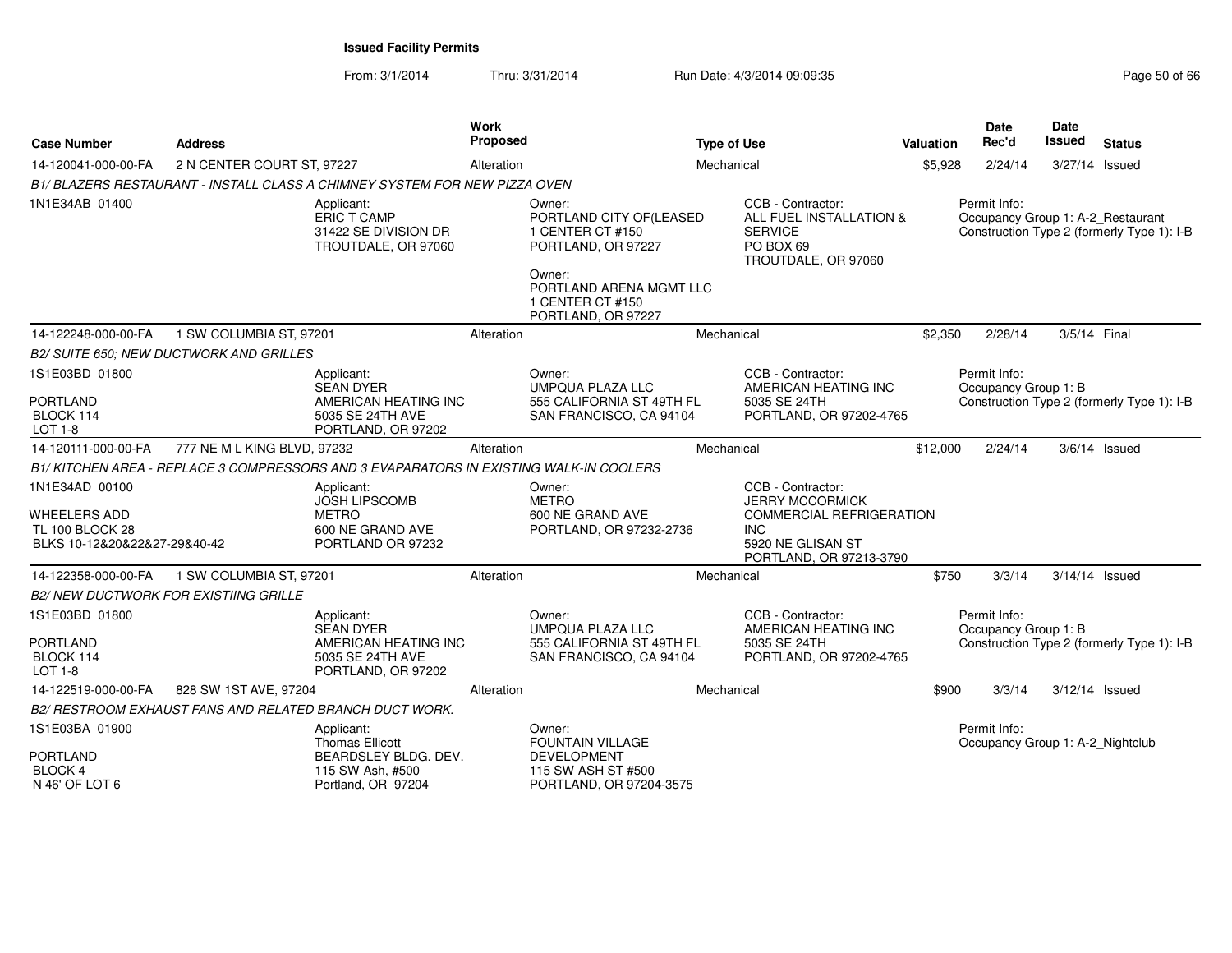| <b>Case Number</b>                                  | <b>Address</b>                                 |                                                                                        | <b>Work</b><br>Proposed |                                                                                       | <b>Type of Use</b> |                                                                                                    | Valuation | <b>Date</b><br>Rec'd                             | Date<br><b>Issued</b> | <b>Status</b>                                                                   |
|-----------------------------------------------------|------------------------------------------------|----------------------------------------------------------------------------------------|-------------------------|---------------------------------------------------------------------------------------|--------------------|----------------------------------------------------------------------------------------------------|-----------|--------------------------------------------------|-----------------------|---------------------------------------------------------------------------------|
| 14-120041-000-00-FA                                 | 2 N CENTER COURT ST, 97227                     |                                                                                        | Alteration              |                                                                                       | Mechanical         |                                                                                                    | \$5,928   | 2/24/14                                          | 3/27/14 Issued        |                                                                                 |
|                                                     |                                                | B1/ BLAZERS RESTAURANT - INSTALL CLASS A CHIMNEY SYSTEM FOR NEW PIZZA OVEN             |                         |                                                                                       |                    |                                                                                                    |           |                                                  |                       |                                                                                 |
| 1N1E34AB 01400                                      |                                                | Applicant:<br>ERIC T CAMP<br>31422 SE DIVISION DR<br>TROUTDALE, OR 97060               |                         | Owner:<br>PORTLAND CITY OF(LEASED<br>1 CENTER CT #150<br>PORTLAND, OR 97227<br>Owner: |                    | CCB - Contractor:<br>ALL FUEL INSTALLATION &<br><b>SERVICE</b><br>PO BOX 69<br>TROUTDALE, OR 97060 |           | Permit Info:                                     |                       | Occupancy Group 1: A-2_Restaurant<br>Construction Type 2 (formerly Type 1): I-B |
|                                                     |                                                |                                                                                        |                         | PORTLAND ARENA MGMT LLC<br>1 CENTER CT #150<br>PORTLAND, OR 97227                     |                    |                                                                                                    |           |                                                  |                       |                                                                                 |
| 14-122248-000-00-FA                                 | 1 SW COLUMBIA ST, 97201                        |                                                                                        | Alteration              |                                                                                       | Mechanical         |                                                                                                    | \$2.350   | 2/28/14                                          | 3/5/14 Final          |                                                                                 |
|                                                     | <b>B2/ SUITE 650: NEW DUCTWORK AND GRILLES</b> |                                                                                        |                         |                                                                                       |                    |                                                                                                    |           |                                                  |                       |                                                                                 |
| 1S1E03BD 01800                                      |                                                | Applicant:<br><b>SEAN DYER</b>                                                         |                         | Owner:<br><b>UMPQUA PLAZA LLC</b>                                                     |                    | CCB - Contractor:<br>AMERICAN HEATING INC                                                          |           | Permit Info:<br>Occupancy Group 1: B             |                       |                                                                                 |
| <b>PORTLAND</b><br>BLOCK 114                        |                                                | AMERICAN HEATING INC<br>5035 SE 24TH AVE                                               |                         | 555 CALIFORNIA ST 49TH FL<br>SAN FRANCISCO, CA 94104                                  |                    | 5035 SE 24TH<br>PORTLAND, OR 97202-4765                                                            |           |                                                  |                       | Construction Type 2 (formerly Type 1): I-B                                      |
| <b>LOT 1-8</b>                                      |                                                | PORTLAND, OR 97202                                                                     |                         |                                                                                       |                    |                                                                                                    |           |                                                  |                       |                                                                                 |
| 14-120111-000-00-FA                                 | 777 NE M L KING BLVD, 97232                    |                                                                                        | Alteration              |                                                                                       | Mechanical         |                                                                                                    | \$12,000  | 2/24/14                                          |                       | $3/6/14$ Issued                                                                 |
|                                                     |                                                | B1/ KITCHEN AREA - REPLACE 3 COMPRESSORS AND 3 EVAPARATORS IN EXISTING WALK-IN COOLERS |                         |                                                                                       |                    |                                                                                                    |           |                                                  |                       |                                                                                 |
| 1N1E34AD 00100                                      |                                                | Applicant:<br><b>JOSH LIPSCOMB</b>                                                     |                         | Owner:<br><b>METRO</b>                                                                |                    | CCB - Contractor:<br><b>JERRY MCCORMICK</b>                                                        |           |                                                  |                       |                                                                                 |
| <b>WHEELERS ADD</b><br><b>TL 100 BLOCK 28</b>       |                                                | <b>METRO</b><br>600 NE GRAND AVE                                                       |                         | 600 NE GRAND AVE<br>PORTLAND, OR 97232-2736                                           | <b>INC</b>         | <b>COMMERCIAL REFRIGERATION</b>                                                                    |           |                                                  |                       |                                                                                 |
| BLKS 10-12&20&22&27-29&40-42                        |                                                | PORTLAND OR 97232                                                                      |                         |                                                                                       |                    | 5920 NE GLISAN ST<br>PORTLAND, OR 97213-3790                                                       |           |                                                  |                       |                                                                                 |
| 14-122358-000-00-FA                                 | 1 SW COLUMBIA ST, 97201                        |                                                                                        | Alteration              |                                                                                       | Mechanical         |                                                                                                    | \$750     | 3/3/14                                           | 3/14/14 Issued        |                                                                                 |
|                                                     | <b>B2/ NEW DUCTWORK FOR EXISTIING GRILLE</b>   |                                                                                        |                         |                                                                                       |                    |                                                                                                    |           |                                                  |                       |                                                                                 |
| 1S1E03BD 01800                                      |                                                | Applicant:<br><b>SEAN DYER</b>                                                         |                         | Owner:<br><b>UMPQUA PLAZA LLC</b>                                                     |                    | CCB - Contractor:<br>AMERICAN HEATING INC                                                          |           | Permit Info:<br>Occupancy Group 1: B             |                       |                                                                                 |
| <b>PORTLAND</b><br>BLOCK 114<br>$LOT 1-8$           |                                                | AMERICAN HEATING INC<br>5035 SE 24TH AVE<br>PORTLAND, OR 97202                         |                         | 555 CALIFORNIA ST 49TH FL<br>SAN FRANCISCO, CA 94104                                  |                    | 5035 SE 24TH<br>PORTLAND, OR 97202-4765                                                            |           |                                                  |                       | Construction Type 2 (formerly Type 1): I-B                                      |
| 14-122519-000-00-FA                                 | 828 SW 1ST AVE, 97204                          |                                                                                        | Alteration              |                                                                                       | Mechanical         |                                                                                                    | \$900     | 3/3/14                                           | 3/12/14 Issued        |                                                                                 |
|                                                     |                                                | B2/ RESTROOM EXHAUST FANS AND RELATED BRANCH DUCT WORK.                                |                         |                                                                                       |                    |                                                                                                    |           |                                                  |                       |                                                                                 |
| 1S1E03BA 01900                                      |                                                | Applicant:<br><b>Thomas Ellicott</b>                                                   |                         | Owner:<br><b>FOUNTAIN VILLAGE</b>                                                     |                    |                                                                                                    |           | Permit Info:<br>Occupancy Group 1: A-2 Nightclub |                       |                                                                                 |
| <b>PORTLAND</b><br><b>BLOCK 4</b><br>N 46' OF LOT 6 |                                                | BEARDSLEY BLDG. DEV.<br>115 SW Ash, #500<br>Portland, OR 97204                         |                         | <b>DEVELOPMENT</b><br>115 SW ASH ST #500<br>PORTLAND, OR 97204-3575                   |                    |                                                                                                    |           |                                                  |                       |                                                                                 |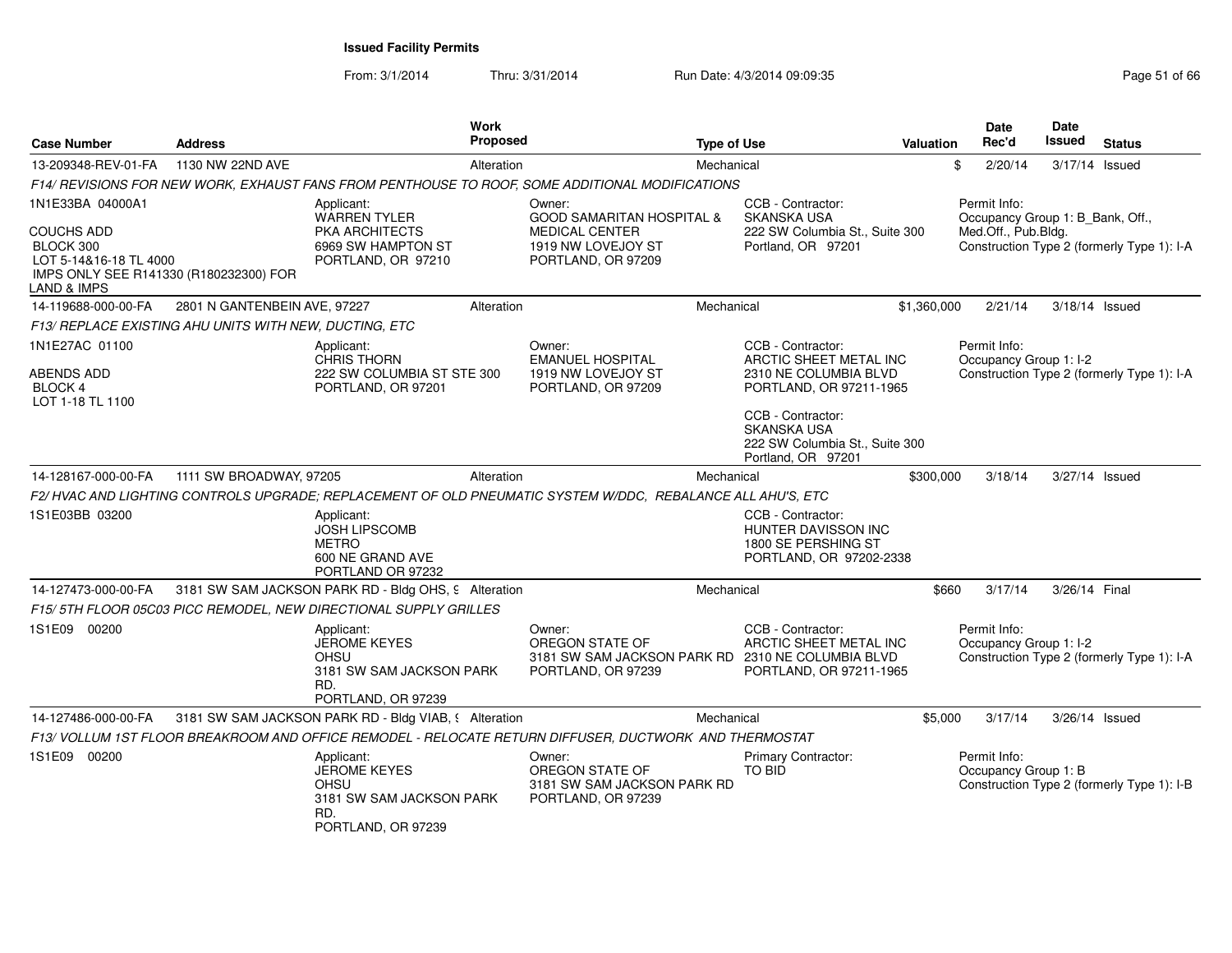From: 3/1/2014

| <b>Case Number</b>                                                                                         | <b>Address</b>               | Work<br><b>Proposed</b>                                                                                    |                                                                                | <b>Type of Use</b> |                                                                                                                             | <b>Valuation</b> | <b>Date</b><br>Rec'd                             | <b>Date</b><br><b>Issued</b> | <b>Status</b>                              |
|------------------------------------------------------------------------------------------------------------|------------------------------|------------------------------------------------------------------------------------------------------------|--------------------------------------------------------------------------------|--------------------|-----------------------------------------------------------------------------------------------------------------------------|------------------|--------------------------------------------------|------------------------------|--------------------------------------------|
| 13-209348-REV-01-FA                                                                                        | 1130 NW 22ND AVE             | Alteration                                                                                                 |                                                                                | Mechanical         |                                                                                                                             | \$               | 2/20/14                                          | 3/17/14 Issued               |                                            |
|                                                                                                            |                              | F14/ REVISIONS FOR NEW WORK, EXHAUST FANS FROM PENTHOUSE TO ROOF, SOME ADDITIONAL MODIFICATIONS            |                                                                                |                    |                                                                                                                             |                  |                                                  |                              |                                            |
| 1N1E33BA 04000A1                                                                                           |                              | Applicant:<br>WARREN TYLER                                                                                 | Owner:<br><b>GOOD SAMARITAN HOSPITAL &amp;</b>                                 |                    | CCB - Contractor:<br><b>SKANSKA USA</b>                                                                                     |                  | Permit Info:<br>Occupancy Group 1: B_Bank, Off., |                              |                                            |
| COUCHS ADD<br>BLOCK 300<br>LOT 5-14&16-18 TL 4000<br>IMPS ONLY SEE R141330 (R180232300) FOR<br>LAND & IMPS |                              | PKA ARCHITECTS<br>6969 SW HAMPTON ST<br>PORTLAND, OR 97210                                                 | <b>MEDICAL CENTER</b><br>1919 NW LOVEJOY ST<br>PORTLAND, OR 97209              |                    | 222 SW Columbia St., Suite 300<br>Portland, OR 97201                                                                        |                  | Med.Off., Pub.Bldg.                              |                              | Construction Type 2 (formerly Type 1): I-A |
| 14-119688-000-00-FA                                                                                        | 2801 N GANTENBEIN AVE, 97227 | Alteration                                                                                                 |                                                                                | Mechanical         |                                                                                                                             | \$1,360,000      | 2/21/14                                          | 3/18/14 Issued               |                                            |
| F13/ REPLACE EXISTING AHU UNITS WITH NEW, DUCTING, ETC                                                     |                              |                                                                                                            |                                                                                |                    |                                                                                                                             |                  |                                                  |                              |                                            |
| 1N1E27AC 01100                                                                                             |                              | Applicant:<br><b>CHRIS THORN</b>                                                                           | Owner:<br><b>EMANUEL HOSPITAL</b>                                              |                    | CCB - Contractor:<br>ARCTIC SHEET METAL INC                                                                                 |                  | Permit Info:<br>Occupancy Group 1: I-2           |                              |                                            |
| ABENDS ADD<br>BLOCK 4<br>LOT 1-18 TL 1100                                                                  |                              | 222 SW COLUMBIA ST STE 300<br>PORTLAND, OR 97201                                                           | 1919 NW LOVEJOY ST<br>PORTLAND, OR 97209                                       |                    | 2310 NE COLUMBIA BLVD<br>PORTLAND, OR 97211-1965                                                                            |                  |                                                  |                              | Construction Type 2 (formerly Type 1): I-A |
|                                                                                                            |                              |                                                                                                            |                                                                                |                    | CCB - Contractor:<br><b>SKANSKA USA</b><br>222 SW Columbia St., Suite 300<br>Portland, OR 97201                             |                  |                                                  |                              |                                            |
| 14-128167-000-00-FA                                                                                        | 1111 SW BROADWAY, 97205      | Alteration                                                                                                 |                                                                                | Mechanical         |                                                                                                                             | \$300,000        | 3/18/14                                          | 3/27/14 Issued               |                                            |
|                                                                                                            |                              | F2/HVAC AND LIGHTING CONTROLS UPGRADE; REPLACEMENT OF OLD PNEUMATIC SYSTEM W/DDC, REBALANCE ALL AHU'S, ETC |                                                                                |                    |                                                                                                                             |                  |                                                  |                              |                                            |
| 1S1E03BB 03200                                                                                             |                              | Applicant:<br><b>JOSH LIPSCOMB</b><br><b>METRO</b><br>600 NE GRAND AVE<br>PORTLAND OR 97232                |                                                                                |                    | CCB - Contractor:<br>HUNTER DAVISSON INC<br>1800 SE PERSHING ST<br>PORTLAND, OR 97202-2338                                  |                  |                                                  |                              |                                            |
| 14-127473-000-00-FA                                                                                        |                              | 3181 SW SAM JACKSON PARK RD - Bldg OHS, 9 Alteration                                                       |                                                                                | Mechanical         |                                                                                                                             | \$660            | 3/17/14                                          | 3/26/14 Final                |                                            |
|                                                                                                            |                              | F15/ 5TH FLOOR 05C03 PICC REMODEL, NEW DIRECTIONAL SUPPLY GRILLES                                          |                                                                                |                    |                                                                                                                             |                  |                                                  |                              |                                            |
| 1S1E09 00200                                                                                               |                              | Applicant:<br>JEROME KEYES<br>OHSU<br>3181 SW SAM JACKSON PARK<br>RD.<br>PORTLAND, OR 97239                | Owner:<br>OREGON STATE OF<br>PORTLAND, OR 97239                                |                    | CCB - Contractor:<br>ARCTIC SHEET METAL INC<br>3181 SW SAM JACKSON PARK RD 2310 NE COLUMBIA BLVD<br>PORTLAND, OR 97211-1965 |                  | Permit Info:<br>Occupancy Group 1: I-2           |                              | Construction Type 2 (formerly Type 1): I-A |
| 14-127486-000-00-FA                                                                                        |                              | 3181 SW SAM JACKSON PARK RD - Bldg VIAB, § Alteration                                                      |                                                                                | Mechanical         |                                                                                                                             | \$5,000          | 3/17/14                                          | 3/26/14 Issued               |                                            |
|                                                                                                            |                              | F13/ VOLLUM 1ST FLOOR BREAKROOM AND OFFICE REMODEL - RELOCATE RETURN DIFFUSER, DUCTWORK AND THERMOSTAT     |                                                                                |                    |                                                                                                                             |                  |                                                  |                              |                                            |
| 1S1E09 00200                                                                                               |                              | Applicant:<br><b>JEROME KEYES</b><br><b>OHSU</b><br>3181 SW SAM JACKSON PARK<br>RD.<br>PORTLAND, OR 97239  | Owner:<br>OREGON STATE OF<br>3181 SW SAM JACKSON PARK RD<br>PORTLAND, OR 97239 |                    | Primary Contractor:<br>TO BID                                                                                               |                  | Permit Info:<br>Occupancy Group 1: B             |                              | Construction Type 2 (formerly Type 1): I-B |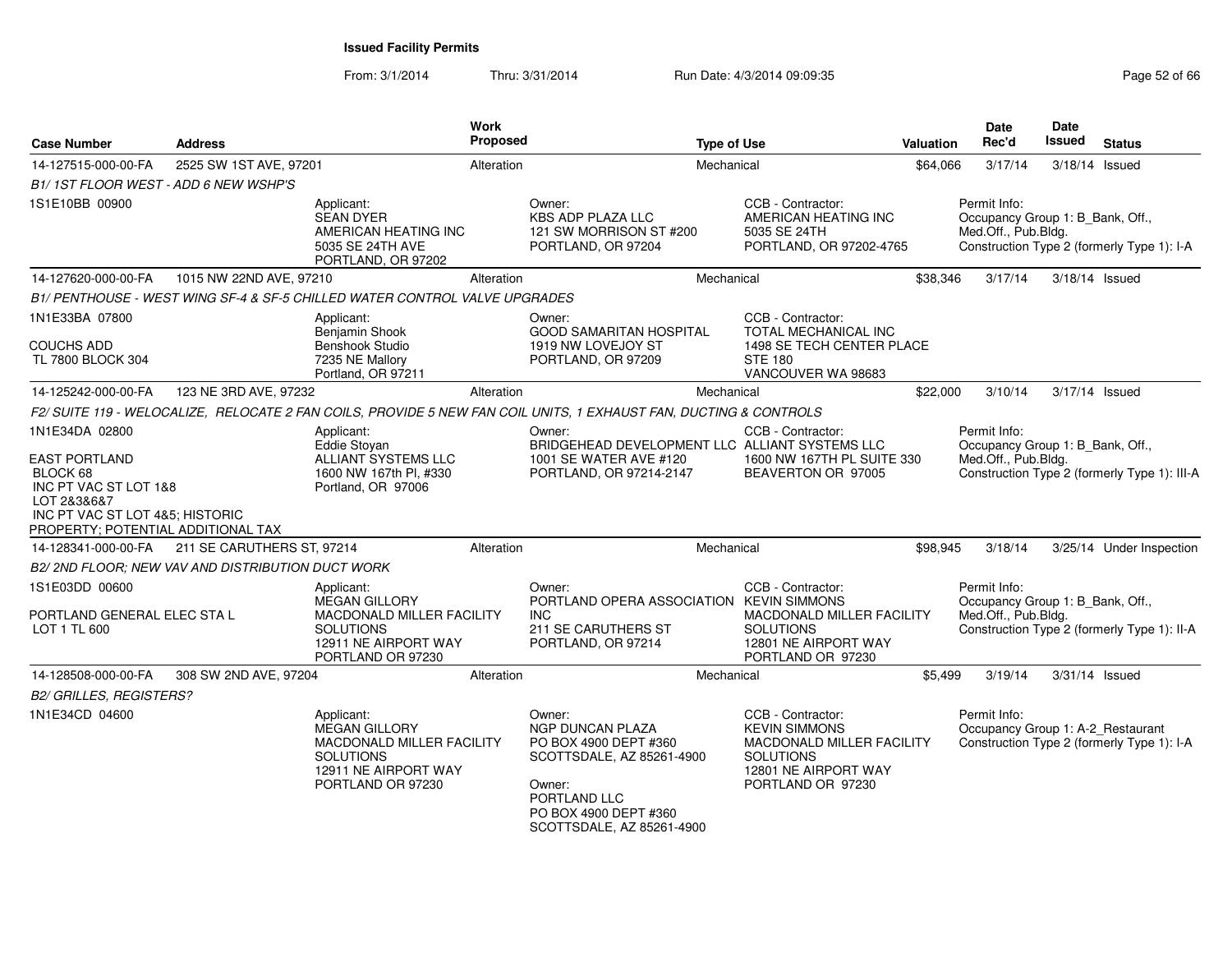| <b>Case Number</b>                                                                                                                                                  | <b>Address</b>                                    |                                                                                                                                  | <b>Work</b><br>Proposed |                                                                                                                                                                         | <b>Type of Use</b> |                                                                                                                                         | Valuation | <b>Date</b><br>Rec'd                                                    | <b>Date</b><br>Issued | <b>Status</b>                                |
|---------------------------------------------------------------------------------------------------------------------------------------------------------------------|---------------------------------------------------|----------------------------------------------------------------------------------------------------------------------------------|-------------------------|-------------------------------------------------------------------------------------------------------------------------------------------------------------------------|--------------------|-----------------------------------------------------------------------------------------------------------------------------------------|-----------|-------------------------------------------------------------------------|-----------------------|----------------------------------------------|
| 14-127515-000-00-FA                                                                                                                                                 | 2525 SW 1ST AVE, 97201                            |                                                                                                                                  | Alteration              |                                                                                                                                                                         | Mechanical         |                                                                                                                                         | \$64,066  | 3/17/14                                                                 | 3/18/14 Issued        |                                              |
| B1/1ST FLOOR WEST - ADD 6 NEW WSHP'S                                                                                                                                |                                                   |                                                                                                                                  |                         |                                                                                                                                                                         |                    |                                                                                                                                         |           |                                                                         |                       |                                              |
| 1S1E10BB 00900                                                                                                                                                      |                                                   | Applicant:<br><b>SEAN DYER</b><br>AMERICAN HEATING INC<br>5035 SE 24TH AVE<br>PORTLAND, OR 97202                                 |                         | Owner:<br><b>KBS ADP PLAZA LLC</b><br>121 SW MORRISON ST #200<br>PORTLAND, OR 97204                                                                                     |                    | CCB - Contractor:<br>AMERICAN HEATING INC<br>5035 SE 24TH<br>PORTLAND, OR 97202-4765                                                    |           | Permit Info:<br>Occupancy Group 1: B Bank, Off.,<br>Med.Off., Pub.Bldg. |                       | Construction Type 2 (formerly Type 1): I-A   |
| 14-127620-000-00-FA                                                                                                                                                 | 1015 NW 22ND AVE, 97210                           |                                                                                                                                  | Alteration              |                                                                                                                                                                         | Mechanical         |                                                                                                                                         | \$38,346  | 3/17/14                                                                 |                       | 3/18/14 Issued                               |
|                                                                                                                                                                     |                                                   | B1/ PENTHOUSE - WEST WING SF-4 & SF-5 CHILLED WATER CONTROL VALVE UPGRADES                                                       |                         |                                                                                                                                                                         |                    |                                                                                                                                         |           |                                                                         |                       |                                              |
| 1N1E33BA 07800                                                                                                                                                      |                                                   | Applicant:                                                                                                                       |                         | Owner:                                                                                                                                                                  |                    | CCB - Contractor:                                                                                                                       |           |                                                                         |                       |                                              |
| COUCHS ADD<br>TL 7800 BLOCK 304                                                                                                                                     |                                                   | Benjamin Shook<br><b>Benshook Studio</b><br>7235 NE Mallory<br>Portland, OR 97211                                                |                         | <b>GOOD SAMARITAN HOSPITAL</b><br>1919 NW LOVEJOY ST<br>PORTLAND, OR 97209                                                                                              |                    | TOTAL MECHANICAL INC<br>1498 SE TECH CENTER PLACE<br><b>STE 180</b><br>VANCOUVER WA 98683                                               |           |                                                                         |                       |                                              |
| 14-125242-000-00-FA                                                                                                                                                 | 123 NE 3RD AVE, 97232                             |                                                                                                                                  | Alteration              |                                                                                                                                                                         | Mechanical         |                                                                                                                                         | \$22,000  | 3/10/14                                                                 |                       | 3/17/14 Issued                               |
|                                                                                                                                                                     |                                                   |                                                                                                                                  |                         | F2/ SUITE 119 - WELOCALIZE, RELOCATE 2 FAN COILS, PROVIDE 5 NEW FAN COIL UNITS, 1 EXHAUST FAN, DUCTING & CONTROLS                                                       |                    |                                                                                                                                         |           |                                                                         |                       |                                              |
| 1N1E34DA 02800<br><b>EAST PORTLAND</b><br>BLOCK 68<br>INC PT VAC ST LOT 1&8<br>LOT 2&3&6&7<br>INC PT VAC ST LOT 4&5; HISTORIC<br>PROPERTY: POTENTIAL ADDITIONAL TAX |                                                   | Applicant:<br>Eddie Stoyan<br>ALLIANT SYSTEMS LLC<br>1600 NW 167th Pl, #330<br>Portland, OR 97006                                |                         | Owner:<br>BRIDGEHEAD DEVELOPMENT LLC ALLIANT SYSTEMS LLC<br>1001 SE WATER AVE #120<br>PORTLAND, OR 97214-2147                                                           |                    | CCB - Contractor:<br>1600 NW 167TH PL SUITE 330<br>BEAVERTON OR 97005                                                                   |           | Permit Info:<br>Occupancy Group 1: B Bank, Off.,<br>Med.Off., Pub.Bldg. |                       | Construction Type 2 (formerly Type 1): III-A |
| 14-128341-000-00-FA                                                                                                                                                 | 211 SE CARUTHERS ST, 97214                        |                                                                                                                                  | Alteration              |                                                                                                                                                                         | Mechanical         |                                                                                                                                         | \$98,945  | 3/18/14                                                                 |                       | 3/25/14 Under Inspection                     |
|                                                                                                                                                                     | B2/ 2ND FLOOR: NEW VAV AND DISTRIBUTION DUCT WORK |                                                                                                                                  |                         |                                                                                                                                                                         |                    |                                                                                                                                         |           |                                                                         |                       |                                              |
| 1S1E03DD 00600<br>PORTLAND GENERAL ELEC STA L<br>LOT 1 TL 600                                                                                                       |                                                   | Applicant:<br>MEGAN GILLORY<br>MACDONALD MILLER FACILITY<br><b>SOLUTIONS</b><br>12911 NE AIRPORT WAY<br>PORTLAND OR 97230        |                         | Owner:<br>PORTLAND OPERA ASSOCIATION KEVIN SIMMONS<br><b>INC</b><br>211 SE CARUTHERS ST<br>PORTLAND, OR 97214                                                           |                    | CCB - Contractor:<br>MACDONALD MILLER FACILITY<br><b>SOLUTIONS</b><br>12801 NE AIRPORT WAY<br>PORTLAND OR 97230                         |           | Permit Info:<br>Occupancy Group 1: B Bank, Off.,<br>Med.Off., Pub.Bldg. |                       | Construction Type 2 (formerly Type 1): II-A  |
| 14-128508-000-00-FA                                                                                                                                                 | 308 SW 2ND AVE, 97204                             |                                                                                                                                  | Alteration              |                                                                                                                                                                         | Mechanical         |                                                                                                                                         | \$5,499   | 3/19/14                                                                 | 3/31/14 Issued        |                                              |
| <b>B2/ GRILLES, REGISTERS?</b>                                                                                                                                      |                                                   |                                                                                                                                  |                         |                                                                                                                                                                         |                    |                                                                                                                                         |           |                                                                         |                       |                                              |
| 1N1E34CD 04600                                                                                                                                                      |                                                   | Applicant:<br><b>MEGAN GILLORY</b><br>MACDONALD MILLER FACILITY<br><b>SOLUTIONS</b><br>12911 NE AIRPORT WAY<br>PORTLAND OR 97230 |                         | Owner:<br><b>NGP DUNCAN PLAZA</b><br>PO BOX 4900 DEPT #360<br>SCOTTSDALE, AZ 85261-4900<br>Owner:<br>PORTLAND LLC<br>PO BOX 4900 DEPT #360<br>SCOTTSDALE, AZ 85261-4900 |                    | CCB - Contractor:<br><b>KEVIN SIMMONS</b><br>MACDONALD MILLER FACILITY<br><b>SOLUTIONS</b><br>12801 NE AIRPORT WAY<br>PORTLAND OR 97230 |           | Permit Info:<br>Occupancy Group 1: A-2_Restaurant                       |                       | Construction Type 2 (formerly Type 1): I-A   |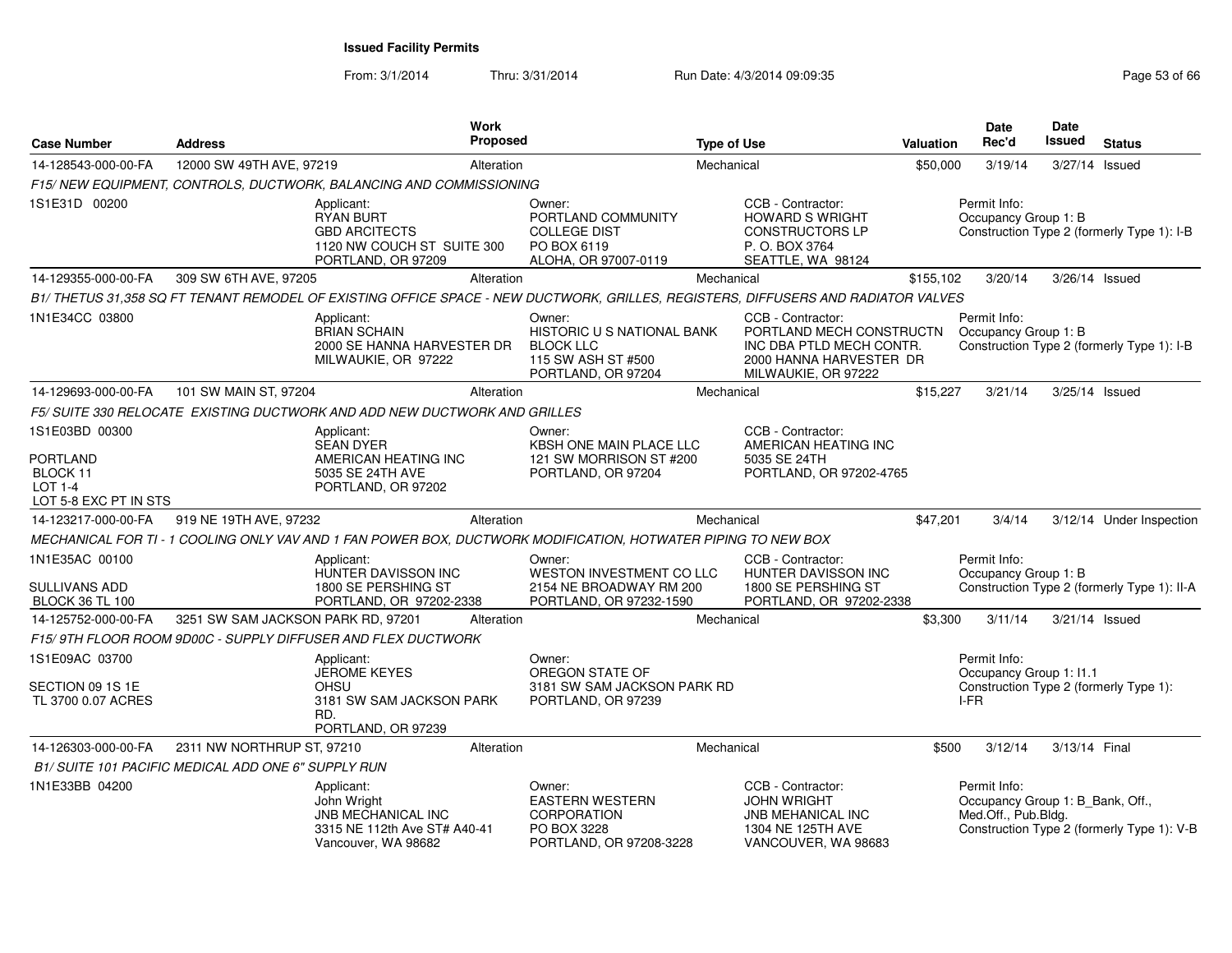| <b>Case Number</b>                                                     | <b>Address</b>                                      |                                                                                                            | <b>Work</b><br>Proposed |                                                                                                                                   | <b>Type of Use</b> |                                                                                                                             | Valuation | <b>Date</b><br>Rec'd                                                    | <b>Date</b><br><b>Issued</b> | <b>Status</b>                               |
|------------------------------------------------------------------------|-----------------------------------------------------|------------------------------------------------------------------------------------------------------------|-------------------------|-----------------------------------------------------------------------------------------------------------------------------------|--------------------|-----------------------------------------------------------------------------------------------------------------------------|-----------|-------------------------------------------------------------------------|------------------------------|---------------------------------------------|
| 14-128543-000-00-FA                                                    | 12000 SW 49TH AVE, 97219                            |                                                                                                            | Alteration              |                                                                                                                                   | Mechanical         |                                                                                                                             | \$50,000  | 3/19/14                                                                 |                              | 3/27/14 Issued                              |
|                                                                        |                                                     | F15/NEW EQUIPMENT, CONTROLS, DUCTWORK, BALANCING AND COMMISSIONING                                         |                         |                                                                                                                                   |                    |                                                                                                                             |           |                                                                         |                              |                                             |
| 1S1E31D 00200                                                          |                                                     | Applicant:<br><b>RYAN BURT</b><br><b>GBD ARCITECTS</b><br>1120 NW COUCH ST SUITE 300<br>PORTLAND, OR 97209 |                         | Owner:<br>PORTLAND COMMUNITY<br><b>COLLEGE DIST</b><br>PO BOX 6119<br>ALOHA, OR 97007-0119                                        |                    | CCB - Contractor:<br><b>HOWARD S WRIGHT</b><br><b>CONSTRUCTORS LP</b><br>P. O. BOX 3764<br>SEATTLE, WA 98124                |           | Permit Info:<br>Occupancy Group 1: B                                    |                              | Construction Type 2 (formerly Type 1): I-B  |
| 14-129355-000-00-FA                                                    | 309 SW 6TH AVE, 97205                               |                                                                                                            | Alteration              |                                                                                                                                   | Mechanical         |                                                                                                                             | \$155,102 | 3/20/14                                                                 |                              | 3/26/14 Issued                              |
|                                                                        |                                                     |                                                                                                            |                         | B1/ THETUS 31,358 SQ FT TENANT REMODEL OF EXISTING OFFICE SPACE - NEW DUCTWORK, GRILLES, REGISTERS, DIFFUSERS AND RADIATOR VALVES |                    |                                                                                                                             |           |                                                                         |                              |                                             |
| 1N1E34CC 03800                                                         |                                                     | Applicant:<br><b>BRIAN SCHAIN</b><br>2000 SE HANNA HARVESTER DR<br>MILWAUKIE, OR 97222                     |                         | Owner:<br>HISTORIC U S NATIONAL BANK<br><b>BLOCK LLC</b><br>115 SW ASH ST #500<br>PORTLAND, OR 97204                              |                    | CCB - Contractor:<br>PORTLAND MECH CONSTRUCTN<br>INC DBA PTLD MECH CONTR.<br>2000 HANNA HARVESTER DR<br>MILWAUKIE, OR 97222 |           | Permit Info:<br>Occupancy Group 1: B                                    |                              | Construction Type 2 (formerly Type 1): I-B  |
| 14-129693-000-00-FA                                                    | 101 SW MAIN ST, 97204                               |                                                                                                            | Alteration              |                                                                                                                                   | Mechanical         |                                                                                                                             | \$15,227  | 3/21/14                                                                 |                              | 3/25/14 Issued                              |
|                                                                        |                                                     | F5/ SUITE 330 RELOCATE EXISTING DUCTWORK AND ADD NEW DUCTWORK AND GRILLES                                  |                         |                                                                                                                                   |                    |                                                                                                                             |           |                                                                         |                              |                                             |
| 1S1E03BD 00300                                                         |                                                     | Applicant:<br><b>SEAN DYER</b>                                                                             |                         | Owner:<br>KBSH ONE MAIN PLACE LLC                                                                                                 |                    | CCB - Contractor:<br>AMERICAN HEATING INC                                                                                   |           |                                                                         |                              |                                             |
| <b>PORTLAND</b><br>BLOCK 11<br><b>LOT 1-4</b><br>LOT 5-8 EXC PT IN STS |                                                     | AMERICAN HEATING INC<br>5035 SE 24TH AVE<br>PORTLAND, OR 97202                                             |                         | 121 SW MORRISON ST #200<br>PORTLAND, OR 97204                                                                                     |                    | 5035 SE 24TH<br>PORTLAND, OR 97202-4765                                                                                     |           |                                                                         |                              |                                             |
| 14-123217-000-00-FA                                                    | 919 NE 19TH AVE, 97232                              |                                                                                                            | Alteration              |                                                                                                                                   | Mechanical         |                                                                                                                             | \$47,201  | 3/4/14                                                                  |                              | 3/12/14 Under Inspection                    |
|                                                                        |                                                     |                                                                                                            |                         | MECHANICAL FOR TI - 1 COOLING ONLY VAV AND 1 FAN POWER BOX, DUCTWORK MODIFICATION, HOTWATER PIPING TO NEW BOX                     |                    |                                                                                                                             |           |                                                                         |                              |                                             |
| 1N1E35AC 00100<br>SULLIVANS ADD<br><b>BLOCK 36 TL 100</b>              |                                                     | Applicant:<br>HUNTER DAVISSON INC<br>1800 SE PERSHING ST<br>PORTLAND, OR 97202-2338                        |                         | Owner:<br><b>WESTON INVESTMENT CO LLC</b><br>2154 NE BROADWAY RM 200<br>PORTLAND, OR 97232-1590                                   |                    | CCB - Contractor:<br><b>HUNTER DAVISSON INC</b><br>1800 SE PERSHING ST<br>PORTLAND, OR 97202-2338                           |           | Permit Info:<br>Occupancy Group 1: B                                    |                              | Construction Type 2 (formerly Type 1): II-A |
| 14-125752-000-00-FA                                                    | 3251 SW SAM JACKSON PARK RD, 97201                  |                                                                                                            | Alteration              |                                                                                                                                   | Mechanical         |                                                                                                                             | \$3,300   | 3/11/14                                                                 |                              | 3/21/14 Issued                              |
|                                                                        |                                                     | F15/9TH FLOOR ROOM 9D00C - SUPPLY DIFFUSER AND FLEX DUCTWORK                                               |                         |                                                                                                                                   |                    |                                                                                                                             |           |                                                                         |                              |                                             |
| 1S1E09AC 03700                                                         |                                                     | Applicant:<br><b>JEROME KEYES</b>                                                                          |                         | Owner:<br>OREGON STATE OF                                                                                                         |                    |                                                                                                                             |           | Permit Info:<br>Occupancy Group 1: I1.1                                 |                              |                                             |
| SECTION 09 1S 1E<br>TL 3700 0.07 ACRES                                 |                                                     | OHSU<br>3181 SW SAM JACKSON PARK<br>RD.<br>PORTLAND, OR 97239                                              |                         | 3181 SW SAM JACKSON PARK RD<br>PORTLAND, OR 97239                                                                                 |                    |                                                                                                                             |           | I-FR                                                                    |                              | Construction Type 2 (formerly Type 1):      |
| 14-126303-000-00-FA                                                    | 2311 NW NORTHRUP ST, 97210                          |                                                                                                            | Alteration              |                                                                                                                                   | Mechanical         |                                                                                                                             | \$500     | 3/12/14                                                                 |                              | 3/13/14 Final                               |
|                                                                        | B1/ SUITE 101 PACIFIC MEDICAL ADD ONE 6" SUPPLY RUN |                                                                                                            |                         |                                                                                                                                   |                    |                                                                                                                             |           |                                                                         |                              |                                             |
| 1N1E33BB 04200                                                         |                                                     | Applicant:<br>John Wright<br>JNB MECHANICAL INC<br>3315 NE 112th Ave ST# A40-41<br>Vancouver, WA 98682     |                         | Owner:<br><b>EASTERN WESTERN</b><br><b>CORPORATION</b><br>PO BOX 3228<br>PORTLAND, OR 97208-3228                                  |                    | CCB - Contractor:<br><b>JOHN WRIGHT</b><br><b>JNB MEHANICAL INC</b><br>1304 NE 125TH AVE<br>VANCOUVER, WA 98683             |           | Permit Info:<br>Occupancy Group 1: B_Bank, Off.,<br>Med.Off., Pub.Bldg. |                              | Construction Type 2 (formerly Type 1): V-B  |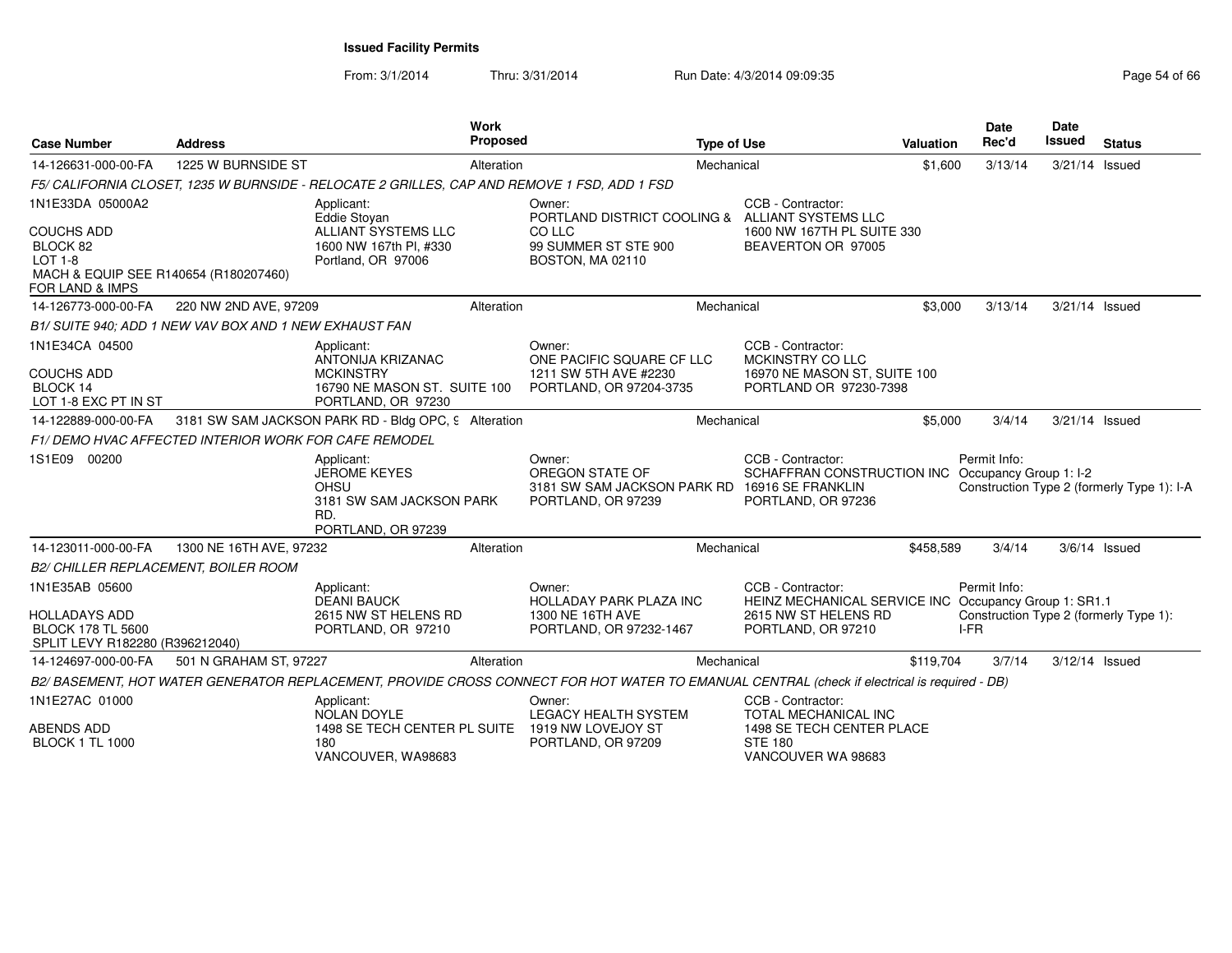| <b>Case Number</b>                                                                                                              | <b>Address</b>                                         | Work                                                                                                      | Proposed   | <b>Type of Use</b>                                                                                                                          |                                                                                                                          | Valuation | <b>Date</b><br>Rec'd | Date<br><b>Issued</b> | <b>Status</b>                              |
|---------------------------------------------------------------------------------------------------------------------------------|--------------------------------------------------------|-----------------------------------------------------------------------------------------------------------|------------|---------------------------------------------------------------------------------------------------------------------------------------------|--------------------------------------------------------------------------------------------------------------------------|-----------|----------------------|-----------------------|--------------------------------------------|
| 14-126631-000-00-FA                                                                                                             | 1225 W BURNSIDE ST                                     |                                                                                                           | Alteration | Mechanical                                                                                                                                  |                                                                                                                          | \$1,600   | 3/13/14              | 3/21/14 Issued        |                                            |
|                                                                                                                                 |                                                        | F5/ CALIFORNIA CLOSET, 1235 W BURNSIDE - RELOCATE 2 GRILLES, CAP AND REMOVE 1 FSD, ADD 1 FSD              |            |                                                                                                                                             |                                                                                                                          |           |                      |                       |                                            |
| 1N1E33DA 05000A2<br><b>COUCHS ADD</b><br>BLOCK 82<br><b>LOT 1-8</b><br>MACH & EQUIP SEE R140654 (R180207460)<br>FOR LAND & IMPS |                                                        | Applicant:<br>Eddie Stoyan<br>ALLIANT SYSTEMS LLC<br>1600 NW 167th Pl, #330<br>Portland, OR 97006         |            | Owner:<br>PORTLAND DISTRICT COOLING &<br>CO LLC<br>99 SUMMER ST STE 900<br>BOSTON, MA 02110                                                 | CCB - Contractor:<br>ALLIANT SYSTEMS LLC<br>1600 NW 167TH PL SUITE 330<br>BEAVERTON OR 97005                             |           |                      |                       |                                            |
| 14-126773-000-00-FA                                                                                                             | 220 NW 2ND AVE, 97209                                  |                                                                                                           | Alteration | Mechanical                                                                                                                                  |                                                                                                                          | \$3.000   | 3/13/14              | 3/21/14 Issued        |                                            |
|                                                                                                                                 | B1/ SUITE 940; ADD 1 NEW VAV BOX AND 1 NEW EXHAUST FAN |                                                                                                           |            |                                                                                                                                             |                                                                                                                          |           |                      |                       |                                            |
| 1N1E34CA 04500<br><b>COUCHS ADD</b><br>BLOCK 14<br>LOT 1-8 EXC PT IN ST                                                         |                                                        | Applicant:<br>ANTONIJA KRIZANAC<br><b>MCKINSTRY</b><br>16790 NE MASON ST. SUITE 100<br>PORTLAND, OR 97230 |            | Owner:<br>ONE PACIFIC SQUARE CF LLC<br>1211 SW 5TH AVE #2230<br>PORTLAND, OR 97204-3735                                                     | CCB - Contractor:<br>MCKINSTRY CO LLC<br>16970 NE MASON ST, SUITE 100<br>PORTLAND OR 97230-7398                          |           |                      |                       |                                            |
| 14-122889-000-00-FA                                                                                                             |                                                        | 3181 SW SAM JACKSON PARK RD - Bldg OPC, 9 Alteration                                                      |            | Mechanical                                                                                                                                  |                                                                                                                          | \$5,000   | 3/4/14               | 3/21/14 Issued        |                                            |
|                                                                                                                                 | F1/ DEMO HVAC AFFECTED INTERIOR WORK FOR CAFE REMODEL  |                                                                                                           |            |                                                                                                                                             |                                                                                                                          |           |                      |                       |                                            |
| 1S1E09 00200                                                                                                                    |                                                        | Applicant:<br><b>JEROME KEYES</b><br>OHSU<br>3181 SW SAM JACKSON PARK<br>RD.<br>PORTLAND, OR 97239        |            | Owner:<br>OREGON STATE OF<br>3181 SW SAM JACKSON PARK RD 16916 SE FRANKLIN<br>PORTLAND, OR 97239                                            | CCB - Contractor:<br>SCHAFFRAN CONSTRUCTION INC Occupancy Group 1: I-2<br>PORTLAND, OR 97236                             |           | Permit Info:         |                       | Construction Type 2 (formerly Type 1): I-A |
| 14-123011-000-00-FA                                                                                                             | 1300 NE 16TH AVE, 97232                                |                                                                                                           | Alteration | Mechanical                                                                                                                                  |                                                                                                                          | \$458.589 | 3/4/14               |                       | $3/6/14$ Issued                            |
| B2/ CHILLER REPLACEMENT, BOILER ROOM                                                                                            |                                                        |                                                                                                           |            |                                                                                                                                             |                                                                                                                          |           |                      |                       |                                            |
| 1N1E35AB 05600<br><b>HOLLADAYS ADD</b><br><b>BLOCK 178 TL 5600</b><br>SPLIT LEVY R182280 (R396212040)                           |                                                        | Applicant:<br><b>DEANI BAUCK</b><br>2615 NW ST HELENS RD<br>PORTLAND, OR 97210                            |            | Owner:<br>HOLLADAY PARK PLAZA INC<br>1300 NE 16TH AVE<br>PORTLAND, OR 97232-1467                                                            | CCB - Contractor:<br>HEINZ MECHANICAL SERVICE INC Occupancy Group 1: SR1.1<br>2615 NW ST HELENS RD<br>PORTLAND, OR 97210 |           | Permit Info:<br>I-FR |                       | Construction Type 2 (formerly Type 1):     |
| 14-124697-000-00-FA                                                                                                             | 501 N GRAHAM ST, 97227                                 |                                                                                                           | Alteration | Mechanical                                                                                                                                  |                                                                                                                          | \$119.704 | 3/7/14               | 3/12/14 Issued        |                                            |
|                                                                                                                                 |                                                        |                                                                                                           |            | B2/BASEMENT, HOT WATER GENERATOR REPLACEMENT, PROVIDE CROSS CONNECT FOR HOT WATER TO EMANUAL CENTRAL (check if electrical is required - DB) |                                                                                                                          |           |                      |                       |                                            |
| 1N1E27AC 01000                                                                                                                  |                                                        | Applicant:<br><b>NOLAN DOYLE</b>                                                                          |            | Owner:<br><b>LEGACY HEALTH SYSTEM</b>                                                                                                       | CCB - Contractor:<br>TOTAL MECHANICAL INC                                                                                |           |                      |                       |                                            |
| <b>ABENDS ADD</b><br><b>BLOCK 1 TL 1000</b>                                                                                     |                                                        | 1498 SE TECH CENTER PL SUITE<br>180<br>VANCOUVER, WA98683                                                 |            | 1919 NW LOVEJOY ST<br>PORTLAND, OR 97209                                                                                                    | 1498 SE TECH CENTER PLACE<br><b>STE 180</b><br>VANCOUVER WA 98683                                                        |           |                      |                       |                                            |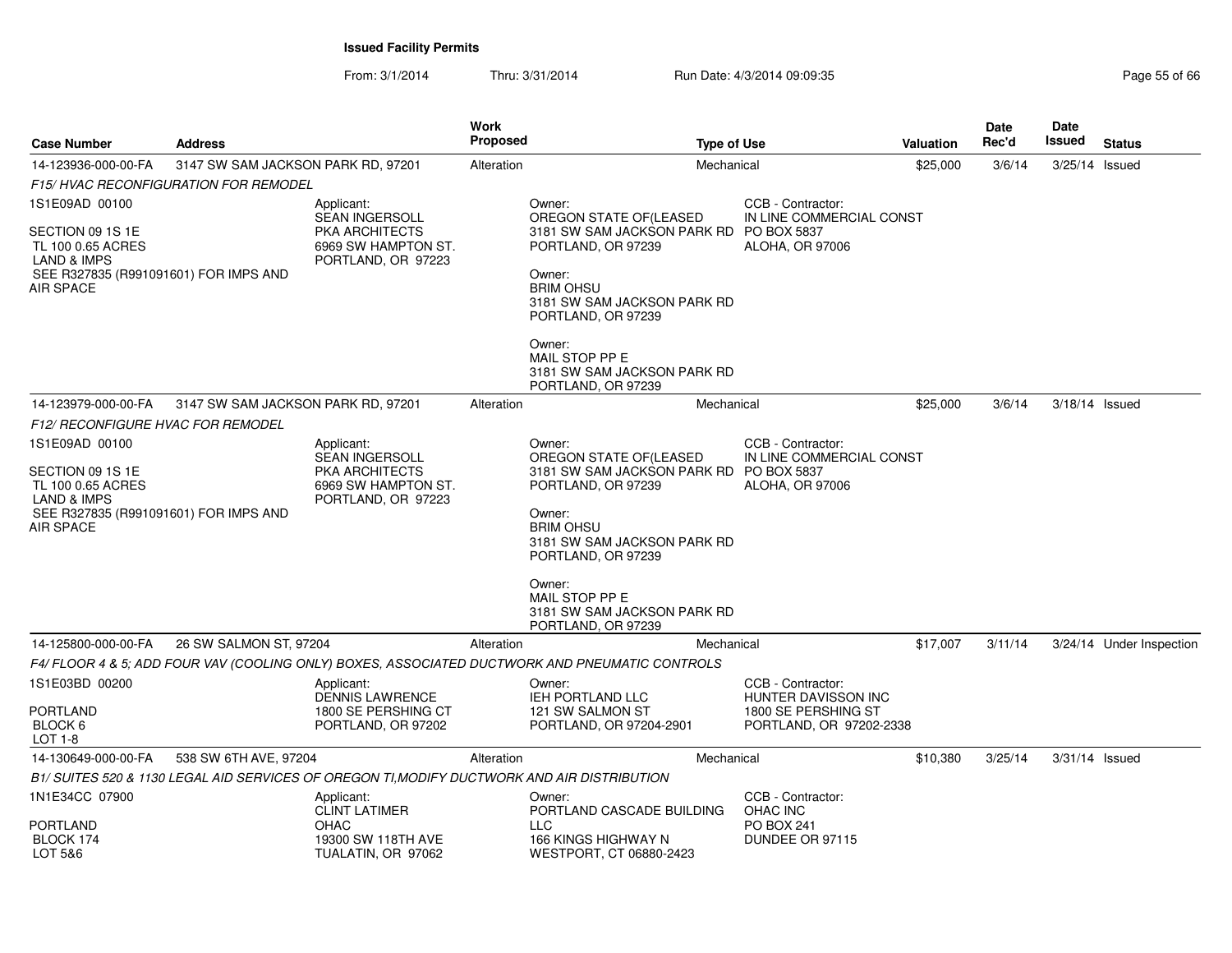From: 3/1/2014

| <b>Case Number</b>                                                                                                           | <b>Address</b>                               |                                                                                            | <b>Work</b><br><b>Proposed</b> |                                                                                                                                                                            | <b>Type of Use</b>                             | <b>Valuation</b> | <b>Date</b><br>Rec'd | <b>Date</b><br><b>Issued</b> | <b>Status</b>            |
|------------------------------------------------------------------------------------------------------------------------------|----------------------------------------------|--------------------------------------------------------------------------------------------|--------------------------------|----------------------------------------------------------------------------------------------------------------------------------------------------------------------------|------------------------------------------------|------------------|----------------------|------------------------------|--------------------------|
| 14-123936-000-00-FA                                                                                                          | 3147 SW SAM JACKSON PARK RD, 97201           |                                                                                            | Alteration                     |                                                                                                                                                                            | Mechanical                                     | \$25,000         | 3/6/14               | 3/25/14 Issued               |                          |
|                                                                                                                              | <b>F15/ HVAC RECONFIGURATION FOR REMODEL</b> |                                                                                            |                                |                                                                                                                                                                            |                                                |                  |                      |                              |                          |
| 1S1E09AD 00100                                                                                                               |                                              | Applicant:<br><b>SEAN INGERSOLL</b>                                                        |                                | Owner:<br>OREGON STATE OF (LEASED                                                                                                                                          | CCB - Contractor:<br>IN LINE COMMERCIAL CONST  |                  |                      |                              |                          |
| SECTION 09 1S 1E<br>TL 100 0.65 ACRES<br><b>LAND &amp; IMPS</b><br>SEE R327835 (R991091601) FOR IMPS AND<br>AIR SPACE        |                                              | PKA ARCHITECTS<br>6969 SW HAMPTON ST.<br>PORTLAND, OR 97223                                |                                | 3181 SW SAM JACKSON PARK RD<br>PORTLAND, OR 97239<br>Owner:<br><b>BRIM OHSU</b><br>3181 SW SAM JACKSON PARK RD<br>PORTLAND, OR 97239                                       | <b>PO BOX 5837</b><br><b>ALOHA, OR 97006</b>   |                  |                      |                              |                          |
|                                                                                                                              |                                              |                                                                                            |                                | Owner:<br>MAIL STOP PP E<br>3181 SW SAM JACKSON PARK RD<br>PORTLAND, OR 97239                                                                                              |                                                |                  |                      |                              |                          |
| 14-123979-000-00-FA                                                                                                          | 3147 SW SAM JACKSON PARK RD, 97201           |                                                                                            | Alteration                     |                                                                                                                                                                            | Mechanical                                     | \$25,000         | 3/6/14               | 3/18/14 Issued               |                          |
| <b>F12/ RECONFIGURE HVAC FOR REMODEL</b>                                                                                     |                                              |                                                                                            |                                |                                                                                                                                                                            |                                                |                  |                      |                              |                          |
| 1S1E09AD 00100                                                                                                               |                                              | Applicant:                                                                                 |                                | Owner:                                                                                                                                                                     | CCB - Contractor:                              |                  |                      |                              |                          |
| SECTION 09 1S 1E<br>TL 100 0.65 ACRES<br><b>LAND &amp; IMPS</b><br>SEE R327835 (R991091601) FOR IMPS AND<br><b>AIR SPACE</b> |                                              | SEAN INGERSOLL<br><b>PKA ARCHITECTS</b><br>6969 SW HAMPTON ST.<br>PORTLAND, OR 97223       |                                | OREGON STATE OF(LEASED<br>3181 SW SAM JACKSON PARK RD PO BOX 5837<br>PORTLAND, OR 97239<br>Owner:<br><b>BRIM OHSU</b><br>3181 SW SAM JACKSON PARK RD<br>PORTLAND, OR 97239 | IN LINE COMMERCIAL CONST<br>ALOHA, OR 97006    |                  |                      |                              |                          |
|                                                                                                                              |                                              |                                                                                            |                                | Owner:<br>MAIL STOP PP E<br>3181 SW SAM JACKSON PARK RD<br>PORTLAND, OR 97239                                                                                              |                                                |                  |                      |                              |                          |
| 14-125800-000-00-FA                                                                                                          | 26 SW SALMON ST, 97204                       |                                                                                            | Alteration                     |                                                                                                                                                                            | Mechanical                                     | \$17,007         | 3/11/14              |                              | 3/24/14 Under Inspection |
|                                                                                                                              |                                              |                                                                                            |                                | F4/FLOOR 4 & 5; ADD FOUR VAV (COOLING ONLY) BOXES, ASSOCIATED DUCTWORK AND PNEUMATIC CONTROLS                                                                              |                                                |                  |                      |                              |                          |
| 1S1E03BD 00200                                                                                                               |                                              | Applicant:<br><b>DENNIS LAWRENCE</b>                                                       |                                | Owner:<br>IEH PORTLAND LLC                                                                                                                                                 | CCB - Contractor:<br>HUNTER DAVISSON INC       |                  |                      |                              |                          |
| <b>PORTLAND</b><br>BLOCK 6<br>LOT 1-8                                                                                        |                                              | 1800 SE PERSHING CT<br>PORTLAND, OR 97202                                                  |                                | 121 SW SALMON ST<br>PORTLAND, OR 97204-2901                                                                                                                                | 1800 SE PERSHING ST<br>PORTLAND, OR 97202-2338 |                  |                      |                              |                          |
| 14-130649-000-00-FA                                                                                                          | 538 SW 6TH AVE, 97204                        |                                                                                            | Alteration                     |                                                                                                                                                                            | Mechanical                                     | \$10,380         | 3/25/14              | 3/31/14 Issued               |                          |
|                                                                                                                              |                                              | B1/ SUITES 520 & 1130 LEGAL AID SERVICES OF OREGON TI.MODIFY DUCTWORK AND AIR DISTRIBUTION |                                |                                                                                                                                                                            |                                                |                  |                      |                              |                          |
| 1N1E34CC 07900                                                                                                               |                                              | Applicant:<br><b>CLINT LATIMER</b>                                                         |                                | Owner:<br>PORTLAND CASCADE BUILDING                                                                                                                                        | CCB - Contractor:<br>OHAC INC                  |                  |                      |                              |                          |
| <b>PORTLAND</b><br>BLOCK 174<br>LOT 5&6                                                                                      |                                              | <b>OHAC</b><br>19300 SW 118TH AVE<br>TUALATIN, OR 97062                                    |                                | <b>LLC</b><br>166 KINGS HIGHWAY N<br>WESTPORT, CT 06880-2423                                                                                                               | <b>PO BOX 241</b><br>DUNDEE OR 97115           |                  |                      |                              |                          |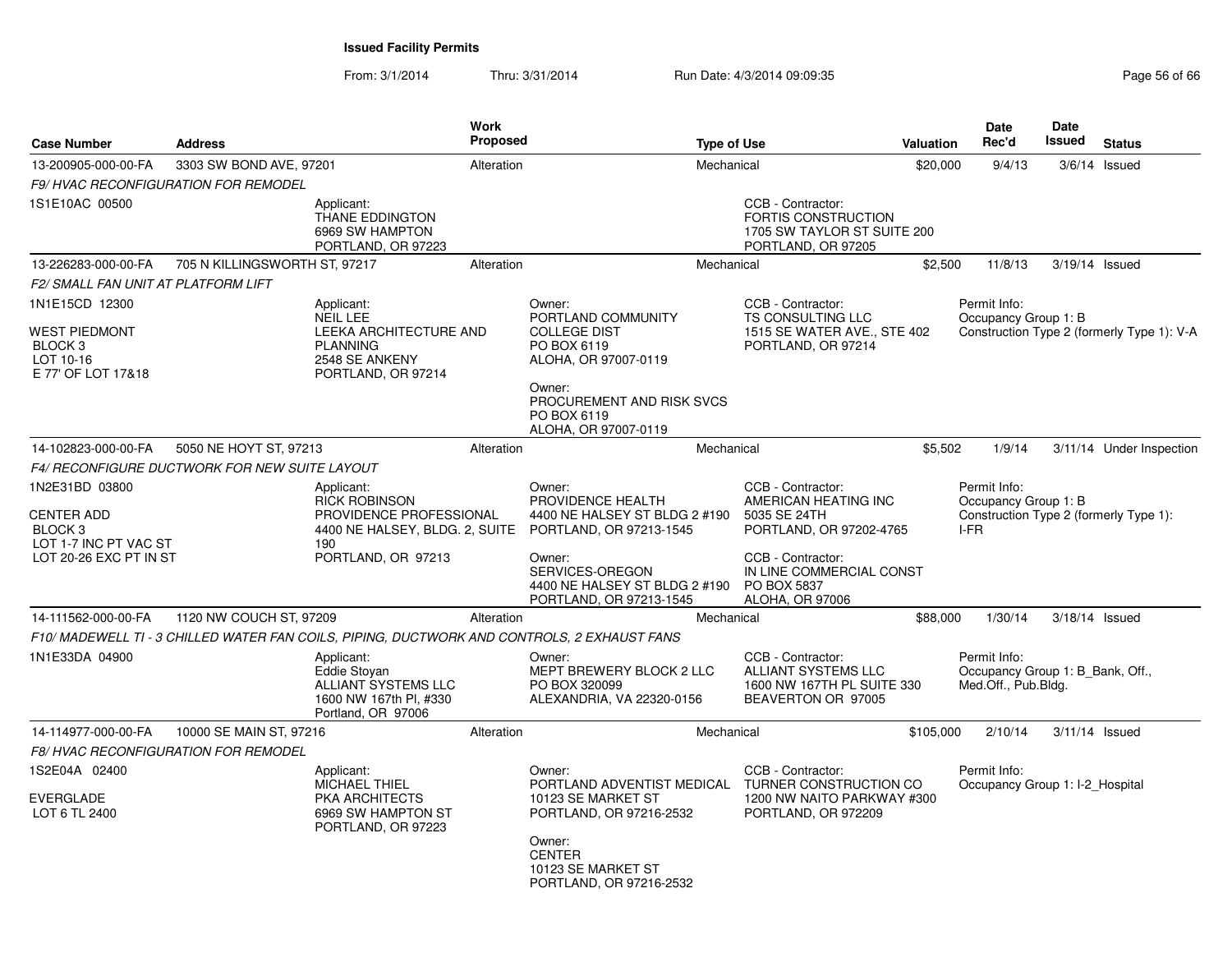| <b>Case Number</b>                                                                                           | <b>Address</b>                |                                                                                                                              | Work<br><b>Proposed</b> |                                                                                                                                                                          | <b>Type of Use</b> |                                                                                                                                       | Valuation | Date<br>Rec'd                                                                          | <b>Date</b><br>Issued | <b>Status</b>                              |
|--------------------------------------------------------------------------------------------------------------|-------------------------------|------------------------------------------------------------------------------------------------------------------------------|-------------------------|--------------------------------------------------------------------------------------------------------------------------------------------------------------------------|--------------------|---------------------------------------------------------------------------------------------------------------------------------------|-----------|----------------------------------------------------------------------------------------|-----------------------|--------------------------------------------|
| 13-200905-000-00-FA                                                                                          | 3303 SW BOND AVE, 97201       |                                                                                                                              | Alteration              |                                                                                                                                                                          | Mechanical         |                                                                                                                                       | \$20,000  | 9/4/13                                                                                 | 3/6/14                | Issued                                     |
| <b>F9/ HVAC RECONFIGURATION FOR REMODEL</b>                                                                  |                               |                                                                                                                              |                         |                                                                                                                                                                          |                    |                                                                                                                                       |           |                                                                                        |                       |                                            |
| 1S1E10AC 00500                                                                                               |                               | Applicant:<br>THANE EDDINGTON<br>6969 SW HAMPTON<br>PORTLAND, OR 97223                                                       |                         |                                                                                                                                                                          |                    | CCB - Contractor:<br><b>FORTIS CONSTRUCTION</b><br>1705 SW TAYLOR ST SUITE 200<br>PORTLAND, OR 97205                                  |           |                                                                                        |                       |                                            |
| 13-226283-000-00-FA                                                                                          | 705 N KILLINGSWORTH ST, 97217 |                                                                                                                              | Alteration              |                                                                                                                                                                          | Mechanical         |                                                                                                                                       | \$2,500   | 11/8/13                                                                                | 3/19/14 Issued        |                                            |
| F2/ SMALL FAN UNIT AT PLATFORM LIFT                                                                          |                               |                                                                                                                              |                         |                                                                                                                                                                          |                    |                                                                                                                                       |           |                                                                                        |                       |                                            |
| 1N1E15CD 12300<br>WEST PIEDMONT<br>BLOCK 3<br>LOT 10-16<br>E 77' OF LOT 17&18                                |                               | Applicant:<br><b>NEIL LEE</b><br>LEEKA ARCHITECTURE AND<br><b>PLANNING</b><br>2548 SE ANKENY<br>PORTLAND, OR 97214           |                         | Owner:<br>PORTLAND COMMUNITY<br><b>COLLEGE DIST</b><br>PO BOX 6119<br>ALOHA, OR 97007-0119<br>Owner:<br>PROCUREMENT AND RISK SVCS<br>PO BOX 6119<br>ALOHA, OR 97007-0119 |                    | CCB - Contractor:<br><b>TS CONSULTING LLC</b><br>1515 SE WATER AVE., STE 402<br>PORTLAND, OR 97214                                    |           | Permit Info:<br>Occupancy Group 1: B                                                   |                       | Construction Type 2 (formerly Type 1): V-A |
| 14-102823-000-00-FA                                                                                          | 5050 NE HOYT ST, 97213        |                                                                                                                              | Alteration              |                                                                                                                                                                          | Mechanical         |                                                                                                                                       | \$5,502   | 1/9/14                                                                                 |                       | 3/11/14 Under Inspection                   |
| <i>F4/ RECONFIGURE DUCTWORK FOR NEW SUITE LAYOUT</i>                                                         |                               |                                                                                                                              |                         |                                                                                                                                                                          |                    |                                                                                                                                       |           |                                                                                        |                       |                                            |
| 1N2E31BD 03800<br><b>CENTER ADD</b><br>BLOCK <sub>3</sub><br>LOT 1-7 INC PT VAC ST<br>LOT 20-26 EXC PT IN ST |                               | Applicant:<br><b>RICK ROBINSON</b><br>PROVIDENCE PROFESSIONAL<br>4400 NE HALSEY, BLDG. 2, SUITE<br>190<br>PORTLAND, OR 97213 |                         | Owner:<br>PROVIDENCE HEALTH<br>4400 NE HALSEY ST BLDG 2 #190<br>PORTLAND, OR 97213-1545<br>Owner:<br>SERVICES-OREGON                                                     |                    | CCB - Contractor:<br>AMERICAN HEATING INC<br>5035 SE 24TH<br>PORTLAND, OR 97202-4765<br>CCB - Contractor:<br>IN LINE COMMERCIAL CONST |           | Permit Info:<br>Occupancy Group 1: B<br>Construction Type 2 (formerly Type 1):<br>I-FR |                       |                                            |
|                                                                                                              |                               |                                                                                                                              |                         | 4400 NE HALSEY ST BLDG 2 #190<br>PORTLAND, OR 97213-1545                                                                                                                 |                    | PO BOX 5837<br><b>ALOHA, OR 97006</b>                                                                                                 |           |                                                                                        |                       |                                            |
| 14-111562-000-00-FA                                                                                          | 1120 NW COUCH ST, 97209       |                                                                                                                              | Alteration              |                                                                                                                                                                          | Mechanical         |                                                                                                                                       | \$88,000  | 1/30/14                                                                                | $3/18/14$ Issued      |                                            |
|                                                                                                              |                               | F10/ MADEWELL TI - 3 CHILLED WATER FAN COILS, PIPING, DUCTWORK AND CONTROLS, 2 EXHAUST FANS                                  |                         |                                                                                                                                                                          |                    |                                                                                                                                       |           |                                                                                        |                       |                                            |
| 1N1E33DA 04900                                                                                               |                               | Applicant:<br>Eddie Stoyan<br>ALLIANT SYSTEMS LLC<br>1600 NW 167th PI, #330<br>Portland, OR 97006                            |                         | Owner:<br>MEPT BREWERY BLOCK 2 LLC<br>PO BOX 320099<br>ALEXANDRIA, VA 22320-0156                                                                                         |                    | CCB - Contractor:<br><b>ALLIANT SYSTEMS LLC</b><br>1600 NW 167TH PL SUITE 330<br>BEAVERTON OR 97005                                   |           | Permit Info:<br>Occupancy Group 1: B_Bank, Off.,<br>Med.Off., Pub.Bldg.                |                       |                                            |
| 14-114977-000-00-FA                                                                                          | 10000 SE MAIN ST, 97216       |                                                                                                                              | Alteration              |                                                                                                                                                                          | Mechanical         |                                                                                                                                       | \$105,000 | 2/10/14                                                                                | 3/11/14 Issued        |                                            |
| <i>F8/ HVAC RECONFIGURATION FOR REMODEL</i>                                                                  |                               |                                                                                                                              |                         |                                                                                                                                                                          |                    |                                                                                                                                       |           |                                                                                        |                       |                                            |
| 1S2E04A 02400<br>EVERGLADE<br>LOT 6 TL 2400                                                                  |                               | Applicant:<br><b>MICHAEL THIEL</b><br>PKA ARCHITECTS<br>6969 SW HAMPTON ST<br>PORTLAND, OR 97223                             |                         | Owner:<br>PORTLAND ADVENTIST MEDICAL<br>10123 SE MARKET ST<br>PORTLAND, OR 97216-2532<br>Owner:<br><b>CENTER</b><br>10123 SE MARKET ST<br>PORTLAND, OR 97216-2532        |                    | CCB - Contractor:<br>TURNER CONSTRUCTION CO<br>1200 NW NAITO PARKWAY #300<br>PORTLAND, OR 972209                                      |           | Permit Info:<br>Occupancy Group 1: I-2 Hospital                                        |                       |                                            |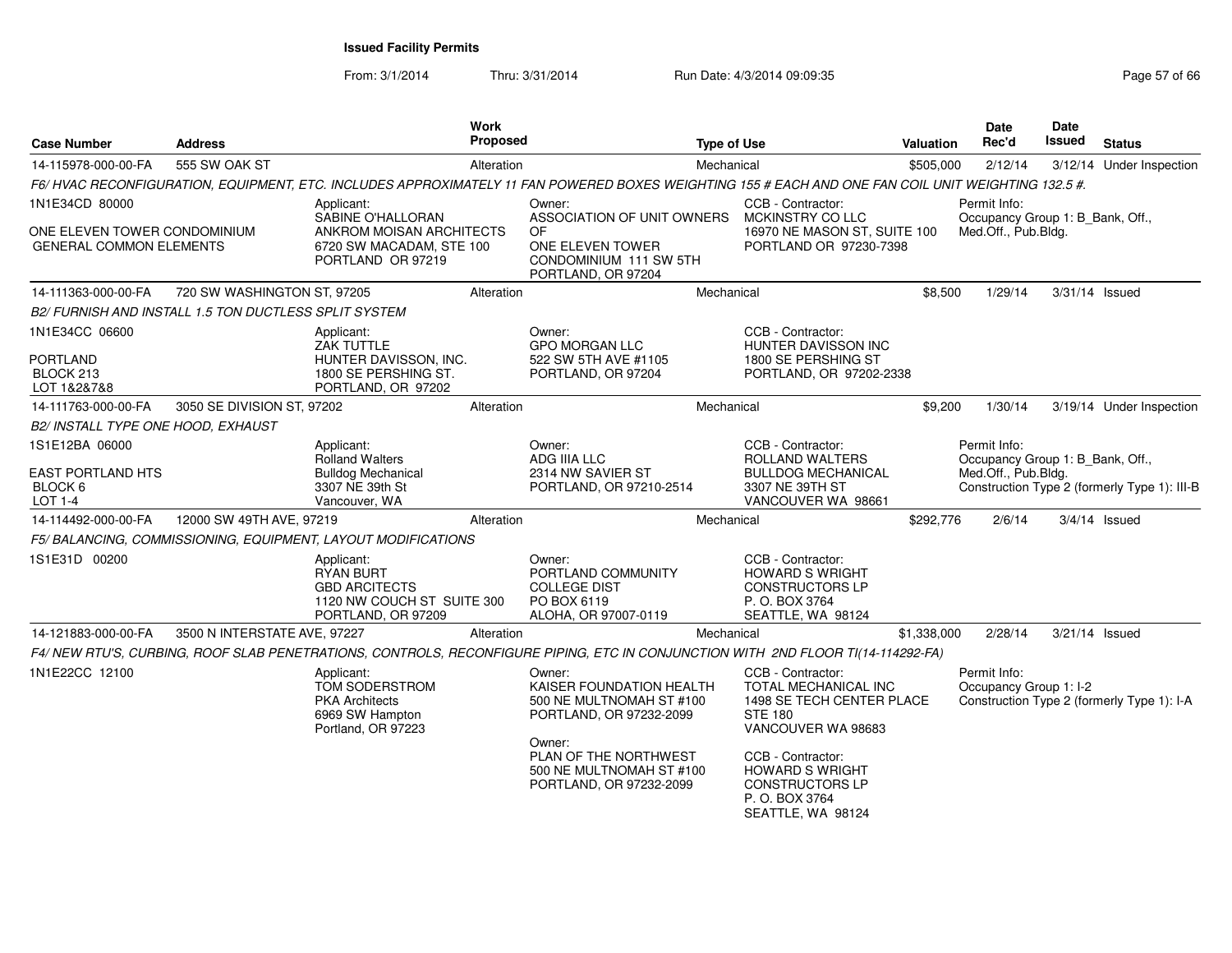From: 3/1/2014

| <b>Case Number</b>                                             | <b>Address</b>                                        |                                                                                                            | Work<br>Proposed |                                                                                                                                                    | <b>Type of Use</b>                                                                                                    | <b>Valuation</b> | Date<br>Rec'd                                    | <b>Date</b><br><b>Issued</b> | <b>Status</b>                                |
|----------------------------------------------------------------|-------------------------------------------------------|------------------------------------------------------------------------------------------------------------|------------------|----------------------------------------------------------------------------------------------------------------------------------------------------|-----------------------------------------------------------------------------------------------------------------------|------------------|--------------------------------------------------|------------------------------|----------------------------------------------|
| 14-115978-000-00-FA                                            | 555 SW OAK ST                                         |                                                                                                            | Alteration       |                                                                                                                                                    | Mechanical                                                                                                            | \$505,000        | 2/12/14                                          |                              | 3/12/14 Under Inspection                     |
|                                                                |                                                       |                                                                                                            |                  | F6/HVAC RECONFIGURATION, EQUIPMENT, ETC. INCLUDES APPROXIMATELY 11 FAN POWERED BOXES WEIGHTING 155 # EACH AND ONE FAN COIL UNIT WEIGHTING 132.5 #. |                                                                                                                       |                  |                                                  |                              |                                              |
| 1N1E34CD 80000                                                 |                                                       | Applicant:<br>SABINE O'HALLORAN                                                                            |                  | Owner:<br>ASSOCIATION OF UNIT OWNERS                                                                                                               | CCB - Contractor:<br>MCKINSTRY CO LLC                                                                                 |                  | Permit Info:<br>Occupancy Group 1: B_Bank, Off., |                              |                                              |
| ONE ELEVEN TOWER CONDOMINIUM<br><b>GENERAL COMMON ELEMENTS</b> |                                                       | ANKROM MOISAN ARCHITECTS<br>6720 SW MACADAM, STE 100<br>PORTLAND OR 97219                                  |                  | <b>OF</b><br>ONE ELEVEN TOWER<br>CONDOMINIUM 111 SW 5TH<br>PORTLAND, OR 97204                                                                      | 16970 NE MASON ST, SUITE 100<br>PORTLAND OR 97230-7398                                                                |                  | Med.Off., Pub.Bldg.                              |                              |                                              |
| 14-111363-000-00-FA                                            | 720 SW WASHINGTON ST, 97205                           |                                                                                                            | Alteration       |                                                                                                                                                    | Mechanical                                                                                                            | \$8.500          | 1/29/14                                          | 3/31/14 Issued               |                                              |
|                                                                | B2/ FURNISH AND INSTALL 1.5 TON DUCTLESS SPLIT SYSTEM |                                                                                                            |                  |                                                                                                                                                    |                                                                                                                       |                  |                                                  |                              |                                              |
| 1N1E34CC 06600                                                 |                                                       | Applicant:<br>ZAK TUTTLE                                                                                   |                  | Owner:<br><b>GPO MORGAN LLC</b>                                                                                                                    | CCB - Contractor:<br>HUNTER DAVISSON INC                                                                              |                  |                                                  |                              |                                              |
| <b>PORTLAND</b><br>BLOCK 213<br>LOT 1&2&7&8                    |                                                       | HUNTER DAVISSON, INC.<br>1800 SE PERSHING ST.<br>PORTLAND, OR 97202                                        |                  | 522 SW 5TH AVE #1105<br>PORTLAND, OR 97204                                                                                                         | 1800 SE PERSHING ST<br>PORTLAND, OR 97202-2338                                                                        |                  |                                                  |                              |                                              |
| 14-111763-000-00-FA                                            | 3050 SE DIVISION ST, 97202                            |                                                                                                            | Alteration       |                                                                                                                                                    | Mechanical                                                                                                            | \$9,200          | 1/30/14                                          |                              | 3/19/14 Under Inspection                     |
| B2/ INSTALL TYPE ONE HOOD, EXHAUST                             |                                                       |                                                                                                            |                  |                                                                                                                                                    |                                                                                                                       |                  |                                                  |                              |                                              |
| 1S1E12BA 06000                                                 |                                                       | Applicant:<br><b>Rolland Walters</b>                                                                       |                  | Owner:<br>ADG IIIA LLC                                                                                                                             | CCB - Contractor:<br>ROLLAND WALTERS                                                                                  |                  | Permit Info:<br>Occupancy Group 1: B_Bank, Off., |                              |                                              |
| <b>EAST PORTLAND HTS</b><br>BLOCK 6<br><b>LOT 1-4</b>          |                                                       | <b>Bulldog Mechanical</b><br>3307 NE 39th St<br>Vancouver, WA                                              |                  | 2314 NW SAVIER ST<br>PORTLAND, OR 97210-2514                                                                                                       | <b>BULLDOG MECHANICAL</b><br>3307 NE 39TH ST<br>VANCOUVER WA 98661                                                    |                  | Med.Off., Pub.Bldg.                              |                              | Construction Type 2 (formerly Type 1): III-B |
| 14-114492-000-00-FA                                            | 12000 SW 49TH AVE, 97219                              |                                                                                                            | Alteration       |                                                                                                                                                    | Mechanical                                                                                                            | \$292,776        | 2/6/14                                           |                              | $3/4/14$ Issued                              |
|                                                                |                                                       | F5/ BALANCING, COMMISSIONING, EQUIPMENT, LAYOUT MODIFICATIONS                                              |                  |                                                                                                                                                    |                                                                                                                       |                  |                                                  |                              |                                              |
| 1S1E31D 00200                                                  |                                                       | Applicant:<br><b>RYAN BURT</b><br><b>GBD ARCITECTS</b><br>1120 NW COUCH ST SUITE 300<br>PORTLAND, OR 97209 |                  | Owner:<br>PORTLAND COMMUNITY<br><b>COLLEGE DIST</b><br>PO BOX 6119<br>ALOHA, OR 97007-0119                                                         | CCB - Contractor:<br><b>HOWARD S WRIGHT</b><br><b>CONSTRUCTORS LP</b><br>P. O. BOX 3764<br>SEATTLE, WA 98124          |                  |                                                  |                              |                                              |
| 14-121883-000-00-FA                                            | 3500 N INTERSTATE AVE, 97227                          |                                                                                                            | Alteration       |                                                                                                                                                    | Mechanical                                                                                                            | \$1,338,000      | 2/28/14                                          |                              | 3/21/14 Issued                               |
|                                                                |                                                       |                                                                                                            |                  | F4/NEW RTU'S, CURBING, ROOF SLAB PENETRATIONS, CONTROLS, RECONFIGURE PIPING, ETC IN CONJUNCTION WITH 2ND FLOOR TI(14-114292-FA)                    |                                                                                                                       |                  |                                                  |                              |                                              |
| 1N1E22CC 12100                                                 |                                                       | Applicant:<br>TOM SODERSTROM<br><b>PKA Architects</b><br>6969 SW Hampton<br>Portland, OR 97223             |                  | Owner:<br>KAISER FOUNDATION HEALTH<br>500 NE MULTNOMAH ST #100<br>PORTLAND, OR 97232-2099                                                          | CCB - Contractor:<br><b>TOTAL MECHANICAL INC</b><br>1498 SE TECH CENTER PLACE<br><b>STE 180</b><br>VANCOUVER WA 98683 |                  | Permit Info:<br>Occupancy Group 1: I-2           |                              | Construction Type 2 (formerly Type 1): I-A   |
|                                                                |                                                       |                                                                                                            |                  | Owner:<br>PLAN OF THE NORTHWEST<br>500 NE MULTNOMAH ST #100<br>PORTLAND, OR 97232-2099                                                             | CCB - Contractor:<br><b>HOWARD S WRIGHT</b><br><b>CONSTRUCTORS LP</b><br>P. O. BOX 3764<br>SEATTLE, WA 98124          |                  |                                                  |                              |                                              |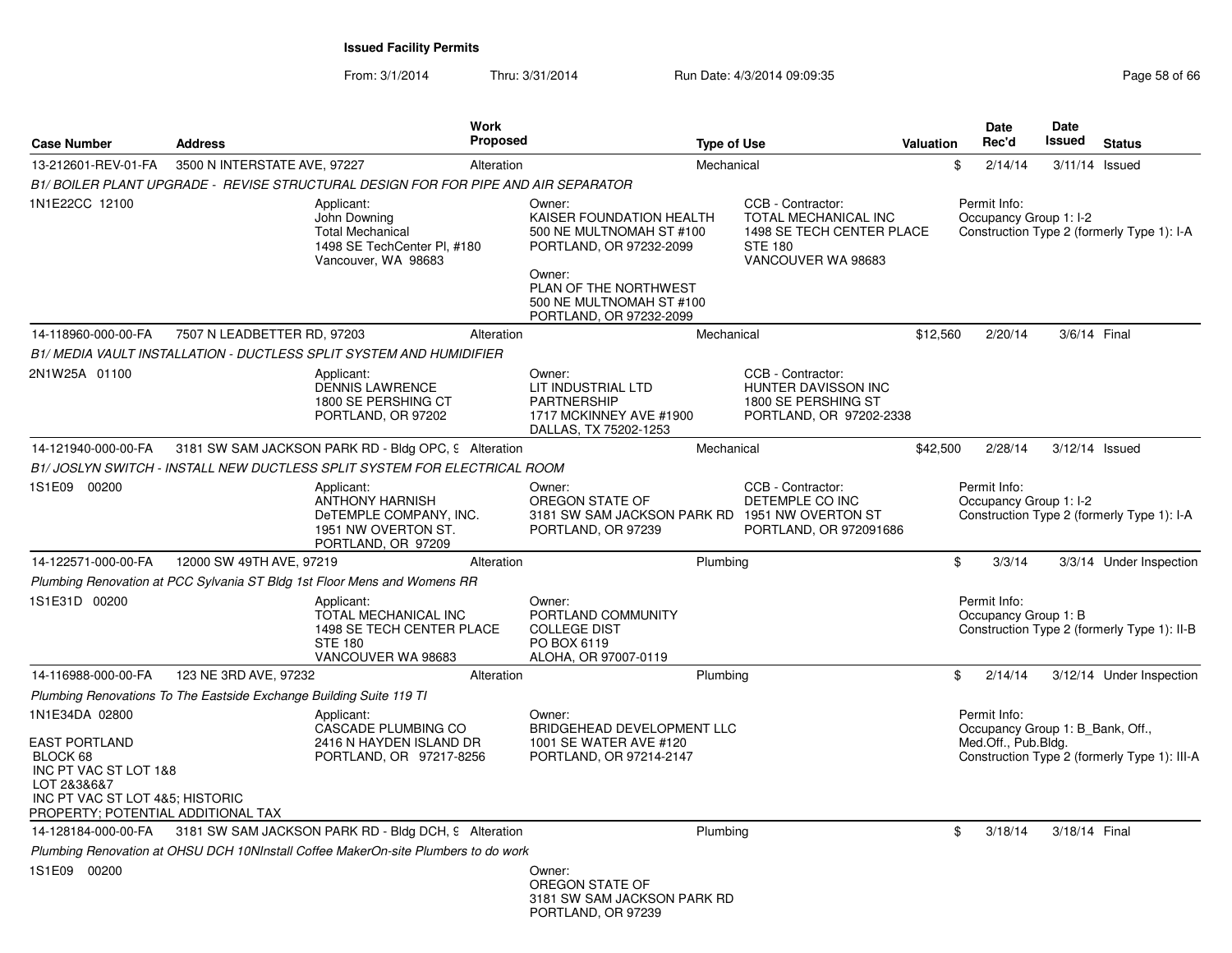| <b>Case Number</b>                                                                                                                                | <b>Address</b>                                                      | Work<br><b>Proposed</b>                                                                                     |                                                                                                                                                                                     | <b>Type of Use</b>                                                                                             | Valuation | <b>Date</b><br>Rec'd                   | <b>Date</b><br>Issued<br><b>Status</b>                                           |                          |
|---------------------------------------------------------------------------------------------------------------------------------------------------|---------------------------------------------------------------------|-------------------------------------------------------------------------------------------------------------|-------------------------------------------------------------------------------------------------------------------------------------------------------------------------------------|----------------------------------------------------------------------------------------------------------------|-----------|----------------------------------------|----------------------------------------------------------------------------------|--------------------------|
| 13-212601-REV-01-FA                                                                                                                               | 3500 N INTERSTATE AVE, 97227                                        | Alteration                                                                                                  |                                                                                                                                                                                     | Mechanical                                                                                                     | \$        | 2/14/14                                | $3/11/14$ Issued                                                                 |                          |
|                                                                                                                                                   |                                                                     | B1/ BOILER PLANT UPGRADE - REVISE STRUCTURAL DESIGN FOR FOR PIPE AND AIR SEPARATOR                          |                                                                                                                                                                                     |                                                                                                                |           |                                        |                                                                                  |                          |
| 1N1E22CC 12100                                                                                                                                    |                                                                     | Applicant:<br>John Downing<br><b>Total Mechanical</b><br>1498 SE TechCenter PI, #180<br>Vancouver, WA 98683 | Owner:<br>KAISER FOUNDATION HEALTH<br>500 NE MULTNOMAH ST #100<br>PORTLAND, OR 97232-2099<br>Owner:<br>PLAN OF THE NORTHWEST<br>500 NE MULTNOMAH ST #100<br>PORTLAND, OR 97232-2099 | CCB - Contractor:<br>TOTAL MECHANICAL INC<br>1498 SE TECH CENTER PLACE<br><b>STE 180</b><br>VANCOUVER WA 98683 |           | Permit Info:<br>Occupancy Group 1: I-2 | Construction Type 2 (formerly Type 1): I-A                                       |                          |
| 14-118960-000-00-FA                                                                                                                               | 7507 N LEADBETTER RD, 97203                                         | Alteration                                                                                                  |                                                                                                                                                                                     | Mechanical                                                                                                     | \$12,560  | 2/20/14                                | 3/6/14 Final                                                                     |                          |
|                                                                                                                                                   |                                                                     | B1/ MEDIA VAULT INSTALLATION - DUCTLESS SPLIT SYSTEM AND HUMIDIFIER                                         |                                                                                                                                                                                     |                                                                                                                |           |                                        |                                                                                  |                          |
| 2N1W25A 01100                                                                                                                                     |                                                                     | Applicant:<br>DENNIS LAWRENCE<br>1800 SE PERSHING CT<br>PORTLAND, OR 97202                                  | Owner:<br>LIT INDUSTRIAL LTD<br><b>PARTNERSHIP</b><br>1717 MCKINNEY AVE #1900<br>DALLAS, TX 75202-1253                                                                              | CCB - Contractor:<br><b>HUNTER DAVISSON INC</b><br>1800 SE PERSHING ST<br>PORTLAND, OR 97202-2338              |           |                                        |                                                                                  |                          |
| 14-121940-000-00-FA                                                                                                                               |                                                                     | 3181 SW SAM JACKSON PARK RD - Bldg OPC, 9 Alteration                                                        |                                                                                                                                                                                     | Mechanical                                                                                                     | \$42,500  | 2/28/14                                | 3/12/14 Issued                                                                   |                          |
|                                                                                                                                                   |                                                                     | B1/ JOSLYN SWITCH - INSTALL NEW DUCTLESS SPLIT SYSTEM FOR ELECTRICAL ROOM                                   |                                                                                                                                                                                     |                                                                                                                |           |                                        |                                                                                  |                          |
| 1S1E09 00200                                                                                                                                      |                                                                     | Applicant:<br>ANTHONY HARNISH<br>DeTEMPLE COMPANY, INC.<br>1951 NW OVERTON ST.<br>PORTLAND, OR 97209        | Owner:<br>OREGON STATE OF<br>3181 SW SAM JACKSON PARK RD 1951 NW OVERTON ST<br>PORTLAND, OR 97239                                                                                   | CCB - Contractor:<br>DETEMPLE CO INC<br>PORTLAND, OR 972091686                                                 |           | Permit Info:<br>Occupancy Group 1: I-2 | Construction Type 2 (formerly Type 1): I-A                                       |                          |
| 14-122571-000-00-FA                                                                                                                               | 12000 SW 49TH AVE, 97219                                            | Alteration                                                                                                  |                                                                                                                                                                                     | Plumbing                                                                                                       | \$        | 3/3/14                                 |                                                                                  | 3/3/14 Under Inspection  |
|                                                                                                                                                   |                                                                     | Plumbing Renovation at PCC Sylvania ST Bldg 1st Floor Mens and Womens RR                                    |                                                                                                                                                                                     |                                                                                                                |           |                                        |                                                                                  |                          |
| 1S1E31D 00200                                                                                                                                     |                                                                     | Applicant:<br>TOTAL MECHANICAL INC<br>1498 SE TECH CENTER PLACE<br><b>STE 180</b><br>VANCOUVER WA 98683     | Owner:<br>PORTLAND COMMUNITY<br><b>COLLEGE DIST</b><br>PO BOX 6119<br>ALOHA, OR 97007-0119                                                                                          |                                                                                                                |           | Permit Info:<br>Occupancy Group 1: B   | Construction Type 2 (formerly Type 1): II-B                                      |                          |
| 14-116988-000-00-FA                                                                                                                               | 123 NE 3RD AVE, 97232                                               | Alteration                                                                                                  |                                                                                                                                                                                     | Plumbing                                                                                                       | \$        | 2/14/14                                |                                                                                  | 3/12/14 Under Inspection |
|                                                                                                                                                   | Plumbing Renovations To The Eastside Exchange Building Suite 119 TI |                                                                                                             |                                                                                                                                                                                     |                                                                                                                |           |                                        |                                                                                  |                          |
| 1N1E34DA 02800                                                                                                                                    |                                                                     | Applicant:                                                                                                  | Owner:                                                                                                                                                                              |                                                                                                                |           | Permit Info:                           |                                                                                  |                          |
| <b>EAST PORTLAND</b><br>BLOCK 68<br>INC PT VAC ST LOT 1&8<br>LOT 2&3&6&7<br>INC PT VAC ST LOT 4&5; HISTORIC<br>PROPERTY; POTENTIAL ADDITIONAL TAX |                                                                     | CASCADE PLUMBING CO<br>2416 N HAYDEN ISLAND DR<br>PORTLAND, OR 97217-8256                                   | <b>BRIDGEHEAD DEVELOPMENT LLC</b><br>1001 SE WATER AVE #120<br>PORTLAND, OR 97214-2147                                                                                              |                                                                                                                |           | Med.Off., Pub.Bldg.                    | Occupancy Group 1: B_Bank, Off.,<br>Construction Type 2 (formerly Type 1): III-A |                          |
| 14-128184-000-00-FA                                                                                                                               |                                                                     | 3181 SW SAM JACKSON PARK RD - Bldg DCH, 9 Alteration                                                        |                                                                                                                                                                                     | Plumbing                                                                                                       | \$        | 3/18/14                                | 3/18/14 Final                                                                    |                          |
|                                                                                                                                                   |                                                                     | Plumbing Renovation at OHSU DCH 10NInstall Coffee MakerOn-site Plumbers to do work                          |                                                                                                                                                                                     |                                                                                                                |           |                                        |                                                                                  |                          |
| 1S1E09 00200                                                                                                                                      |                                                                     |                                                                                                             | Owner:<br>OREGON STATE OF<br>3181 SW SAM JACKSON PARK RD<br>PORTLAND, OR 97239                                                                                                      |                                                                                                                |           |                                        |                                                                                  |                          |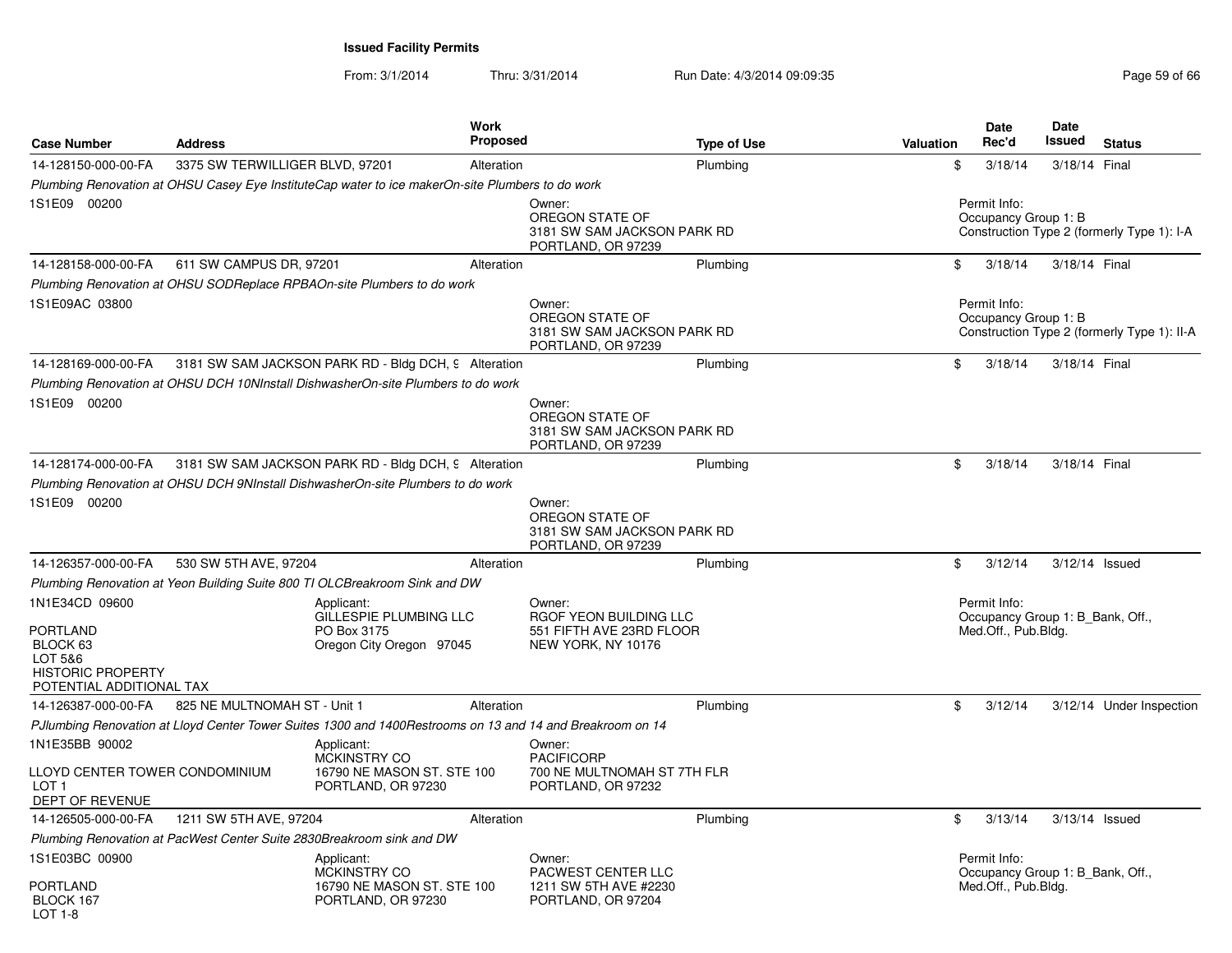| <b>Case Number</b>                                                                                        | <b>Address</b>                  | Work<br><b>Proposed</b>                                                                                   |                                                                                           | <b>Type of Use</b> | Valuation | <b>Date</b><br>Rec'd                                                    | <b>Date</b><br>Issued | <b>Status</b>                               |
|-----------------------------------------------------------------------------------------------------------|---------------------------------|-----------------------------------------------------------------------------------------------------------|-------------------------------------------------------------------------------------------|--------------------|-----------|-------------------------------------------------------------------------|-----------------------|---------------------------------------------|
| 14-128150-000-00-FA                                                                                       | 3375 SW TERWILLIGER BLVD, 97201 | Alteration                                                                                                |                                                                                           | Plumbing           | \$        | 3/18/14                                                                 | 3/18/14 Final         |                                             |
|                                                                                                           |                                 | Plumbing Renovation at OHSU Casey Eye InstituteCap water to ice makerOn-site Plumbers to do work          |                                                                                           |                    |           |                                                                         |                       |                                             |
| 1S1E09 00200                                                                                              |                                 |                                                                                                           | Owner:<br>OREGON STATE OF<br>3181 SW SAM JACKSON PARK RD<br>PORTLAND, OR 97239            |                    |           | Permit Info:<br>Occupancy Group 1: B                                    |                       | Construction Type 2 (formerly Type 1): I-A  |
| 14-128158-000-00-FA                                                                                       | 611 SW CAMPUS DR, 97201         | Alteration                                                                                                |                                                                                           | Plumbing           | \$        | 3/18/14                                                                 | 3/18/14 Final         |                                             |
|                                                                                                           |                                 | Plumbing Renovation at OHSU SODReplace RPBAOn-site Plumbers to do work                                    |                                                                                           |                    |           |                                                                         |                       |                                             |
| 1S1E09AC 03800                                                                                            |                                 |                                                                                                           | Owner:<br>OREGON STATE OF<br>3181 SW SAM JACKSON PARK RD<br>PORTLAND, OR 97239            |                    |           | Permit Info:<br>Occupancy Group 1: B                                    |                       | Construction Type 2 (formerly Type 1): II-A |
| 14-128169-000-00-FA                                                                                       |                                 | 3181 SW SAM JACKSON PARK RD - Bldg DCH, 9 Alteration                                                      |                                                                                           | Plumbing           | \$        | 3/18/14                                                                 | 3/18/14 Final         |                                             |
|                                                                                                           |                                 | Plumbing Renovation at OHSU DCH 10NInstall DishwasherOn-site Plumbers to do work                          |                                                                                           |                    |           |                                                                         |                       |                                             |
| 1S1E09 00200                                                                                              |                                 |                                                                                                           | Owner:<br>OREGON STATE OF<br>3181 SW SAM JACKSON PARK RD<br>PORTLAND, OR 97239            |                    |           |                                                                         |                       |                                             |
| 14-128174-000-00-FA                                                                                       |                                 | 3181 SW SAM JACKSON PARK RD - Bldg DCH, 9 Alteration                                                      |                                                                                           | Plumbing           | \$        | 3/18/14                                                                 | 3/18/14 Final         |                                             |
|                                                                                                           |                                 | Plumbing Renovation at OHSU DCH 9NInstall DishwasherOn-site Plumbers to do work                           |                                                                                           |                    |           |                                                                         |                       |                                             |
| 1S1E09 00200                                                                                              |                                 |                                                                                                           | Owner:<br>OREGON STATE OF<br>3181 SW SAM JACKSON PARK RD<br>PORTLAND, OR 97239            |                    |           |                                                                         |                       |                                             |
| 14-126357-000-00-FA                                                                                       | 530 SW 5TH AVE, 97204           | Alteration                                                                                                |                                                                                           | Plumbing           | \$        | 3/12/14                                                                 |                       | 3/12/14 Issued                              |
|                                                                                                           |                                 | Plumbing Renovation at Yeon Building Suite 800 TI OLCBreakroom Sink and DW                                |                                                                                           |                    |           |                                                                         |                       |                                             |
| 1N1E34CD 09600<br>PORTLAND<br>BLOCK 63<br>LOT 5&6<br><b>HISTORIC PROPERTY</b><br>POTENTIAL ADDITIONAL TAX |                                 | Applicant:<br>GILLESPIE PLUMBING LLC<br>PO Box 3175<br>Oregon City Oregon 97045                           | Owner:<br><b>RGOF YEON BUILDING LLC</b><br>551 FIFTH AVE 23RD FLOOR<br>NEW YORK, NY 10176 |                    |           | Permit Info:<br>Occupancy Group 1: B Bank, Off.,<br>Med.Off., Pub.Bldg. |                       |                                             |
| 14-126387-000-00-FA                                                                                       | 825 NE MULTNOMAH ST - Unit 1    | Alteration                                                                                                |                                                                                           | Plumbing           | \$        | 3/12/14                                                                 |                       | 3/12/14 Under Inspection                    |
|                                                                                                           |                                 | PJIumbing Renovation at Lloyd Center Tower Suites 1300 and 1400Restrooms on 13 and 14 and Breakroom on 14 |                                                                                           |                    |           |                                                                         |                       |                                             |
| 1N1E35BB 90002                                                                                            |                                 | Applicant:                                                                                                | Owner:                                                                                    |                    |           |                                                                         |                       |                                             |
| LLOYD CENTER TOWER CONDOMINIUM<br>LOT <sub>1</sub><br>DEPT OF REVENUE                                     |                                 | <b>MCKINSTRY CO</b><br>16790 NE MASON ST. STE 100<br>PORTLAND, OR 97230                                   | <b>PACIFICORP</b><br>700 NE MULTNOMAH ST 7TH FLR<br>PORTLAND, OR 97232                    |                    |           |                                                                         |                       |                                             |
| 14-126505-000-00-FA                                                                                       | 1211 SW 5TH AVE, 97204          | Alteration                                                                                                |                                                                                           | Plumbing           | \$        | 3/13/14                                                                 |                       | 3/13/14 Issued                              |
|                                                                                                           |                                 | Plumbing Renovation at PacWest Center Suite 2830Breakroom sink and DW                                     |                                                                                           |                    |           |                                                                         |                       |                                             |
| 1S1E03BC 00900                                                                                            |                                 | Applicant:<br>MCKINSTRY CO                                                                                | Owner:<br>PACWEST CENTER LLC                                                              |                    |           | Permit Info:<br>Occupancy Group 1: B_Bank, Off.,                        |                       |                                             |
| PORTLAND<br>BLOCK 167<br>LOT 1-8                                                                          |                                 | 16790 NE MASON ST. STE 100<br>PORTLAND, OR 97230                                                          | 1211 SW 5TH AVE #2230<br>PORTLAND, OR 97204                                               |                    |           | Med.Off., Pub.Bldg.                                                     |                       |                                             |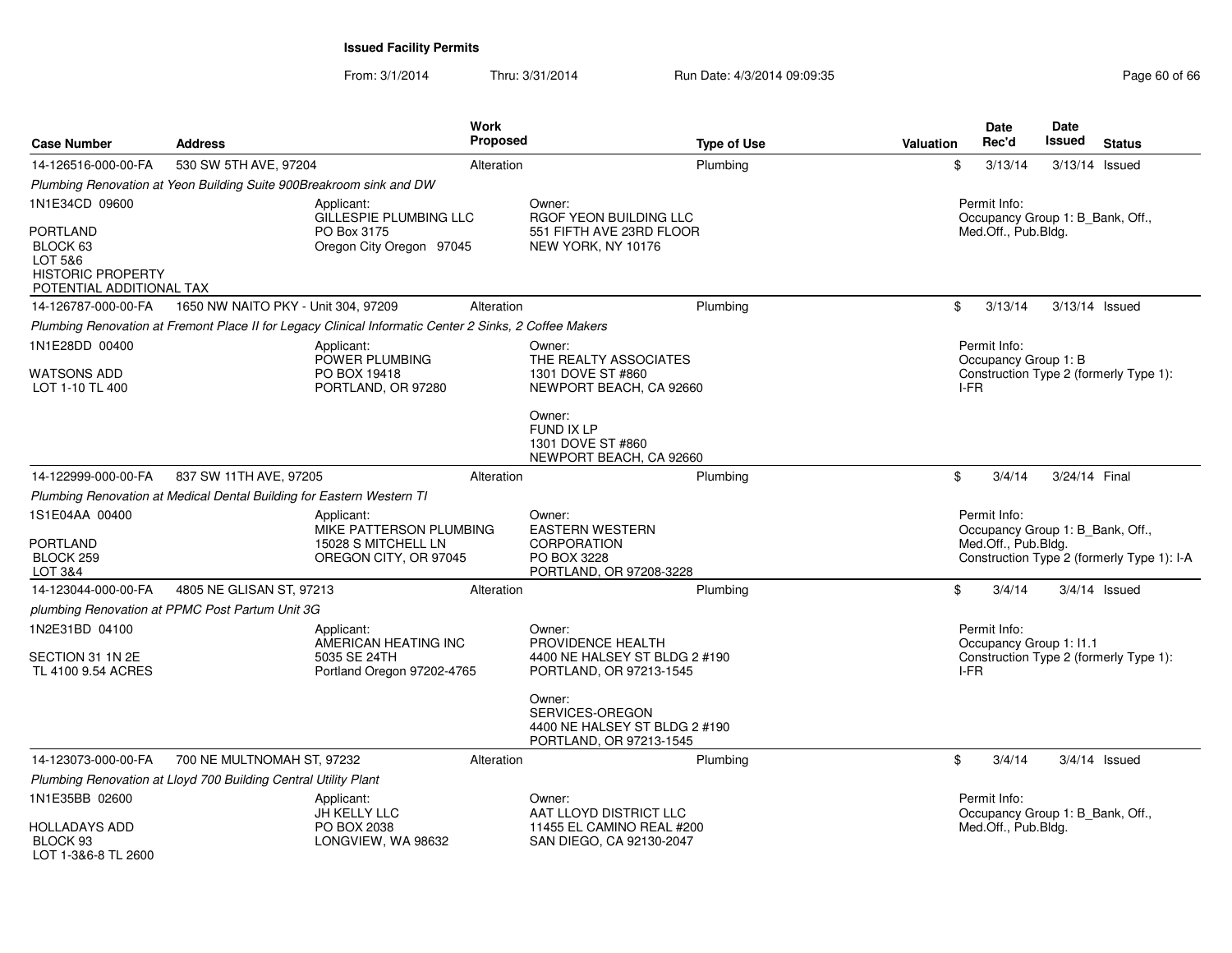| <b>Case Number</b>                                                                             | <b>Address</b>                                                                                         | Work<br><b>Proposed</b>                                                 | <b>Type of Use</b>                                                                               | <b>Valuation</b> | <b>Date</b><br>Rec'd                                                    | <b>Date</b><br>Issued | <b>Status</b>                              |
|------------------------------------------------------------------------------------------------|--------------------------------------------------------------------------------------------------------|-------------------------------------------------------------------------|--------------------------------------------------------------------------------------------------|------------------|-------------------------------------------------------------------------|-----------------------|--------------------------------------------|
| 14-126516-000-00-FA                                                                            | 530 SW 5TH AVE, 97204                                                                                  | Alteration                                                              | Plumbing                                                                                         | \$               | 3/13/14                                                                 | 3/13/14 Issued        |                                            |
|                                                                                                | Plumbing Renovation at Yeon Building Suite 900Breakroom sink and DW                                    |                                                                         |                                                                                                  |                  |                                                                         |                       |                                            |
| 1N1E34CD 09600                                                                                 | Applicant:                                                                                             | GILLESPIE PLUMBING LLC                                                  | Owner:<br>RGOF YEON BUILDING LLC                                                                 |                  | Permit Info:<br>Occupancy Group 1: B Bank, Off.,                        |                       |                                            |
| <b>PORTLAND</b><br>BLOCK 63<br>LOT 5&6<br><b>HISTORIC PROPERTY</b><br>POTENTIAL ADDITIONAL TAX | PO Box 3175                                                                                            | Oregon City Oregon 97045                                                | 551 FIFTH AVE 23RD FLOOR<br>NEW YORK, NY 10176                                                   |                  | Med.Off., Pub.Bldg.                                                     |                       |                                            |
| 14-126787-000-00-FA                                                                            | 1650 NW NAITO PKY - Unit 304, 97209                                                                    | Alteration                                                              | Plumbing                                                                                         | \$               | 3/13/14                                                                 | $3/13/14$ Issued      |                                            |
|                                                                                                | Plumbing Renovation at Fremont Place II for Legacy Clinical Informatic Center 2 Sinks, 2 Coffee Makers |                                                                         |                                                                                                  |                  |                                                                         |                       |                                            |
| 1N1E28DD 00400<br>WATSONS ADD<br>LOT 1-10 TL 400                                               | Applicant:                                                                                             | POWER PLUMBING<br>PO BOX 19418<br>PORTLAND, OR 97280                    | Owner:<br>THE REALTY ASSOCIATES<br>1301 DOVE ST #860<br>NEWPORT BEACH, CA 92660                  | I-FR             | Permit Info:<br>Occupancy Group 1: B                                    |                       | Construction Type 2 (formerly Type 1):     |
|                                                                                                |                                                                                                        |                                                                         | Owner:<br><b>FUND IX LP</b><br>1301 DOVE ST #860<br>NEWPORT BEACH, CA 92660                      |                  |                                                                         |                       |                                            |
| 14-122999-000-00-FA                                                                            | 837 SW 11TH AVE, 97205                                                                                 | Alteration                                                              | Plumbing                                                                                         | \$               | 3/4/14                                                                  | 3/24/14 Final         |                                            |
|                                                                                                | Plumbing Renovation at Medical Dental Building for Eastern Western TI                                  |                                                                         |                                                                                                  |                  |                                                                         |                       |                                            |
| 1S1E04AA 00400<br>PORTLAND<br>BLOCK 259<br>LOT 3&4                                             | Applicant:                                                                                             | MIKE PATTERSON PLUMBING<br>15028 S MITCHELL LN<br>OREGON CITY, OR 97045 | Owner:<br><b>EASTERN WESTERN</b><br><b>CORPORATION</b><br>PO BOX 3228<br>PORTLAND, OR 97208-3228 |                  | Permit Info:<br>Occupancy Group 1: B Bank, Off.,<br>Med.Off., Pub.Bldg. |                       | Construction Type 2 (formerly Type 1): I-A |
| 14-123044-000-00-FA                                                                            | 4805 NE GLISAN ST, 97213                                                                               | Alteration                                                              | Plumbing                                                                                         | \$               | 3/4/14                                                                  | $3/4/14$ Issued       |                                            |
|                                                                                                | plumbing Renovation at PPMC Post Partum Unit 3G                                                        |                                                                         |                                                                                                  |                  |                                                                         |                       |                                            |
| 1N2E31BD 04100<br>SECTION 31 1N 2E<br>TL 4100 9.54 ACRES                                       | Applicant:                                                                                             | AMERICAN HEATING INC<br>5035 SE 24TH<br>Portland Oregon 97202-4765      | Owner:<br>PROVIDENCE HEALTH<br>4400 NE HALSEY ST BLDG 2 #190<br>PORTLAND, OR 97213-1545          | I-FR             | Permit Info:<br>Occupancy Group 1: I1.1                                 |                       | Construction Type 2 (formerly Type 1):     |
|                                                                                                |                                                                                                        |                                                                         | Owner:<br>SERVICES-OREGON<br>4400 NE HALSEY ST BLDG 2 #190<br>PORTLAND, OR 97213-1545            |                  |                                                                         |                       |                                            |
| 14-123073-000-00-FA                                                                            | 700 NE MULTNOMAH ST, 97232                                                                             | Alteration                                                              | Plumbing                                                                                         | \$               | 3/4/14                                                                  | $3/4/14$ Issued       |                                            |
|                                                                                                | Plumbing Renovation at Lloyd 700 Building Central Utility Plant                                        |                                                                         |                                                                                                  |                  |                                                                         |                       |                                            |
| 1N1E35BB 02600                                                                                 | Applicant:                                                                                             | JH KELLY LLC                                                            | Owner:<br>AAT LLOYD DISTRICT LLC                                                                 |                  | Permit Info:<br>Occupancy Group 1: B Bank, Off.,                        |                       |                                            |
| HOLLADAYS ADD<br>BLOCK 93<br>LOT 1-3&6-8 TL 2600                                               |                                                                                                        | PO BOX 2038<br>LONGVIEW, WA 98632                                       | 11455 EL CAMINO REAL #200<br>SAN DIEGO, CA 92130-2047                                            |                  | Med.Off., Pub.Bldg.                                                     |                       |                                            |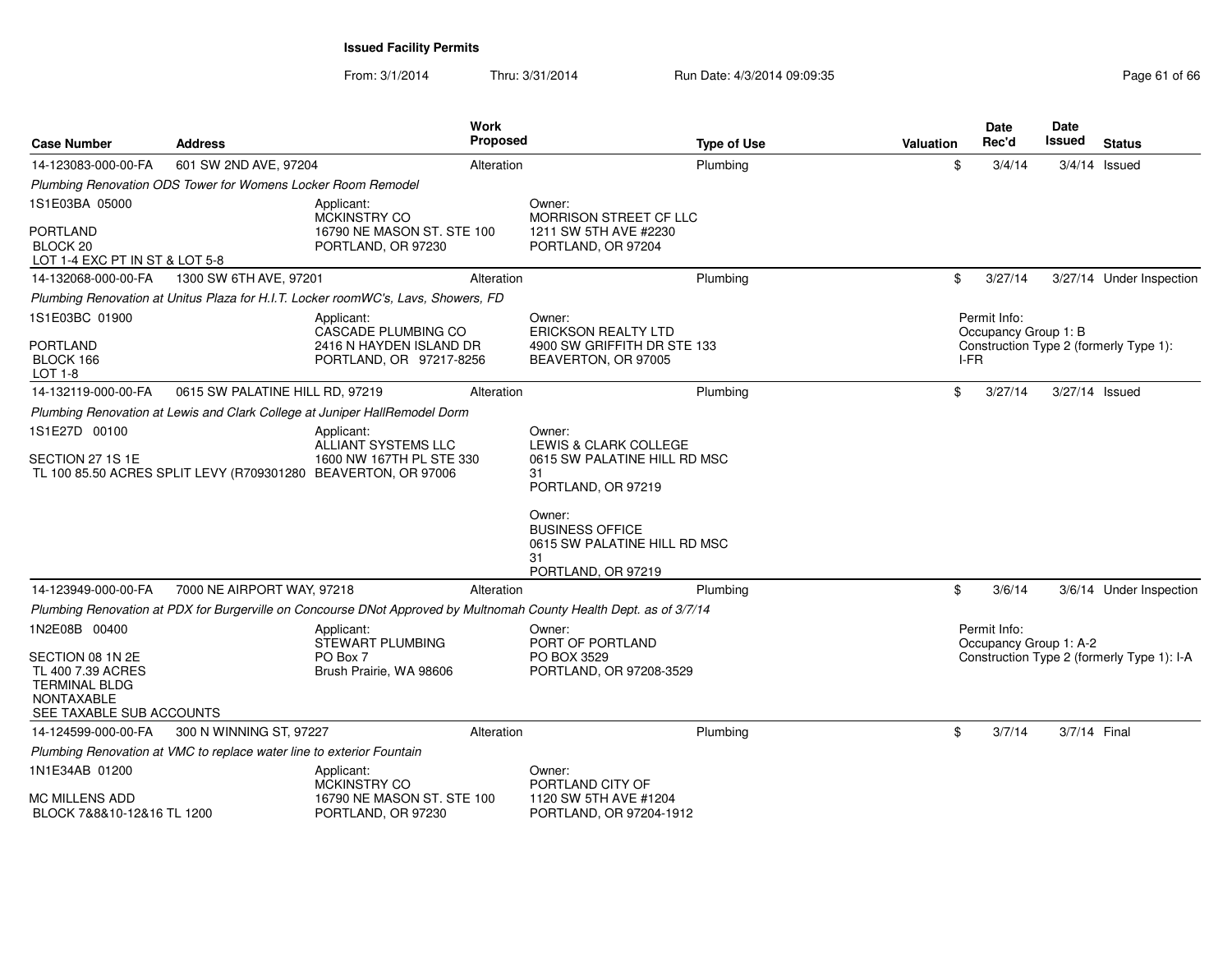| <b>Case Number</b>                                                                                             | <b>Address</b>                                                        | <b>Work</b><br><b>Proposed</b>                                                                                      |                                                                                              | <b>Type of Use</b> | Valuation | Date<br>Rec'd                          | Date<br>Issued | <b>Status</b>                              |
|----------------------------------------------------------------------------------------------------------------|-----------------------------------------------------------------------|---------------------------------------------------------------------------------------------------------------------|----------------------------------------------------------------------------------------------|--------------------|-----------|----------------------------------------|----------------|--------------------------------------------|
| 14-123083-000-00-FA                                                                                            | 601 SW 2ND AVE, 97204                                                 | Alteration                                                                                                          |                                                                                              | Plumbing           | \$        | 3/4/14                                 |                | $3/4/14$ Issued                            |
|                                                                                                                | Plumbing Renovation ODS Tower for Womens Locker Room Remodel          |                                                                                                                     |                                                                                              |                    |           |                                        |                |                                            |
| 1S1E03BA 05000                                                                                                 |                                                                       | Applicant:<br>MCKINSTRY CO                                                                                          | Owner:<br><b>MORRISON STREET CF LLC</b>                                                      |                    |           |                                        |                |                                            |
| <b>PORTLAND</b><br>BLOCK <sub>20</sub><br>LOT 1-4 EXC PT IN ST & LOT 5-8                                       |                                                                       | 16790 NE MASON ST. STE 100<br>PORTLAND, OR 97230                                                                    | 1211 SW 5TH AVE #2230<br>PORTLAND, OR 97204                                                  |                    |           |                                        |                |                                            |
| 14-132068-000-00-FA                                                                                            | 1300 SW 6TH AVE, 97201                                                | Alteration                                                                                                          |                                                                                              | Plumbing           | \$        | 3/27/14                                |                | 3/27/14 Under Inspection                   |
|                                                                                                                |                                                                       | Plumbing Renovation at Unitus Plaza for H.I.T. Locker roomWC's, Lavs, Showers, FD                                   |                                                                                              |                    |           |                                        |                |                                            |
| 1S1E03BC 01900                                                                                                 |                                                                       | Applicant:<br>CASCADE PLUMBING CO                                                                                   | Owner:<br><b>ERICKSON REALTY LTD</b>                                                         |                    |           | Permit Info:<br>Occupancy Group 1: B   |                |                                            |
| <b>PORTLAND</b><br>BLOCK 166<br>LOT 1-8                                                                        |                                                                       | 2416 N HAYDEN ISLAND DR<br>PORTLAND, OR 97217-8256                                                                  | 4900 SW GRIFFITH DR STE 133<br>BEAVERTON, OR 97005                                           |                    | I-FR      |                                        |                | Construction Type 2 (formerly Type 1):     |
| 14-132119-000-00-FA                                                                                            | 0615 SW PALATINE HILL RD, 97219                                       | Alteration                                                                                                          |                                                                                              | Plumbing           | \$        | 3/27/14                                | 3/27/14 Issued |                                            |
|                                                                                                                |                                                                       | Plumbing Renovation at Lewis and Clark College at Juniper HallRemodel Dorm                                          |                                                                                              |                    |           |                                        |                |                                            |
| 1S1E27D 00100                                                                                                  |                                                                       | Applicant:<br><b>ALLIANT SYSTEMS LLC</b>                                                                            | Owner:<br><b>LEWIS &amp; CLARK COLLEGE</b>                                                   |                    |           |                                        |                |                                            |
| SECTION 27 1S 1E                                                                                               |                                                                       | 1600 NW 167TH PL STE 330<br>TL 100 85.50 ACRES SPLIT LEVY (R709301280 BEAVERTON, OR 97006                           | 0615 SW PALATINE HILL RD MSC<br>31<br>PORTLAND, OR 97219                                     |                    |           |                                        |                |                                            |
|                                                                                                                |                                                                       |                                                                                                                     | Owner:<br><b>BUSINESS OFFICE</b><br>0615 SW PALATINE HILL RD MSC<br>31<br>PORTLAND, OR 97219 |                    |           |                                        |                |                                            |
| 14-123949-000-00-FA                                                                                            | 7000 NE AIRPORT WAY, 97218                                            | Alteration                                                                                                          |                                                                                              | Plumbing           | \$        | 3/6/14                                 |                | 3/6/14 Under Inspection                    |
|                                                                                                                |                                                                       | Plumbing Renovation at PDX for Burgerville on Concourse DNot Approved by Multnomah County Health Dept. as of 3/7/14 |                                                                                              |                    |           |                                        |                |                                            |
| 1N2E08B 00400                                                                                                  |                                                                       | Applicant:<br>STEWART PLUMBING                                                                                      | Owner:<br>PORT OF PORTLAND                                                                   |                    |           | Permit Info:<br>Occupancy Group 1: A-2 |                |                                            |
| SECTION 08 1N 2E<br>TL 400 7.39 ACRES<br><b>TERMINAL BLDG</b><br><b>NONTAXABLE</b><br>SEE TAXABLE SUB ACCOUNTS |                                                                       | PO Box 7<br>Brush Prairie, WA 98606                                                                                 | PO BOX 3529<br>PORTLAND, OR 97208-3529                                                       |                    |           |                                        |                | Construction Type 2 (formerly Type 1): I-A |
| 14-124599-000-00-FA                                                                                            | 300 N WINNING ST, 97227                                               | Alteration                                                                                                          |                                                                                              | Plumbing           | \$        | 3/7/14                                 | 3/7/14 Final   |                                            |
|                                                                                                                | Plumbing Renovation at VMC to replace water line to exterior Fountain |                                                                                                                     |                                                                                              |                    |           |                                        |                |                                            |
| 1N1E34AB 01200<br><b>MC MILLENS ADD</b>                                                                        |                                                                       | Applicant:<br>MCKINSTRY CO<br>16790 NE MASON ST. STE 100                                                            | Owner:<br>PORTLAND CITY OF<br>1120 SW 5TH AVE #1204                                          |                    |           |                                        |                |                                            |
| BLOCK 7&8&10-12&16 TL 1200                                                                                     |                                                                       | PORTLAND, OR 97230                                                                                                  | PORTLAND, OR 97204-1912                                                                      |                    |           |                                        |                |                                            |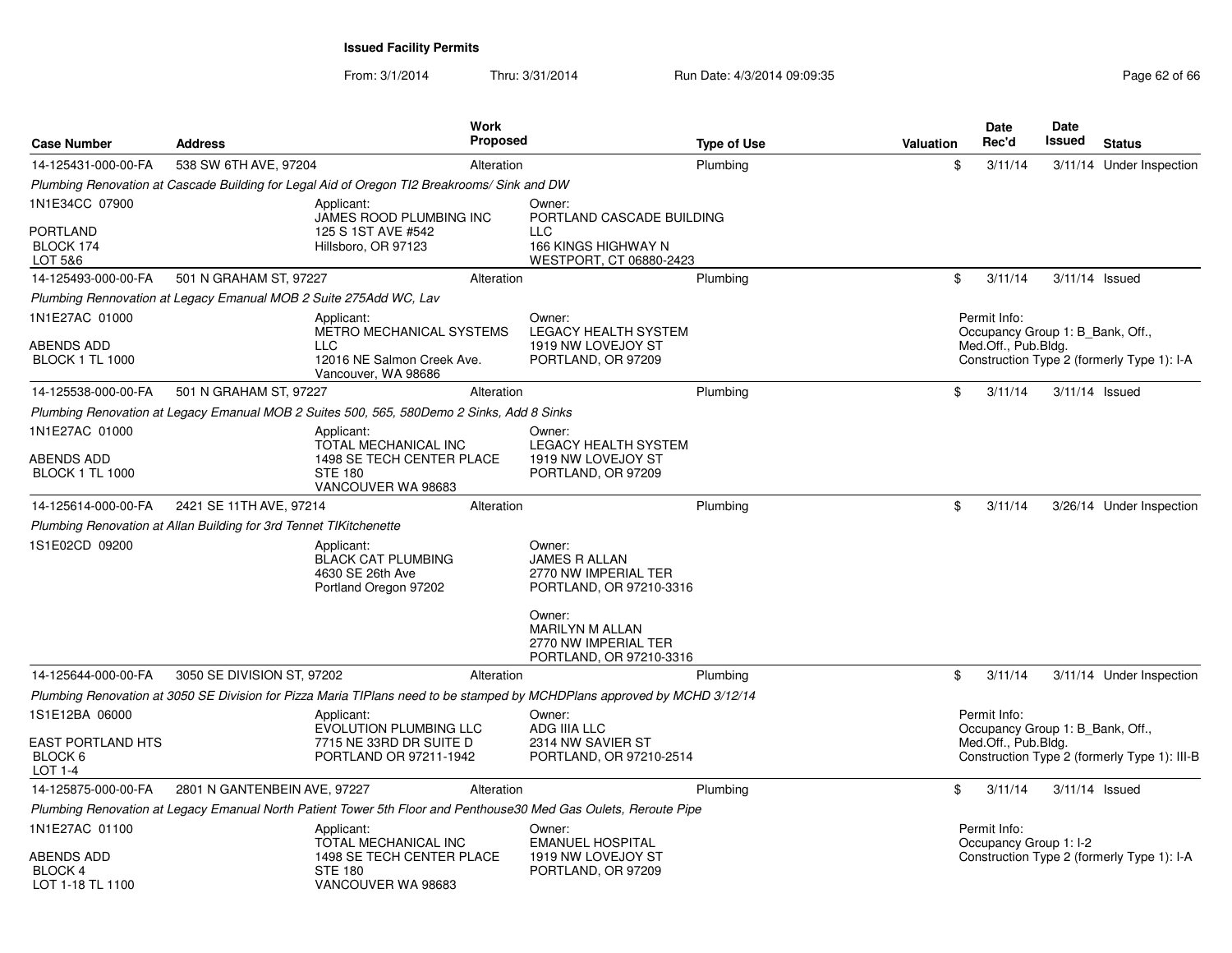| <b>Case Number</b>                             | <b>Address</b>                                                                              |                                                                                           | <b>Work</b><br><b>Proposed</b> |                                                                                                                          | <b>Type of Use</b> | <b>Valuation</b> | Date<br>Rec'd                                           | Date<br><b>Issued</b> | <b>Status</b>                                |
|------------------------------------------------|---------------------------------------------------------------------------------------------|-------------------------------------------------------------------------------------------|--------------------------------|--------------------------------------------------------------------------------------------------------------------------|--------------------|------------------|---------------------------------------------------------|-----------------------|----------------------------------------------|
| 14-125431-000-00-FA                            | 538 SW 6TH AVE, 97204                                                                       |                                                                                           | Alteration                     |                                                                                                                          | Plumbing           | \$               | 3/11/14                                                 |                       | 3/11/14 Under Inspection                     |
|                                                | Plumbing Renovation at Cascade Building for Legal Aid of Oregon TI2 Breakrooms/ Sink and DW |                                                                                           |                                |                                                                                                                          |                    |                  |                                                         |                       |                                              |
| 1N1E34CC 07900                                 |                                                                                             | Applicant:<br>JAMES ROOD PLUMBING INC                                                     |                                | Owner:<br>PORTLAND CASCADE BUILDING                                                                                      |                    |                  |                                                         |                       |                                              |
| <b>PORTLAND</b><br>BLOCK 174<br>LOT 5&6        |                                                                                             | 125 S 1ST AVE #542<br>Hillsboro, OR 97123                                                 |                                | <b>LLC</b><br>166 KINGS HIGHWAY N<br>WESTPORT, CT 06880-2423                                                             |                    |                  |                                                         |                       |                                              |
| 14-125493-000-00-FA                            | 501 N GRAHAM ST, 97227                                                                      |                                                                                           | Alteration                     |                                                                                                                          | Plumbing           | \$               | 3/11/14                                                 | 3/11/14 Issued        |                                              |
|                                                | Plumbing Rennovation at Legacy Emanual MOB 2 Suite 275Add WC, Lav                           |                                                                                           |                                |                                                                                                                          |                    |                  |                                                         |                       |                                              |
| 1N1E27AC 01000                                 |                                                                                             | Applicant:<br>METRO MECHANICAL SYSTEMS                                                    |                                | Owner:<br>LEGACY HEALTH SYSTEM                                                                                           |                    |                  | Permit Info:<br>Occupancy Group 1: B Bank, Off.,        |                       |                                              |
| ABENDS ADD<br><b>BLOCK 1 TL 1000</b>           |                                                                                             | LLC.<br>12016 NE Salmon Creek Ave.<br>Vancouver, WA 98686                                 |                                | 1919 NW LOVEJOY ST<br>PORTLAND, OR 97209                                                                                 |                    |                  | Med.Off., Pub.Bldg.                                     |                       | Construction Type 2 (formerly Type 1): I-A   |
| 14-125538-000-00-FA                            | 501 N GRAHAM ST, 97227                                                                      |                                                                                           | Alteration                     |                                                                                                                          | Plumbing           | \$               | 3/11/14                                                 | 3/11/14 Issued        |                                              |
|                                                | Plumbing Renovation at Legacy Emanual MOB 2 Suites 500, 565, 580Demo 2 Sinks, Add 8 Sinks   |                                                                                           |                                |                                                                                                                          |                    |                  |                                                         |                       |                                              |
| 1N1E27AC 01000                                 |                                                                                             | Applicant:                                                                                |                                | Owner:                                                                                                                   |                    |                  |                                                         |                       |                                              |
| ABENDS ADD<br><b>BLOCK 1 TL 1000</b>           |                                                                                             | TOTAL MECHANICAL INC<br>1498 SE TECH CENTER PLACE<br><b>STE 180</b><br>VANCOUVER WA 98683 |                                | LEGACY HEALTH SYSTEM<br>1919 NW LOVEJOY ST<br>PORTLAND, OR 97209                                                         |                    |                  |                                                         |                       |                                              |
| 14-125614-000-00-FA                            | 2421 SE 11TH AVE, 97214                                                                     |                                                                                           | Alteration                     |                                                                                                                          | Plumbing           | \$               | 3/11/14                                                 |                       | 3/26/14 Under Inspection                     |
|                                                | Plumbing Renovation at Allan Building for 3rd Tennet TIKitchenette                          |                                                                                           |                                |                                                                                                                          |                    |                  |                                                         |                       |                                              |
| 1S1E02CD 09200                                 |                                                                                             | Applicant:<br><b>BLACK CAT PLUMBING</b><br>4630 SE 26th Ave<br>Portland Oregon 97202      |                                | Owner:<br><b>JAMES R ALLAN</b><br>2770 NW IMPERIAL TER<br>PORTLAND, OR 97210-3316                                        |                    |                  |                                                         |                       |                                              |
|                                                |                                                                                             |                                                                                           |                                | Owner:<br><b>MARILYN M ALLAN</b><br>2770 NW IMPERIAL TER<br>PORTLAND, OR 97210-3316                                      |                    |                  |                                                         |                       |                                              |
| 14-125644-000-00-FA                            | 3050 SE DIVISION ST, 97202                                                                  |                                                                                           | Alteration                     |                                                                                                                          | Plumbing           | \$               | 3/11/14                                                 |                       | 3/11/14 Under Inspection                     |
|                                                |                                                                                             |                                                                                           |                                | Plumbing Renovation at 3050 SE Division for Pizza Maria TIPlans need to be stamped by MCHDPlans approved by MCHD 3/12/14 |                    |                  |                                                         |                       |                                              |
| 1S1E12BA 06000                                 |                                                                                             | Applicant:                                                                                |                                | Owner:                                                                                                                   |                    |                  | Permit Info:                                            |                       |                                              |
| <b>EAST PORTLAND HTS</b><br>BLOCK 6<br>LOT 1-4 |                                                                                             | <b>EVOLUTION PLUMBING LLC</b><br>7715 NE 33RD DR SUITE D<br>PORTLAND OR 97211-1942        |                                | ADG IIIA LLC<br>2314 NW SAVIER ST<br>PORTLAND, OR 97210-2514                                                             |                    |                  | Occupancy Group 1: B Bank, Off.,<br>Med.Off., Pub.Bldg. |                       | Construction Type 2 (formerly Type 1): III-B |
| 14-125875-000-00-FA                            | 2801 N GANTENBEIN AVE, 97227                                                                |                                                                                           | Alteration                     |                                                                                                                          | Plumbing           | \$               | 3/11/14                                                 | $3/11/14$ Issued      |                                              |
|                                                |                                                                                             |                                                                                           |                                | Plumbing Renovation at Legacy Emanual North Patient Tower 5th Floor and Penthouse30 Med Gas Oulets, Reroute Pipe         |                    |                  |                                                         |                       |                                              |
| 1N1E27AC 01100                                 |                                                                                             | Applicant:<br>TOTAL MECHANICAL INC                                                        |                                | Owner:<br><b>EMANUEL HOSPITAL</b>                                                                                        |                    |                  | Permit Info:<br>Occupancy Group 1: I-2                  |                       |                                              |
| ABENDS ADD<br>BLOCK 4<br>LOT 1-18 TL 1100      |                                                                                             | 1498 SE TECH CENTER PLACE<br><b>STE 180</b><br>VANCOUVER WA 98683                         |                                | 1919 NW LOVEJOY ST<br>PORTLAND, OR 97209                                                                                 |                    |                  |                                                         |                       | Construction Type 2 (formerly Type 1): I-A   |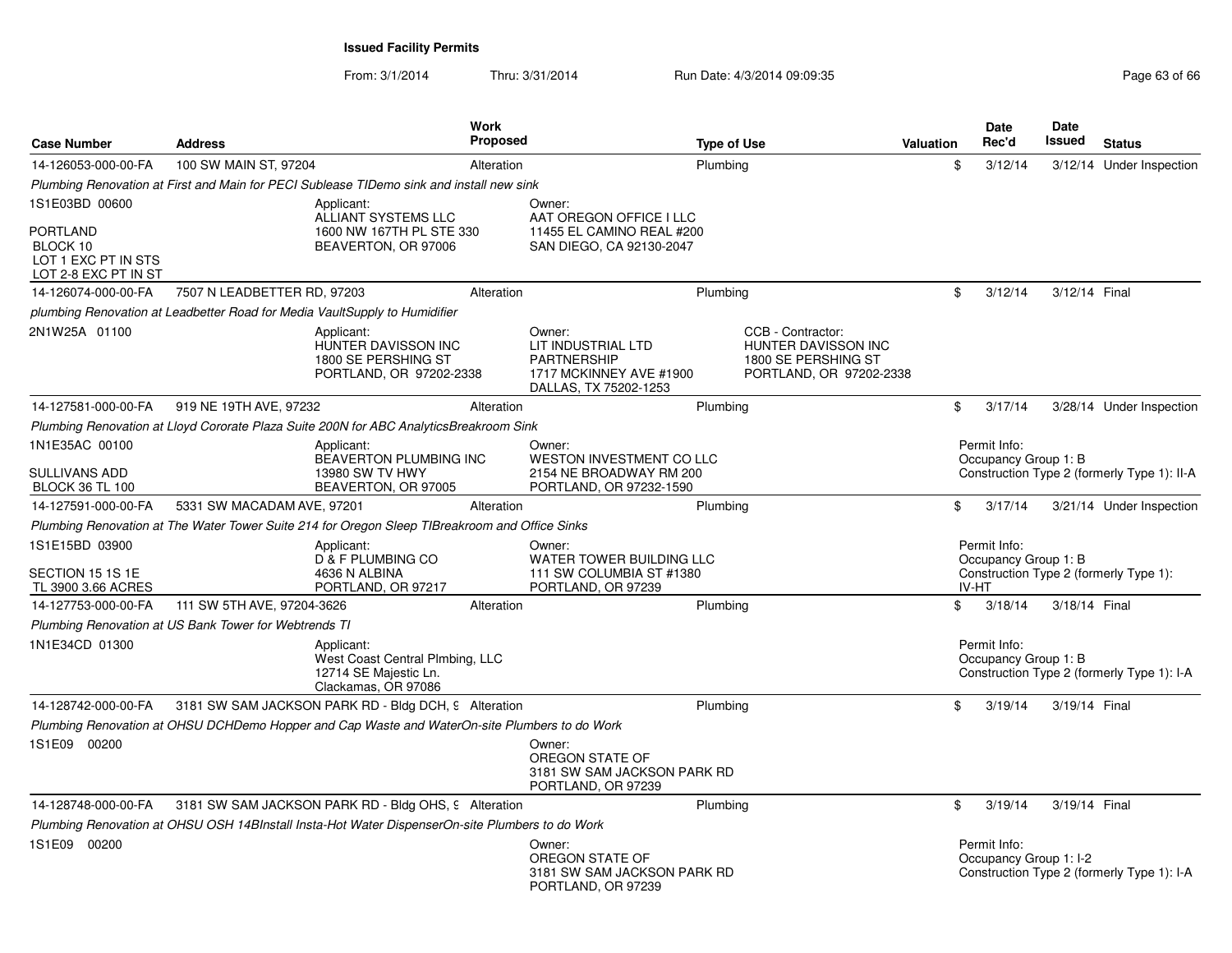| <b>Case Number</b>                                                                           | <b>Address</b>                                                                                  |                                                                                               | Work<br>Proposed |                                                                                                        | <b>Type of Use</b> |                                                                                            | Valuation | Date<br>Rec'd                                 | Date<br><b>Issued</b> | <b>Status</b>                               |
|----------------------------------------------------------------------------------------------|-------------------------------------------------------------------------------------------------|-----------------------------------------------------------------------------------------------|------------------|--------------------------------------------------------------------------------------------------------|--------------------|--------------------------------------------------------------------------------------------|-----------|-----------------------------------------------|-----------------------|---------------------------------------------|
| 14-126053-000-00-FA                                                                          | 100 SW MAIN ST, 97204                                                                           |                                                                                               | Alteration       |                                                                                                        | Plumbing           |                                                                                            | \$        | 3/12/14                                       |                       | 3/12/14 Under Inspection                    |
|                                                                                              | Plumbing Renovation at First and Main for PECI Sublease TIDemo sink and install new sink        |                                                                                               |                  |                                                                                                        |                    |                                                                                            |           |                                               |                       |                                             |
| 1S1E03BD 00600<br><b>PORTLAND</b><br>BLOCK 10<br>LOT 1 EXC PT IN STS<br>LOT 2-8 EXC PT IN ST |                                                                                                 | Applicant:<br>ALLIANT SYSTEMS LLC<br>1600 NW 167TH PL STE 330<br>BEAVERTON, OR 97006          |                  | Owner:<br>AAT OREGON OFFICE I LLC<br>11455 EL CAMINO REAL #200<br>SAN DIEGO, CA 92130-2047             |                    |                                                                                            |           |                                               |                       |                                             |
| 14-126074-000-00-FA                                                                          | 7507 N LEADBETTER RD, 97203                                                                     |                                                                                               | Alteration       |                                                                                                        | Plumbing           |                                                                                            | \$        | 3/12/14                                       | 3/12/14 Final         |                                             |
|                                                                                              | plumbing Renovation at Leadbetter Road for Media VaultSupply to Humidifier                      |                                                                                               |                  |                                                                                                        |                    |                                                                                            |           |                                               |                       |                                             |
| 2N1W25A 01100                                                                                |                                                                                                 | Applicant:<br><b>HUNTER DAVISSON INC</b><br>1800 SE PERSHING ST<br>PORTLAND, OR 97202-2338    |                  | Owner:<br>LIT INDUSTRIAL LTD<br><b>PARTNERSHIP</b><br>1717 MCKINNEY AVE #1900<br>DALLAS, TX 75202-1253 |                    | CCB - Contractor:<br>HUNTER DAVISSON INC<br>1800 SE PERSHING ST<br>PORTLAND, OR 97202-2338 |           |                                               |                       |                                             |
| 14-127581-000-00-FA                                                                          | 919 NE 19TH AVE, 97232                                                                          |                                                                                               | Alteration       |                                                                                                        | Plumbing           |                                                                                            | \$        | 3/17/14                                       |                       | 3/28/14 Under Inspection                    |
|                                                                                              | Plumbing Renovation at Lloyd Cororate Plaza Suite 200N for ABC AnalyticsBreakroom Sink          |                                                                                               |                  |                                                                                                        |                    |                                                                                            |           |                                               |                       |                                             |
| 1N1E35AC 00100<br>SULLIVANS ADD                                                              |                                                                                                 | Applicant:<br><b>BEAVERTON PLUMBING INC</b><br>13980 SW TV HWY                                |                  | Owner:<br>WESTON INVESTMENT CO LLC<br>2154 NE BROADWAY RM 200                                          |                    |                                                                                            |           | Permit Info:<br>Occupancy Group 1: B          |                       | Construction Type 2 (formerly Type 1): II-A |
| <b>BLOCK 36 TL 100</b>                                                                       |                                                                                                 | BEAVERTON, OR 97005                                                                           |                  | PORTLAND, OR 97232-1590                                                                                |                    |                                                                                            |           |                                               |                       |                                             |
| 14-127591-000-00-FA                                                                          | 5331 SW MACADAM AVE, 97201                                                                      |                                                                                               | Alteration       |                                                                                                        | Plumbing           |                                                                                            | \$        | 3/17/14                                       |                       | 3/21/14 Under Inspection                    |
|                                                                                              | Plumbing Renovation at The Water Tower Suite 214 for Oregon Sleep TIBreakroom and Office Sinks  |                                                                                               |                  |                                                                                                        |                    |                                                                                            |           |                                               |                       |                                             |
| 1S1E15BD 03900<br>SECTION 15 1S 1E<br>TL 3900 3.66 ACRES                                     |                                                                                                 | Applicant:<br><b>D &amp; F PLUMBING CO</b><br>4636 N ALBINA<br>PORTLAND, OR 97217             |                  | Owner:<br><b>WATER TOWER BUILDING LLC</b><br>111 SW COLUMBIA ST #1380<br>PORTLAND, OR 97239            |                    |                                                                                            |           | Permit Info:<br>Occupancy Group 1: B<br>IV-HT |                       | Construction Type 2 (formerly Type 1):      |
| 14-127753-000-00-FA                                                                          | 111 SW 5TH AVE, 97204-3626                                                                      |                                                                                               | Alteration       |                                                                                                        | Plumbing           |                                                                                            | \$        | 3/18/14                                       | 3/18/14 Final         |                                             |
|                                                                                              | Plumbing Renovation at US Bank Tower for Webtrends TI                                           |                                                                                               |                  |                                                                                                        |                    |                                                                                            |           |                                               |                       |                                             |
| 1N1E34CD 01300                                                                               |                                                                                                 | Applicant:<br>West Coast Central Plmbing, LLC<br>12714 SE Maiestic Ln.<br>Clackamas, OR 97086 |                  |                                                                                                        |                    |                                                                                            |           | Permit Info:<br>Occupancy Group 1: B          |                       | Construction Type 2 (formerly Type 1): I-A  |
| 14-128742-000-00-FA                                                                          | 3181 SW SAM JACKSON PARK RD - Bldg DCH, 9 Alteration                                            |                                                                                               |                  |                                                                                                        | Plumbing           |                                                                                            | \$        | 3/19/14                                       | 3/19/14 Final         |                                             |
|                                                                                              | Plumbing Renovation at OHSU DCHDemo Hopper and Cap Waste and WaterOn-site Plumbers to do Work   |                                                                                               |                  |                                                                                                        |                    |                                                                                            |           |                                               |                       |                                             |
| 1S1E09 00200                                                                                 |                                                                                                 |                                                                                               |                  | Owner:<br>OREGON STATE OF<br>3181 SW SAM JACKSON PARK RD<br>PORTLAND, OR 97239                         |                    |                                                                                            |           |                                               |                       |                                             |
| 14-128748-000-00-FA                                                                          | 3181 SW SAM JACKSON PARK RD - Bldg OHS, 9 Alteration                                            |                                                                                               |                  |                                                                                                        | Plumbing           |                                                                                            | \$        | 3/19/14                                       | 3/19/14 Final         |                                             |
|                                                                                              | Plumbing Renovation at OHSU OSH 14BInstall Insta-Hot Water DispenserOn-site Plumbers to do Work |                                                                                               |                  |                                                                                                        |                    |                                                                                            |           |                                               |                       |                                             |
| 1S1E09 00200                                                                                 |                                                                                                 |                                                                                               |                  | Owner:<br>OREGON STATE OF<br>3181 SW SAM JACKSON PARK RD<br>PORTLAND, OR 97239                         |                    |                                                                                            |           | Permit Info:<br>Occupancy Group 1: I-2        |                       | Construction Type 2 (formerly Type 1): I-A  |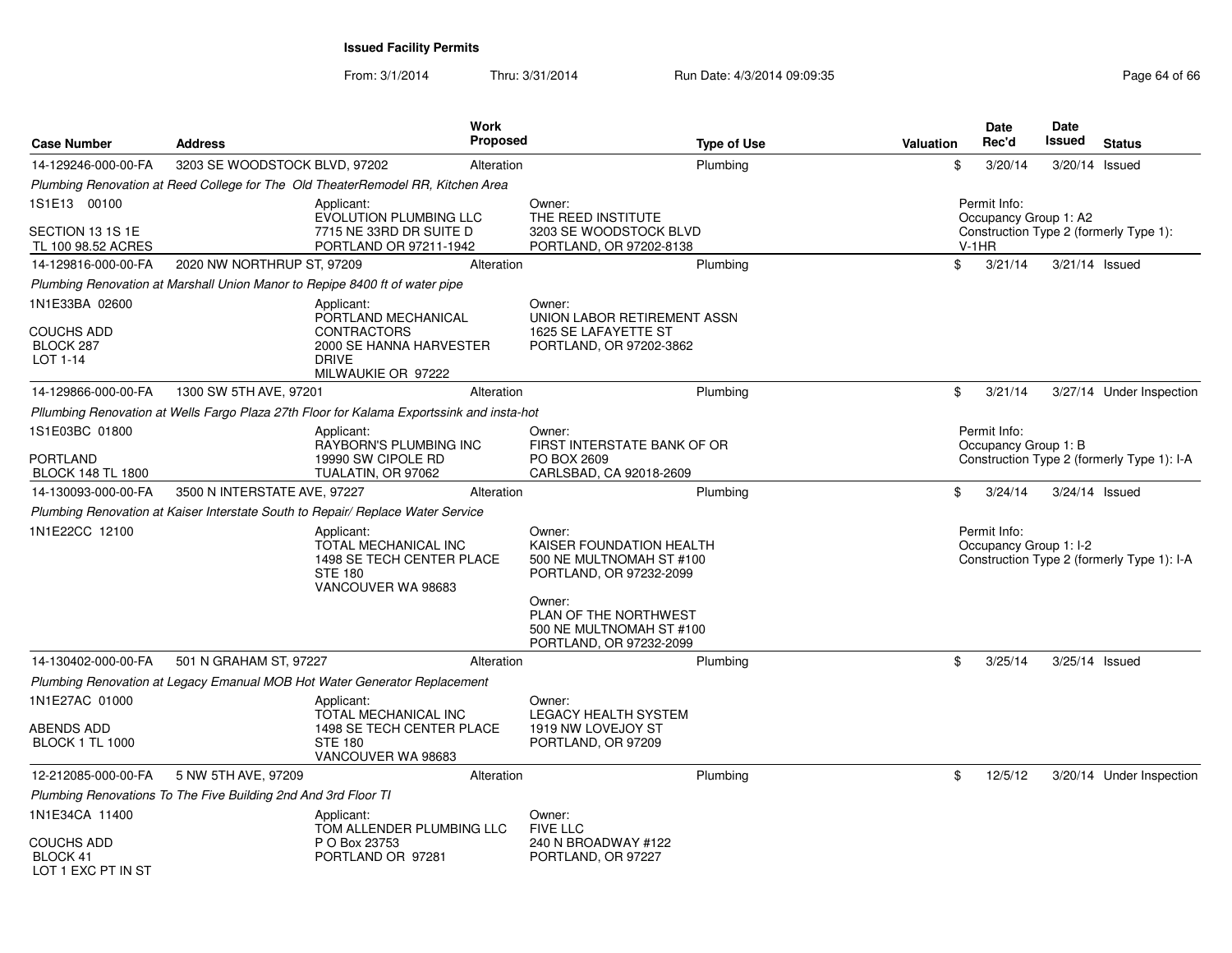| <b>Case Number</b>                                  | <b>Address</b>                                                 |                                                                                                         | Work<br><b>Proposed</b> |                                                                                           | <b>Type of Use</b> | Valuation | Date<br>Rec'd                          | <b>Date</b><br>Issued | <b>Status</b>                              |
|-----------------------------------------------------|----------------------------------------------------------------|---------------------------------------------------------------------------------------------------------|-------------------------|-------------------------------------------------------------------------------------------|--------------------|-----------|----------------------------------------|-----------------------|--------------------------------------------|
| 14-129246-000-00-FA                                 | 3203 SE WOODSTOCK BLVD, 97202                                  |                                                                                                         | Alteration              |                                                                                           | Plumbing           |           | \$<br>3/20/14                          |                       | 3/20/14 Issued                             |
|                                                     |                                                                | Plumbing Renovation at Reed College for The Old TheaterRemodel RR, Kitchen Area                         |                         |                                                                                           |                    |           |                                        |                       |                                            |
| 1S1E13 00100                                        |                                                                | Applicant:<br>EVOLUTION PLUMBING LLC                                                                    |                         | Owner:<br>THE REED INSTITUTE                                                              |                    |           | Permit Info:<br>Occupancy Group 1: A2  |                       |                                            |
| SECTION 13 1S 1E<br>TL 100 98.52 ACRES              |                                                                | 7715 NE 33RD DR SUITE D<br>PORTLAND OR 97211-1942                                                       |                         | 3203 SE WOODSTOCK BLVD<br>PORTLAND, OR 97202-8138                                         |                    |           | $V-1HR$                                |                       | Construction Type 2 (formerly Type 1):     |
| 14-129816-000-00-FA                                 | 2020 NW NORTHRUP ST, 97209                                     |                                                                                                         | Alteration              |                                                                                           | Plumbing           |           | \$<br>3/21/14                          |                       | 3/21/14 Issued                             |
|                                                     |                                                                | Plumbing Renovation at Marshall Union Manor to Repipe 8400 ft of water pipe                             |                         |                                                                                           |                    |           |                                        |                       |                                            |
| 1N1E33BA 02600                                      |                                                                | Applicant:<br>PORTLAND MECHANICAL                                                                       |                         | Owner:<br>UNION LABOR RETIREMENT ASSN                                                     |                    |           |                                        |                       |                                            |
| COUCHS ADD<br>BLOCK 287<br>LOT 1-14                 |                                                                | <b>CONTRACTORS</b><br>2000 SE HANNA HARVESTER<br><b>DRIVE</b><br>MILWAUKIE OR 97222                     |                         | 1625 SE LAFAYETTE ST<br>PORTLAND, OR 97202-3862                                           |                    |           |                                        |                       |                                            |
| 14-129866-000-00-FA                                 | 1300 SW 5TH AVE, 97201                                         |                                                                                                         | Alteration              |                                                                                           | Plumbing           |           | \$<br>3/21/14                          |                       | 3/27/14 Under Inspection                   |
|                                                     |                                                                | Pllumbing Renovation at Wells Fargo Plaza 27th Floor for Kalama Exportssink and insta-hot               |                         |                                                                                           |                    |           |                                        |                       |                                            |
| 1S1E03BC 01800                                      |                                                                | Applicant:<br>RAYBORN'S PLUMBING INC                                                                    |                         | Owner:<br>FIRST INTERSTATE BANK OF OR                                                     |                    |           | Permit Info:<br>Occupancy Group 1: B   |                       |                                            |
| PORTLAND<br><b>BLOCK 148 TL 1800</b>                |                                                                | 19990 SW CIPOLE RD<br>TUALATIN, OR 97062                                                                |                         | PO BOX 2609<br>CARLSBAD, CA 92018-2609                                                    |                    |           |                                        |                       | Construction Type 2 (formerly Type 1): I-A |
| 14-130093-000-00-FA                                 | 3500 N INTERSTATE AVE, 97227                                   |                                                                                                         | Alteration              |                                                                                           | Plumbing           |           | \$<br>3/24/14                          |                       | 3/24/14 Issued                             |
|                                                     |                                                                | Plumbing Renovation at Kaiser Interstate South to Repair/ Replace Water Service                         |                         |                                                                                           |                    |           |                                        |                       |                                            |
| 1N1E22CC 12100                                      |                                                                | Applicant:<br>TOTAL MECHANICAL INC<br>1498 SE TECH CENTER PLACE<br><b>STE 180</b><br>VANCOUVER WA 98683 |                         | Owner:<br>KAISER FOUNDATION HEALTH<br>500 NE MULTNOMAH ST #100<br>PORTLAND, OR 97232-2099 |                    |           | Permit Info:<br>Occupancy Group 1: I-2 |                       | Construction Type 2 (formerly Type 1): I-A |
|                                                     |                                                                |                                                                                                         |                         | Owner:<br>PLAN OF THE NORTHWEST<br>500 NE MULTNOMAH ST #100<br>PORTLAND, OR 97232-2099    |                    |           |                                        |                       |                                            |
| 14-130402-000-00-FA                                 | 501 N GRAHAM ST, 97227                                         |                                                                                                         | Alteration              |                                                                                           | Plumbing           |           | \$<br>3/25/14                          |                       | 3/25/14 Issued                             |
|                                                     |                                                                | Plumbing Renovation at Legacy Emanual MOB Hot Water Generator Replacement                               |                         |                                                                                           |                    |           |                                        |                       |                                            |
| 1N1E27AC 01000                                      |                                                                | Applicant:<br>TOTAL MECHANICAL INC                                                                      |                         | Owner:<br><b>LEGACY HEALTH SYSTEM</b>                                                     |                    |           |                                        |                       |                                            |
| ABENDS ADD<br><b>BLOCK 1 TL 1000</b>                |                                                                | 1498 SE TECH CENTER PLACE<br><b>STE 180</b><br>VANCOUVER WA 98683                                       |                         | 1919 NW LOVEJOY ST<br>PORTLAND, OR 97209                                                  |                    |           |                                        |                       |                                            |
| 12-212085-000-00-FA                                 | 5 NW 5TH AVE, 97209                                            |                                                                                                         | Alteration              |                                                                                           | Plumbing           |           | \$<br>12/5/12                          |                       | 3/20/14 Under Inspection                   |
|                                                     | Plumbing Renovations To The Five Building 2nd And 3rd Floor TI |                                                                                                         |                         |                                                                                           |                    |           |                                        |                       |                                            |
| 1N1E34CA 11400                                      |                                                                | Applicant:<br>TOM ALLENDER PLUMBING LLC                                                                 |                         | Owner:<br><b>FIVE LLC</b>                                                                 |                    |           |                                        |                       |                                            |
| <b>COUCHS ADD</b><br>BLOCK 41<br>LOT 1 FXC PT IN ST |                                                                | P O Box 23753<br>PORTLAND OR 97281                                                                      |                         | 240 N BROADWAY #122<br>PORTLAND, OR 97227                                                 |                    |           |                                        |                       |                                            |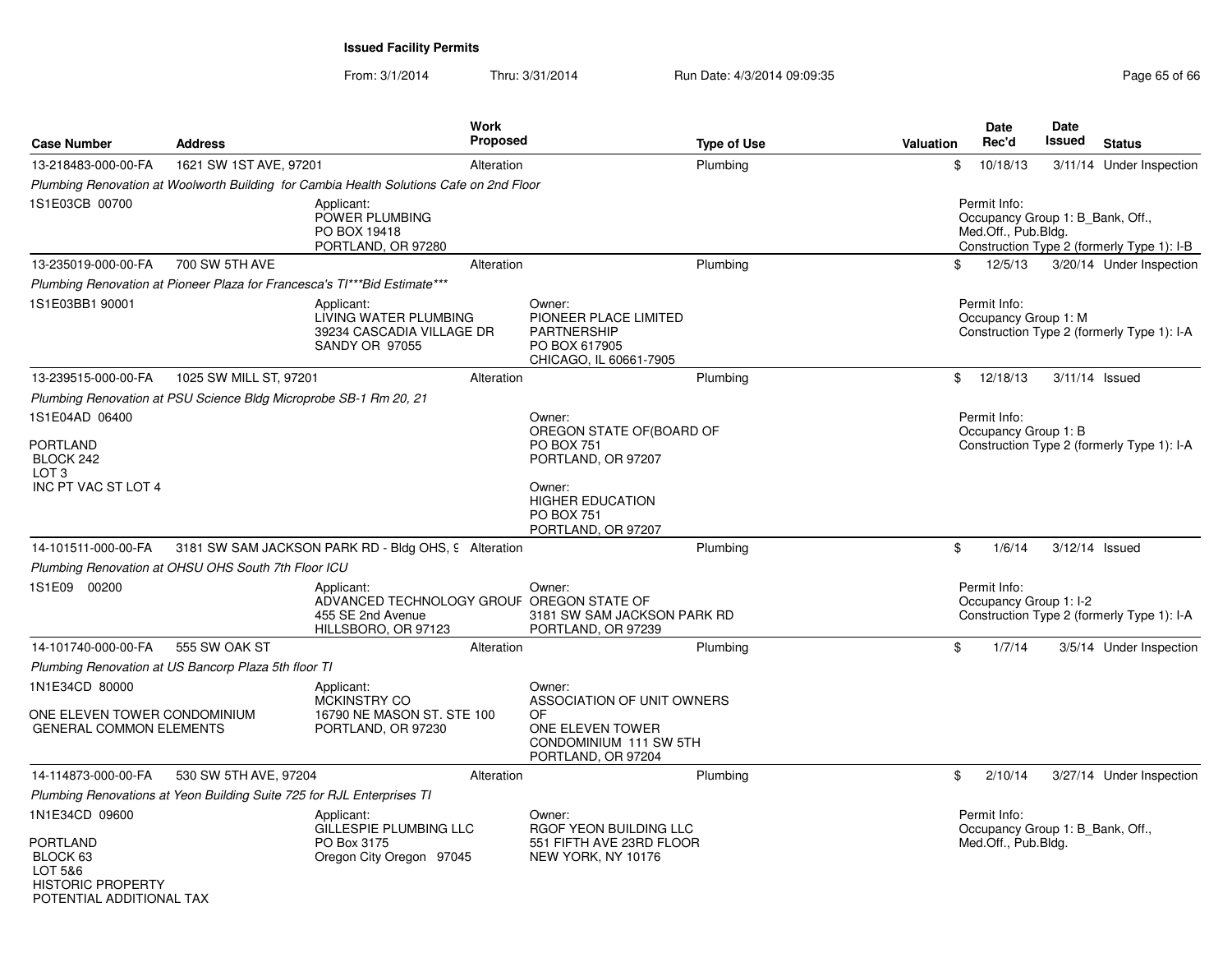POTENTIAL ADDITIONAL TAX

| <b>Case Number</b>                                                 | <b>Address</b>                                                         | <b>Work</b><br>Proposed                                                                             |                                                                                                       | <b>Type of Use</b> | <b>Valuation</b> | <b>Date</b><br>Rec'd                                                    | <b>Date</b><br>Issued | <b>Status</b>                              |
|--------------------------------------------------------------------|------------------------------------------------------------------------|-----------------------------------------------------------------------------------------------------|-------------------------------------------------------------------------------------------------------|--------------------|------------------|-------------------------------------------------------------------------|-----------------------|--------------------------------------------|
| 13-218483-000-00-FA                                                | 1621 SW 1ST AVE, 97201                                                 | Alteration                                                                                          |                                                                                                       | Plumbing           | \$               | 10/18/13                                                                |                       | 3/11/14 Under Inspection                   |
|                                                                    |                                                                        | Plumbing Renovation at Woolworth Building for Cambia Health Solutions Cafe on 2nd Floor             |                                                                                                       |                    |                  |                                                                         |                       |                                            |
| 1S1E03CB 00700                                                     |                                                                        | Applicant:<br>POWER PLUMBING<br>PO BOX 19418<br>PORTLAND, OR 97280                                  |                                                                                                       |                    |                  | Permit Info:<br>Occupancy Group 1: B Bank, Off.,<br>Med.Off., Pub.Bldg. |                       | Construction Type 2 (formerly Type 1): I-B |
| 13-235019-000-00-FA                                                | 700 SW 5TH AVE                                                         | Alteration                                                                                          |                                                                                                       | Plumbing           | \$               | 12/5/13                                                                 |                       | 3/20/14 Under Inspection                   |
|                                                                    |                                                                        | Plumbing Renovation at Pioneer Plaza for Francesca's TI***Bid Estimate***                           |                                                                                                       |                    |                  |                                                                         |                       |                                            |
| 1S1E03BB1 90001                                                    |                                                                        | Applicant:<br>LIVING WATER PLUMBING<br>39234 CASCADIA VILLAGE DR<br><b>SANDY OR 97055</b>           | Owner:<br>PIONEER PLACE LIMITED<br><b>PARTNERSHIP</b><br>PO BOX 617905<br>CHICAGO, IL 60661-7905      |                    |                  | Permit Info:<br>Occupancy Group 1: M                                    |                       | Construction Type 2 (formerly Type 1): I-A |
| 13-239515-000-00-FA                                                | 1025 SW MILL ST, 97201                                                 | Alteration                                                                                          |                                                                                                       | Plumbing           | $^{\circ}$       | 12/18/13                                                                |                       | 3/11/14 Issued                             |
|                                                                    | Plumbing Renovation at PSU Science Bldg Microprobe SB-1 Rm 20, 21      |                                                                                                     |                                                                                                       |                    |                  |                                                                         |                       |                                            |
| 1S1E04AD 06400<br><b>PORTLAND</b>                                  |                                                                        |                                                                                                     | Owner:<br>OREGON STATE OF (BOARD OF<br><b>PO BOX 751</b>                                              |                    |                  | Permit Info:<br>Occupancy Group 1: B                                    |                       | Construction Type 2 (formerly Type 1): I-A |
| BLOCK 242<br>LOT <sub>3</sub>                                      |                                                                        |                                                                                                     | PORTLAND, OR 97207                                                                                    |                    |                  |                                                                         |                       |                                            |
| INC PT VAC ST LOT 4                                                |                                                                        |                                                                                                     | Owner:<br><b>HIGHER EDUCATION</b><br><b>PO BOX 751</b><br>PORTLAND, OR 97207                          |                    |                  |                                                                         |                       |                                            |
| 14-101511-000-00-FA                                                |                                                                        | 3181 SW SAM JACKSON PARK RD - Bldg OHS, 9 Alteration                                                |                                                                                                       | Plumbing           | \$               | 1/6/14                                                                  |                       | 3/12/14 Issued                             |
|                                                                    | Plumbing Renovation at OHSU OHS South 7th Floor ICU                    |                                                                                                     |                                                                                                       |                    |                  |                                                                         |                       |                                            |
| 1S1E09 00200                                                       |                                                                        | Applicant:<br>ADVANCED TECHNOLOGY GROUF OREGON STATE OF<br>455 SE 2nd Avenue<br>HILLSBORO, OR 97123 | Owner:<br>3181 SW SAM JACKSON PARK RD<br>PORTLAND, OR 97239                                           |                    |                  | Permit Info:<br>Occupancy Group 1: I-2                                  |                       | Construction Type 2 (formerly Type 1): I-A |
| 14-101740-000-00-FA                                                | 555 SW OAK ST                                                          | Alteration                                                                                          |                                                                                                       | Plumbing           | \$               | 1/7/14                                                                  |                       | 3/5/14 Under Inspection                    |
|                                                                    | Plumbing Renovation at US Bancorp Plaza 5th floor TI                   |                                                                                                     |                                                                                                       |                    |                  |                                                                         |                       |                                            |
| 1N1E34CD 80000                                                     |                                                                        | Applicant:                                                                                          | Owner:                                                                                                |                    |                  |                                                                         |                       |                                            |
| ONE ELEVEN TOWER CONDOMINIUM<br><b>GENERAL COMMON ELEMENTS</b>     |                                                                        | <b>MCKINSTRY CO</b><br>16790 NE MASON ST. STE 100<br>PORTLAND, OR 97230                             | ASSOCIATION OF UNIT OWNERS<br>OF.<br>ONE ELEVEN TOWER<br>CONDOMINIUM 111 SW 5TH<br>PORTLAND, OR 97204 |                    |                  |                                                                         |                       |                                            |
| 14-114873-000-00-FA                                                | 530 SW 5TH AVE, 97204                                                  | Alteration                                                                                          |                                                                                                       | Plumbing           | \$               | 2/10/14                                                                 |                       | 3/27/14 Under Inspection                   |
|                                                                    | Plumbing Renovations at Yeon Building Suite 725 for RJL Enterprises TI |                                                                                                     |                                                                                                       |                    |                  |                                                                         |                       |                                            |
| 1N1E34CD 09600                                                     |                                                                        | Applicant:                                                                                          | Owner:                                                                                                |                    |                  | Permit Info:                                                            |                       |                                            |
| <b>PORTLAND</b><br>BLOCK 63<br>LOT 5&6<br><b>HISTORIC PROPERTY</b> |                                                                        | GILLESPIE PLUMBING LLC<br>PO Box 3175<br>Oregon City Oregon 97045                                   | RGOF YEON BUILDING LLC<br>551 FIFTH AVE 23RD FLOOR<br>NEW YORK, NY 10176                              |                    |                  | Occupancy Group 1: B_Bank, Off.,<br>Med.Off., Pub.Bldg.                 |                       |                                            |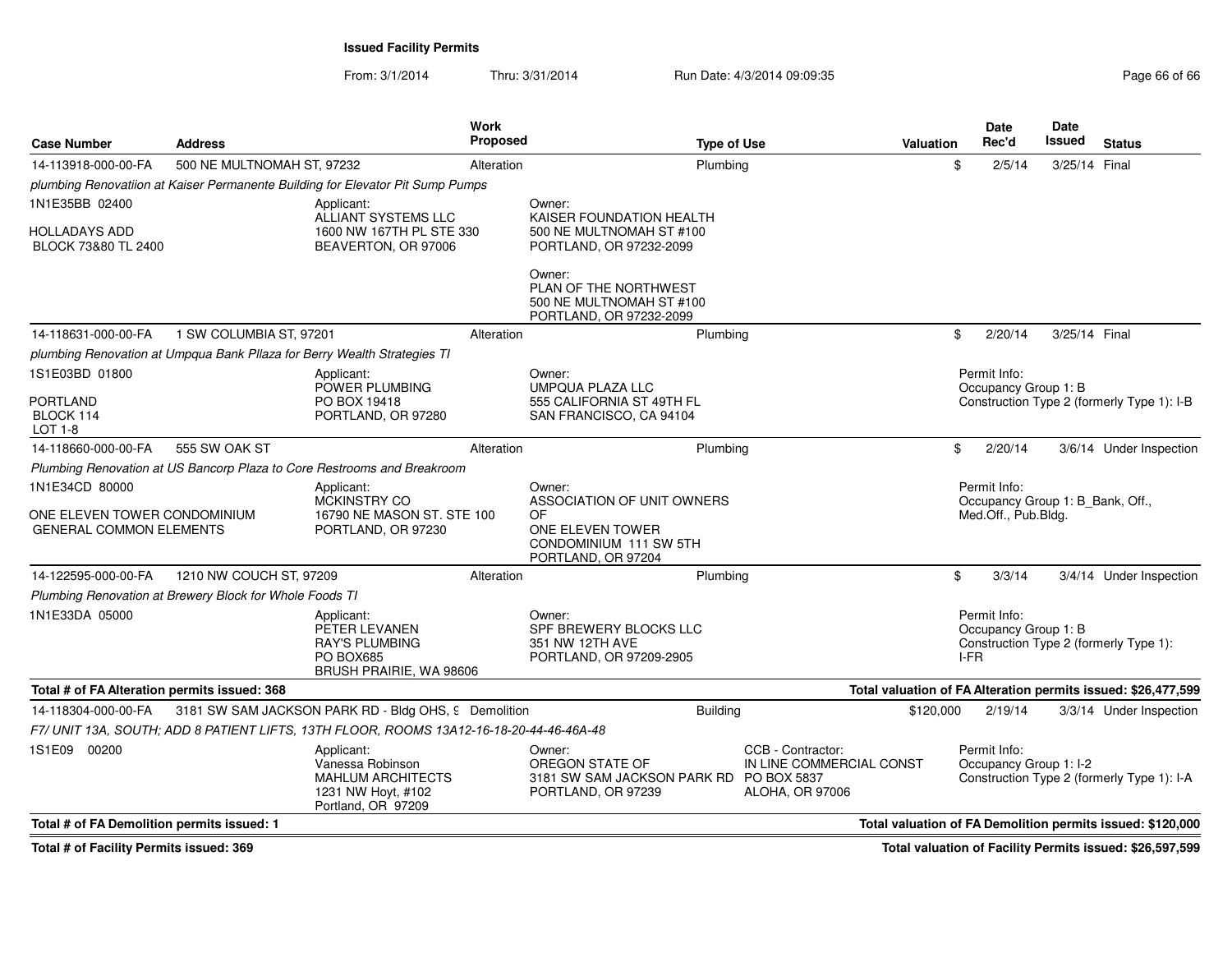From: 3/1/2014Thru: 3/31/2014 Run Date: 4/3/2014 09:09:35 Research 2010 12:09:35

| <b>Case Number</b>                                                               | <b>Address</b>                                          |                                                                                                     | Work<br><b>Proposed</b> | <b>Type of Use</b>                                                                                             |                                                                         | <b>Valuation</b>          | <b>Date</b><br>Rec'd                                                    | <b>Date</b><br>Issued | <b>Status</b>                                                 |
|----------------------------------------------------------------------------------|---------------------------------------------------------|-----------------------------------------------------------------------------------------------------|-------------------------|----------------------------------------------------------------------------------------------------------------|-------------------------------------------------------------------------|---------------------------|-------------------------------------------------------------------------|-----------------------|---------------------------------------------------------------|
| 14-113918-000-00-FA                                                              | 500 NE MULTNOMAH ST. 97232                              |                                                                                                     | Alteration              | Plumbing                                                                                                       |                                                                         | \$                        | 2/5/14                                                                  | 3/25/14 Final         |                                                               |
|                                                                                  |                                                         | plumbing Renovatiion at Kaiser Permanente Building for Elevator Pit Sump Pumps                      |                         |                                                                                                                |                                                                         |                           |                                                                         |                       |                                                               |
| 1N1E35BB 02400                                                                   |                                                         | Applicant:<br>ALLIANT SYSTEMS LLC                                                                   |                         | Owner:<br>KAISER FOUNDATION HEALTH                                                                             |                                                                         |                           |                                                                         |                       |                                                               |
| HOLLADAYS ADD<br>BLOCK 73&80 TL 2400                                             |                                                         | 1600 NW 167TH PL STE 330<br>BEAVERTON, OR 97006                                                     |                         | 500 NE MULTNOMAH ST #100<br>PORTLAND, OR 97232-2099                                                            |                                                                         |                           |                                                                         |                       |                                                               |
|                                                                                  |                                                         |                                                                                                     |                         | Owner:<br>PLAN OF THE NORTHWEST<br>500 NE MULTNOMAH ST #100<br>PORTLAND, OR 97232-2099                         |                                                                         |                           |                                                                         |                       |                                                               |
| 14-118631-000-00-FA                                                              | 1 SW COLUMBIA ST, 97201                                 |                                                                                                     | Alteration              | Plumbing                                                                                                       |                                                                         | \$                        | 2/20/14                                                                 | 3/25/14 Final         |                                                               |
|                                                                                  |                                                         | plumbing Renovation at Umpqua Bank Pllaza for Berry Wealth Strategies TI                            |                         |                                                                                                                |                                                                         |                           |                                                                         |                       |                                                               |
| 1S1E03BD 01800                                                                   |                                                         | Applicant:<br>POWER PLUMBING                                                                        |                         | Owner:<br><b>UMPQUA PLAZA LLC</b>                                                                              |                                                                         |                           | Permit Info:<br>Occupancy Group 1: B                                    |                       |                                                               |
| PORTLAND<br>BLOCK 114<br>LOT 1-8                                                 |                                                         | PO BOX 19418<br>PORTLAND, OR 97280                                                                  |                         | 555 CALIFORNIA ST 49TH FL<br>SAN FRANCISCO, CA 94104                                                           |                                                                         |                           |                                                                         |                       | Construction Type 2 (formerly Type 1): I-B                    |
| 14-118660-000-00-FA                                                              | 555 SW OAK ST                                           |                                                                                                     | Alteration              | Plumbing                                                                                                       |                                                                         | $\boldsymbol{\mathsf{S}}$ | 2/20/14                                                                 |                       | 3/6/14 Under Inspection                                       |
|                                                                                  |                                                         | Plumbing Renovation at US Bancorp Plaza to Core Restrooms and Breakroom                             |                         |                                                                                                                |                                                                         |                           |                                                                         |                       |                                                               |
| 1N1E34CD 80000<br>ONE ELEVEN TOWER CONDOMINIUM<br><b>GENERAL COMMON ELEMENTS</b> |                                                         | Applicant:<br>MCKINSTRY CO<br>16790 NE MASON ST. STE 100<br>PORTLAND, OR 97230                      |                         | Owner:<br>ASSOCIATION OF UNIT OWNERS<br>0F<br>ONE ELEVEN TOWER<br>CONDOMINIUM 111 SW 5TH<br>PORTLAND, OR 97204 |                                                                         |                           | Permit Info:<br>Occupancy Group 1: B_Bank, Off.,<br>Med.Off., Pub.Bldg. |                       |                                                               |
| 14-122595-000-00-FA                                                              | 1210 NW COUCH ST, 97209                                 |                                                                                                     | Alteration              | Plumbing                                                                                                       |                                                                         | \$                        | 3/3/14                                                                  |                       | 3/4/14 Under Inspection                                       |
|                                                                                  | Plumbing Renovation at Brewery Block for Whole Foods TI |                                                                                                     |                         |                                                                                                                |                                                                         |                           |                                                                         |                       |                                                               |
| 1N1E33DA 05000                                                                   |                                                         | Applicant:<br>PETER LEVANEN<br><b>RAY'S PLUMBING</b><br><b>PO BOX685</b><br>BRUSH PRAIRIE, WA 98606 |                         | Owner:<br>SPF BREWERY BLOCKS LLC<br>351 NW 12TH AVE<br>PORTLAND, OR 97209-2905                                 |                                                                         |                           | Permit Info:<br>Occupancy Group 1: B<br>I-FR                            |                       | Construction Type 2 (formerly Type 1):                        |
| Total # of FA Alteration permits issued: 368                                     |                                                         |                                                                                                     |                         |                                                                                                                |                                                                         |                           |                                                                         |                       | Total valuation of FA Alteration permits issued: \$26,477,599 |
| 14-118304-000-00-FA                                                              |                                                         | 3181 SW SAM JACKSON PARK RD - Bldg OHS, 9 Demolition                                                |                         | <b>Building</b>                                                                                                |                                                                         | \$120,000                 | 2/19/14                                                                 |                       | 3/3/14 Under Inspection                                       |
|                                                                                  |                                                         | F7/ UNIT 13A, SOUTH; ADD 8 PATIENT LIFTS, 13TH FLOOR, ROOMS 13A12-16-18-20-44-46-46A-48             |                         |                                                                                                                |                                                                         |                           |                                                                         |                       |                                                               |
| 1S1E09 00200                                                                     |                                                         | Applicant:<br>Vanessa Robinson<br>MAHLUM ARCHITECTS<br>1231 NW Hoyt, #102<br>Portland, OR 97209     |                         | Owner:<br>OREGON STATE OF<br>3181 SW SAM JACKSON PARK RD PO BOX 5837<br>PORTLAND, OR 97239                     | CCB - Contractor:<br>IN LINE COMMERCIAL CONST<br><b>ALOHA, OR 97006</b> |                           | Permit Info:<br>Occupancy Group 1: I-2                                  |                       | Construction Type 2 (formerly Type 1): I-A                    |
| Total # of FA Demolition permits issued: 1                                       |                                                         |                                                                                                     |                         |                                                                                                                |                                                                         |                           |                                                                         |                       | Total valuation of FA Demolition permits issued: \$120,000    |

**Total # of Facility Permits issued: 369**

**Total valuation of Facility Permits issued: \$26,597,599**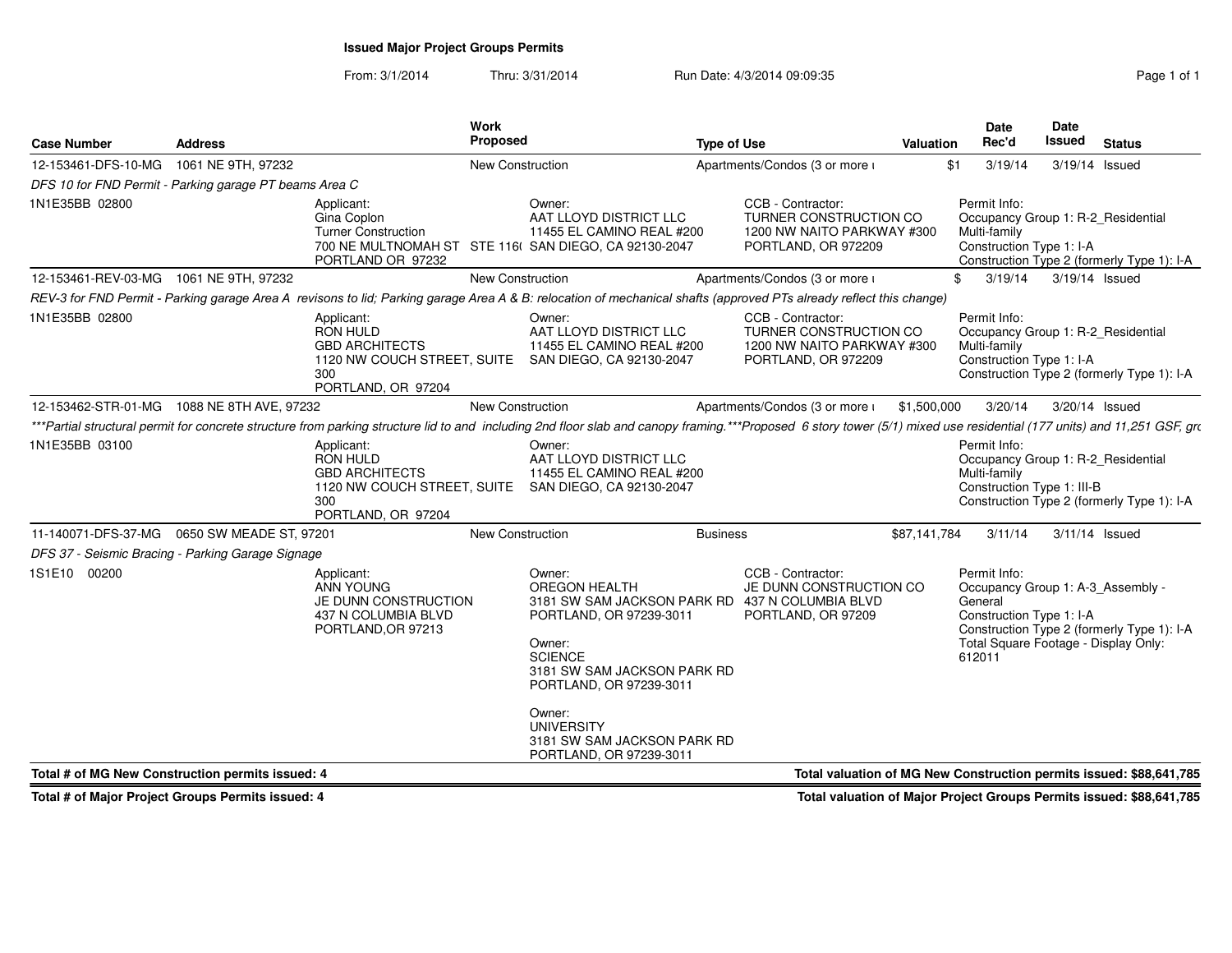# **Issued Major Project Groups Permits**

From: 3/1/2014Thru: 3/31/2014 **Run Date: 4/3/2014 09:09:35** Page 1 of 1

| 1061 NE 9TH, 97232<br>New Construction<br>Apartments/Condos (3 or more i<br>\$1<br>3/19/14<br>3/19/14 Issued<br>DFS 10 for FND Permit - Parking garage PT beams Area C<br>CCB - Contractor:<br>Permit Info:<br>Applicant:<br>Owner:<br>AAT LLOYD DISTRICT LLC<br>TURNER CONSTRUCTION CO<br>Occupancy Group 1: R-2_Residential<br>Gina Coplon<br><b>Turner Construction</b><br>11455 EL CAMINO REAL #200<br>1200 NW NAITO PARKWAY #300<br>Multi-family<br>Construction Type 1: I-A<br>700 NE MULTNOMAH ST STE 116( SAN DIEGO, CA 92130-2047<br>PORTLAND, OR 972209<br>Construction Type 2 (formerly Type 1): I-A<br>PORTLAND OR 97232<br>New Construction<br>Apartments/Condos (3 or more i<br>12-153461-REV-03-MG  1061 NE 9TH, 97232<br>3/19/14<br>3/19/14 Issued<br>\$<br>REV-3 for FND Permit - Parking garage Area A revisons to lid; Parking garage Area A & B: relocation of mechanical shafts (approved PTs already reflect this change)<br>CCB - Contractor:<br>Permit Info:<br>Applicant:<br>Owner:<br><b>RON HULD</b><br>AAT LLOYD DISTRICT LLC<br>TURNER CONSTRUCTION CO<br>Occupancy Group 1: R-2_Residential<br><b>GBD ARCHITECTS</b><br>11455 EL CAMINO REAL #200<br>1200 NW NAITO PARKWAY #300<br>Multi-family<br>1120 NW COUCH STREET, SUITE<br>Construction Type 1: I-A<br>SAN DIEGO, CA 92130-2047<br>PORTLAND, OR 972209<br>Construction Type 2 (formerly Type 1): I-A<br>300<br>PORTLAND, OR 97204<br><b>New Construction</b><br>12-153462-STR-01-MG  1088 NE 8TH AVE, 97232<br>Apartments/Condos (3 or more i<br>\$1,500,000<br>3/20/14<br>3/20/14 Issued<br>***Partial structural permit for concrete structure from parking structure lid to and including 2nd floor slab and canopy framing.***Proposed 6 story tower (5/1) mixed use residential (177 units) and 11,251 GSF, group<br>Permit Info:<br>Applicant:<br>Owner:<br><b>RON HULD</b><br>AAT LLOYD DISTRICT LLC<br>Occupancy Group 1: R-2_Residential<br><b>GBD ARCHITECTS</b><br>11455 EL CAMINO REAL #200<br>Multi-family<br>1120 NW COUCH STREET, SUITE SAN DIEGO, CA 92130-2047<br>Construction Type 1: III-B<br>Construction Type 2 (formerly Type 1): I-A<br>300<br>PORTLAND, OR 97204<br>0650 SW MEADE ST, 97201<br>New Construction<br><b>Business</b><br>\$87,141,784<br>3/11/14<br>3/11/14 Issued<br>DFS 37 - Seismic Bracing - Parking Garage Signage<br>CCB - Contractor:<br>Permit Info:<br>Owner:<br>Applicant:<br>ANN YOUNG<br><b>OREGON HEALTH</b><br>JE DUNN CONSTRUCTION CO<br>Occupancy Group 1: A-3_Assembly -<br>JE DUNN CONSTRUCTION<br>3181 SW SAM JACKSON PARK RD 437 N COLUMBIA BLVD<br>General<br>Construction Type 1: I-A<br>437 N COLUMBIA BLVD<br>PORTLAND, OR 97239-3011<br>PORTLAND, OR 97209<br>Construction Type 2 (formerly Type 1): I-A<br>PORTLAND, OR 97213<br>Owner:<br>Total Square Footage - Display Only:<br><b>SCIENCE</b><br>612011<br>3181 SW SAM JACKSON PARK RD<br>PORTLAND, OR 97239-3011<br>Owner:<br><b>UNIVERSITY</b><br>3181 SW SAM JACKSON PARK RD<br>PORTLAND, OR 97239-3011<br>Total # of MG New Construction permits issued: 4<br>Total valuation of MG New Construction permits issued: \$88,641,785 | <b>Case Number</b>  | <b>Address</b> | Work<br>Proposed | <b>Type of Use</b> | <b>Valuation</b> | <b>Date</b><br>Rec'd | Date<br>Issued | <b>Status</b> |
|-----------------------------------------------------------------------------------------------------------------------------------------------------------------------------------------------------------------------------------------------------------------------------------------------------------------------------------------------------------------------------------------------------------------------------------------------------------------------------------------------------------------------------------------------------------------------------------------------------------------------------------------------------------------------------------------------------------------------------------------------------------------------------------------------------------------------------------------------------------------------------------------------------------------------------------------------------------------------------------------------------------------------------------------------------------------------------------------------------------------------------------------------------------------------------------------------------------------------------------------------------------------------------------------------------------------------------------------------------------------------------------------------------------------------------------------------------------------------------------------------------------------------------------------------------------------------------------------------------------------------------------------------------------------------------------------------------------------------------------------------------------------------------------------------------------------------------------------------------------------------------------------------------------------------------------------------------------------------------------------------------------------------------------------------------------------------------------------------------------------------------------------------------------------------------------------------------------------------------------------------------------------------------------------------------------------------------------------------------------------------------------------------------------------------------------------------------------------------------------------------------------------------------------------------------------------------------------------------------------------------------------------------------------------------------------------------------------------------------------------------------------------------------------------------------------------------------------------------------------------------------------------------------------------------------------------------------------------------------------------------------------------------------------------------------------------------------------------------------------------------------------------------|---------------------|----------------|------------------|--------------------|------------------|----------------------|----------------|---------------|
|                                                                                                                                                                                                                                                                                                                                                                                                                                                                                                                                                                                                                                                                                                                                                                                                                                                                                                                                                                                                                                                                                                                                                                                                                                                                                                                                                                                                                                                                                                                                                                                                                                                                                                                                                                                                                                                                                                                                                                                                                                                                                                                                                                                                                                                                                                                                                                                                                                                                                                                                                                                                                                                                                                                                                                                                                                                                                                                                                                                                                                                                                                                                               | 12-153461-DFS-10-MG |                |                  |                    |                  |                      |                |               |
|                                                                                                                                                                                                                                                                                                                                                                                                                                                                                                                                                                                                                                                                                                                                                                                                                                                                                                                                                                                                                                                                                                                                                                                                                                                                                                                                                                                                                                                                                                                                                                                                                                                                                                                                                                                                                                                                                                                                                                                                                                                                                                                                                                                                                                                                                                                                                                                                                                                                                                                                                                                                                                                                                                                                                                                                                                                                                                                                                                                                                                                                                                                                               |                     |                |                  |                    |                  |                      |                |               |
|                                                                                                                                                                                                                                                                                                                                                                                                                                                                                                                                                                                                                                                                                                                                                                                                                                                                                                                                                                                                                                                                                                                                                                                                                                                                                                                                                                                                                                                                                                                                                                                                                                                                                                                                                                                                                                                                                                                                                                                                                                                                                                                                                                                                                                                                                                                                                                                                                                                                                                                                                                                                                                                                                                                                                                                                                                                                                                                                                                                                                                                                                                                                               | 1N1E35BB 02800      |                |                  |                    |                  |                      |                |               |
|                                                                                                                                                                                                                                                                                                                                                                                                                                                                                                                                                                                                                                                                                                                                                                                                                                                                                                                                                                                                                                                                                                                                                                                                                                                                                                                                                                                                                                                                                                                                                                                                                                                                                                                                                                                                                                                                                                                                                                                                                                                                                                                                                                                                                                                                                                                                                                                                                                                                                                                                                                                                                                                                                                                                                                                                                                                                                                                                                                                                                                                                                                                                               |                     |                |                  |                    |                  |                      |                |               |
|                                                                                                                                                                                                                                                                                                                                                                                                                                                                                                                                                                                                                                                                                                                                                                                                                                                                                                                                                                                                                                                                                                                                                                                                                                                                                                                                                                                                                                                                                                                                                                                                                                                                                                                                                                                                                                                                                                                                                                                                                                                                                                                                                                                                                                                                                                                                                                                                                                                                                                                                                                                                                                                                                                                                                                                                                                                                                                                                                                                                                                                                                                                                               |                     |                |                  |                    |                  |                      |                |               |
|                                                                                                                                                                                                                                                                                                                                                                                                                                                                                                                                                                                                                                                                                                                                                                                                                                                                                                                                                                                                                                                                                                                                                                                                                                                                                                                                                                                                                                                                                                                                                                                                                                                                                                                                                                                                                                                                                                                                                                                                                                                                                                                                                                                                                                                                                                                                                                                                                                                                                                                                                                                                                                                                                                                                                                                                                                                                                                                                                                                                                                                                                                                                               | 1N1E35BB 02800      |                |                  |                    |                  |                      |                |               |
|                                                                                                                                                                                                                                                                                                                                                                                                                                                                                                                                                                                                                                                                                                                                                                                                                                                                                                                                                                                                                                                                                                                                                                                                                                                                                                                                                                                                                                                                                                                                                                                                                                                                                                                                                                                                                                                                                                                                                                                                                                                                                                                                                                                                                                                                                                                                                                                                                                                                                                                                                                                                                                                                                                                                                                                                                                                                                                                                                                                                                                                                                                                                               |                     |                |                  |                    |                  |                      |                |               |
|                                                                                                                                                                                                                                                                                                                                                                                                                                                                                                                                                                                                                                                                                                                                                                                                                                                                                                                                                                                                                                                                                                                                                                                                                                                                                                                                                                                                                                                                                                                                                                                                                                                                                                                                                                                                                                                                                                                                                                                                                                                                                                                                                                                                                                                                                                                                                                                                                                                                                                                                                                                                                                                                                                                                                                                                                                                                                                                                                                                                                                                                                                                                               |                     |                |                  |                    |                  |                      |                |               |
|                                                                                                                                                                                                                                                                                                                                                                                                                                                                                                                                                                                                                                                                                                                                                                                                                                                                                                                                                                                                                                                                                                                                                                                                                                                                                                                                                                                                                                                                                                                                                                                                                                                                                                                                                                                                                                                                                                                                                                                                                                                                                                                                                                                                                                                                                                                                                                                                                                                                                                                                                                                                                                                                                                                                                                                                                                                                                                                                                                                                                                                                                                                                               | 1N1E35BB 03100      |                |                  |                    |                  |                      |                |               |
|                                                                                                                                                                                                                                                                                                                                                                                                                                                                                                                                                                                                                                                                                                                                                                                                                                                                                                                                                                                                                                                                                                                                                                                                                                                                                                                                                                                                                                                                                                                                                                                                                                                                                                                                                                                                                                                                                                                                                                                                                                                                                                                                                                                                                                                                                                                                                                                                                                                                                                                                                                                                                                                                                                                                                                                                                                                                                                                                                                                                                                                                                                                                               | 11-140071-DFS-37-MG |                |                  |                    |                  |                      |                |               |
|                                                                                                                                                                                                                                                                                                                                                                                                                                                                                                                                                                                                                                                                                                                                                                                                                                                                                                                                                                                                                                                                                                                                                                                                                                                                                                                                                                                                                                                                                                                                                                                                                                                                                                                                                                                                                                                                                                                                                                                                                                                                                                                                                                                                                                                                                                                                                                                                                                                                                                                                                                                                                                                                                                                                                                                                                                                                                                                                                                                                                                                                                                                                               |                     |                |                  |                    |                  |                      |                |               |
|                                                                                                                                                                                                                                                                                                                                                                                                                                                                                                                                                                                                                                                                                                                                                                                                                                                                                                                                                                                                                                                                                                                                                                                                                                                                                                                                                                                                                                                                                                                                                                                                                                                                                                                                                                                                                                                                                                                                                                                                                                                                                                                                                                                                                                                                                                                                                                                                                                                                                                                                                                                                                                                                                                                                                                                                                                                                                                                                                                                                                                                                                                                                               | 1S1E10 00200        |                |                  |                    |                  |                      |                |               |
|                                                                                                                                                                                                                                                                                                                                                                                                                                                                                                                                                                                                                                                                                                                                                                                                                                                                                                                                                                                                                                                                                                                                                                                                                                                                                                                                                                                                                                                                                                                                                                                                                                                                                                                                                                                                                                                                                                                                                                                                                                                                                                                                                                                                                                                                                                                                                                                                                                                                                                                                                                                                                                                                                                                                                                                                                                                                                                                                                                                                                                                                                                                                               |                     |                |                  |                    |                  |                      |                |               |

**Total # of Major Project Groups Permits issued: 4**

**Total valuation of Major Project Groups Permits issued: \$88,641,785**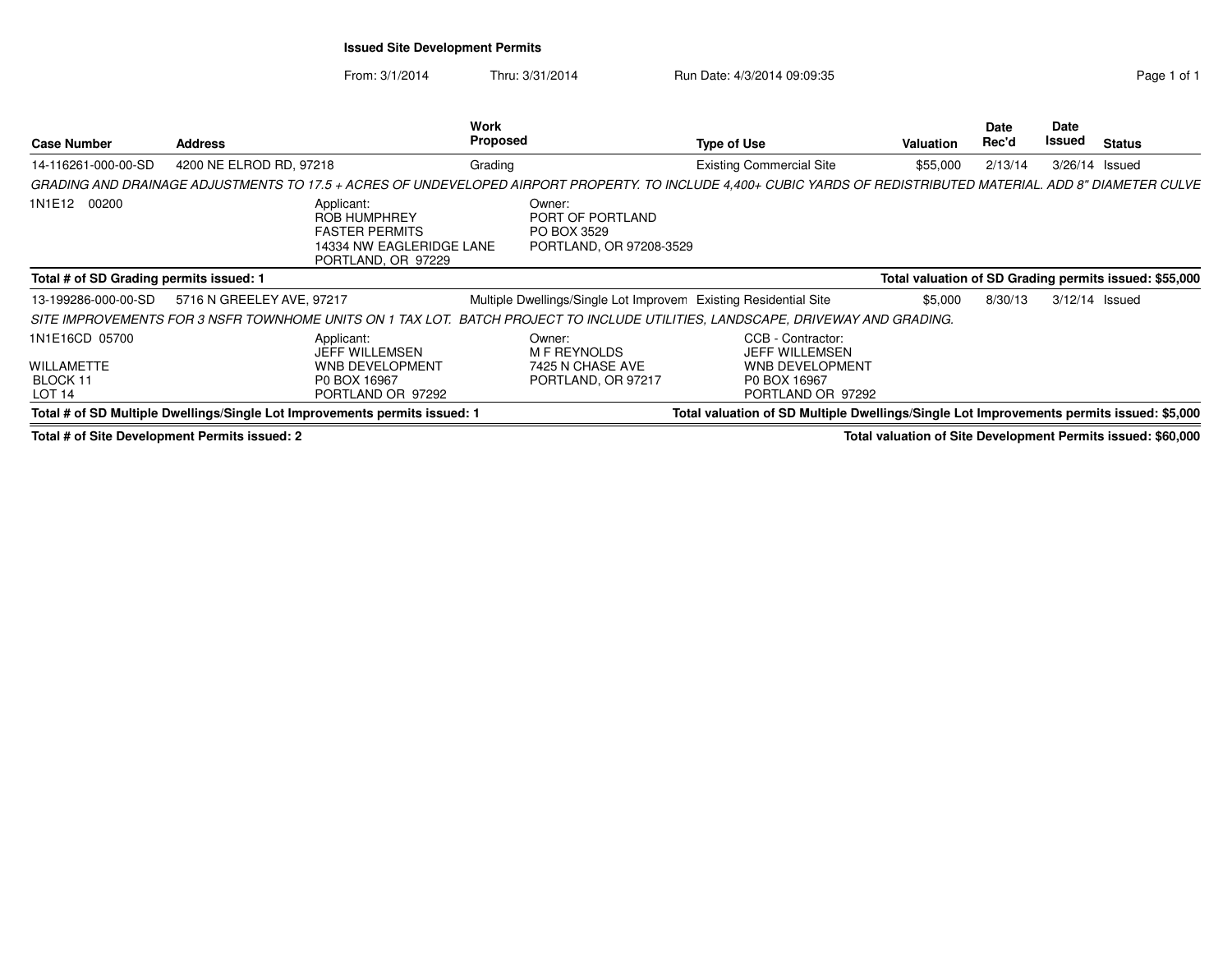## **Issued Site Development Permits**

From: 3/1/2014Thru: 3/31/2014 Run Date: 4/3/2014 09:09:35 Research 2010 1

| <b>Case Number</b>                                                   | <b>Address</b>                                                                                                                                                   | Work<br>Proposed                                                     | <b>Type of Use</b>                                                                                 | <b>Valuation</b> | Date<br>Rec'd | Date<br>Issued | <b>Status</b>                                          |
|----------------------------------------------------------------------|------------------------------------------------------------------------------------------------------------------------------------------------------------------|----------------------------------------------------------------------|----------------------------------------------------------------------------------------------------|------------------|---------------|----------------|--------------------------------------------------------|
| 14-116261-000-00-SD                                                  | 4200 NE ELROD RD, 97218                                                                                                                                          | Grading                                                              | <b>Existing Commercial Site</b>                                                                    | \$55,000         | 2/13/14       |                | 3/26/14 Issued                                         |
|                                                                      | GRADING AND DRAINAGE ADJUSTMENTS TO 17.5 + ACRES OF UNDEVELOPED AIRPORT PROPERTY. TO INCLUDE 4,400+ CUBIC YARDS OF REDISTRIBUTED MATERIAL. ADD 8" DIAMETER CULVE |                                                                      |                                                                                                    |                  |               |                |                                                        |
| 1N1E12 00200                                                         | Applicant:<br><b>ROB HUMPHREY</b><br><b>FASTER PERMITS</b><br>14334 NW EAGLERIDGE LANE<br>PORTLAND, OR 97229                                                     | Owner:<br>PORT OF PORTLAND<br>PO BOX 3529<br>PORTLAND, OR 97208-3529 |                                                                                                    |                  |               |                |                                                        |
| Total # of SD Grading permits issued: 1                              |                                                                                                                                                                  |                                                                      |                                                                                                    |                  |               |                | Total valuation of SD Grading permits issued: \$55,000 |
| 13-199286-000-00-SD                                                  | 5716 N GREELEY AVE, 97217                                                                                                                                        | Multiple Dwellings/Single Lot Improvem                               | <b>Existing Residential Site</b>                                                                   | \$5,000          | 8/30/13       |                | 3/12/14 Issued                                         |
|                                                                      | SITE IMPROVEMENTS FOR 3 NSFR TOWNHOME UNITS ON 1 TAX LOT. BATCH PROJECT TO INCLUDE UTILITIES, LANDSCAPE, DRIVEWAY AND GRADING.                                   |                                                                      |                                                                                                    |                  |               |                |                                                        |
| 1N1E16CD 05700<br><b>WILLAMETTE</b><br>BLOCK 11<br>LOT <sub>14</sub> | Applicant:<br><b>JEFF WILLEMSEN</b><br><b>WNB DEVELOPMENT</b><br>P0 BOX 16967<br>PORTLAND OR 97292                                                               | Owner:<br>M F REYNOLDS<br>7425 N CHASE AVE<br>PORTLAND, OR 97217     | CCB - Contractor:<br>JEFF WILLEMSEN<br><b>WNB DEVELOPMENT</b><br>P0 BOX 16967<br>PORTLAND OR 97292 |                  |               |                |                                                        |
|                                                                      | Total # of SD Multiple Dwellings/Single Lot Improvements permits issued: 1                                                                                       |                                                                      | Total valuation of SD Multiple Dwellings/Single Lot Improvements permits issued: \$5,000           |                  |               |                |                                                        |

**Total # of Site Development Permits issued: 2**

**Total valuation of Site Development Permits issued: \$60,000**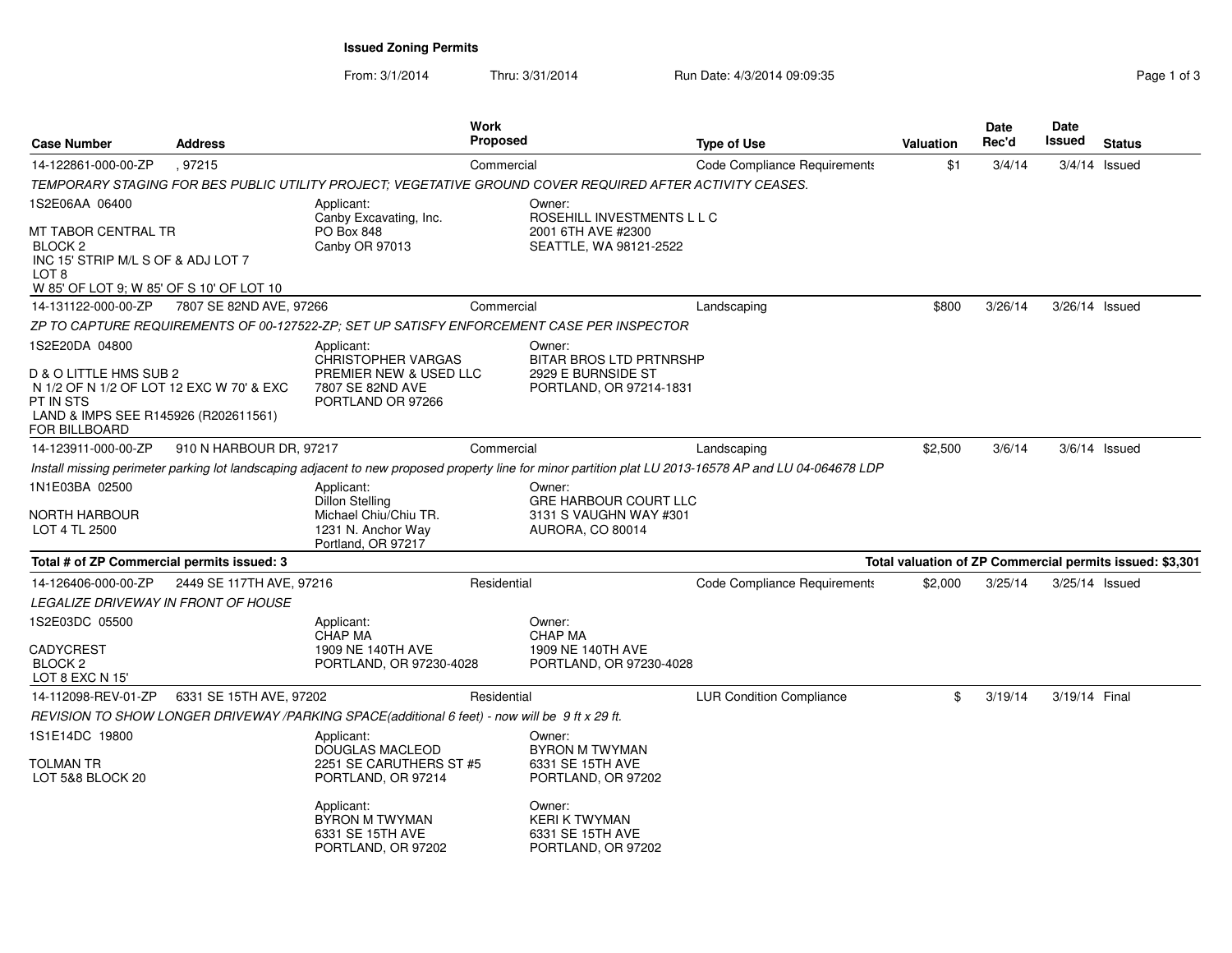**Issued Zoning Permits**

From: 3/1/2014

Thru:  $3/31/2014$  Run Date:  $4/3/2014$  09:09:35

| <b>Case Number</b>                                                                                                                                         | <b>Address</b>           |                                                                                                            | <b>Work</b><br><b>Proposed</b> |                                                                                                           | <b>Type of Use</b>                                                                                                                                      | <b>Valuation</b> | <b>Date</b><br>Rec'd | Date<br>Issued | <b>Status</b>                                            |
|------------------------------------------------------------------------------------------------------------------------------------------------------------|--------------------------|------------------------------------------------------------------------------------------------------------|--------------------------------|-----------------------------------------------------------------------------------------------------------|---------------------------------------------------------------------------------------------------------------------------------------------------------|------------------|----------------------|----------------|----------------------------------------------------------|
| 14-122861-000-00-ZP                                                                                                                                        | .97215                   |                                                                                                            | Commercial                     |                                                                                                           | Code Compliance Requirements                                                                                                                            | \$1              | 3/4/14               |                | $3/4/14$ Issued                                          |
|                                                                                                                                                            |                          |                                                                                                            |                                | TEMPORARY STAGING FOR BES PUBLIC UTILITY PROJECT: VEGETATIVE GROUND COVER REQUIRED AFTER ACTIVITY CEASES. |                                                                                                                                                         |                  |                      |                |                                                          |
| 1S2E06AA 06400                                                                                                                                             |                          | Applicant:                                                                                                 |                                | Owner:                                                                                                    |                                                                                                                                                         |                  |                      |                |                                                          |
| MT TABOR CENTRAL TR<br>BLOCK <sub>2</sub><br>INC 15' STRIP M/L S OF & ADJ LOT 7<br>LOT 8<br>W 85' OF LOT 9; W 85' OF S 10' OF LOT 10                       |                          | Canby Excavating, Inc.<br>PO Box 848<br>Canby OR 97013                                                     |                                | ROSEHILL INVESTMENTS L L C<br>2001 6TH AVE #2300<br>SEATTLE, WA 98121-2522                                |                                                                                                                                                         |                  |                      |                |                                                          |
| 14-131122-000-00-ZP                                                                                                                                        | 7807 SE 82ND AVE, 97266  |                                                                                                            | Commercial                     |                                                                                                           | Landscaping                                                                                                                                             | \$800            | 3/26/14              | 3/26/14 Issued |                                                          |
|                                                                                                                                                            |                          |                                                                                                            |                                | ZP TO CAPTURE REQUIREMENTS OF 00-127522-ZP; SET UP SATISFY ENFORCEMENT CASE PER INSPECTOR                 |                                                                                                                                                         |                  |                      |                |                                                          |
| 1S2E20DA 04800<br>D & O LITTLE HMS SUB 2<br>N 1/2 OF N 1/2 OF LOT 12 EXC W 70' & EXC<br>PT IN STS<br>LAND & IMPS SEE R145926 (R202611561)<br>FOR BILLBOARD |                          | Applicant:<br><b>CHRISTOPHER VARGAS</b><br>PREMIER NEW & USED LLC<br>7807 SE 82ND AVE<br>PORTLAND OR 97266 |                                | Owner:<br>BITAR BROS LTD PRTNRSHP<br>2929 E BURNSIDE ST<br>PORTLAND, OR 97214-1831                        |                                                                                                                                                         |                  |                      |                |                                                          |
| 14-123911-000-00-ZP                                                                                                                                        | 910 N HARBOUR DR, 97217  |                                                                                                            | Commercial                     |                                                                                                           | Landscaping                                                                                                                                             | \$2,500          | 3/6/14               |                | $3/6/14$ Issued                                          |
|                                                                                                                                                            |                          |                                                                                                            |                                |                                                                                                           | Install missing perimeter parking lot landscaping adjacent to new proposed property line for minor partition plat LU 2013-16578 AP and LU 04-064678 LDP |                  |                      |                |                                                          |
| 1N1E03BA 02500<br>NORTH HARBOUR<br>LOT 4 TL 2500                                                                                                           |                          | Applicant:<br><b>Dillon Stelling</b><br>Michael Chiu/Chiu TR.<br>1231 N. Anchor Way<br>Portland, OR 97217  |                                | Owner:<br><b>GRE HARBOUR COURT LLC</b><br>3131 S VAUGHN WAY #301<br>AURORA, CO 80014                      |                                                                                                                                                         |                  |                      |                |                                                          |
| Total # of ZP Commercial permits issued: 3                                                                                                                 |                          |                                                                                                            |                                |                                                                                                           |                                                                                                                                                         |                  |                      |                | Total valuation of ZP Commercial permits issued: \$3,301 |
| 14-126406-000-00-ZP                                                                                                                                        | 2449 SE 117TH AVE, 97216 |                                                                                                            | Residential                    |                                                                                                           | Code Compliance Requirements                                                                                                                            | \$2,000          | 3/25/14              | 3/25/14 Issued |                                                          |
| <b>LEGALIZE DRIVEWAY IN FRONT OF HOUSE</b>                                                                                                                 |                          |                                                                                                            |                                |                                                                                                           |                                                                                                                                                         |                  |                      |                |                                                          |
| 1S2E03DC 05500<br>CADYCREST<br>BLOCK <sub>2</sub><br>LOT 8 EXC N 15                                                                                        |                          | Applicant:<br><b>CHAP MA</b><br>1909 NE 140TH AVE<br>PORTLAND, OR 97230-4028                               |                                | Owner:<br><b>CHAP MA</b><br>1909 NE 140TH AVE<br>PORTLAND, OR 97230-4028                                  |                                                                                                                                                         |                  |                      |                |                                                          |
| 14-112098-REV-01-ZP                                                                                                                                        | 6331 SE 15TH AVE, 97202  |                                                                                                            | Residential                    |                                                                                                           | <b>LUR Condition Compliance</b>                                                                                                                         | \$               | 3/19/14              | 3/19/14 Final  |                                                          |
|                                                                                                                                                            |                          | REVISION TO SHOW LONGER DRIVEWAY /PARKING SPACE(additional 6 feet) - now will be 9 ft x 29 ft.             |                                |                                                                                                           |                                                                                                                                                         |                  |                      |                |                                                          |
| 1S1E14DC 19800<br>TOLMAN TR<br>LOT 5&8 BLOCK 20                                                                                                            |                          | Applicant:<br><b>DOUGLAS MACLEOD</b><br>2251 SE CARUTHERS ST #5<br>PORTLAND, OR 97214                      |                                | Owner:<br><b>BYRON M TWYMAN</b><br>6331 SE 15TH AVE<br>PORTLAND, OR 97202                                 |                                                                                                                                                         |                  |                      |                |                                                          |
|                                                                                                                                                            |                          | Applicant:<br><b>BYRON M TWYMAN</b><br>6331 SE 15TH AVE<br>PORTLAND, OR 97202                              |                                | Owner:<br><b>KERI K TWYMAN</b><br>6331 SE 15TH AVE<br>PORTLAND, OR 97202                                  |                                                                                                                                                         |                  |                      |                |                                                          |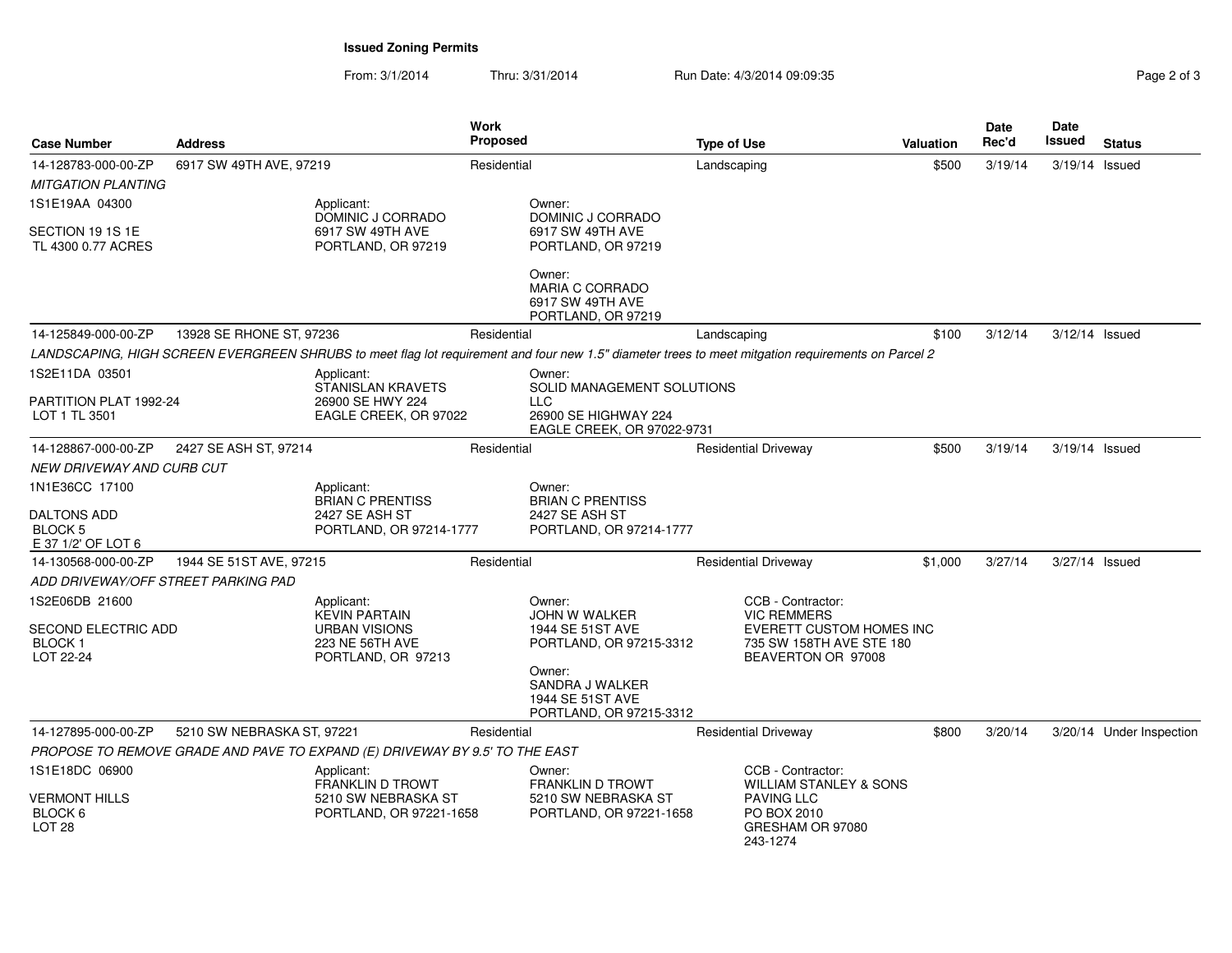**Issued Zoning Permits**

From: 3/1/2014Thru:  $3/31/2014$  Run Date:  $4/3/2014$  09:09:35

| <b>Case Number</b>                                              | <b>Address</b>             |                                                                                       | <b>Work</b><br><b>Proposed</b> |                                                                                                                                                    | <b>Type of Use</b>                                                                                                         | <b>Valuation</b> | Date<br>Rec'd | Date<br>Issued | <b>Status</b>            |
|-----------------------------------------------------------------|----------------------------|---------------------------------------------------------------------------------------|--------------------------------|----------------------------------------------------------------------------------------------------------------------------------------------------|----------------------------------------------------------------------------------------------------------------------------|------------------|---------------|----------------|--------------------------|
| 14-128783-000-00-ZP<br><b>MITGATION PLANTING</b>                | 6917 SW 49TH AVE, 97219    |                                                                                       | Residential                    |                                                                                                                                                    | Landscaping                                                                                                                | \$500            | 3/19/14       | 3/19/14 Issued |                          |
| 1S1E19AA 04300                                                  |                            | Applicant:<br>DOMINIC J CORRADO                                                       |                                | Owner:<br>DOMINIC J CORRADO                                                                                                                        |                                                                                                                            |                  |               |                |                          |
| SECTION 19 1S 1E<br>TL 4300 0.77 ACRES                          |                            | 6917 SW 49TH AVE<br>PORTLAND, OR 97219                                                |                                | 6917 SW 49TH AVE<br>PORTLAND, OR 97219                                                                                                             |                                                                                                                            |                  |               |                |                          |
|                                                                 |                            |                                                                                       |                                | Owner:<br><b>MARIA C CORRADO</b><br>6917 SW 49TH AVE<br>PORTLAND, OR 97219                                                                         |                                                                                                                            |                  |               |                |                          |
| 14-125849-000-00-ZP                                             | 13928 SE RHONE ST, 97236   |                                                                                       | Residential                    |                                                                                                                                                    | Landscaping                                                                                                                | \$100            | 3/12/14       | 3/12/14 Issued |                          |
|                                                                 |                            |                                                                                       |                                | LANDSCAPING, HIGH SCREEN EVERGREEN SHRUBS to meet flag lot requirement and four new 1.5" diameter trees to meet mitgation requirements on Parcel 2 |                                                                                                                            |                  |               |                |                          |
| 1S2E11DA 03501<br>PARTITION PLAT 1992-24<br>LOT 1 TL 3501       |                            | Applicant:<br>STANISLAN KRAVETS<br>26900 SE HWY 224<br>EAGLE CREEK, OR 97022          |                                | Owner:<br>SOLID MANAGEMENT SOLUTIONS<br><b>LLC</b><br>26900 SE HIGHWAY 224<br>EAGLE CREEK, OR 97022-9731                                           |                                                                                                                            |                  |               |                |                          |
| 14-128867-000-00-ZP                                             | 2427 SE ASH ST, 97214      |                                                                                       | Residential                    |                                                                                                                                                    | <b>Residential Driveway</b>                                                                                                | \$500            | 3/19/14       | 3/19/14 Issued |                          |
| NEW DRIVEWAY AND CURB CUT                                       |                            |                                                                                       |                                |                                                                                                                                                    |                                                                                                                            |                  |               |                |                          |
| 1N1E36CC 17100<br><b>DALTONS ADD</b><br><b>BLOCK 5</b>          |                            | Applicant:<br><b>BRIAN C PRENTISS</b><br>2427 SE ASH ST<br>PORTLAND, OR 97214-1777    |                                | Owner:<br><b>BRIAN C PRENTISS</b><br>2427 SE ASH ST<br>PORTLAND, OR 97214-1777                                                                     |                                                                                                                            |                  |               |                |                          |
| E 37 1/2' OF LOT 6<br>14-130568-000-00-ZP                       | 1944 SE 51ST AVE, 97215    |                                                                                       | Residential                    |                                                                                                                                                    | <b>Residential Driveway</b>                                                                                                | \$1,000          | 3/27/14       | 3/27/14 Issued |                          |
|                                                                 |                            |                                                                                       |                                |                                                                                                                                                    |                                                                                                                            |                  |               |                |                          |
| ADD DRIVEWAY/OFF STREET PARKING PAD<br>1S2E06DB 21600           |                            | Applicant:                                                                            |                                | Owner:                                                                                                                                             | CCB - Contractor:                                                                                                          |                  |               |                |                          |
| SECOND ELECTRIC ADD<br><b>BLOCK1</b><br>LOT 22-24               |                            | <b>KEVIN PARTAIN</b><br><b>URBAN VISIONS</b><br>223 NE 56TH AVE<br>PORTLAND, OR 97213 |                                | JOHN W WALKER<br>1944 SE 51ST AVE<br>PORTLAND, OR 97215-3312                                                                                       | <b>VIC REMMERS</b><br><b>EVERETT CUSTOM HOMES INC</b><br>735 SW 158TH AVE STE 180<br>BEAVERTON OR 97008                    |                  |               |                |                          |
|                                                                 |                            |                                                                                       |                                | Owner:<br>SANDRA J WALKER<br>1944 SE 51ST AVE<br>PORTLAND, OR 97215-3312                                                                           |                                                                                                                            |                  |               |                |                          |
| 14-127895-000-00-ZP                                             | 5210 SW NEBRASKA ST, 97221 |                                                                                       | Residential                    |                                                                                                                                                    | <b>Residential Driveway</b>                                                                                                | \$800            | 3/20/14       |                | 3/20/14 Under Inspection |
|                                                                 |                            | PROPOSE TO REMOVE GRADE AND PAVE TO EXPAND (E) DRIVEWAY BY 9.5' TO THE EAST           |                                |                                                                                                                                                    |                                                                                                                            |                  |               |                |                          |
| 1S1E18DC 06900<br>VERMONT HILLS<br>BLOCK 6<br>LOT <sub>28</sub> |                            | Applicant:<br>FRANKLIN D TROWT<br>5210 SW NEBRASKA ST<br>PORTLAND, OR 97221-1658      |                                | Owner:<br><b>FRANKLIN D TROWT</b><br>5210 SW NEBRASKA ST<br>PORTLAND, OR 97221-1658                                                                | CCB - Contractor:<br><b>WILLIAM STANLEY &amp; SONS</b><br><b>PAVING LLC</b><br>PO BOX 2010<br>GRESHAM OR 97080<br>243-1274 |                  |               |                |                          |